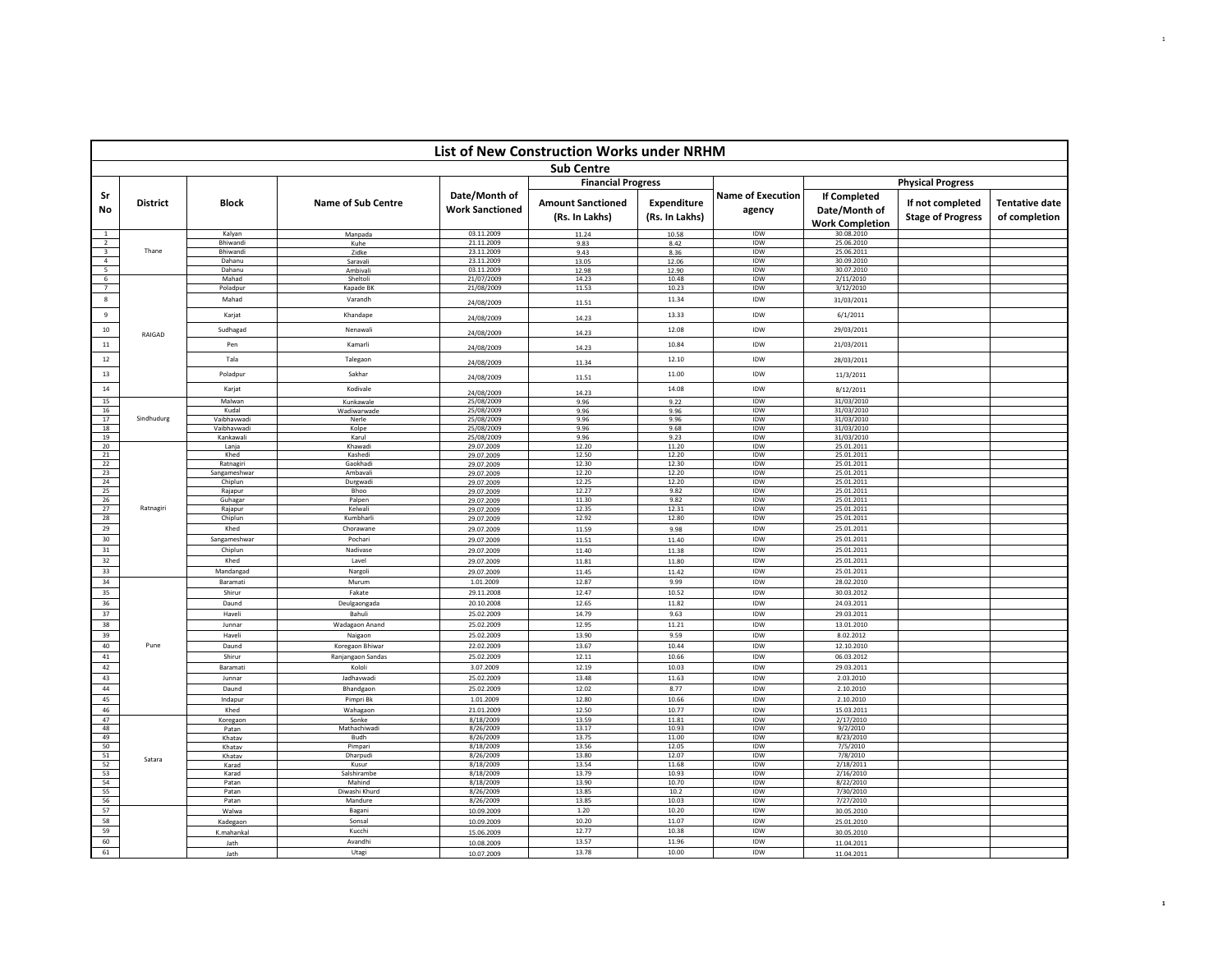|                                           |                 |                             |                           |                                         | List of New Construction Works under NRHM  |                                      |                                    |                                                                |                                              |                                        |
|-------------------------------------------|-----------------|-----------------------------|---------------------------|-----------------------------------------|--------------------------------------------|--------------------------------------|------------------------------------|----------------------------------------------------------------|----------------------------------------------|----------------------------------------|
|                                           |                 |                             |                           |                                         | <b>Sub Centre</b>                          |                                      |                                    |                                                                |                                              |                                        |
|                                           |                 |                             |                           |                                         | <b>Financial Progress</b>                  |                                      |                                    |                                                                | <b>Physical Progress</b>                     |                                        |
| -Sr<br>No                                 | <b>District</b> | <b>Block</b>                | <b>Name of Sub Centre</b> | Date/Month of<br><b>Work Sanctioned</b> | <b>Amount Sanctioned</b><br>(Rs. In Lakhs) | <b>Expenditure</b><br>(Rs. In Lakhs) | <b>Name of Execution</b><br>agency | <b>If Completed</b><br>Date/Month of<br><b>Work Completion</b> | If not completed<br><b>Stage of Progress</b> | <b>Tentative date</b><br>of completion |
| <sup>1</sup>                              |                 | Kalyan                      | Manpada                   | 03.11.2009                              | 11.24                                      | 10.58                                | IDW                                | 30.08.2010                                                     |                                              |                                        |
| $\overline{2}$<br>$\overline{\mathbf{3}}$ | Thane           | <b>Bhiwandi</b><br>Bhiwandi | Kuhe<br>Zidke             | 21.11.2009<br>23.11.2009                | 9.83<br>9.43                               | 8.42<br>8.36                         | <b>IDW</b><br>IDW                  | 25.06.2010<br>25.06.2011                                       |                                              |                                        |
| $\overline{4}$                            |                 | Dahanu                      | Saravali                  | 23.11.2009                              | 13.05                                      | 12.06                                | IDW                                | 30.09.2010                                                     |                                              |                                        |
| $\overline{\phantom{a}}$                  |                 | Dahanu                      | Ambivali                  | 03.11.2009                              | 12.98                                      | 12.90                                | <b>IDW</b>                         | 30.07.2010                                                     |                                              |                                        |
| $6\overline{6}$<br>7                      |                 | Mahad<br>Poladpur           | Sheltoli<br>Kapade BK     | 21/07/2009<br>21/08/2009                | 14.23<br>11.53                             | 10.48<br>10.23                       | IDW<br>IDW                         | 2/11/2010<br>3/12/2010                                         |                                              |                                        |
| $\bf 8$                                   |                 | Mahad                       | Varandh                   |                                         |                                            | 11.34                                | IDW                                |                                                                |                                              |                                        |
| 9                                         |                 | Karjat                      | Khandape                  | 24/08/2009<br>24/08/2009                | 11.51<br>14.23                             | 13.33                                | IDW                                | 31/03/2011<br>6/1/2011                                         |                                              |                                        |
| $10\,$                                    |                 | Sudhagad                    | Nenawali                  |                                         |                                            | 12.08                                | IDW                                | 29/03/2011                                                     |                                              |                                        |
| $11\,$                                    | RAIGAD          | Pen                         | Kamarli                   | 24/08/2009<br>24/08/2009                | 14.23<br>14.23                             | 10.84                                | IDW                                | 21/03/2011                                                     |                                              |                                        |
| $12\,$                                    |                 | Tala                        | Talegaon                  | 24/08/2009                              | 11.34                                      | 12.10                                | IDW                                | 28/03/2011                                                     |                                              |                                        |
| $13\,$                                    |                 | Poladpur                    | Sakhar                    | 24/08/2009                              | 11.51                                      | 11.00                                | IDW                                | 11/3/2011                                                      |                                              |                                        |
| $14\,$                                    |                 | Karjat                      | Kodivale                  | 24/08/2009                              | 14.23                                      | 14.08                                | IDW                                | 8/12/2011                                                      |                                              |                                        |
| 15                                        |                 | Malwan                      | Kunkawale                 | 25/08/2009                              | 9.96                                       | 9.22                                 | <b>IDW</b>                         | 31/03/2010                                                     |                                              |                                        |
| 16                                        |                 | Kudal                       | Wadiwarwade               | 25/08/2009                              | 9.96                                       | 9.96                                 | IDW                                | 31/03/2010                                                     |                                              |                                        |
| 17<br>18                                  | Sindhudurg      | Vaibhavwadi<br>Vaibhavwadi  | Nerle                     | 25/08/2009<br>25/08/2009                | 9.96                                       | 9.96                                 | IDW<br>IDW                         | 31/03/2010<br>31/03/2010                                       |                                              |                                        |
| 19                                        |                 | Kankawali                   | Kolpe<br>Karul            | 25/08/2009                              | 9.96<br>9.96                               | 9.68<br>9.23                         | IDW                                | 31/03/2010                                                     |                                              |                                        |
| 20                                        |                 | Lanja                       | Khawadi                   | 29.07.2009                              | 12.20                                      | 11.20                                | IDW                                | 25.01.2011                                                     |                                              |                                        |
| 21                                        |                 | Khed                        | Kashedi                   | 29.07.2009                              | 12.50                                      | 12.20                                | <b>IDW</b>                         | 25.01.2011                                                     |                                              |                                        |
| 22<br>23                                  |                 | Ratnagiri<br>Sangameshwar   | Gaokhadi<br>Ambavali      | 29.07.2009<br>29.07.2009                | 12.30<br>12.20                             | 12.30<br>12.20                       | IDW<br>IDW                         | 25.01.2011<br>25.01.2011                                       |                                              |                                        |
| 24                                        |                 | Chiplun                     | Durgwadi                  | 29.07.2009                              | 12.25                                      | 12.20                                | IDW                                | 25.01.2011                                                     |                                              |                                        |
| 25                                        |                 | Rajapur                     | Bhoo                      | 29.07.2009                              | 12.27                                      | 9.82                                 | IDW                                | 25.01.2011                                                     |                                              |                                        |
| 26                                        |                 | Guhagar                     | Palpen                    | 29.07.2009                              | 11.30                                      | 9.82                                 | IDW                                | 25.01.2011                                                     |                                              |                                        |
| 27<br>28                                  | Ratnagiri       | Rajapur                     | Kelwali<br>Kumbharli      | 29.07.2009                              | 12.35<br>12.92                             | 12.31<br>12.80                       | IDW<br>IDW                         | 25.01.2011                                                     |                                              |                                        |
| 29                                        |                 | Chiplun<br>Khed             | Chorawane                 | 29.07.2009                              |                                            |                                      | IDW                                | 25.01.2011<br>25.01.2011                                       |                                              |                                        |
| 30                                        |                 | Sangameshwar                | Pochari                   | 29.07.2009<br>29.07.2009                | 11.59<br>11.51                             | 9.98<br>11.40                        | IDW                                | 25.01.2011                                                     |                                              |                                        |
| 31                                        |                 | Chiplun                     | Nadivase                  | 29.07.2009                              | 11.40                                      | 11.38                                | <b>IDW</b>                         | 25.01.2011                                                     |                                              |                                        |
| 32                                        |                 | Khed                        | Lavel                     | 29.07.2009                              | 11.81                                      | 11.80                                | IDW                                | 25.01.2011                                                     |                                              |                                        |
| 33                                        |                 | Mandangad                   | Nargoli                   | 29.07.2009                              | 11.45                                      | 11.42                                | IDW                                | 25.01.2011                                                     |                                              |                                        |
| 34                                        |                 | Baramati                    | Murum                     | 1.01.2009                               | 12.87                                      | 9.99                                 | IDW                                | 28.02.2010                                                     |                                              |                                        |
| 35                                        |                 | Shirur                      | Fakate                    | 29.11.2008                              | 12.47                                      | 10.52                                | IDW                                | 30.03.2012                                                     |                                              |                                        |
| 36                                        |                 | Daund                       | Deulgaongada              | 20.10.2008                              | 12.65                                      | 11.82                                | IDW                                | 24.03.2011                                                     |                                              |                                        |
| 37                                        |                 | Haveli                      | Bahuli                    | 25.02.2009                              | 14.79                                      | 9.63                                 | IDW                                | 29.03.2011                                                     |                                              |                                        |
| 38                                        |                 | Junnar                      | Wadagaon Anand            | 25.02.2009                              | 12.95                                      | 11.21                                | IDW                                | 13.01.2010                                                     |                                              |                                        |
| 39                                        |                 | Haveli                      | Naigaon                   | 25.02.2009                              | 13.90                                      | 9.59                                 | IDW                                | 8.02.2012                                                      |                                              |                                        |
| 40                                        | Pune            | Daund                       | Koregaon Bhiwar           | 22.02.2009                              | 13.67                                      | 10.44                                | IDW                                | 12.10.2010                                                     |                                              |                                        |
| $41\,$                                    |                 | Shirur                      | Ranjangaon Sandas         | 25.02.2009                              | 12.11                                      | 10.66                                | IDW                                | 06.03.2012                                                     |                                              |                                        |
| 42<br>43                                  |                 | Baramati<br>Junnar          | Kololi<br>Jadhavwad       | 3.07.2009                               | 12.19<br>13.48                             | 10.03                                | IDW<br>IDW                         | 29.03.2011<br>2.03.2010                                        |                                              |                                        |
| 44                                        |                 | Daund                       | Bhandgaon                 | 25.02.2009<br>25.02.2009                | 12.02                                      | 11.63<br>8.77                        | IDW                                | 2.10.2010                                                      |                                              |                                        |
| 45                                        |                 | Indapur                     | Pimpri Bk                 | 1.01.2009                               | 12.80                                      | 10.66                                | IDW                                | 2.10.2010                                                      |                                              |                                        |
| 46                                        |                 | Khed                        | Wahagaon                  | 21.01.2009                              | 12.50                                      | 10.77                                | IDW                                | 15.03.2011                                                     |                                              |                                        |
| 47                                        |                 | Koregaon                    | Sonke                     | 8/18/2009                               | 13.59                                      | 11.81                                | <b>IDW</b>                         | 2/17/2010                                                      |                                              |                                        |
| 48                                        |                 | Patan                       | Mathachiwad               | 8/26/2009                               | 13.17                                      | 10.93                                | IDW                                | 9/2/2010                                                       |                                              |                                        |
| 49<br>50                                  |                 | Khatav                      | Budh                      | 8/26/2009                               | 13.75                                      | 11.00                                | IDW                                | 8/23/2010                                                      |                                              |                                        |
| 51                                        |                 | Khatav<br>Khatav            | Pimpari<br>Dharpudi       | 8/18/2009<br>8/26/2009                  | 13.56<br>13.80                             | 12.05<br>12.07                       | IDW<br>IDW                         | 7/5/2010<br>7/8/2010                                           |                                              |                                        |
| 52                                        | Satara          | Karad                       | Kusur                     | 8/18/2009                               | 13.54                                      | 11.68                                | IDW                                | 2/18/2011                                                      |                                              |                                        |
| 53                                        |                 | Karad                       | Salshirambe               | 8/18/2009                               | 13.79                                      | 10.93                                | IDW                                | 2/16/2010                                                      |                                              |                                        |
| 54<br>55                                  |                 | Patan                       | Mahind                    | 8/18/2009                               | 13.90<br>13.85                             | 10.70                                | IDW                                | 8/22/2010                                                      |                                              |                                        |
| 56                                        |                 | Patan<br>Patan              | Diwashi Khurd<br>Mandure  | 8/26/2009<br>8/26/2009                  | 13.85                                      | 10.2<br>10.03                        | IDW<br>IDW                         | 7/30/2010<br>7/27/2010                                         |                                              |                                        |
| 57                                        |                 | Walwa                       | Bagani                    | 10.09.2009                              | 1.20                                       | 10.20                                | IDW                                | 30.05.2010                                                     |                                              |                                        |
| 58                                        |                 | Kadegaon                    | Sonsal                    | 10.09.2009                              | 10.20                                      | 11.07                                | IDW                                | 25.01.2010                                                     |                                              |                                        |
| 59                                        |                 | K.mahankal                  | Kucchi                    | 15.06.2009                              | 12.77                                      | 10.38                                | IDW                                | 30.05.2010                                                     |                                              |                                        |
| 60                                        |                 | Jath                        | Avandhi                   | 10.08.2009                              | 13.57                                      | 11.96                                | IDW                                | 11.04.2011                                                     |                                              |                                        |
| 61                                        |                 | Jath                        | Utagi                     | 10.07.2009                              | 13.78                                      | 10.00                                | IDW                                | 11.04.2011                                                     |                                              |                                        |

 $\mathbf{1}$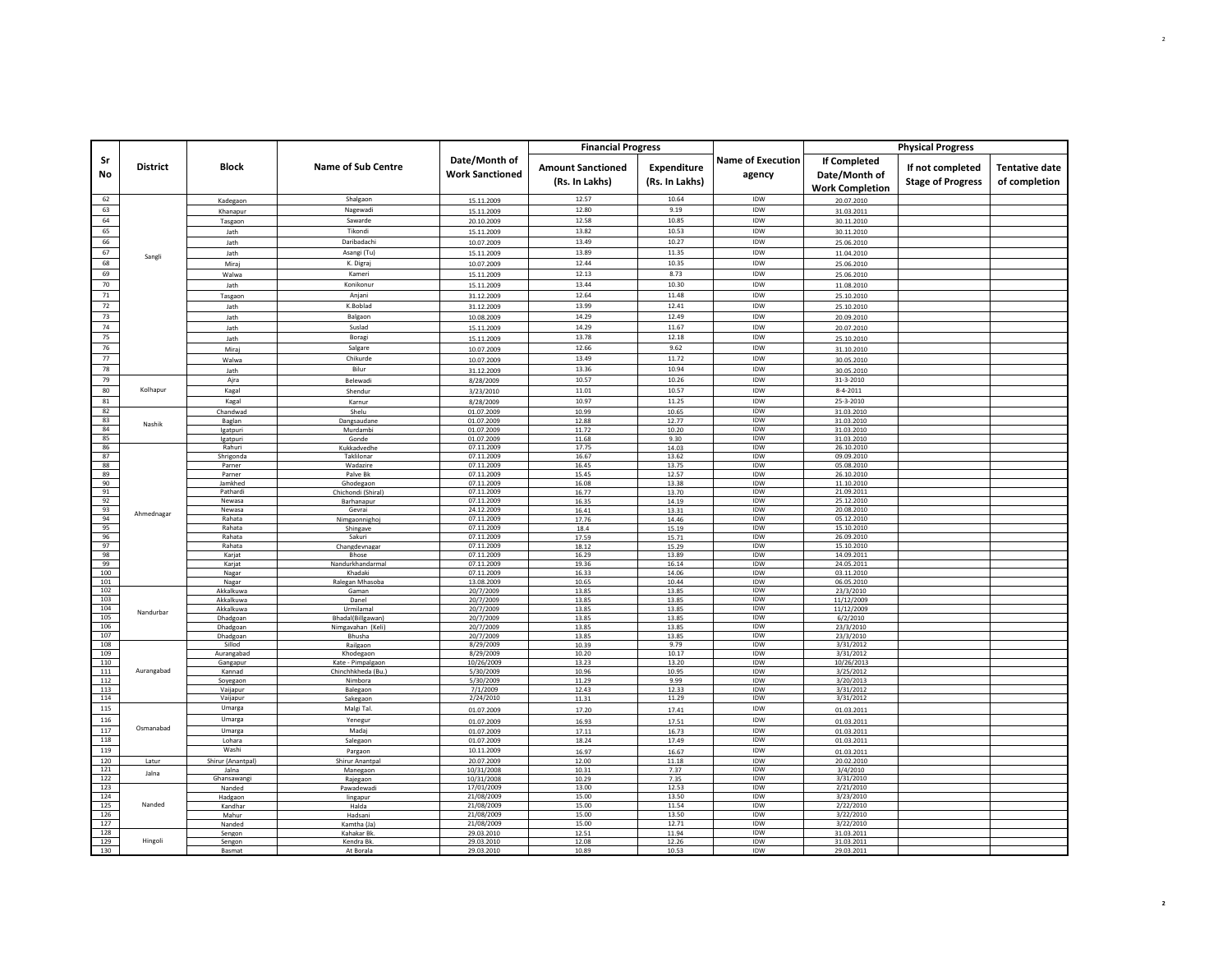|                 |                 |                        |                           |                                         | <b>Financial Progress</b>                  |                               |                                    |                                                                | <b>Physical Progress</b>                     |                                        |
|-----------------|-----------------|------------------------|---------------------------|-----------------------------------------|--------------------------------------------|-------------------------------|------------------------------------|----------------------------------------------------------------|----------------------------------------------|----------------------------------------|
| Sr<br><b>No</b> | <b>District</b> | <b>Block</b>           | <b>Name of Sub Centre</b> | Date/Month of<br><b>Work Sanctioned</b> | <b>Amount Sanctioned</b><br>(Rs. In Lakhs) | Expenditure<br>(Rs. In Lakhs) | <b>Name of Execution</b><br>agency | <b>If Completed</b><br>Date/Month of<br><b>Work Completion</b> | If not completed<br><b>Stage of Progress</b> | <b>Tentative date</b><br>of completion |
| 62              |                 | Kadegaon               | Shalgaon                  | 15.11.2009                              | 12.57                                      | 10.64                         | IDW                                | 20.07.2010                                                     |                                              |                                        |
| 63              |                 | Khanapur               | Nagewadi                  | 15.11.2009                              | 12.80                                      | 9.19                          | IDW                                | 31.03.2011                                                     |                                              |                                        |
| 64              |                 | Tasgaon                | Sawarde                   | 20.10.2009                              | 12.58                                      | 10.85                         | IDW                                | 30.11.2010                                                     |                                              |                                        |
| 65              |                 | Jath                   | Tikondi                   | 15.11.2009                              | 13.82                                      | 10.53                         | IDW                                | 30.11.2010                                                     |                                              |                                        |
| 66<br>67        |                 | Jath                   | Daribadachi               | 10.07.2009                              | 13.49                                      | 10.27                         | IDW<br>IDW                         | 25.06.2010                                                     |                                              |                                        |
| 68              | Sangli          | Jath                   | Asangi (Tu)<br>K. Digraj  | 15.11.2009                              | 13.89<br>12.44                             | 11.35<br>10.35                | IDW                                | 11.04.2010                                                     |                                              |                                        |
| 69              |                 | Miraj<br>Walwa         | Kameri                    | 10.07.2009                              | 12.13                                      | 8.73                          | IDW                                | 25.06.2010                                                     |                                              |                                        |
| 70              |                 |                        | Konikonur                 | 15.11.2009<br>15.11.2009                | 13.44                                      | 10.30                         | IDW                                | 25.06.2010<br>11.08.2010                                       |                                              |                                        |
| 71              |                 | Jath<br>Tasgaon        | Anjani                    | 31.12.2009                              | 12.64                                      | 11.48                         | IDW                                | 25.10.2010                                                     |                                              |                                        |
| 72              |                 | lath                   | K.Boblad                  | 31.12.2009                              | 13.99                                      | 12.41                         | IDW                                | 25.10.2010                                                     |                                              |                                        |
| 73              |                 | Jath                   | Balgaon                   | 10.08.2009                              | 14.29                                      | 12.49                         | IDW                                | 20.09.2010                                                     |                                              |                                        |
| 74              |                 | Jath                   | Suslad                    | 15.11.2009                              | 14.29                                      | 11.67                         | IDW                                | 20.07.2010                                                     |                                              |                                        |
| 75              |                 | Jath                   | Boragi                    | 15.11.2009                              | 13.78                                      | 12.18                         | IDW                                | 25.10.2010                                                     |                                              |                                        |
| 76              |                 | Miraj                  | Salgare                   | 10.07.2009                              | 12.66                                      | 9.62                          | IDW                                | 31.10.2010                                                     |                                              |                                        |
| 77              |                 | Walwa                  | Chikurde                  | 10.07.2009                              | 13.49                                      | 11.72                         | IDW                                | 30.05.2010                                                     |                                              |                                        |
| 78              |                 | Jath                   | Bilur                     | 31.12.2009                              | 13.36                                      | 10.94                         | IDW                                | 30.05.2010                                                     |                                              |                                        |
| 79              |                 | Ajra                   | Belewadi                  | 8/28/2009                               | 10.57                                      | 10.26                         | IDW                                | 31-3-2010                                                      |                                              |                                        |
| 80              | Kolhapur        | Kagal                  | Shendur                   | 3/23/2010                               | 11.01                                      | 10.57                         | <b>IDW</b>                         | $8 - 4 - 2011$                                                 |                                              |                                        |
| 81              |                 | Kagal                  | Karnur                    | 8/28/2009                               | 10.97                                      | 11.25                         | IDW                                | 25-3-2010                                                      |                                              |                                        |
| 82<br>83        |                 | Chandwad               | Shelu                     | 01.07.2009                              | 10.99                                      | 10.65                         | IDW<br>IDW                         | 31.03.2010                                                     |                                              |                                        |
| 84              | Nashik          | Baglan<br>Igatpuri     | Dangsaudane<br>Murdambi   | 01.07.2009<br>01.07.2009                | 12.88<br>11.72                             | 12.77<br>10.20                | <b>IDW</b>                         | 31.03.2010<br>31.03.2010                                       |                                              |                                        |
| 85              |                 | Igatpuri               | Gonde                     | 01.07.2009                              | 11.68                                      | 9.30                          | IDW                                | 31.03.2010                                                     |                                              |                                        |
| 86              |                 | Rahuri                 | Kukkadvedhe               | 07.11.2009                              | 17.75                                      | 14.03                         | IDW                                | 26.10.2010                                                     |                                              |                                        |
| 87              |                 | Shrigonda<br>Parner    | Taklilona                 | 07.11.2009                              | 16.67                                      | 13.62                         | IDW<br>IDW                         | 09.09.2010                                                     |                                              |                                        |
| 88<br>89        |                 | Parner                 | Wadazire<br>Palve Bk      | 07.11.2009<br>07.11.2009                | 16.45<br>15.45                             | 13.75<br>12.57                | IDW                                | 05.08.2010<br>26.10.2010                                       |                                              |                                        |
| 90              |                 | Jamkhed                | Ghodegaon                 | 07.11.2009                              | 16.08                                      | 13.38                         | IDW                                | 11.10.2010                                                     |                                              |                                        |
| 91              |                 | Pathardi               | Chichondi (Shiral)        | 07.11.2009                              | 16.77                                      | 13.70                         | IDW                                | 21.09.2011                                                     |                                              |                                        |
| 92<br>93        |                 | Newasa                 | Barhanapur                | 07.11.2009<br>24.12.2009                | 16.35                                      | 14.19                         | <b>IDW</b><br>IDW                  | 25.12.2010                                                     |                                              |                                        |
| 94              | Ahmednagar      | Newasa<br>Rahata       | Gevrai<br>Nimgaonnighoj   | 07.11.2009                              | 16.41<br>17.76                             | 13.31<br>14.46                | IDW                                | 20.08.2010<br>05.12.2010                                       |                                              |                                        |
| 95              |                 | Rahata                 | Shingave                  | 07.11.2009                              | 18.4                                       | 15.19                         | IDW                                | 15.10.2010                                                     |                                              |                                        |
| 96              |                 | Rahata                 | Sakuri                    | 07.11.2009                              | 17.59                                      | 15.71                         | IDW                                | 26.09.2010                                                     |                                              |                                        |
| 97              |                 | Rahata                 | Changdevnagar             | 07.11.2009                              | 18.12                                      | 15.29                         | IDW                                | 15.10.2010                                                     |                                              |                                        |
| 98<br>99        |                 | Karjat<br>Karjat       | Bhose<br>Nandurkhandarmal | 07.11.2009<br>07.11.2009                | 16.29<br>19.36                             | 13.89<br>16.14                | IDW<br>IDW                         | 14.09.2011<br>24.05.2011                                       |                                              |                                        |
| 100             |                 | Nagar                  | Khadaki                   | 07.11.2009                              | 16.33                                      | 14.06                         | IDW                                | 03.11.2010                                                     |                                              |                                        |
| 101             |                 | Nagar                  | Ralegan Mhasoba           | 13.08.2009                              | 10.65                                      | 10.44                         | IDW                                | 06.05.2010                                                     |                                              |                                        |
| 102             |                 | Akkalkuwa              | Gaman                     | 20/7/2009                               | 13.85                                      | 13.85                         | IDW                                | 23/3/2010                                                      |                                              |                                        |
| 103<br>104      |                 | Akkalkuwa<br>Akkalkuwa | Danel<br>Urmilamal        | 20/7/2009<br>20/7/2009                  | 13.85<br>13.85                             | 13.85<br>13.85                | IDW<br>IDW                         | 11/12/2009<br>11/12/2009                                       |                                              |                                        |
| 105             | Nandurbar       | Dhadgoan               | Bhadal(Billgawan)         | 20/7/2009                               | 13.85                                      | 13.85                         | IDW                                | 6/2/2010                                                       |                                              |                                        |
| 106             |                 | Dhadgoan               | Nimgavahan (Keli)         | 20/7/2009                               | 13.85                                      | 13.85                         | IDW                                | 23/3/2010                                                      |                                              |                                        |
| 107             |                 | <b>Dhadgoan</b>        | Bhusha                    | 20/7/2009                               | 13.85                                      | 13.85                         | <b>IDW</b>                         | 23/3/2010                                                      |                                              |                                        |
| 108<br>109      |                 | Sillod<br>Aurangabad   | Railgaon<br>Khodegaon     | 8/29/2009<br>8/29/2009                  | 10.39<br>10.20                             | 9.79<br>10.17                 | IDW<br>IDW                         | 3/31/2012<br>3/31/2012                                         |                                              |                                        |
| 110             |                 | Gangapur               | Kate - Pimpalgaor         | 10/26/2009                              | 13.23                                      | 13.20                         | IDW                                | 10/26/2013                                                     |                                              |                                        |
| 111             | Aurangabad      | Kannad                 | Chinchhkheda (Bu.)        | 5/30/2009                               | 10.96                                      | 10.95                         | <b>IDW</b>                         | 3/25/2012                                                      |                                              |                                        |
| 112             |                 | Soyegaon               | Nimbora                   | 5/30/2009                               | 11.29                                      | 9.99                          | IDW                                | 3/20/2013                                                      |                                              |                                        |
| 113<br>114      |                 | Vaijapur<br>Vaijapur   | Balegaon<br>Sakegaon      | 7/1/2009<br>2/24/2010                   | 12.43<br>11.31                             | 12.33<br>11.29                | IDW<br>IDW                         | 3/31/2012<br>3/31/2012                                         |                                              |                                        |
| 115             |                 | Umarga                 | Malgi Tal.                | 01.07.2009                              | 17.20                                      | 17.41                         | IDW                                | 01.03.2011                                                     |                                              |                                        |
| 116             |                 | Umarga                 | Yenegur                   | 01.07.2009                              | 16.93                                      | 17.51                         | IDW                                | 01.03.2011                                                     |                                              |                                        |
| 117             | Osmanabad       | Umarga                 | Madaj                     | 01.07.2009                              | 17.11                                      | 16.73                         | IDW                                | 01.03.2011                                                     |                                              |                                        |
| 118             |                 | Lohara                 | Salegaon                  | 01.07.2009                              | 18.24                                      | 17.49                         | IDW                                | 01.03.2011                                                     |                                              |                                        |
| 119             |                 | Washi                  | Pargaon                   | 10.11.2009                              | 16.97                                      | 16.67                         | IDW                                | 01.03.2011                                                     |                                              |                                        |
| 120             | Latur           | Shirur (Anantpal)      | Shirur Anantpal           | 20.07.2009                              | 12.00                                      | 11.18                         | IDW                                | 20.02.2010                                                     |                                              |                                        |
| 121<br>122      | Jalna           | Jalna<br>Ghansawang    | Manegaon                  | 10/31/2008                              | 10.31<br>10.29                             | 7.37                          | <b>IDW</b><br>IDW                  | 3/4/2010<br>3/31/2010                                          |                                              |                                        |
| 123             |                 | Nanded                 | Rajegaon<br>Pawadewad     | 10/31/2008<br>17/01/2009                | 13.00                                      | 7.35<br>12.53                 | IDW                                | 2/21/2010                                                      |                                              |                                        |
| 124             |                 | Hadgaon                | lingapu                   | 21/08/2009                              | 15.00                                      | 13.50                         | IDW                                | 3/23/2010                                                      |                                              |                                        |
| 125             | Nanded          | Kandhar                | Halda                     | 21/08/2009                              | 15.00                                      | 11.54                         | <b>IDW</b>                         | 2/22/2010                                                      |                                              |                                        |
| 126             |                 | Mahur                  | Hadsani                   | 21/08/2009                              | 15.00                                      | 13.50                         | IDW                                | 3/22/2010                                                      |                                              |                                        |
| 127<br>128      |                 | Nanded<br>Sengon       | Kamtha (Ja)<br>Kahakar Bk | 21/08/2009<br>29.03.2010                | 15.00<br>12.51                             | 12.71<br>11.94                | IDW<br>IDW                         | 3/22/2010<br>31.03.2011                                        |                                              |                                        |
| 129             | Hingoli         | Sengon                 | Kendra Bk                 | 29.03.2010                              | 12.08                                      | 12.26                         | IDW                                | 31.03.2011                                                     |                                              |                                        |
| 130             |                 | Basma                  | At Boral:                 | 29.03.2010                              | 10.89                                      | 10.53                         | <b>IDW</b>                         | 29.03.2011                                                     |                                              |                                        |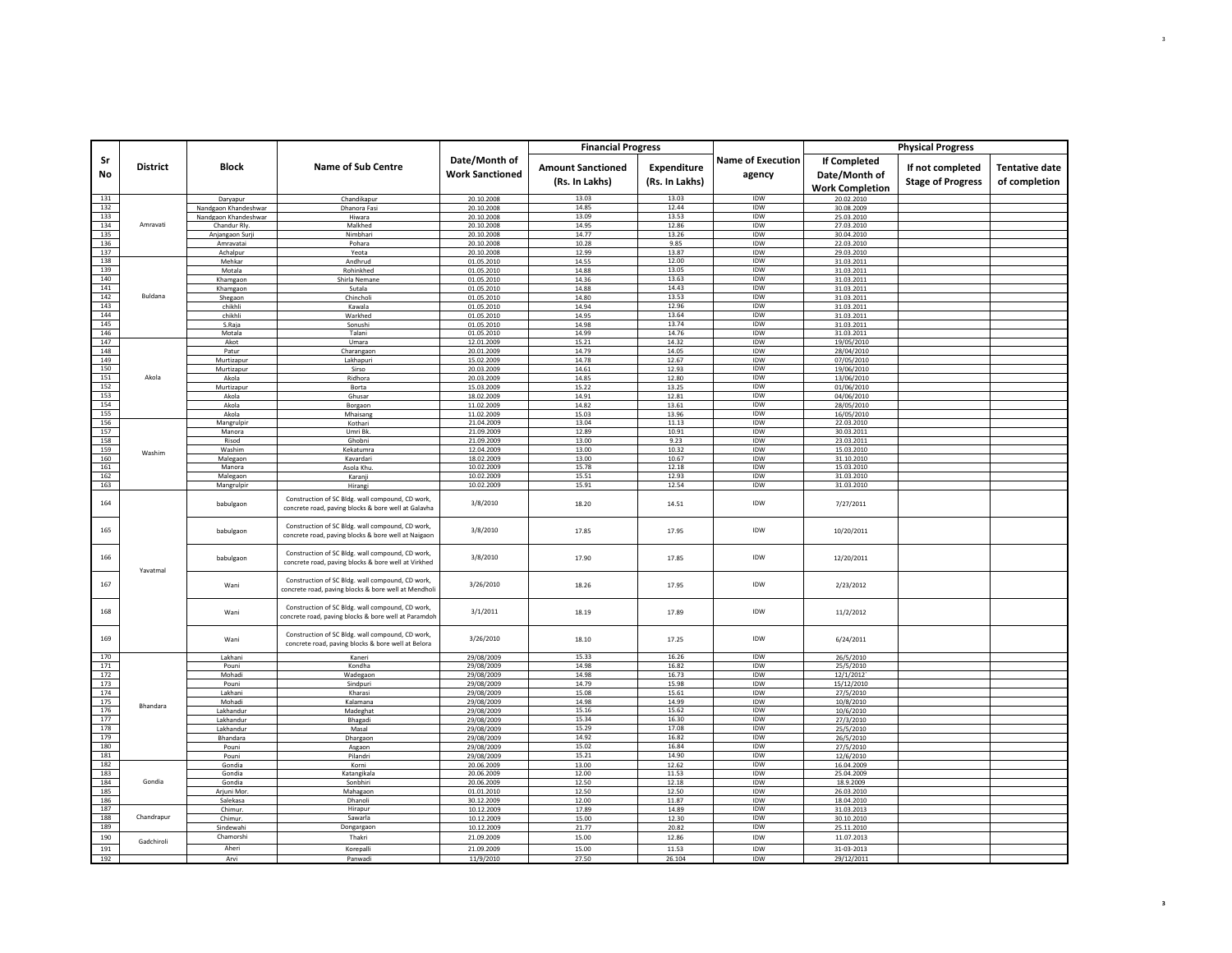|            |                 |                              |                                                                                                          |                                         | <b>Financial Progress</b>                  |                                      |                                    |                                                                | <b>Physical Progress</b>                     |                                        |
|------------|-----------------|------------------------------|----------------------------------------------------------------------------------------------------------|-----------------------------------------|--------------------------------------------|--------------------------------------|------------------------------------|----------------------------------------------------------------|----------------------------------------------|----------------------------------------|
| Sr<br>No   | <b>District</b> | <b>Block</b>                 | <b>Name of Sub Centre</b>                                                                                | Date/Month of<br><b>Work Sanctioned</b> | <b>Amount Sanctioned</b><br>(Rs. In Lakhs) | <b>Expenditure</b><br>(Rs. In Lakhs) | <b>Name of Execution</b><br>agency | <b>If Completed</b><br>Date/Month of<br><b>Work Completion</b> | If not completed<br><b>Stage of Progress</b> | <b>Tentative date</b><br>of completion |
| 131        |                 | Daryapur                     | Chandikapur                                                                                              | 20.10.2008                              | 13.03                                      | 13.03                                | IDW                                | 20.02.2010                                                     |                                              |                                        |
| 132        |                 | Nandgaon Khandeshwar         | Dhanora Fasi                                                                                             | 20.10.2008                              | 14.85                                      | 12.44                                | IDW                                | 30.08.2009                                                     |                                              |                                        |
| 133<br>134 | Amravati        | Nandgaon Khandeshwar         | Hiwara                                                                                                   | 20.10.2008                              | 13.09<br>14.95                             | 13.53<br>12.86                       | IDW<br>IDW                         | 25.03.2010                                                     |                                              |                                        |
| 135        |                 | Chandur Rly.                 | Malkhed<br>Nimbhari                                                                                      | 20.10.2008<br>20.10.2008                | 14.77                                      | 13.26                                | IDW                                | 27.03.2010<br>30.04.2010                                       |                                              |                                        |
| 136        |                 | Anjangaon Surji<br>Amravatai | Pohara                                                                                                   | 20.10.2008                              | 10.28                                      | 9.85                                 | IDW                                | 22.03.2010                                                     |                                              |                                        |
| 137        |                 | Achalpur                     | Yeota                                                                                                    | 20.10.2008                              | 12.99                                      | 13.87                                | IDW                                | 29.03.2010                                                     |                                              |                                        |
| 138        |                 | Mehkar                       | Andhrud                                                                                                  | 01.05.2010                              | 14.55                                      | 12.00                                | IDW                                | 31.03.2011                                                     |                                              |                                        |
| 139        |                 | Motala                       | Rohinkhed                                                                                                | 01.05.2010                              | 14.88                                      | 13.05                                | <b>IDW</b>                         | 31.03.2011                                                     |                                              |                                        |
| 140        |                 | Khamgaon                     | Shirla Nemane                                                                                            | 01.05.2010                              | 14.36                                      | 13.63                                | IDW                                | 31.03.2011                                                     |                                              |                                        |
| 141        |                 | Khamgaon                     | Sutala                                                                                                   | 01.05.2010                              | 14.88                                      | 14.43                                | IDW                                | 31.03.2011                                                     |                                              |                                        |
| 142        | Buldana         | Shegaon                      | Chincholi                                                                                                | 01.05.2010                              | 14.80                                      | 13.53                                | IDW                                | 31.03.2011                                                     |                                              |                                        |
| 143<br>144 |                 | chikhli                      | Kawala                                                                                                   | 01.05.2010                              | 14.94                                      | 12.96<br>13.64                       | IDW<br>IDW                         | 31.03.2011                                                     |                                              |                                        |
| 145        |                 | chikhli<br>S.Raja            | Warkhed<br>Sonushi                                                                                       | 01.05.2010<br>01.05.2010                | 14.95<br>14.98                             | 13.74                                | IDW                                | 31.03.2011<br>31.03.2011                                       |                                              |                                        |
| 146        |                 | Motala                       | Talani                                                                                                   | 01.05.2010                              | 14.99                                      | 14.76                                | <b>IDW</b>                         | 31.03.2011                                                     |                                              |                                        |
| 147        |                 | Akot                         | Umara                                                                                                    | 12.01.2009                              | 15.21                                      | 14.32                                | IDW                                | 19/05/2010                                                     |                                              |                                        |
| 148        |                 | Patur                        | Charangaon                                                                                               | 20.01.2009                              | 14.79                                      | 14.05                                | IDW                                | 28/04/2010                                                     |                                              |                                        |
| 149        |                 | Murtizapur                   | Lakhapuri                                                                                                | 15.02.2009                              | 14.78                                      | 12.67                                | <b>IDW</b>                         | 07/05/2010                                                     |                                              |                                        |
| 150        |                 | Murtizapur                   | Sirso                                                                                                    | 20.03.2009                              | 14.61                                      | 12.93                                | IDW                                | 19/06/2010                                                     |                                              |                                        |
| 151        | Akola           | Akola                        | Ridhora                                                                                                  | 20.03.2009                              | 14.85                                      | 12.80                                | IDW                                | 13/06/2010                                                     |                                              |                                        |
| 152        |                 | Murtizapur                   | Borta                                                                                                    | 15.03.2009                              | 15.22                                      | 13.25                                | <b>IDW</b>                         | 01/06/2010                                                     |                                              |                                        |
| 153        |                 | Akola                        | Ghusai                                                                                                   | 18.02.2009                              | 14.91                                      | 12.81                                | IDW                                | 04/06/2010                                                     |                                              |                                        |
| 154        |                 | Akola                        | Borgaon                                                                                                  | 11.02.2009                              | 14.82                                      | 13.61                                | IDW<br><b>IDW</b>                  | 28/05/2010                                                     |                                              |                                        |
| 155<br>156 |                 | Akola<br>Mangrulpir          | Mhaisang<br>Kothari                                                                                      | 11.02.2009<br>21.04.2009                | 15.03<br>13.04                             | 13.96<br>11.13                       | IDW                                | 16/05/2010<br>22.03.2010                                       |                                              |                                        |
| 157        |                 | Manora                       | Umri Bk                                                                                                  | 21.09.2009                              | 12.89                                      | 10.91                                | IDW                                | 30.03.2011                                                     |                                              |                                        |
| 158        |                 | Risod                        | Ghobni                                                                                                   | 21.09.2009                              | 13.00                                      | 9.23                                 | <b>IDW</b>                         | 23.03.2011                                                     |                                              |                                        |
| 159        |                 | Washim                       | Kekatumra                                                                                                | 12.04.2009                              | 13.00                                      | 10.32                                | IDW                                | 15.03.2010                                                     |                                              |                                        |
| 160        | Washim          | Malegaon                     | Kavardari                                                                                                | 18.02.2009                              | 13.00                                      | 10.67                                | IDW                                | 31.10.2010                                                     |                                              |                                        |
| 161        |                 | Manora                       | Asola Khu                                                                                                | 10.02.2009                              | 15.78                                      | 12.18                                | IDW                                | 15.03.2010                                                     |                                              |                                        |
| 162        |                 | Malegaon                     | Karanji                                                                                                  | 10.02.2009                              | 15.51                                      | 12.93                                | IDW                                | 31.03.2010                                                     |                                              |                                        |
| 163        |                 | Mangrulpir                   | Hirang                                                                                                   | 10.02.2009                              | 15.91                                      | 12.54                                | IDW                                | 31.03.2010                                                     |                                              |                                        |
| 164        |                 | babulgaon                    | Construction of SC Bldg. wall compound, CD work,<br>concrete road, paving blocks & bore well at Galavha  | 3/8/2010                                | 18.20                                      | 14.51                                | IDW                                | 7/27/2011                                                      |                                              |                                        |
| 165        |                 | babulgaon                    | Construction of SC Bldg. wall compound, CD work,<br>concrete road, paving blocks & bore well at Naigaon  | 3/8/2010                                | 17.85                                      | 17.95                                | IDW                                | 10/20/2011                                                     |                                              |                                        |
| 166        | Yavatmal        | babulgaon                    | Construction of SC Bldg. wall compound, CD work,<br>concrete road, paving blocks & bore well at Virkhed  | 3/8/2010                                | 17.90                                      | 17.85                                | IDW                                | 12/20/2011                                                     |                                              |                                        |
| 167        |                 | Wani                         | Construction of SC Bldg. wall compound, CD work,<br>concrete road, paving blocks & bore well at Mendholi | 3/26/2010                               | 18.26                                      | 17.95                                | IDW                                | 2/23/2012                                                      |                                              |                                        |
| 168        |                 | Wani                         | Construction of SC Bldg. wall compound, CD work,<br>concrete road, paving blocks & bore well at Paramdoh | 3/1/2011                                | 18.19                                      | 17.89                                | IDW                                | 11/2/2012                                                      |                                              |                                        |
| 169        |                 | Wani                         | Construction of SC Bldg. wall compound, CD work,<br>concrete road, paving blocks & bore well at Belora   | 3/26/2010                               | 18.10                                      | 17.25                                | <b>IDW</b>                         | 6/24/2011                                                      |                                              |                                        |
| 170        |                 | Lakhani                      | Kaneri                                                                                                   | 29/08/2009                              | 15.33                                      | 16.26                                | IDW                                | 26/5/2010                                                      |                                              |                                        |
| 171        |                 | Pouni                        | Kondha                                                                                                   | 29/08/2009                              | 14.98                                      | 16.82                                | IDW                                | 25/5/2010                                                      |                                              |                                        |
| 172<br>173 |                 | Mohadi                       | Wadegaon                                                                                                 | 29/08/2009                              | 14.98<br>14.79                             | 16.73<br>15.98                       | IDW<br>IDW                         | 12/1/2012                                                      |                                              |                                        |
| 174        |                 | Pouni<br>Lakhani             | Sindpuri<br>Kharasi                                                                                      | 29/08/2009<br>29/08/2009                | 15.08                                      | 15.61                                | IDW                                | 15/12/2010<br>27/5/2010                                        |                                              |                                        |
| 175        |                 | Mohadi                       | Kalamana                                                                                                 | 29/08/2009                              | 14.98                                      | 14.99                                | <b>IDW</b>                         | 10/8/2010                                                      |                                              |                                        |
| 176        | Bhandara        | Lakhandur                    | Madeghat                                                                                                 | 29/08/2009                              | 15.16                                      | 15.62                                | IDW                                | 10/6/2010                                                      |                                              |                                        |
| 177        |                 | Lakhandur                    | Bhagadi                                                                                                  | 29/08/2009                              | 15.34                                      | 16.30                                | IDW                                | 27/3/2010                                                      |                                              |                                        |
| 178        |                 | Lakhandur                    | Masal                                                                                                    | 29/08/2009                              | 15.29                                      | 17.08                                | <b>IDW</b>                         | 25/5/2010                                                      |                                              |                                        |
| 179        |                 | Bhandara                     | Dhargaon                                                                                                 | 29/08/2009                              | 14.92                                      | 16.82                                | IDW                                | 26/5/2010                                                      |                                              |                                        |
| 180        |                 | Pouni                        | Asgaon                                                                                                   | 29/08/2009                              | 15.02                                      | 16.84                                | IDW                                | 27/5/2010                                                      |                                              |                                        |
| 181        |                 | Pouni                        | Pilandri                                                                                                 | 29/08/2009                              | 15.21                                      | 14.90                                | IDW                                | 12/6/2010                                                      |                                              |                                        |
| 182<br>183 |                 | Gondia                       | Korni                                                                                                    | 20.06.2009                              | 13.00                                      | 12.62                                | IDW<br>IDW                         | 16.04.2009                                                     |                                              |                                        |
| 184        | Gondia          | Gondia                       | Katangikala<br>Sonbhiri                                                                                  | 20.06.2009                              | 12.00                                      | 11.53                                | <b>IDW</b>                         | 25.04.2009                                                     |                                              |                                        |
| 185        |                 | Gondia<br>Arjuni Mor         | Mahagaon                                                                                                 | 20.06.2009<br>01.01.2010                | 12.50<br>12.50                             | 12.18<br>12.50                       | IDW                                | 18.9.2009<br>26.03.2010                                        |                                              |                                        |
| 186        |                 | Salekasa                     | Dhanol                                                                                                   | 30.12.2009                              | 12.00                                      | 11.87                                | IDW                                | 18.04.2010                                                     |                                              |                                        |
| 187        |                 | Chimur.                      | Hirapur                                                                                                  | 10.12.2009                              | 17.89                                      | 14.89                                | IDW                                | 31.03.2013                                                     |                                              |                                        |
| 188        | Chandrapur      | Chimur                       | Sawarla                                                                                                  | 10.12.2009                              | 15.00                                      | 12.30                                | IDW                                | 30.10.2010                                                     |                                              |                                        |
| 189        |                 | Sindewahi                    | Dongargaon                                                                                               | 10.12.2009                              | 21.77                                      | 20.82                                | IDW                                | 25.11.2010                                                     |                                              |                                        |
| 190        |                 | Chamorshi                    | Thakri                                                                                                   | 21.09.2009                              | 15.00                                      | 12.86                                | IDW                                | 11.07.2013                                                     |                                              |                                        |
| 191        | Gadchiroli      | Aheri                        | Korepalli                                                                                                | 21.09.2009                              | 15.00                                      | 11.53                                | IDW                                | 31-03-2013                                                     |                                              |                                        |
| 192        |                 | Arvi                         | Panwad                                                                                                   | 11/9/2010                               | 27.50                                      | 26.104                               | <b>IDW</b>                         | 29/12/2011                                                     |                                              |                                        |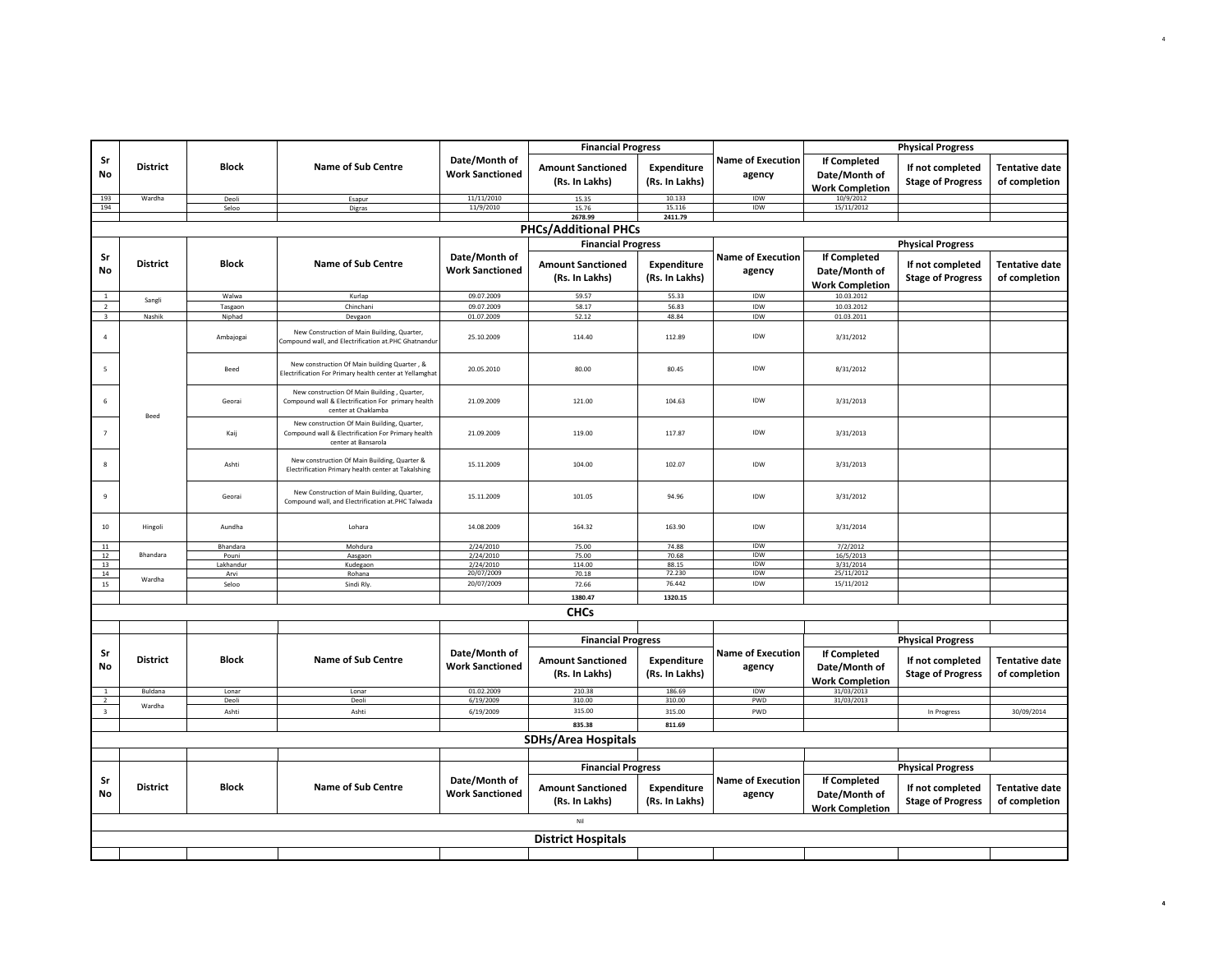| <b>Physical Progress</b><br><b>Financial Progress</b> |                 |                   |                                                                                                                          |                                         |                                            |                                      |                                    |                                                                |                                              |                                        |
|-------------------------------------------------------|-----------------|-------------------|--------------------------------------------------------------------------------------------------------------------------|-----------------------------------------|--------------------------------------------|--------------------------------------|------------------------------------|----------------------------------------------------------------|----------------------------------------------|----------------------------------------|
| Sr<br>No                                              | <b>District</b> | <b>Block</b>      | <b>Name of Sub Centre</b>                                                                                                | Date/Month of<br><b>Work Sanctioned</b> | <b>Amount Sanctioned</b><br>(Rs. In Lakhs) | Expenditure<br>(Rs. In Lakhs)        | <b>Name of Execution</b><br>agency | If Completed<br>Date/Month of<br><b>Work Completion</b>        | If not completed<br><b>Stage of Progress</b> | <b>Tentative date</b><br>of completion |
| 193                                                   | Wardha          | Deoli             | Esapur                                                                                                                   | 11/11/2010                              | 15.35                                      | 10.133                               | IDW                                | 10/9/2012<br>15/11/2012                                        |                                              |                                        |
| 194                                                   |                 | Seloo             | Digras                                                                                                                   | 11/9/2010                               | 15.76<br>2678.99                           | 15.116<br>2411.79                    | IDW                                |                                                                |                                              |                                        |
|                                                       |                 |                   |                                                                                                                          |                                         | <b>PHCs/Additional PHCs</b>                |                                      |                                    |                                                                |                                              |                                        |
|                                                       |                 |                   |                                                                                                                          |                                         |                                            |                                      |                                    |                                                                |                                              |                                        |
|                                                       |                 |                   |                                                                                                                          |                                         | <b>Financial Progress</b>                  |                                      |                                    |                                                                | <b>Physical Progress</b>                     |                                        |
| Sr<br>No                                              | <b>District</b> | <b>Block</b>      | <b>Name of Sub Centre</b>                                                                                                | Date/Month of<br><b>Work Sanctioned</b> | <b>Amount Sanctioned</b><br>(Rs. In Lakhs) | Expenditure<br>(Rs. In Lakhs)        | <b>Name of Execution</b><br>agency | If Completed<br>Date/Month of<br><b>Work Completion</b>        | If not completed<br><b>Stage of Progress</b> | <b>Tentative date</b><br>of completion |
| $1\,$                                                 | Sangli          | Walwa             | Kurlap                                                                                                                   | 09.07.2009                              | 59.57                                      | 55.33                                | IDW                                | 10.03.2012                                                     |                                              |                                        |
| $\overline{2}$                                        |                 | Tasgaon           | Chinchani                                                                                                                | 09.07.2009                              | 58.17                                      | 56.83                                | IDW                                | 10.03.2012                                                     |                                              |                                        |
| $\overline{\mathbf{3}}$                               | Nashik          | Niphad            | Devgaon                                                                                                                  | 01.07.2009                              | 52.12                                      | 48.84                                | <b>IDW</b>                         | 01.03.2011                                                     |                                              |                                        |
| $\sqrt{4}$                                            |                 | Ambajogai         | New Construction of Main Building, Quarter,<br>Compound wall, and Electrification at.PHC Ghatnandur                      | 25.10.2009                              | 114.40                                     | 112.89                               | IDW                                | 3/31/2012                                                      |                                              |                                        |
| 5                                                     |                 | Beed              | New construction Of Main building Quarter, &<br>Electrification For Primary health center at Yellamghat                  | 20.05.2010                              | 80.00                                      | 80.45                                | IDW                                | 8/31/2012                                                      |                                              |                                        |
| 6                                                     | <b>Beed</b>     | Georai            | New construction Of Main Building, Quarter,<br>Compound wall & Electrification For primary health<br>center at Chaklamba | 21.09.2009                              | 121.00                                     | 104.63                               | IDW                                | 3/31/2013                                                      |                                              |                                        |
| $\overline{7}$                                        |                 | Kaij              | New construction Of Main Building, Quarter,<br>Compound wall & Electrification For Primary health<br>center at Bansarola | 21.09.2009                              | 119.00                                     | 117.87                               | IDW                                | 3/31/2013                                                      |                                              |                                        |
| 8                                                     |                 | Ashti             | New construction Of Main Building, Quarter &<br>Electrification Primary health center at Takalshing                      | 15.11.2009                              | 104.00                                     | 102.07                               | IDW                                | 3/31/2013                                                      |                                              |                                        |
| $\mathbf{q}$                                          |                 | Georai            | New Construction of Main Building, Quarter,<br>Compound wall, and Electrification at.PHC Talwada                         | 15.11.2009                              | 101.05                                     | 94.96                                | IDW                                | 3/31/2012                                                      |                                              |                                        |
| $10\,$                                                | Hingoli         | Aundha            | Lohara                                                                                                                   | 14.08.2009                              | 164.32                                     | 163.90                               | IDW                                | 3/31/2014                                                      |                                              |                                        |
| 11                                                    |                 | Bhandara          | Mohdura                                                                                                                  | 2/24/2010                               | 75.00                                      | 74.88                                | <b>IDW</b>                         | 7/2/2012                                                       |                                              |                                        |
| $12\,$<br>13                                          | Bhandara        | Pouni             | Aasgaon                                                                                                                  | 2/24/2010<br>2/24/2010                  | 75.00                                      | 70.68                                | IDW<br>IDW                         | 16/5/2013                                                      |                                              |                                        |
| 14                                                    |                 | Lakhandur<br>Arvi | Kudegaon<br>Rohana                                                                                                       | 20/07/2009                              | 114.00<br>70.18                            | 88.15<br>72.230                      | IDW                                | 3/31/2014<br>25/11/2012                                        |                                              |                                        |
| 15                                                    | Wardha          | Seloo             | Sindi Rly.                                                                                                               | 20/07/2009                              | 72.66                                      | 76.442                               | IDW                                | 15/11/2012                                                     |                                              |                                        |
|                                                       |                 |                   |                                                                                                                          |                                         | 1380.47                                    | 1320.15                              |                                    |                                                                |                                              |                                        |
|                                                       |                 |                   |                                                                                                                          |                                         |                                            |                                      |                                    |                                                                |                                              |                                        |
|                                                       |                 |                   |                                                                                                                          |                                         | <b>CHCs</b>                                |                                      |                                    |                                                                |                                              |                                        |
|                                                       |                 |                   |                                                                                                                          |                                         |                                            |                                      |                                    |                                                                |                                              |                                        |
|                                                       |                 |                   |                                                                                                                          |                                         | <b>Financial Progress</b>                  |                                      |                                    |                                                                | <b>Physical Progress</b>                     |                                        |
| Sr<br><b>No</b>                                       | <b>District</b> | <b>Block</b>      | <b>Name of Sub Centre</b>                                                                                                | Date/Month of<br><b>Work Sanctioned</b> | <b>Amount Sanctioned</b><br>(Rs. In Lakhs) | <b>Expenditure</b><br>(Rs. In Lakhs) | <b>Name of Execution</b><br>agency | <b>If Completed</b><br>Date/Month of<br><b>Work Completion</b> | If not completed<br><b>Stage of Progress</b> | <b>Tentative date</b><br>of completion |
|                                                       | Buldana         | Lonar<br>Deoli    | Lonar<br>Deoli                                                                                                           | 01.02.2009                              | 210.38<br>310.00                           | 186.69                               | IDW                                | 31/03/2013<br>31/03/2013                                       |                                              |                                        |
| $\overline{2}$<br>$\overline{\mathbf{3}}$             | Wardha          | Ashti             | Ashti                                                                                                                    | 6/19/2009<br>6/19/2009                  | 315.00                                     | 310.00<br>315.00                     | PWD<br>PWD                         |                                                                | In Progress                                  | 30/09/2014                             |
|                                                       |                 |                   |                                                                                                                          |                                         |                                            |                                      |                                    |                                                                |                                              |                                        |
|                                                       |                 |                   |                                                                                                                          |                                         | 835.38                                     | 811.69                               |                                    |                                                                |                                              |                                        |
|                                                       |                 |                   |                                                                                                                          |                                         | <b>SDHs/Area Hospitals</b>                 |                                      |                                    |                                                                |                                              |                                        |
|                                                       |                 |                   |                                                                                                                          |                                         | <b>Financial Progress</b>                  |                                      |                                    |                                                                | <b>Physical Progress</b>                     |                                        |
| Sr<br>No                                              | <b>District</b> | <b>Block</b>      | <b>Name of Sub Centre</b>                                                                                                | Date/Month of<br><b>Work Sanctioned</b> | <b>Amount Sanctioned</b><br>(Rs. In Lakhs) | Expenditure<br>(Rs. In Lakhs)        | <b>Name of Execution</b><br>agency | If Completed<br>Date/Month of<br><b>Work Completion</b>        | If not completed<br><b>Stage of Progress</b> | <b>Tentative date</b><br>of completion |
|                                                       |                 |                   |                                                                                                                          |                                         | Nil                                        |                                      |                                    |                                                                |                                              |                                        |
|                                                       |                 |                   |                                                                                                                          |                                         | <b>District Hospitals</b>                  |                                      |                                    |                                                                |                                              |                                        |
|                                                       |                 |                   |                                                                                                                          |                                         |                                            |                                      |                                    |                                                                |                                              |                                        |
|                                                       |                 |                   |                                                                                                                          |                                         |                                            |                                      |                                    |                                                                |                                              |                                        |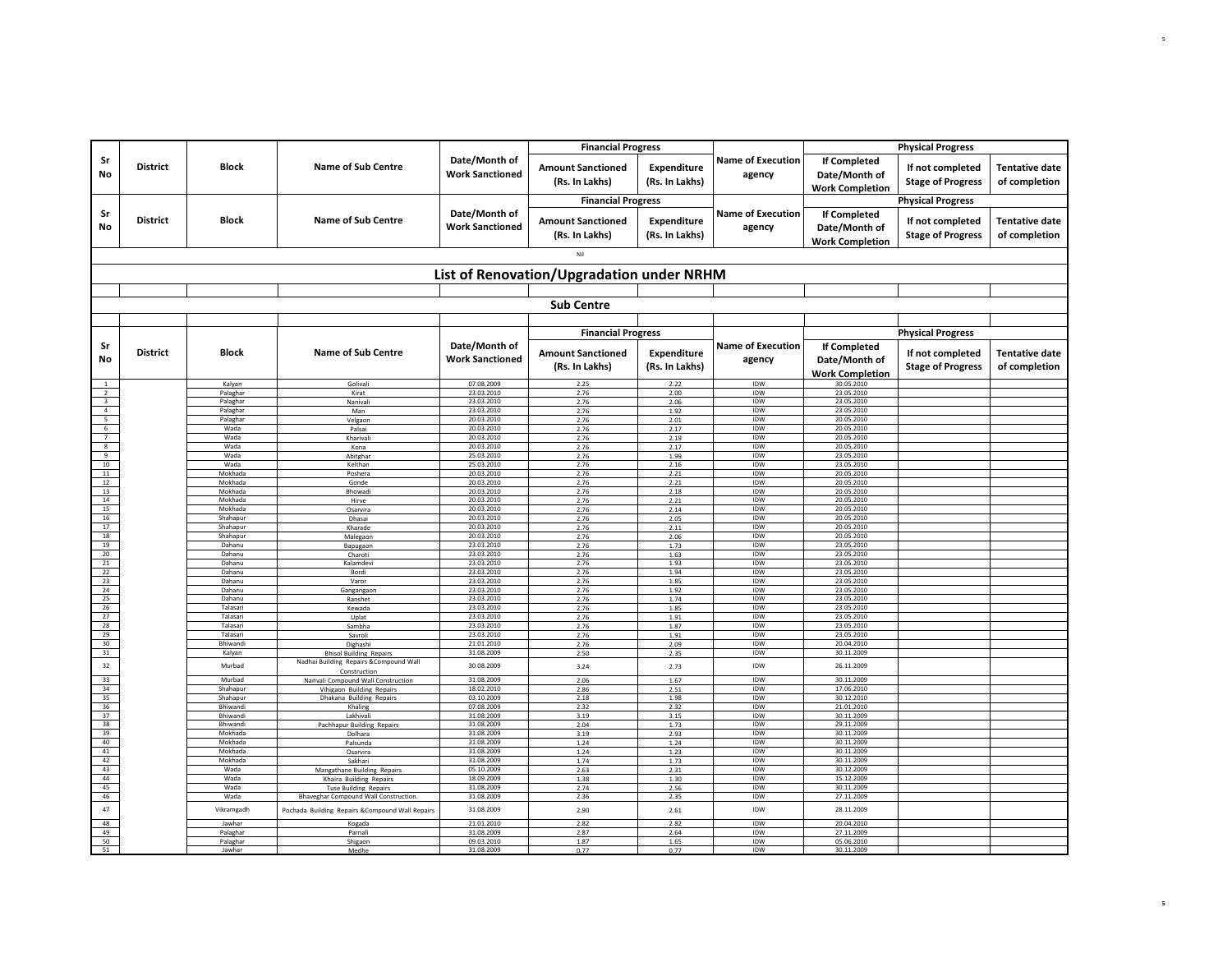|                                                             |                 |                      |                                                               |                                         | <b>Financial Progress</b>                  |                               |                                    |                                                         | <b>Physical Progress</b>                     |                                        |
|-------------------------------------------------------------|-----------------|----------------------|---------------------------------------------------------------|-----------------------------------------|--------------------------------------------|-------------------------------|------------------------------------|---------------------------------------------------------|----------------------------------------------|----------------------------------------|
| Sr<br>No                                                    | <b>District</b> | <b>Block</b>         | <b>Name of Sub Centre</b>                                     | Date/Month of<br><b>Work Sanctioned</b> | <b>Amount Sanctioned</b><br>(Rs. In Lakhs) | Expenditure<br>(Rs. In Lakhs) | <b>Name of Execution</b><br>agency | If Completed<br>Date/Month of<br><b>Work Completion</b> | If not completed<br><b>Stage of Progress</b> | <b>Tentative date</b><br>of completion |
|                                                             |                 |                      |                                                               |                                         | <b>Financial Progress</b>                  |                               |                                    |                                                         | <b>Physical Progress</b>                     |                                        |
| Sr<br>No                                                    | <b>District</b> | <b>Block</b>         | <b>Name of Sub Centre</b>                                     | Date/Month of<br><b>Work Sanctioned</b> | <b>Amount Sanctioned</b><br>(Rs. In Lakhs) | Expenditure<br>(Rs. In Lakhs) | <b>Name of Execution</b><br>agency | If Completed<br>Date/Month of<br><b>Work Completion</b> | If not completed<br><b>Stage of Progress</b> | <b>Tentative date</b><br>of completion |
|                                                             |                 |                      |                                                               |                                         | Nil                                        |                               |                                    |                                                         |                                              |                                        |
|                                                             |                 |                      |                                                               |                                         | List of Renovation/Upgradation under NRHM  |                               |                                    |                                                         |                                              |                                        |
|                                                             |                 |                      |                                                               |                                         | <b>Sub Centre</b>                          |                               |                                    |                                                         |                                              |                                        |
|                                                             |                 |                      |                                                               |                                         |                                            |                               |                                    |                                                         |                                              |                                        |
|                                                             |                 |                      |                                                               |                                         | <b>Financial Progress</b>                  |                               |                                    |                                                         | <b>Physical Progress</b>                     |                                        |
| Sr<br>No                                                    | <b>District</b> | <b>Block</b>         | <b>Name of Sub Centre</b>                                     | Date/Month of<br><b>Work Sanctioned</b> | <b>Amount Sanctioned</b><br>(Rs. In Lakhs) | Expenditure<br>(Rs. In Lakhs) | <b>Name of Execution</b><br>agency | If Completed<br>Date/Month of<br><b>Work Completion</b> | If not completed<br><b>Stage of Progress</b> | <b>Tentative date</b><br>of completion |
| 1                                                           |                 | Kalyan               | Golivali                                                      | 07.08.2009<br>23.03.2010                | 2.25                                       | 2.22                          | IDW<br><b>IDW</b>                  | 30.05.2010<br>23.05.2010                                |                                              |                                        |
| $\overline{2}$                                              |                 | Palaghar<br>Palaghar | Kirat<br>Nanivali                                             | 23.03.2010                              | 2.76<br>2.76                               | 2.00<br>2.06                  | IDW                                | 23.05.2010                                              |                                              |                                        |
| $\begin{array}{r} 3 \\ 4 \\ 5 \\ \hline 6 \\ 7 \end{array}$ |                 | Palaghar             | Man                                                           | 23.03.2010                              | 2.76                                       | 1.92                          | IDW                                | 23.05.2010                                              |                                              |                                        |
|                                                             |                 | Palaghar<br>Wada     | Velgaon                                                       | 20.03.2010                              | 2.76                                       | 2.01                          | IDW<br><b>IDW</b>                  | 20.05.2010<br>20.05.2010                                |                                              |                                        |
|                                                             |                 | Wada                 | Palsai<br>Kharivali                                           | 20.03.2010<br>20.03.2010                | 2.76<br>2.76                               | 2.17<br>2.19                  | IDW                                | 20.05.2010                                              |                                              |                                        |
| 8                                                           |                 | Wada                 | Kona                                                          | 20.03.2010                              | 2.76                                       | 2.17                          | <b>IDW</b>                         | 20.05.2010                                              |                                              |                                        |
| 9                                                           |                 | Wada                 | Abitghar                                                      | 25.03.2010                              | 2.76                                       | 1.99                          | <b>IDW</b>                         | 23.05.2010                                              |                                              |                                        |
| 10<br>$11\,$                                                |                 | Wada<br>Mokhada      | Kelthan<br>Poshera                                            | 25.03.2010<br>20.03.2010                | 2.76<br>2.76                               | 2.16<br>2.21                  | IDW<br><b>IDW</b>                  | 23.05.2010<br>20.05.2010                                |                                              |                                        |
| 12                                                          |                 | Mokhada              | Gonde                                                         | 20.03.2010                              | 2.76                                       | 2.21                          | IDW                                | 20.05.2010                                              |                                              |                                        |
| 13                                                          |                 | Mokhada              | Bhowadi                                                       | 20.03.2010                              | 2.76                                       | 2.18                          | IDW                                | 20.05.2010                                              |                                              |                                        |
| 14                                                          |                 | Mokhada              | Hirve                                                         | 20.03.2010                              | 2.76                                       | 2.21                          | IDW<br><b>IDW</b>                  | 20.05.2010                                              |                                              |                                        |
| 15<br>16                                                    |                 | Mokhada<br>Shahapur  | Osarvira<br>Dhasai                                            | 20.03.2010<br>20.03.2010                | 2.76<br>2.76                               | 2.14<br>2.05                  | IDW                                | 20.05.2010<br>20.05.2010                                |                                              |                                        |
| 17                                                          |                 | Shahapur             | Kharade                                                       | 20.03.2010                              | 2.76                                       | 2.11                          | IDW                                | 20.05.2010                                              |                                              |                                        |
| 18                                                          |                 | Shahapur             | Malegaon                                                      | 20.03.2010                              | 2.76                                       | 2.06                          | IDW                                | 20.05.2010                                              |                                              |                                        |
| 19<br>20                                                    |                 | Dahanu<br>Dahanu     | Bapugaon                                                      | 23.03.2010<br>23.03.2010                | 2.76<br>2.76                               | 1.73<br>1.63                  | IDW<br>IDW                         | 23.05.2010<br>23.05.2010                                |                                              |                                        |
| 21                                                          |                 | Dahanu               | Charoti<br>Kalamdevi                                          | 23.03.2010                              | 2.76                                       | 1.93                          | IDW                                | 23.05.2010                                              |                                              |                                        |
| 22                                                          |                 | Dahanu               | Bordi                                                         | 23.03.2010                              | 2.76                                       | 1.94                          | IDW                                | 23.05.2010                                              |                                              |                                        |
| 23                                                          |                 | Dahanu               | Varor                                                         | 23.03.2010                              | 2.76                                       | 1.85                          | IDW<br>IDW                         | 23.05.2010<br>23.05.2010                                |                                              |                                        |
| 24<br>25                                                    |                 | Dahanu<br>Dahanu     | Gangangaon<br>Ranshet                                         | 23.03.2010<br>23.03.2010                | 2.76<br>2.76                               | 1.92<br>1.74                  | IDW                                | 23.05.2010                                              |                                              |                                        |
| 26                                                          |                 | Talasari             | Kewada                                                        | 23.03.2010                              | 2.76                                       | 1.85                          | <b>IDW</b>                         | 23.05.2010                                              |                                              |                                        |
| 27                                                          |                 | Talasari             | Uplat                                                         | 23.03.2010                              | 2.76                                       | 1.91                          | IDW                                | 23.05.2010                                              |                                              |                                        |
| 28<br>29                                                    |                 | Talasari<br>Talasari | Sambha<br>Savroli                                             | 23.03.2010<br>23.03.2010                | 2.76<br>2.76                               | 1.87<br>1.91                  | IDW<br><b>IDW</b>                  | 23.05.2010<br>23.05.2010                                |                                              |                                        |
| 30 <sup>2</sup>                                             |                 | Bhiwandi             | Dighashi                                                      | 21.01.2010                              | 2.76                                       | 2.09                          | IDW                                | 20.04.2010                                              |                                              |                                        |
| 31                                                          |                 | Kalyan               | <b>Bhisol Building Repairs</b>                                | 31.08.2009                              | 2.50                                       | 2.35                          | IDW                                | 30.11.2009                                              |                                              |                                        |
| $32\,$                                                      |                 | Murbad               | Nadhai Building Repairs & Compound Wall<br>Construction       | 30.08.2009                              | 3.24                                       | 2.73                          | IDW                                | 26.11.2009                                              |                                              |                                        |
| 33                                                          |                 | Murbad               | Narivali Compound Wall Construction                           | 31.08.2009                              | 2.06                                       | 1.67                          | IDW                                | 30.11.2009                                              |                                              |                                        |
| 34<br>35                                                    |                 | Shahapur<br>Shahapur | Vihigaon Building Repairs<br>Dhakana Building Repairs         | 18.02.2010<br>03.10.2009                | 2.86<br>2.18                               | 2.51<br>1.98                  | IDW<br>IDW                         | 17.06.2010<br>30.12.2010                                |                                              |                                        |
| 36                                                          |                 | Bhiwandi             | Khaline                                                       | 07.08.2009                              | 2.32                                       | 2.32                          | IDW                                | 21.01.2010                                              |                                              |                                        |
| 37                                                          |                 | Bhiwandi             | Lakhivali                                                     | 31.08.2009                              | 3.19                                       | 3.15                          | IDW                                | 30.11.2009                                              |                                              |                                        |
| 38<br>39                                                    |                 | Bhiwandi<br>Mokhada  | Pachhapur Building Repairs<br>Dolhara                         | 31.08.2009<br>31.08.2009                | 2.04<br>3.19                               | 1.73<br>2.93                  | IDW<br>IDW                         | 29.11.2009<br>30.11.2009                                |                                              |                                        |
| 40                                                          |                 | Mokhada              | Palsunda                                                      | 31.08.2009                              | 1.24                                       | 1.24                          | IDW                                | 30.11.2009                                              |                                              |                                        |
| 41                                                          |                 | Mokhada              | Osarvira                                                      | 31.08.2009                              | 1.24                                       | 1.23                          | <b>IDW</b>                         | 30.11.2009                                              |                                              |                                        |
| 42                                                          |                 | Mokhada              | Sakhari                                                       | 31.08.2009                              | 1.74                                       | 1.73                          | IDW                                | 30.11.2009                                              |                                              |                                        |
| 43<br>44                                                    |                 | Wada<br>Wada         | <b>Mangathane Building Repairs</b><br>Khaira Building Repairs | 05.10.2009<br>18.09.2009                | 2.63<br>1.38                               | 2.31<br>1.30                  | IDW<br>IDW                         | 30.12.2009<br>15.12.2009                                |                                              |                                        |
| 45                                                          |                 | Wada                 | <b>Tuse Building Repairs</b>                                  | 31.08.2009                              | 2.74                                       | 2.56                          | IDW                                | 30.11.2009                                              |                                              |                                        |
| 46                                                          |                 | Wada                 | Bhaveghar Compound Wall Construction.                         | 31.08.2009                              | 2.36                                       | 2.35                          | IDW                                | 27.11.2009                                              |                                              |                                        |
| 47                                                          |                 | Vikramgadh           | Pochada Building Repairs & Compound Wall Repairs              | 31.08.2009                              | 2.90                                       | 2.61                          | IDW                                | 28.11.2009                                              |                                              |                                        |
| 48<br>49                                                    |                 | Jawhar<br>Palaghar   | Kogada                                                        | 21.01.2010<br>31.08.2009                | 2.82                                       | 2.82                          | <b>IDW</b><br>IDW                  | 20.04.2010<br>27.11.2009                                |                                              |                                        |
| 50                                                          |                 | Palaghar             | Parnali<br>Shigaon                                            | 09.03.2010                              | 2.87<br>1.87                               | 2.64<br>1.65                  | IDW                                | 05.06.2010                                              |                                              |                                        |
| 51                                                          |                 | Jawhar               | Medha                                                         | 31.08.2009                              | 0.77                                       | 0.77                          | <b>IDW</b>                         | 30.11.2009                                              |                                              |                                        |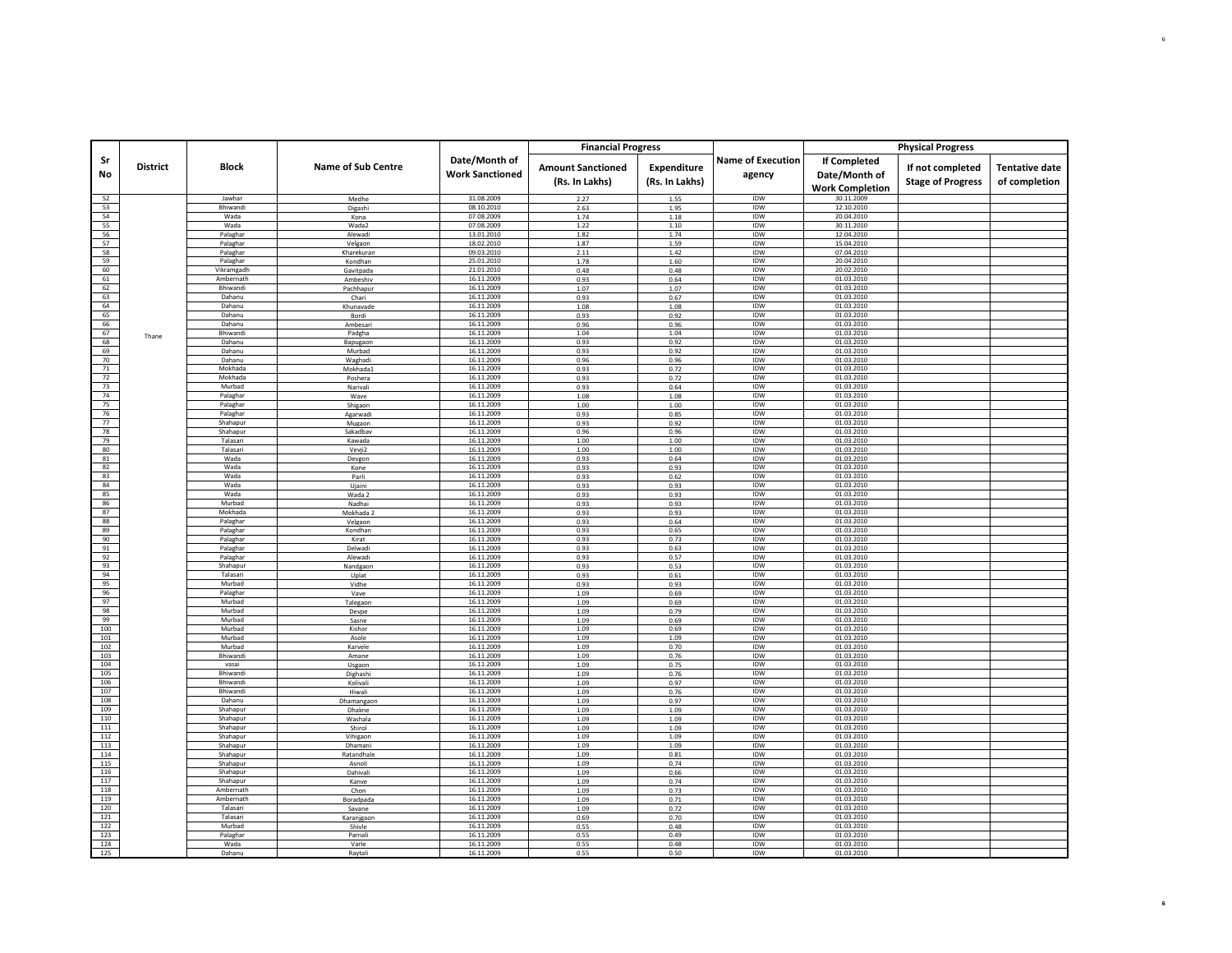|            |                 |                      |                           |                                         | <b>Financial Progress</b>                  |                               |                                    |                                                                | <b>Physical Progress</b>                     |                                        |
|------------|-----------------|----------------------|---------------------------|-----------------------------------------|--------------------------------------------|-------------------------------|------------------------------------|----------------------------------------------------------------|----------------------------------------------|----------------------------------------|
| Sr<br>No   | <b>District</b> | <b>Block</b>         | <b>Name of Sub Centre</b> | Date/Month of<br><b>Work Sanctioned</b> | <b>Amount Sanctioned</b><br>(Rs. In Lakhs) | Expenditure<br>(Rs. In Lakhs) | <b>Name of Execution</b><br>agency | <b>If Completed</b><br>Date/Month of<br><b>Work Completion</b> | If not completed<br><b>Stage of Progress</b> | <b>Tentative date</b><br>of completion |
| 52         |                 | Jawhar               | Medhe                     | 31.08.2009                              | 2.27                                       | 1.55                          | IDW                                | 30.11.2009                                                     |                                              |                                        |
| 53         |                 | Bhiwandi             | Digashi                   | 08.10.2010                              | 2.63                                       | 1.95                          | IDW                                | 12.10.2010                                                     |                                              |                                        |
| 54         |                 | Wada                 | Kona                      | 07.08.2009                              | 1.74                                       | 1.18                          | <b>IDW</b>                         | 20.04.2010                                                     |                                              |                                        |
| 55         |                 | Wada                 | Wada2                     | 07.08.2009                              | 1.22                                       | 1.10                          | IDW                                | 30.11.2010                                                     |                                              |                                        |
| 56<br>57   |                 | Palaghar<br>Palaghar | Alewadi                   | 13.01.2010<br>18.02.2010                | 1.82<br>1.87                               | 1.74<br>1.59                  | IDW<br>IDW                         | 12.04.2010<br>15.04.2010                                       |                                              |                                        |
| 58         |                 | Palaghar             | Velgaon<br>Kharekuran     | 09.03.2010                              | 2.11                                       | 1.42                          | IDW                                | 07.04.2010                                                     |                                              |                                        |
| 59         |                 | Palaghar             | Kondhan                   | 25.01.2010                              | 1.78                                       | 1.60                          | IDW                                | 20.04.2010                                                     |                                              |                                        |
| 60         |                 | Vikramgadh           | Gavitpada                 | 21.01.2010                              | 0.48                                       | 0.48                          | IDW                                | 20.02.2010                                                     |                                              |                                        |
| 61         |                 | Ambernath            | Ambeshiy                  | 16.11.2009                              | 0.93                                       | 0.64                          | IDW                                | 01.03.2010                                                     |                                              |                                        |
| 62         |                 | <b>Bhiwand</b>       | Pachhanur                 | 16.11.2009                              | 1.07                                       | 1.07                          | <b>IDW</b>                         | 01.03.2010                                                     |                                              |                                        |
| 63         |                 | Dahanu               | Chari                     | 16.11.2009                              | 0.93                                       | 0.67                          | IDW                                | 01.03.2010                                                     |                                              |                                        |
| 64<br>65   |                 | Dahanu<br>Dahanu     | Khunavade                 | 16.11.2009<br>16.11.2009                | 1.08                                       | 1.08                          | IDW<br>IDW                         | 01.03.2010<br>01.03.2010                                       |                                              |                                        |
| 66         |                 | Dahanu               | Bordi<br>Ambesar          | 16.11.2009                              | 0.93<br>0.96                               | 0.92<br>0.96                  | IDW                                | 01.03.2010                                                     |                                              |                                        |
| 67         |                 | Bhiwand              | Padgha                    | 16.11.2009                              | 1.04                                       | 1.04                          | IDW                                | 01.03.2010                                                     |                                              |                                        |
| 68         | Thane           | Dahanu               | Bapugaon                  | 16.11.2009                              | 0.93                                       | 0.92                          | IDW                                | 01.03.2010                                                     |                                              |                                        |
| 69         |                 | Dahanu               | Murbad                    | 16.11.2009                              | 0.93                                       | 0.92                          | IDW                                | 01.03.2010                                                     |                                              |                                        |
| 70         |                 | Dahanu               | Waghadi                   | 16.11.2009                              | 0.96                                       | 0.96                          | IDW                                | 01.03.2010                                                     |                                              |                                        |
| 71         |                 | Mokhada              | Mokhada1                  | 16.11.2009                              | 0.93                                       | 0.72                          | IDW                                | 01.03.2010                                                     |                                              |                                        |
| 72         |                 | Mokhada<br>Murbad    | Poshera                   | 16.11.2009<br>16.11.2009                | 0.93                                       | 0.72                          | IDW<br>IDW                         | 01.03.2010<br>01.03.2010                                       |                                              |                                        |
| 73<br>74   |                 | Palaghar             | Narivali<br>Wave          | 16.11.2009                              | 0.93<br>1.08                               | 0.64<br>1.08                  | IDW                                | 01.03.2010                                                     |                                              |                                        |
| 75         |                 | Palaghar             | Shigaon                   | 16.11.2009                              | 1.00                                       | 1.00                          | IDW                                | 01.03.2010                                                     |                                              |                                        |
| 76         |                 | Palaghar             | Agarwad                   | 16.11.2009                              | 0.93                                       | 0.85                          | <b>IDW</b>                         | 01.03.2010                                                     |                                              |                                        |
| 77         |                 | Shahapur             | Mugaon                    | 16.11.2009                              | 0.93                                       | 0.92                          | IDW                                | 01.03.2010                                                     |                                              |                                        |
| 78         |                 | Shahapur             | Sakadbav                  | 16.11.2009                              | 0.96                                       | 0.96                          | IDW                                | 01.03.2010                                                     |                                              |                                        |
| 79         |                 | Talasari             | Kawada                    | 16.11.2009                              | 1.00                                       | 1.00                          | IDW                                | 01.03.2010                                                     |                                              |                                        |
| 80         |                 | Talasari             | Vevji2                    | 16.11.2009                              | 1.00                                       | 1.00                          | IDW                                | 01.03.2010                                                     |                                              |                                        |
| 81         |                 | Wada                 | Devgon                    | 16.11.2009                              | 0.93                                       | 0.64                          | IDW                                | 01.03.2010                                                     |                                              |                                        |
| 82<br>83   |                 | Wada                 | Kone                      | 16.11.2009<br>16.11.2009                | 0.93                                       | 0.93                          | IDW<br>IDW                         | 01.03.2010<br>01.03.2010                                       |                                              |                                        |
| 84         |                 | Wada<br>Wada         | Parli<br>Ujaini           | 16.11.2009                              | 0.93<br>0.93                               | 0.62<br>0.93                  | IDW                                | 01.03.2010                                                     |                                              |                                        |
| 85         |                 | Wada                 | Wada 2                    | 16.11.2009                              | 0.93                                       | 0.93                          | IDW                                | 01.03.2010                                                     |                                              |                                        |
| 86         |                 | Murbad               | Nadhai                    | 16.11.2009                              | 0.93                                       | 0.93                          | IDW                                | 01.03.2010                                                     |                                              |                                        |
| 87         |                 | Mokhada              | Mokhada 2                 | 16.11.2009                              | 0.93                                       | 0.93                          | <b>IDW</b>                         | 01.03.2010                                                     |                                              |                                        |
| 88         |                 | Palaghar             | Velgaon                   | 16.11.2009                              | 0.93                                       | 0.64                          | IDW                                | 01.03.2010                                                     |                                              |                                        |
| 89         |                 | Palaghar             | Kondhan                   | 16.11.2009                              | 0.93                                       | 0.65                          | IDW                                | 01.03.2010                                                     |                                              |                                        |
| 90<br>91   |                 | Palaghar             | Kirat                     | 16.11.2009                              | 0.93                                       | 0.73                          | IDW<br>IDW                         | 01.03.2010<br>01.03.2010                                       |                                              |                                        |
| 92         |                 | Palaghar<br>Palaghar | Delwad<br>Alewadi         | 16.11.2009<br>16.11.2009                | 0.93<br>0.93                               | 0.63<br>0.57                  | IDW                                | 01.03.2010                                                     |                                              |                                        |
| 93         |                 | Shahapur             | Nandgaon                  | 16.11.2009                              | 0.93                                       | 0.53                          | IDW                                | 01.03.2010                                                     |                                              |                                        |
| 94         |                 | Talasari             | Uplat                     | 16.11.2009                              | 0.93                                       | 0.61                          | IDW                                | 01.03.2010                                                     |                                              |                                        |
| 95         |                 | Murbad               | Vidhe                     | 16.11.2009                              | 0.93                                       | 0.93                          | IDW                                | 01.03.2010                                                     |                                              |                                        |
| 96         |                 | Palaghar             | Vave                      | 16.11.2009                              | 1.09                                       | 0.69                          | IDW                                | 01.03.2010                                                     |                                              |                                        |
| 97         |                 | Murbad               | Talegaon                  | 16.11.2009                              | 1.09                                       | 0.69                          | IDW                                | 01.03.2010                                                     |                                              |                                        |
| 98<br>99   |                 | Murbad<br>Murbad     | Devpe<br>Sasne            | 16.11.2009<br>16.11.2009                | 1.09<br>1.09                               | 0.79<br>0.69                  | IDW<br>IDW                         | 01.03.2010<br>01.03.2010                                       |                                              |                                        |
| 100        |                 | Murbad               | Kishor                    | 16.11.2009                              | 1.09                                       | 0.69                          | IDW                                | 01.03.2010                                                     |                                              |                                        |
| 101        |                 | Murbad               | Asole                     | 16.11.2009                              | 1.09                                       | 1.09                          | IDW                                | 01.03.2010                                                     |                                              |                                        |
| 102        |                 | Murbad               | Karvele                   | 16.11.2009                              | 1.09                                       | 0.70                          | IDW                                | 01.03.2010                                                     |                                              |                                        |
| 103        |                 | Bhiwandi             | Amane                     | 16.11.2009                              | 1.09                                       | 0.76                          | IDW                                | 01.03.2010                                                     |                                              |                                        |
| 104        |                 | vasai                | Usgaon                    | 16.11.2009                              | 1.09                                       | 0.75                          | IDW                                | 01.03.2010                                                     |                                              |                                        |
| 105        |                 | Bhiwand              | Dighashi                  | 16.11.2009                              | 1.09                                       | 0.76                          | IDW                                | 01.03.2010                                                     |                                              |                                        |
| 106<br>107 |                 | Bhiwand<br>Bhiwandi  | Kolivali<br>Hiwali        | 16.11.2009<br>16.11.2009                | 1.09<br>1.09                               | 0.97<br>0.76                  | IDW<br>IDW                         | 01.03.2010<br>01.03.2010                                       |                                              |                                        |
| 108        |                 | Dahanu               | Dhamangaon                | 16.11.2009                              | 1.09                                       | 0.97                          | IDW                                | 01.03.2010                                                     |                                              |                                        |
| 109        |                 | Shahapur             | Dhakne                    | 16.11.2009                              | 1.09                                       | 1.09                          | IDW                                | 01.03.2010                                                     |                                              |                                        |
| 110        |                 | Shahapur             | Washala                   | 16.11.2009                              | 1.09                                       | 1.09                          | IDW                                | 01.03.2010                                                     |                                              |                                        |
| 111        |                 | Shahapur             | Shirol                    | 16.11.2009                              | 1.09                                       | 1.09                          | IDW                                | 01.03.2010                                                     |                                              |                                        |
| 112        |                 | Shahapur             | Vihigaon                  | 16.11.2009                              | 1.09                                       | 1.09                          | IDW                                | 01.03.2010                                                     |                                              |                                        |
| 113        |                 | Shahapur             | Dhamani                   | 16.11.2009                              | 1.09                                       | 1.09                          | IDW                                | 01.03.2010                                                     |                                              |                                        |
| 114<br>115 |                 | Shahapur<br>Shahapur | Ratandhale<br>Asnoli      | 16.11.2009<br>16.11.2009                | 1.09<br>1.09                               | 0.81<br>0.74                  | IDW<br>IDW                         | 01.03.2010<br>01.03.2010                                       |                                              |                                        |
| 116        |                 | Shahapur             | Dahival                   | 16.11.2009                              | 1.09                                       | 0.66                          | IDW                                | 01.03.2010                                                     |                                              |                                        |
| 117        |                 | Shahapur             | Kanve                     | 16.11.2009                              | 1.09                                       | 0.74                          | <b>IDW</b>                         | 01.03.2010                                                     |                                              |                                        |
| 118        |                 | Ambernath            | Chon                      | 16.11.2009                              | 1.09                                       | 0.73                          | IDW                                | 01.03.2010                                                     |                                              |                                        |
| 119        |                 | Ambernath            | Boradpada                 | 16.11.2009                              | 1.09                                       | 0.71                          | IDW                                | 01.03.2010                                                     |                                              |                                        |
| 120        |                 | Talasari             | Savane                    | 16.11.2009                              | 1.09                                       | 0.72                          | <b>IDW</b>                         | 01.03.2010                                                     |                                              |                                        |
| 121        |                 | Talasari             | Karanigaon                | 16.11.2009                              | 0.69                                       | 0.70                          | IDW                                | 01.03.2010                                                     |                                              |                                        |
| 122<br>123 |                 | Murbad<br>Palaghar   | Shivle                    | 16.11.2009<br>16.11.2009                | 0.55                                       | 0.48                          | IDW<br>IDW                         | 01.03.2010                                                     |                                              |                                        |
| 124        |                 | Wada                 | Parnali<br>Varle          | 16.11.2009                              | 0.55<br>0.55                               | 0.49<br>0.48                  | IDW                                | 01.03.2010<br>01.03.2010                                       |                                              |                                        |
| 125        |                 | Dahanu               | Raytal                    | 16.11.2009                              | 0.55                                       | 0.50                          | IDW                                | 01.03.2010                                                     |                                              |                                        |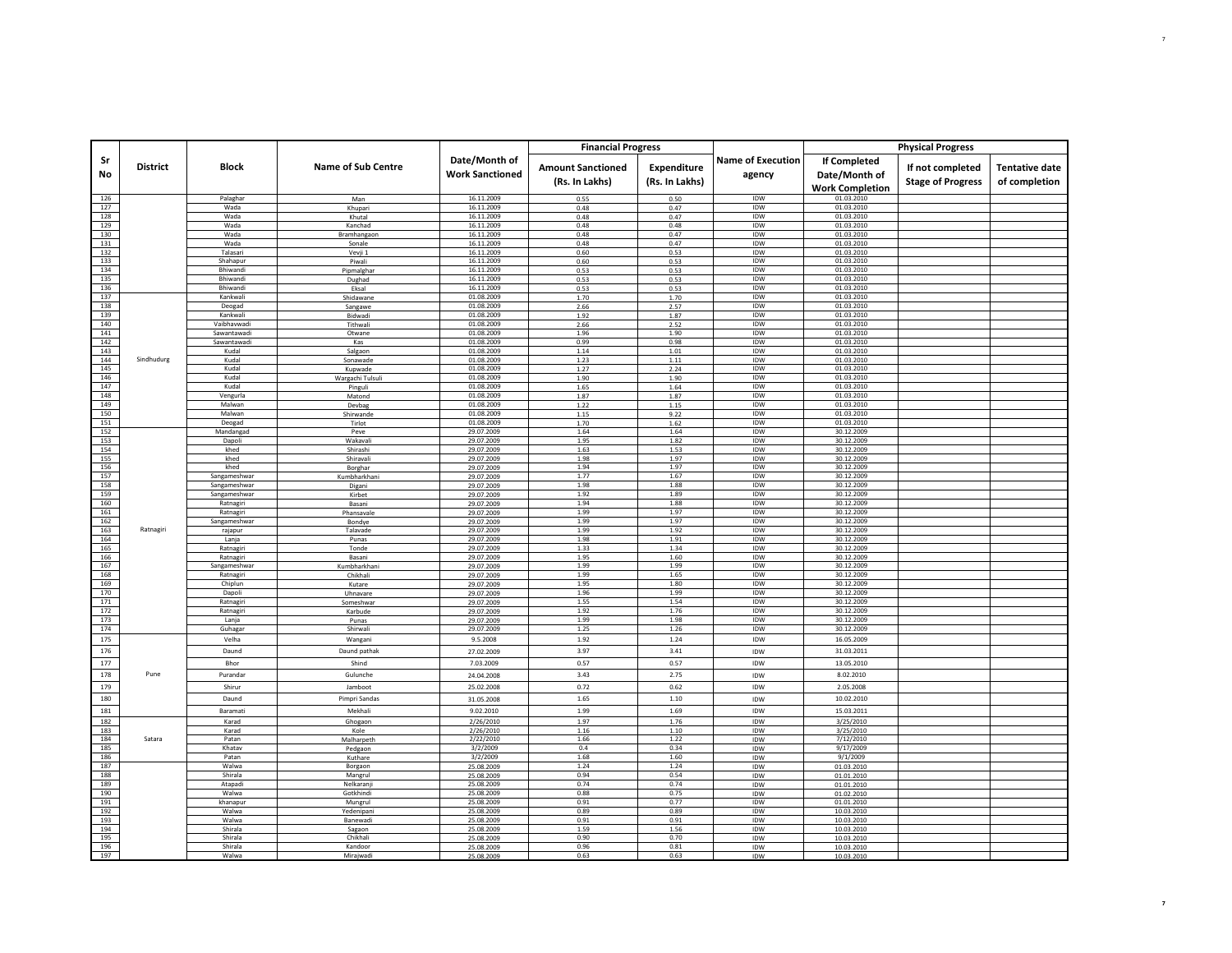|            |                 |                         |                            |                          | <b>Financial Progress</b> |                |                          |                          | <b>Physical Progress</b> |                       |
|------------|-----------------|-------------------------|----------------------------|--------------------------|---------------------------|----------------|--------------------------|--------------------------|--------------------------|-----------------------|
|            |                 |                         |                            |                          |                           |                |                          |                          |                          |                       |
| Sr         | <b>District</b> | <b>Block</b>            | <b>Name of Sub Centre</b>  | Date/Month of            | <b>Amount Sanctioned</b>  | Expenditure    | <b>Name of Execution</b> | <b>If Completed</b>      | If not completed         | <b>Tentative date</b> |
| No         |                 |                         |                            | <b>Work Sanctioned</b>   | (Rs. In Lakhs)            | (Rs. In Lakhs) | agency                   | Date/Month of            |                          | of completion         |
|            |                 |                         |                            |                          |                           |                |                          | <b>Work Completion</b>   | <b>Stage of Progress</b> |                       |
| 126        |                 | Palaghar                | Man                        | 16.11.2009               | 0.55                      | 0.50           | IDW                      | 01.03.2010               |                          |                       |
| 127        |                 | Wada                    | Khupari                    | 16.11.2009               | 0.48                      | 0.47           | IDW                      | 01.03.2010               |                          |                       |
| 128        |                 | Wada                    | Khutal                     | 16.11.2009               | 0.48                      | 0.47           | <b>IDW</b>               | 01.03.2010               |                          |                       |
| 129        |                 | Wada                    | Kanchad                    | 16.11.2009               | 0.48                      | 0.48           | IDW                      | 01.03.2010               |                          |                       |
| 130<br>131 |                 | Wada<br>Wada            | Bramhangaon<br>Sonale      | 16.11.2009<br>16.11.2009 | 0.48<br>0.48              | 0.47<br>0.47   | IDW<br>IDW               | 01.03.2010<br>01.03.2010 |                          |                       |
| 132        |                 | Talasari                | Vevji 1                    | 16.11.2009               | 0.60                      | 0.53           | IDW                      | 01.03.2010               |                          |                       |
| 133        |                 | Shahapur                | Piwali                     | 16.11.2009               | 0.60                      | 0.53           | IDW                      | 01.03.2010               |                          |                       |
| 134        |                 | <b>Bhiwandi</b>         | Pipmalghar                 | 16.11.2009               | 0.53                      | 0.53           | <b>IDW</b>               | 01.03.2010               |                          |                       |
| 135        |                 | Bhiwandi                | Dughad                     | 16.11.2009               | 0.53                      | 0.53           | IDW                      | 01.03.2010               |                          |                       |
| 136        |                 | Bhiwandi<br>Kankwali    | Eksal                      | 16.11.2009               | 0.53                      | 0.53           | IDW<br>IDW               | 01.03.2010               |                          |                       |
| 137<br>138 |                 | Deogad                  | Shidawane                  | 01.08.2009<br>01.08.2009 | 1.70                      | 1.70           | IDW                      | 01.03.2010<br>01.03.2010 |                          |                       |
| 139        |                 | Kankwali                | Sangawe<br>Bidwadi         | 01.08.2009               | 2.66<br>1.92              | 2.57<br>1.87   | IDW                      | 01.03.2010               |                          |                       |
| 140        |                 | Vaibhavwadi             | Tithwali                   | 01.08.2009               | 2.66                      | 2.52           | IDW                      | 01.03.2010               |                          |                       |
| 141        |                 | Sawantawad              | Otwane                     | 01.08.2009               | 1.96                      | 1.90           | IDW                      | 01.03.2010               |                          |                       |
| 142        |                 | Sawantawad              | Kas                        | 01.08.2009               | 0.99                      | 0.98           | IDW                      | 01.03.2010               |                          |                       |
| 143        |                 | Kudal                   | Salgaon                    | 01.08.2009               | 1.14                      | 1.01           | IDW                      | 01.03.2010               |                          |                       |
| 144        | Sindhudurg      | Kudal                   | Sonawade                   | 01.08.2009               | 1.23                      | 1.11           | <b>IDW</b>               | 01.03.2010               |                          |                       |
| 145        |                 | Kudal                   | Kupwade                    | 01.08.2009               | 1.27                      | 2.24           | <b>IDW</b>               | 01.03.2010               |                          |                       |
| 146<br>147 |                 | Kudal<br>Kudal          | Wargachi Tulsul<br>Pinguli | 01.08.2009<br>01.08.2009 | 1.90<br>1.65              | 1.90<br>1.64   | IDW<br>IDW               | 01.03.2010<br>01.03.2010 |                          |                       |
| 148        |                 | Vengurla                | Matond                     | 01.08.2009               | 1.87                      | 1.87           | IDW                      | 01.03.2010               |                          |                       |
| 149        |                 | Malwan                  | Devbag                     | 01.08.2009               | 1.22                      | 1.15           | IDW                      | 01.03.2010               |                          |                       |
| 150        |                 | Malwan                  | Shirwande                  | 01.08.2009               | 1.15                      | 9.22           | IDW                      | 01.03.2010               |                          |                       |
| 151        |                 | Deogad                  | Tirlot                     | 01.08.2009               | 1.70                      | 1.62           | IDW                      | 01.03.2010               |                          |                       |
| 152        |                 | Mandangad               | Peve                       | 29.07.2009               | 1.64                      | 1.64           | IDW                      | 30.12.2009               |                          |                       |
| 153        |                 | Dapoli                  | Wakavali                   | 29.07.2009               | 1.95                      | 1.82           | IDW                      | 30.12.2009               |                          |                       |
| 154<br>155 |                 | khed<br>khed            | Shirashi                   | 29.07.2009               | 1.63<br>1.98              | 1.53<br>1.97   | IDW<br>IDW               | 30.12.2009<br>30.12.2009 |                          |                       |
| 156        |                 | khed                    | Shiravali<br>Borghar       | 29.07.2009<br>29.07.2009 | 1.94                      | 1.97           | IDW                      | 30.12.2009               |                          |                       |
| 157        |                 | Sangameshwar            | Kumbharkhani               | 29.07.2009               | 1.77                      | 1.67           | IDW                      | 30.12.2009               |                          |                       |
| 158        |                 | Sangameshwar            | Digani                     | 29.07.2009               | 1.98                      | 1.88           | IDW                      | 30.12.2009               |                          |                       |
| 159        |                 | Sangameshwar            | Kirbet                     | 29.07.2009               | 1.92                      | 1.89           | IDW                      | 30.12.2009               |                          |                       |
| 160        |                 | Ratnagiri               | Basani                     | 29.07.2009               | 1.94                      | 1.88           | <b>IDW</b>               | 30.12.2009               |                          |                       |
| 161        |                 | Ratnagiri               | Phansavale                 | 29.07.2009               | 1.99<br>1.99              | 1.97<br>1.97   | IDW<br>IDW               | 30.12.2009               |                          |                       |
| 162<br>163 | Ratnagiri       | Sangameshwar<br>rajapur | Bondye                     | 29.07.2009               | 1.99                      | 1.92           | IDW                      | 30.12.2009<br>30.12.2009 |                          |                       |
| 164        |                 | Lanja                   | Talavade<br>Punas          | 29.07.2009<br>29.07.2009 | 1.98                      | 1.91           | IDW                      | 30.12.2009               |                          |                       |
| 165        |                 | Ratnagiri               | Tonde                      | 29.07.2009               | 1.33                      | 1.34           | IDW                      | 30.12.2009               |                          |                       |
| 166        |                 | Ratnagiri               | Basani                     | 29.07.2009               | 1.95                      | 1.60           | <b>IDW</b>               | 30.12.2009               |                          |                       |
| 167        |                 | Sangameshwar            | Kumbharkhani               | 29.07.2009               | 1.99                      | 1.99           | IDW                      | 30.12.2009               |                          |                       |
| 168        |                 | Ratnagiri               | Chikhali                   | 29.07.2009               | 1.99                      | 1.65           | IDW                      | 30.12.2009               |                          |                       |
| 169        |                 | Chiplun                 | Kutare                     | 29.07.2009               | 1.95                      | 1.80           | IDW                      | 30.12.2009               |                          |                       |
| 170<br>171 |                 | Dapoli<br>Ratnagiri     | Uhnavare                   | 29.07.2009<br>29.07.2009 | 1.96<br>1.55              | 1.99<br>1.54   | IDW<br>IDW               | 30.12.2009<br>30.12.2009 |                          |                       |
| 172        |                 | Ratnagiri               | Someshwar<br>Karbude       | 29.07.2009               | 1.92                      | 1.76           | IDW                      | 30.12.2009               |                          |                       |
| 173        |                 | Lanja                   | Punas                      | 29.07.2009               | 1.99                      | 1.98           | IDW                      | 30.12.2009               |                          |                       |
| 174        |                 | Guhagar                 | Shirwal                    | 29.07.2009               | 1.25                      | 1.26           | IDW                      | 30.12.2009               |                          |                       |
| 175        |                 | Velha                   | Wangani                    | 9.5.2008                 | 1.92                      | 1.24           | <b>IDW</b>               | 16.05.2009               |                          |                       |
| 176        |                 | Daund                   | Daund pathak               | 27.02.2009               | 3.97                      | 3.41           | IDW                      | 31.03.2011               |                          |                       |
| 177        |                 | Bhor                    | Shind                      | 7.03.2009                | 0.57                      | 0.57           | IDW                      | 13.05.2010               |                          |                       |
| 178        | Pune            | Purandar                | Gulunche                   |                          | 3.43                      | 2.75           | IDW                      | 8.02.2010                |                          |                       |
|            |                 |                         |                            | 24.04.2008               |                           |                |                          |                          |                          |                       |
| 179        |                 | Shirur                  | Jamboot                    | 25.02.2008               | 0.72                      | 0.62           | IDW                      | 2.05.2008                |                          |                       |
| 180        |                 | Daund                   | Pimpri Sandas              | 31.05.2008               | 1.65                      | 1.10           | IDW                      | 10.02.2010               |                          |                       |
| 181        |                 | Baramati                | Mekhali                    | 9.02.2010                | 1.99                      | 1.69           | IDW                      | 15.03.2011               |                          |                       |
| 182        |                 | Karad                   | Ghogaon                    | 2/26/2010                | 1.97                      | 1.76           | IDW                      | 3/25/2010                |                          |                       |
| 183        |                 | Karad                   | Kole                       | 2/26/2010                | 1.16                      | 1.10           | IDW                      | 3/25/2010                |                          |                       |
| 184        | Satara          | Patan                   | Malharpeth                 | 2/22/2010                | 1.66                      | 1.22           | IDW                      | 7/12/2010                |                          |                       |
| 185<br>186 |                 | Khatav<br>Patan         | Pedgaon                    | 3/2/2009                 | 0.4<br>1.68               | 0.34<br>1.60   | IDW                      | 9/17/2009                |                          |                       |
| 187        |                 | Walwa                   | Kuthare<br>Borgaon         | 3/2/2009<br>25.08.2009   | 1.24                      | 1.24           | IDW<br>IDW               | 9/1/2009<br>01.03.2010   |                          |                       |
| 188        |                 | Shirala                 | Mangrul                    | 25.08.2009               | 0.94                      | 0.54           | IDW                      | 01.01.2010               |                          |                       |
| 189        |                 | Atapadi                 | Nelkaranj                  | 25.08.2009               | 0.74                      | 0.74           | IDW                      | 01.01.2010               |                          |                       |
| 190        |                 | Walwa                   | Gotkhindi                  | 25.08.2009               | 0.88                      | 0.75           | IDW                      | 01.02.2010               |                          |                       |
| 191        |                 | khanapur                | Mungrul                    | 25.08.2009               | 0.91                      | 0.77           | IDW                      | 01.01.2010               |                          |                       |
| 192        |                 | Walwa                   | Yedenipani                 | 25.08.2009               | 0.89                      | 0.89           | IDW                      | 10.03.2010               |                          |                       |
| 193        |                 | Walwa                   | <b>Banewad</b>             | 25.08.2009               | 0.91                      | 0.91           | IDW                      | 10.03.2010               |                          |                       |
| 194<br>195 |                 | Shirala<br>Shirala      | Sagaon<br>Chikhali         | 25.08.2009               | 1.59<br>0.90              | 1.56           | IDW                      | 10.03.2010               |                          |                       |
| 196        |                 | Shirala                 | Kandoor                    | 25.08.2009<br>25.08.2009 | 0.96                      | 0.70<br>0.81   | IDW<br>IDW               | 10.03.2010<br>10.03.2010 |                          |                       |
| 197        |                 | Walwa                   | Mirajwadi                  | 25.08.2009               | 0.63                      | 0.63           | IDW                      | 10.03.2010               |                          |                       |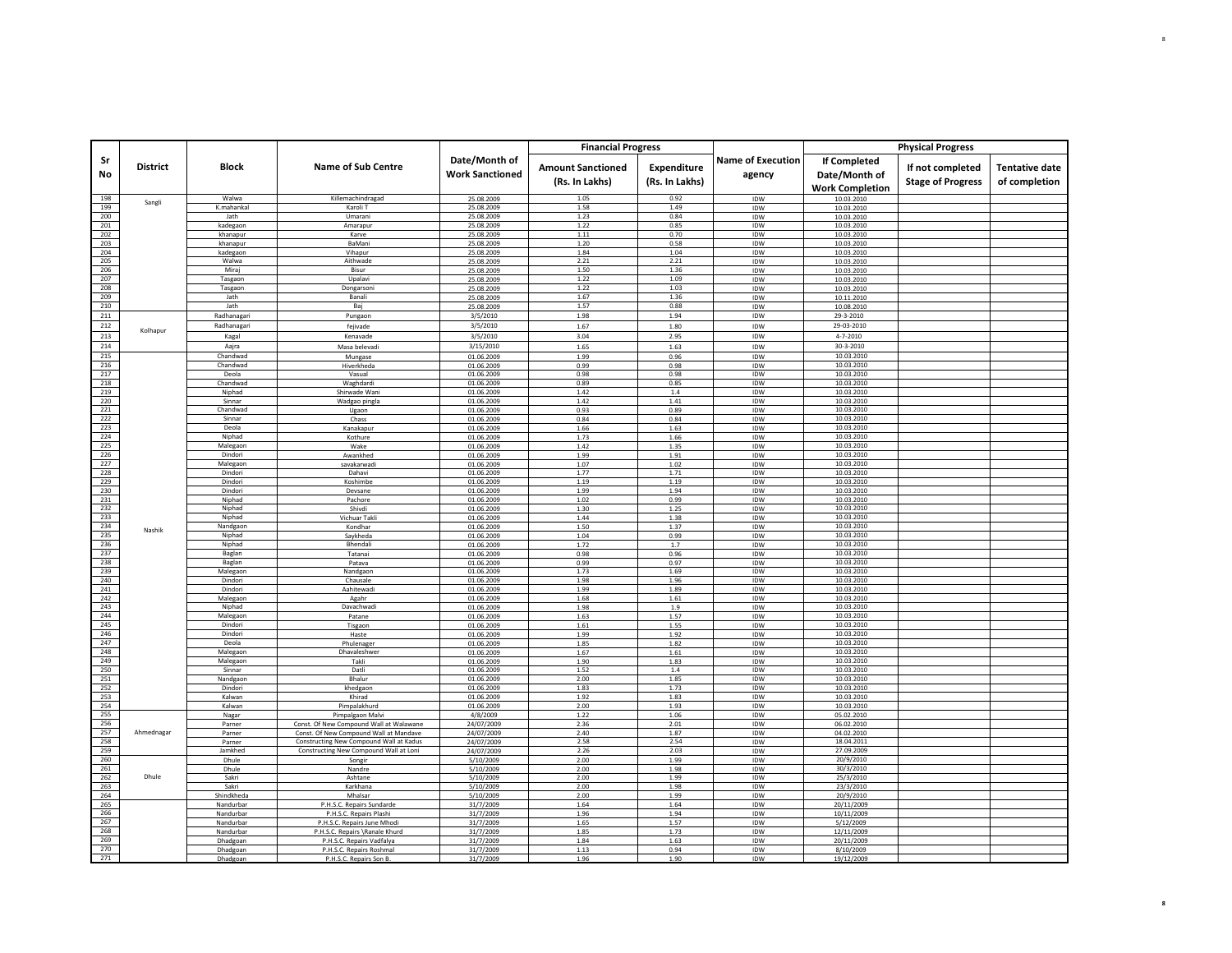| Date/Month of<br><b>Name of Execution</b><br>Sr<br><b>If Completed</b><br><b>District</b><br><b>Block</b><br><b>Name of Sub Centre</b><br><b>Amount Sanctioned</b><br>Expenditure<br>If not completed<br><b>Tentative date</b><br><b>Work Sanctioned</b><br>No<br>Date/Month of<br>agency<br>(Rs. In Lakhs)<br>(Rs. In Lakhs)<br><b>Stage of Progress</b><br>of completion<br><b>Work Completion</b><br>1.05<br>0.92<br>198<br>Walwa<br>Killemachindragad<br>25.08.2009<br>IDW<br>10.03.2010<br>Sangli<br>1.58<br>1.49<br>199<br>K.mahankal<br>Karoli T<br>25.08.2009<br>IDW<br>10.03.2010<br>200<br>Jath<br>1.23<br>0.84<br>Umarani<br>25.08.2009<br>IDW<br>10.03.2010<br>201<br>1.22<br>0.85<br>kadegaon<br>Amarapur<br>25.08.2009<br>IDW<br>10.03.2010<br>202<br>khanapur<br>Karve<br>25.08.2009<br>1.11<br>0.70<br>IDW<br>10.03.2010<br>203<br>0.58<br><b>BaMani</b><br>1.20<br>khanapur<br>25.08.2009<br><b>IDW</b><br>10.03.2010<br>204<br>25.08.2009<br>1.84<br>1.04<br>IDW<br>10.03.2010<br>kadegaon<br>Vihapu<br>205<br>Walwa<br>2.21<br>2.21<br>IDW<br>Aithwade<br>25.08.2009<br>10.03.2010<br>206<br>1.50<br>Mirai<br><b>Bisur</b><br>1.36<br>25.08.2009<br><b>IDW</b><br>10.03.2010<br>207<br>1.22<br>1.09<br>Tasgaon<br>Upalav<br>25.08.2009<br><b>IDW</b><br>10.03.2010<br>208<br>1.22<br>1.03<br>Tasgaon<br>Dongarsoni<br>25.08.2009<br>IDW<br>10.03.2010<br>209<br>1.67<br>1.36<br>Jath<br>Banali<br>25.08.2009<br>IDW<br>10.11.2010<br>210<br>1.57<br>0.88<br>lath<br>Baj<br>25.08.2009<br>IDW<br>10.08.2010<br>211<br>Radhanagari<br>29-3-2010<br>3/5/2010<br>1.98<br>1.94<br>IDW<br>Pungaon<br>212<br>Radhanagari<br>3/5/2010<br>29-03-2010<br>IDW<br>fejivade<br>1.67<br>1.80<br>Kolhapur<br>$4 - 7 - 2010$<br>213<br>3/5/2010<br>Kagal<br>3.04<br>2.95<br>IDW<br>Kenavade<br>214<br>3/15/2010<br>30-3-2010<br>Aajra<br>Masa belevadi<br>1.65<br>1.63<br>IDW<br>215<br>01.06.2009<br>1.99<br>0.96<br>IDW<br>10.03.2010<br>Chandwad<br>Mungase<br>216<br>Chandwad<br>01.06.2009<br>0.99<br>0.98<br>IDW<br>10.03.2010<br>Hiverkheda<br>217<br>0.98<br>10.03.2010<br>Deola<br>0.98<br>IDW<br>Vasual<br>01.06.2009<br>218<br>Chandwad<br>0.89<br>0.85<br>IDW<br>10.03.2010<br>01.06.2009<br>Waghdardi<br>219<br>Niphad<br>1.42<br>$1.4\,$<br>IDW<br>10.03.2010<br>Shirwade Wani<br>01.06.2009<br>220<br>10.03.2010<br>Sinnar<br>$1.42\,$<br>1.41<br>IDW<br>Wadgao pingla<br>01.06.2009<br>221<br>Chandwad<br>0.93<br>0.89<br>IDW<br>10.03.2010<br>01.06.2009<br>Ugaon<br>222<br>Sinnar<br>10.03.2010<br>Chass<br>01.06.2009<br>0.84<br>0.84<br>IDW<br>223<br>10.03.2010<br>Deola<br>Kanakapur<br>01.06.2009<br>1.66<br>1.63<br>IDW<br>224<br>10.03.2010<br>Niphad<br>IDW<br>01.06.2009<br>1.73<br>1.66<br>Kothure<br>225<br>10.03.2010<br>Malegaon<br>Wake<br>01.06.2009<br>1.42<br>1.35<br>IDW<br>226<br>10.03.2010<br>Dindori<br>Awankhed<br>01.06.2009<br>1.99<br>1.91<br>IDW<br>227<br>10.03.2010<br>Malegaon<br>1.07<br>1.02<br><b>IDW</b><br>savakarwad<br>01.06.2009<br>228<br>Dindori<br>1.77<br>1.71<br>IDW<br>10.03.2010<br>01.06.2009<br>Dahavi<br>229<br>Dindori<br>1.19<br>IDW<br>10.03.2010<br>Koshimbe<br>01.06.2009<br>1.19<br>230<br>10.03.2010<br>Dindori<br>Devsane<br>01.06.2009<br>1.99<br>1.94<br>IDW<br>231<br>Niphad<br>0.99<br>IDW<br>10.03.2010<br>01.06.2009<br>1.02<br>Pachore<br>232<br>Niphad<br>1.30<br>1.25<br>IDW<br>10.03.2010<br>Shivdi<br>01.06.2009<br>233<br>10.03.2010<br>Niphad<br>Vichuar Takl<br>01.06.2009<br>1.44<br>1.38<br>IDW<br>234<br>Nandgaon<br>1.50<br>1.37<br><b>IDW</b><br>10.03.2010<br>01.06.2009<br>Kondhar<br>Nashik<br>235<br>10.03.2010<br>Niphad<br>01.06.2009<br>1.04<br>0.99<br>IDW<br>Savkheda<br>236<br>Niphad<br>Bhendali<br>01.06.2009<br>1.72<br>1.7<br>IDW<br>10.03.2010<br>237<br>0.96<br>10.03.2010<br>0.98<br><b>IDW</b><br>01.06.2009<br>Baglan<br>Tatanai<br>238<br>Baglan<br>01.06.2009<br>0.99<br>0.97<br>IDW<br>10.03.2010<br>Patava<br>239<br>Malegaon<br>1.73<br>1.69<br>IDW<br>10.03.2010<br>Nandgaon<br>01.06.2009<br>240<br>10.03.2010<br>1.96<br>Dindori<br>Chausale<br>01.06.2009<br>1.98<br>IDW<br>241<br>Dindori<br>1.89<br>10.03.2010<br>01.06.2009<br>1.99<br>IDW<br>Aahitewadi<br>242<br>Malegaon<br>1.68<br>IDW<br>10.03.2010<br>Agahr<br>01.06.2009<br>1.61<br>243<br>10.03.2010<br>Niphad<br>Davachwad<br>01.06.2009<br>1.98<br>1.9<br>IDW<br>244<br>1.57<br>10.03.2010<br>Malegaon<br>1.63<br>IDW<br>Patane<br>01.06.2009<br>245<br>Dindori<br>1.55<br>IDW<br>10.03.2010<br>Tisgaon<br>01.06.2009<br>1.61<br>246<br>Dindori<br>01.06.2009<br>1.99<br>1.92<br>IDW<br>10.03.2010<br>Haste<br>247<br>10.03.2010<br>Deola<br>1.85<br>1.82<br>IDW<br>Phulenager<br>01.06.2009<br>248<br>1.67<br>10.03.2010<br>Malegaon<br>Dhavaleshwei<br>01.06.2009<br>1.61<br>IDW<br>249<br>Malegaon<br>Takli<br>01.06.2009<br>1.90<br>1.83<br>IDW<br>10.03.2010<br>250<br>10.03.2010<br>Sinnar<br><b>IDW</b><br>Datli<br>01.06.2009<br>1.52<br>1.4<br>251<br>10.03.2010<br>Nandgaon<br>2.00<br>1.85<br>IDW<br>Bhalur<br>01.06.2009<br>252<br>10.03.2010<br>Dindori<br>khedgaon<br>01.06.2009<br>1.83<br>1.73<br>IDW<br>253<br>Kalwan<br>10.03.2010<br>Khirad<br>01.06.2009<br>1.92<br>1.83<br>IDW<br>254<br>10.03.2010<br>Kalwan<br>1.93<br>IDW<br>Pimpalakhurd<br>01.06.2009<br>2.00<br>255<br>Nagar<br>Pimpalgaon Malvi<br>4/8/2009<br>1.22<br>1.06<br>IDW<br>05.02.2010<br>256<br>Parner<br>Const. Of New Compound Wall at Walawane<br>24/07/2009<br>2.36<br>2.01<br>IDW<br>06.02.2010<br>257<br>Ahmednagar<br>IDW<br>24/07/2009<br>2.40<br>1.87<br>04.02.2010<br>Parner<br>Const. Of New Compound Wall at Mandave<br>258<br>2.58<br>2.54<br>Constructing New Compound Wall at Kadus<br>24/07/2009<br>IDW<br>18.04.2011<br>Parner<br>259<br>Jamkhed<br>Constructing New Compound Wall at Loni<br>24/07/2009<br>2.26<br>2.03<br>IDW<br>27.09.2009<br>260<br>20/9/2010<br>5/10/2009<br>2.00<br>1.99<br>IDW<br>Dhule<br>Songi<br>261<br>2.00<br>1.98<br>IDW<br>30/3/2010<br>Dhule<br>5/10/2009<br>Nandre<br>Dhule<br>262<br>25/3/2010<br>Sakri<br>5/10/2009<br>2.00<br>1.99<br>IDW<br>Ashtane<br>263<br>23/3/2010<br>Sakri<br>Karkhana<br>5/10/2009<br>2.00<br>1.98<br>IDW<br>264<br>20/9/2010<br>1.99<br>IDW<br>Shindkheda<br>Mhalsar<br>5/10/2009<br>2.00<br>265<br>P.H.S.C. Repairs Sundarde<br>31/7/2009<br>1.64<br>1.64<br>IDW<br>20/11/2009<br>Nandurbar<br>266<br>31/7/2009<br>1.96<br>1.94<br>IDW<br>10/11/2009<br>Nandurbar<br>P.H.S.C. Repairs Plashi<br>267<br>31/7/2009<br>1.65<br>1.57<br>IDW<br>5/12/2009<br>P.H.S.C. Repairs June Mhodi<br>Nandurbar<br>268<br>P.H.S.C. Repairs \Ranale Khurd<br>31/7/2009<br>1.85<br>1.73<br>IDW<br>12/11/2009<br>Nandurbar<br>269<br>1.84<br>1.63<br>IDW<br>20/11/2009<br>Dhadgoan<br>P.H.S.C. Repairs Vadfalya<br>31/7/2009<br>270<br>0.94<br>IDW<br>P.H.S.C. Repairs Roshmal<br>1.13<br>Dhadgoan<br>31/7/2009<br>8/10/2009<br>271<br>P.H.S.C. Repairs Son B<br>1.90<br>IDW<br>Dhadgoar<br>31/7/2009<br>1.96<br>19/12/2009 |  |  | <b>Financial Progress</b> |  | <b>Physical Progress</b> |  |
|-------------------------------------------------------------------------------------------------------------------------------------------------------------------------------------------------------------------------------------------------------------------------------------------------------------------------------------------------------------------------------------------------------------------------------------------------------------------------------------------------------------------------------------------------------------------------------------------------------------------------------------------------------------------------------------------------------------------------------------------------------------------------------------------------------------------------------------------------------------------------------------------------------------------------------------------------------------------------------------------------------------------------------------------------------------------------------------------------------------------------------------------------------------------------------------------------------------------------------------------------------------------------------------------------------------------------------------------------------------------------------------------------------------------------------------------------------------------------------------------------------------------------------------------------------------------------------------------------------------------------------------------------------------------------------------------------------------------------------------------------------------------------------------------------------------------------------------------------------------------------------------------------------------------------------------------------------------------------------------------------------------------------------------------------------------------------------------------------------------------------------------------------------------------------------------------------------------------------------------------------------------------------------------------------------------------------------------------------------------------------------------------------------------------------------------------------------------------------------------------------------------------------------------------------------------------------------------------------------------------------------------------------------------------------------------------------------------------------------------------------------------------------------------------------------------------------------------------------------------------------------------------------------------------------------------------------------------------------------------------------------------------------------------------------------------------------------------------------------------------------------------------------------------------------------------------------------------------------------------------------------------------------------------------------------------------------------------------------------------------------------------------------------------------------------------------------------------------------------------------------------------------------------------------------------------------------------------------------------------------------------------------------------------------------------------------------------------------------------------------------------------------------------------------------------------------------------------------------------------------------------------------------------------------------------------------------------------------------------------------------------------------------------------------------------------------------------------------------------------------------------------------------------------------------------------------------------------------------------------------------------------------------------------------------------------------------------------------------------------------------------------------------------------------------------------------------------------------------------------------------------------------------------------------------------------------------------------------------------------------------------------------------------------------------------------------------------------------------------------------------------------------------------------------------------------------------------------------------------------------------------------------------------------------------------------------------------------------------------------------------------------------------------------------------------------------------------------------------------------------------------------------------------------------------------------------------------------------------------------------------------------------------------------------------------------------------------------------------------------------------------------------------------------------------------------------------------------------------------------------------------------------------------------------------------------------------------------------------------------------------------------------------------------------------------------------------------------------------------------------------------------------------------------------------------------------------------------------------------------------------------------------------------------------------------------------------------------------------------------------------------------------------------------------------------------------------------------------------------------------------------------------------------------------------------------------------------------------------------------------------------------------------------------------------------------------------------------------------------------------------------------------------------------------------------------------------------------------------------------------------------------------------------------------------------------------------------------------------------------------------------------------------------------------------------------------------------------------------------------------------------------------------------------------------------------------------------------------------------------------------------------------------------------------------------------------------------------------------|--|--|---------------------------|--|--------------------------|--|
|                                                                                                                                                                                                                                                                                                                                                                                                                                                                                                                                                                                                                                                                                                                                                                                                                                                                                                                                                                                                                                                                                                                                                                                                                                                                                                                                                                                                                                                                                                                                                                                                                                                                                                                                                                                                                                                                                                                                                                                                                                                                                                                                                                                                                                                                                                                                                                                                                                                                                                                                                                                                                                                                                                                                                                                                                                                                                                                                                                                                                                                                                                                                                                                                                                                                                                                                                                                                                                                                                                                                                                                                                                                                                                                                                                                                                                                                                                                                                                                                                                                                                                                                                                                                                                                                                                                                                                                                                                                                                                                                                                                                                                                                                                                                                                                                                                                                                                                                                                                                                                                                                                                                                                                                                                                                                                                                                                                                                                                                                                                                                                                                                                                                                                                                                                                                                                                                                                                                                                                                                                                                                                                                                                                                                                                                                                                                                                                                                                                                                                                                                                                                                                                                                                                                                                                                                                                                                                                                                                         |  |  |                           |  |                          |  |
|                                                                                                                                                                                                                                                                                                                                                                                                                                                                                                                                                                                                                                                                                                                                                                                                                                                                                                                                                                                                                                                                                                                                                                                                                                                                                                                                                                                                                                                                                                                                                                                                                                                                                                                                                                                                                                                                                                                                                                                                                                                                                                                                                                                                                                                                                                                                                                                                                                                                                                                                                                                                                                                                                                                                                                                                                                                                                                                                                                                                                                                                                                                                                                                                                                                                                                                                                                                                                                                                                                                                                                                                                                                                                                                                                                                                                                                                                                                                                                                                                                                                                                                                                                                                                                                                                                                                                                                                                                                                                                                                                                                                                                                                                                                                                                                                                                                                                                                                                                                                                                                                                                                                                                                                                                                                                                                                                                                                                                                                                                                                                                                                                                                                                                                                                                                                                                                                                                                                                                                                                                                                                                                                                                                                                                                                                                                                                                                                                                                                                                                                                                                                                                                                                                                                                                                                                                                                                                                                                                         |  |  |                           |  |                          |  |
|                                                                                                                                                                                                                                                                                                                                                                                                                                                                                                                                                                                                                                                                                                                                                                                                                                                                                                                                                                                                                                                                                                                                                                                                                                                                                                                                                                                                                                                                                                                                                                                                                                                                                                                                                                                                                                                                                                                                                                                                                                                                                                                                                                                                                                                                                                                                                                                                                                                                                                                                                                                                                                                                                                                                                                                                                                                                                                                                                                                                                                                                                                                                                                                                                                                                                                                                                                                                                                                                                                                                                                                                                                                                                                                                                                                                                                                                                                                                                                                                                                                                                                                                                                                                                                                                                                                                                                                                                                                                                                                                                                                                                                                                                                                                                                                                                                                                                                                                                                                                                                                                                                                                                                                                                                                                                                                                                                                                                                                                                                                                                                                                                                                                                                                                                                                                                                                                                                                                                                                                                                                                                                                                                                                                                                                                                                                                                                                                                                                                                                                                                                                                                                                                                                                                                                                                                                                                                                                                                                         |  |  |                           |  |                          |  |
|                                                                                                                                                                                                                                                                                                                                                                                                                                                                                                                                                                                                                                                                                                                                                                                                                                                                                                                                                                                                                                                                                                                                                                                                                                                                                                                                                                                                                                                                                                                                                                                                                                                                                                                                                                                                                                                                                                                                                                                                                                                                                                                                                                                                                                                                                                                                                                                                                                                                                                                                                                                                                                                                                                                                                                                                                                                                                                                                                                                                                                                                                                                                                                                                                                                                                                                                                                                                                                                                                                                                                                                                                                                                                                                                                                                                                                                                                                                                                                                                                                                                                                                                                                                                                                                                                                                                                                                                                                                                                                                                                                                                                                                                                                                                                                                                                                                                                                                                                                                                                                                                                                                                                                                                                                                                                                                                                                                                                                                                                                                                                                                                                                                                                                                                                                                                                                                                                                                                                                                                                                                                                                                                                                                                                                                                                                                                                                                                                                                                                                                                                                                                                                                                                                                                                                                                                                                                                                                                                                         |  |  |                           |  |                          |  |
|                                                                                                                                                                                                                                                                                                                                                                                                                                                                                                                                                                                                                                                                                                                                                                                                                                                                                                                                                                                                                                                                                                                                                                                                                                                                                                                                                                                                                                                                                                                                                                                                                                                                                                                                                                                                                                                                                                                                                                                                                                                                                                                                                                                                                                                                                                                                                                                                                                                                                                                                                                                                                                                                                                                                                                                                                                                                                                                                                                                                                                                                                                                                                                                                                                                                                                                                                                                                                                                                                                                                                                                                                                                                                                                                                                                                                                                                                                                                                                                                                                                                                                                                                                                                                                                                                                                                                                                                                                                                                                                                                                                                                                                                                                                                                                                                                                                                                                                                                                                                                                                                                                                                                                                                                                                                                                                                                                                                                                                                                                                                                                                                                                                                                                                                                                                                                                                                                                                                                                                                                                                                                                                                                                                                                                                                                                                                                                                                                                                                                                                                                                                                                                                                                                                                                                                                                                                                                                                                                                         |  |  |                           |  |                          |  |
|                                                                                                                                                                                                                                                                                                                                                                                                                                                                                                                                                                                                                                                                                                                                                                                                                                                                                                                                                                                                                                                                                                                                                                                                                                                                                                                                                                                                                                                                                                                                                                                                                                                                                                                                                                                                                                                                                                                                                                                                                                                                                                                                                                                                                                                                                                                                                                                                                                                                                                                                                                                                                                                                                                                                                                                                                                                                                                                                                                                                                                                                                                                                                                                                                                                                                                                                                                                                                                                                                                                                                                                                                                                                                                                                                                                                                                                                                                                                                                                                                                                                                                                                                                                                                                                                                                                                                                                                                                                                                                                                                                                                                                                                                                                                                                                                                                                                                                                                                                                                                                                                                                                                                                                                                                                                                                                                                                                                                                                                                                                                                                                                                                                                                                                                                                                                                                                                                                                                                                                                                                                                                                                                                                                                                                                                                                                                                                                                                                                                                                                                                                                                                                                                                                                                                                                                                                                                                                                                                                         |  |  |                           |  |                          |  |
|                                                                                                                                                                                                                                                                                                                                                                                                                                                                                                                                                                                                                                                                                                                                                                                                                                                                                                                                                                                                                                                                                                                                                                                                                                                                                                                                                                                                                                                                                                                                                                                                                                                                                                                                                                                                                                                                                                                                                                                                                                                                                                                                                                                                                                                                                                                                                                                                                                                                                                                                                                                                                                                                                                                                                                                                                                                                                                                                                                                                                                                                                                                                                                                                                                                                                                                                                                                                                                                                                                                                                                                                                                                                                                                                                                                                                                                                                                                                                                                                                                                                                                                                                                                                                                                                                                                                                                                                                                                                                                                                                                                                                                                                                                                                                                                                                                                                                                                                                                                                                                                                                                                                                                                                                                                                                                                                                                                                                                                                                                                                                                                                                                                                                                                                                                                                                                                                                                                                                                                                                                                                                                                                                                                                                                                                                                                                                                                                                                                                                                                                                                                                                                                                                                                                                                                                                                                                                                                                                                         |  |  |                           |  |                          |  |
|                                                                                                                                                                                                                                                                                                                                                                                                                                                                                                                                                                                                                                                                                                                                                                                                                                                                                                                                                                                                                                                                                                                                                                                                                                                                                                                                                                                                                                                                                                                                                                                                                                                                                                                                                                                                                                                                                                                                                                                                                                                                                                                                                                                                                                                                                                                                                                                                                                                                                                                                                                                                                                                                                                                                                                                                                                                                                                                                                                                                                                                                                                                                                                                                                                                                                                                                                                                                                                                                                                                                                                                                                                                                                                                                                                                                                                                                                                                                                                                                                                                                                                                                                                                                                                                                                                                                                                                                                                                                                                                                                                                                                                                                                                                                                                                                                                                                                                                                                                                                                                                                                                                                                                                                                                                                                                                                                                                                                                                                                                                                                                                                                                                                                                                                                                                                                                                                                                                                                                                                                                                                                                                                                                                                                                                                                                                                                                                                                                                                                                                                                                                                                                                                                                                                                                                                                                                                                                                                                                         |  |  |                           |  |                          |  |
|                                                                                                                                                                                                                                                                                                                                                                                                                                                                                                                                                                                                                                                                                                                                                                                                                                                                                                                                                                                                                                                                                                                                                                                                                                                                                                                                                                                                                                                                                                                                                                                                                                                                                                                                                                                                                                                                                                                                                                                                                                                                                                                                                                                                                                                                                                                                                                                                                                                                                                                                                                                                                                                                                                                                                                                                                                                                                                                                                                                                                                                                                                                                                                                                                                                                                                                                                                                                                                                                                                                                                                                                                                                                                                                                                                                                                                                                                                                                                                                                                                                                                                                                                                                                                                                                                                                                                                                                                                                                                                                                                                                                                                                                                                                                                                                                                                                                                                                                                                                                                                                                                                                                                                                                                                                                                                                                                                                                                                                                                                                                                                                                                                                                                                                                                                                                                                                                                                                                                                                                                                                                                                                                                                                                                                                                                                                                                                                                                                                                                                                                                                                                                                                                                                                                                                                                                                                                                                                                                                         |  |  |                           |  |                          |  |
|                                                                                                                                                                                                                                                                                                                                                                                                                                                                                                                                                                                                                                                                                                                                                                                                                                                                                                                                                                                                                                                                                                                                                                                                                                                                                                                                                                                                                                                                                                                                                                                                                                                                                                                                                                                                                                                                                                                                                                                                                                                                                                                                                                                                                                                                                                                                                                                                                                                                                                                                                                                                                                                                                                                                                                                                                                                                                                                                                                                                                                                                                                                                                                                                                                                                                                                                                                                                                                                                                                                                                                                                                                                                                                                                                                                                                                                                                                                                                                                                                                                                                                                                                                                                                                                                                                                                                                                                                                                                                                                                                                                                                                                                                                                                                                                                                                                                                                                                                                                                                                                                                                                                                                                                                                                                                                                                                                                                                                                                                                                                                                                                                                                                                                                                                                                                                                                                                                                                                                                                                                                                                                                                                                                                                                                                                                                                                                                                                                                                                                                                                                                                                                                                                                                                                                                                                                                                                                                                                                         |  |  |                           |  |                          |  |
|                                                                                                                                                                                                                                                                                                                                                                                                                                                                                                                                                                                                                                                                                                                                                                                                                                                                                                                                                                                                                                                                                                                                                                                                                                                                                                                                                                                                                                                                                                                                                                                                                                                                                                                                                                                                                                                                                                                                                                                                                                                                                                                                                                                                                                                                                                                                                                                                                                                                                                                                                                                                                                                                                                                                                                                                                                                                                                                                                                                                                                                                                                                                                                                                                                                                                                                                                                                                                                                                                                                                                                                                                                                                                                                                                                                                                                                                                                                                                                                                                                                                                                                                                                                                                                                                                                                                                                                                                                                                                                                                                                                                                                                                                                                                                                                                                                                                                                                                                                                                                                                                                                                                                                                                                                                                                                                                                                                                                                                                                                                                                                                                                                                                                                                                                                                                                                                                                                                                                                                                                                                                                                                                                                                                                                                                                                                                                                                                                                                                                                                                                                                                                                                                                                                                                                                                                                                                                                                                                                         |  |  |                           |  |                          |  |
|                                                                                                                                                                                                                                                                                                                                                                                                                                                                                                                                                                                                                                                                                                                                                                                                                                                                                                                                                                                                                                                                                                                                                                                                                                                                                                                                                                                                                                                                                                                                                                                                                                                                                                                                                                                                                                                                                                                                                                                                                                                                                                                                                                                                                                                                                                                                                                                                                                                                                                                                                                                                                                                                                                                                                                                                                                                                                                                                                                                                                                                                                                                                                                                                                                                                                                                                                                                                                                                                                                                                                                                                                                                                                                                                                                                                                                                                                                                                                                                                                                                                                                                                                                                                                                                                                                                                                                                                                                                                                                                                                                                                                                                                                                                                                                                                                                                                                                                                                                                                                                                                                                                                                                                                                                                                                                                                                                                                                                                                                                                                                                                                                                                                                                                                                                                                                                                                                                                                                                                                                                                                                                                                                                                                                                                                                                                                                                                                                                                                                                                                                                                                                                                                                                                                                                                                                                                                                                                                                                         |  |  |                           |  |                          |  |
|                                                                                                                                                                                                                                                                                                                                                                                                                                                                                                                                                                                                                                                                                                                                                                                                                                                                                                                                                                                                                                                                                                                                                                                                                                                                                                                                                                                                                                                                                                                                                                                                                                                                                                                                                                                                                                                                                                                                                                                                                                                                                                                                                                                                                                                                                                                                                                                                                                                                                                                                                                                                                                                                                                                                                                                                                                                                                                                                                                                                                                                                                                                                                                                                                                                                                                                                                                                                                                                                                                                                                                                                                                                                                                                                                                                                                                                                                                                                                                                                                                                                                                                                                                                                                                                                                                                                                                                                                                                                                                                                                                                                                                                                                                                                                                                                                                                                                                                                                                                                                                                                                                                                                                                                                                                                                                                                                                                                                                                                                                                                                                                                                                                                                                                                                                                                                                                                                                                                                                                                                                                                                                                                                                                                                                                                                                                                                                                                                                                                                                                                                                                                                                                                                                                                                                                                                                                                                                                                                                         |  |  |                           |  |                          |  |
|                                                                                                                                                                                                                                                                                                                                                                                                                                                                                                                                                                                                                                                                                                                                                                                                                                                                                                                                                                                                                                                                                                                                                                                                                                                                                                                                                                                                                                                                                                                                                                                                                                                                                                                                                                                                                                                                                                                                                                                                                                                                                                                                                                                                                                                                                                                                                                                                                                                                                                                                                                                                                                                                                                                                                                                                                                                                                                                                                                                                                                                                                                                                                                                                                                                                                                                                                                                                                                                                                                                                                                                                                                                                                                                                                                                                                                                                                                                                                                                                                                                                                                                                                                                                                                                                                                                                                                                                                                                                                                                                                                                                                                                                                                                                                                                                                                                                                                                                                                                                                                                                                                                                                                                                                                                                                                                                                                                                                                                                                                                                                                                                                                                                                                                                                                                                                                                                                                                                                                                                                                                                                                                                                                                                                                                                                                                                                                                                                                                                                                                                                                                                                                                                                                                                                                                                                                                                                                                                                                         |  |  |                           |  |                          |  |
|                                                                                                                                                                                                                                                                                                                                                                                                                                                                                                                                                                                                                                                                                                                                                                                                                                                                                                                                                                                                                                                                                                                                                                                                                                                                                                                                                                                                                                                                                                                                                                                                                                                                                                                                                                                                                                                                                                                                                                                                                                                                                                                                                                                                                                                                                                                                                                                                                                                                                                                                                                                                                                                                                                                                                                                                                                                                                                                                                                                                                                                                                                                                                                                                                                                                                                                                                                                                                                                                                                                                                                                                                                                                                                                                                                                                                                                                                                                                                                                                                                                                                                                                                                                                                                                                                                                                                                                                                                                                                                                                                                                                                                                                                                                                                                                                                                                                                                                                                                                                                                                                                                                                                                                                                                                                                                                                                                                                                                                                                                                                                                                                                                                                                                                                                                                                                                                                                                                                                                                                                                                                                                                                                                                                                                                                                                                                                                                                                                                                                                                                                                                                                                                                                                                                                                                                                                                                                                                                                                         |  |  |                           |  |                          |  |
|                                                                                                                                                                                                                                                                                                                                                                                                                                                                                                                                                                                                                                                                                                                                                                                                                                                                                                                                                                                                                                                                                                                                                                                                                                                                                                                                                                                                                                                                                                                                                                                                                                                                                                                                                                                                                                                                                                                                                                                                                                                                                                                                                                                                                                                                                                                                                                                                                                                                                                                                                                                                                                                                                                                                                                                                                                                                                                                                                                                                                                                                                                                                                                                                                                                                                                                                                                                                                                                                                                                                                                                                                                                                                                                                                                                                                                                                                                                                                                                                                                                                                                                                                                                                                                                                                                                                                                                                                                                                                                                                                                                                                                                                                                                                                                                                                                                                                                                                                                                                                                                                                                                                                                                                                                                                                                                                                                                                                                                                                                                                                                                                                                                                                                                                                                                                                                                                                                                                                                                                                                                                                                                                                                                                                                                                                                                                                                                                                                                                                                                                                                                                                                                                                                                                                                                                                                                                                                                                                                         |  |  |                           |  |                          |  |
|                                                                                                                                                                                                                                                                                                                                                                                                                                                                                                                                                                                                                                                                                                                                                                                                                                                                                                                                                                                                                                                                                                                                                                                                                                                                                                                                                                                                                                                                                                                                                                                                                                                                                                                                                                                                                                                                                                                                                                                                                                                                                                                                                                                                                                                                                                                                                                                                                                                                                                                                                                                                                                                                                                                                                                                                                                                                                                                                                                                                                                                                                                                                                                                                                                                                                                                                                                                                                                                                                                                                                                                                                                                                                                                                                                                                                                                                                                                                                                                                                                                                                                                                                                                                                                                                                                                                                                                                                                                                                                                                                                                                                                                                                                                                                                                                                                                                                                                                                                                                                                                                                                                                                                                                                                                                                                                                                                                                                                                                                                                                                                                                                                                                                                                                                                                                                                                                                                                                                                                                                                                                                                                                                                                                                                                                                                                                                                                                                                                                                                                                                                                                                                                                                                                                                                                                                                                                                                                                                                         |  |  |                           |  |                          |  |
|                                                                                                                                                                                                                                                                                                                                                                                                                                                                                                                                                                                                                                                                                                                                                                                                                                                                                                                                                                                                                                                                                                                                                                                                                                                                                                                                                                                                                                                                                                                                                                                                                                                                                                                                                                                                                                                                                                                                                                                                                                                                                                                                                                                                                                                                                                                                                                                                                                                                                                                                                                                                                                                                                                                                                                                                                                                                                                                                                                                                                                                                                                                                                                                                                                                                                                                                                                                                                                                                                                                                                                                                                                                                                                                                                                                                                                                                                                                                                                                                                                                                                                                                                                                                                                                                                                                                                                                                                                                                                                                                                                                                                                                                                                                                                                                                                                                                                                                                                                                                                                                                                                                                                                                                                                                                                                                                                                                                                                                                                                                                                                                                                                                                                                                                                                                                                                                                                                                                                                                                                                                                                                                                                                                                                                                                                                                                                                                                                                                                                                                                                                                                                                                                                                                                                                                                                                                                                                                                                                         |  |  |                           |  |                          |  |
|                                                                                                                                                                                                                                                                                                                                                                                                                                                                                                                                                                                                                                                                                                                                                                                                                                                                                                                                                                                                                                                                                                                                                                                                                                                                                                                                                                                                                                                                                                                                                                                                                                                                                                                                                                                                                                                                                                                                                                                                                                                                                                                                                                                                                                                                                                                                                                                                                                                                                                                                                                                                                                                                                                                                                                                                                                                                                                                                                                                                                                                                                                                                                                                                                                                                                                                                                                                                                                                                                                                                                                                                                                                                                                                                                                                                                                                                                                                                                                                                                                                                                                                                                                                                                                                                                                                                                                                                                                                                                                                                                                                                                                                                                                                                                                                                                                                                                                                                                                                                                                                                                                                                                                                                                                                                                                                                                                                                                                                                                                                                                                                                                                                                                                                                                                                                                                                                                                                                                                                                                                                                                                                                                                                                                                                                                                                                                                                                                                                                                                                                                                                                                                                                                                                                                                                                                                                                                                                                                                         |  |  |                           |  |                          |  |
|                                                                                                                                                                                                                                                                                                                                                                                                                                                                                                                                                                                                                                                                                                                                                                                                                                                                                                                                                                                                                                                                                                                                                                                                                                                                                                                                                                                                                                                                                                                                                                                                                                                                                                                                                                                                                                                                                                                                                                                                                                                                                                                                                                                                                                                                                                                                                                                                                                                                                                                                                                                                                                                                                                                                                                                                                                                                                                                                                                                                                                                                                                                                                                                                                                                                                                                                                                                                                                                                                                                                                                                                                                                                                                                                                                                                                                                                                                                                                                                                                                                                                                                                                                                                                                                                                                                                                                                                                                                                                                                                                                                                                                                                                                                                                                                                                                                                                                                                                                                                                                                                                                                                                                                                                                                                                                                                                                                                                                                                                                                                                                                                                                                                                                                                                                                                                                                                                                                                                                                                                                                                                                                                                                                                                                                                                                                                                                                                                                                                                                                                                                                                                                                                                                                                                                                                                                                                                                                                                                         |  |  |                           |  |                          |  |
|                                                                                                                                                                                                                                                                                                                                                                                                                                                                                                                                                                                                                                                                                                                                                                                                                                                                                                                                                                                                                                                                                                                                                                                                                                                                                                                                                                                                                                                                                                                                                                                                                                                                                                                                                                                                                                                                                                                                                                                                                                                                                                                                                                                                                                                                                                                                                                                                                                                                                                                                                                                                                                                                                                                                                                                                                                                                                                                                                                                                                                                                                                                                                                                                                                                                                                                                                                                                                                                                                                                                                                                                                                                                                                                                                                                                                                                                                                                                                                                                                                                                                                                                                                                                                                                                                                                                                                                                                                                                                                                                                                                                                                                                                                                                                                                                                                                                                                                                                                                                                                                                                                                                                                                                                                                                                                                                                                                                                                                                                                                                                                                                                                                                                                                                                                                                                                                                                                                                                                                                                                                                                                                                                                                                                                                                                                                                                                                                                                                                                                                                                                                                                                                                                                                                                                                                                                                                                                                                                                         |  |  |                           |  |                          |  |
|                                                                                                                                                                                                                                                                                                                                                                                                                                                                                                                                                                                                                                                                                                                                                                                                                                                                                                                                                                                                                                                                                                                                                                                                                                                                                                                                                                                                                                                                                                                                                                                                                                                                                                                                                                                                                                                                                                                                                                                                                                                                                                                                                                                                                                                                                                                                                                                                                                                                                                                                                                                                                                                                                                                                                                                                                                                                                                                                                                                                                                                                                                                                                                                                                                                                                                                                                                                                                                                                                                                                                                                                                                                                                                                                                                                                                                                                                                                                                                                                                                                                                                                                                                                                                                                                                                                                                                                                                                                                                                                                                                                                                                                                                                                                                                                                                                                                                                                                                                                                                                                                                                                                                                                                                                                                                                                                                                                                                                                                                                                                                                                                                                                                                                                                                                                                                                                                                                                                                                                                                                                                                                                                                                                                                                                                                                                                                                                                                                                                                                                                                                                                                                                                                                                                                                                                                                                                                                                                                                         |  |  |                           |  |                          |  |
|                                                                                                                                                                                                                                                                                                                                                                                                                                                                                                                                                                                                                                                                                                                                                                                                                                                                                                                                                                                                                                                                                                                                                                                                                                                                                                                                                                                                                                                                                                                                                                                                                                                                                                                                                                                                                                                                                                                                                                                                                                                                                                                                                                                                                                                                                                                                                                                                                                                                                                                                                                                                                                                                                                                                                                                                                                                                                                                                                                                                                                                                                                                                                                                                                                                                                                                                                                                                                                                                                                                                                                                                                                                                                                                                                                                                                                                                                                                                                                                                                                                                                                                                                                                                                                                                                                                                                                                                                                                                                                                                                                                                                                                                                                                                                                                                                                                                                                                                                                                                                                                                                                                                                                                                                                                                                                                                                                                                                                                                                                                                                                                                                                                                                                                                                                                                                                                                                                                                                                                                                                                                                                                                                                                                                                                                                                                                                                                                                                                                                                                                                                                                                                                                                                                                                                                                                                                                                                                                                                         |  |  |                           |  |                          |  |
|                                                                                                                                                                                                                                                                                                                                                                                                                                                                                                                                                                                                                                                                                                                                                                                                                                                                                                                                                                                                                                                                                                                                                                                                                                                                                                                                                                                                                                                                                                                                                                                                                                                                                                                                                                                                                                                                                                                                                                                                                                                                                                                                                                                                                                                                                                                                                                                                                                                                                                                                                                                                                                                                                                                                                                                                                                                                                                                                                                                                                                                                                                                                                                                                                                                                                                                                                                                                                                                                                                                                                                                                                                                                                                                                                                                                                                                                                                                                                                                                                                                                                                                                                                                                                                                                                                                                                                                                                                                                                                                                                                                                                                                                                                                                                                                                                                                                                                                                                                                                                                                                                                                                                                                                                                                                                                                                                                                                                                                                                                                                                                                                                                                                                                                                                                                                                                                                                                                                                                                                                                                                                                                                                                                                                                                                                                                                                                                                                                                                                                                                                                                                                                                                                                                                                                                                                                                                                                                                                                         |  |  |                           |  |                          |  |
|                                                                                                                                                                                                                                                                                                                                                                                                                                                                                                                                                                                                                                                                                                                                                                                                                                                                                                                                                                                                                                                                                                                                                                                                                                                                                                                                                                                                                                                                                                                                                                                                                                                                                                                                                                                                                                                                                                                                                                                                                                                                                                                                                                                                                                                                                                                                                                                                                                                                                                                                                                                                                                                                                                                                                                                                                                                                                                                                                                                                                                                                                                                                                                                                                                                                                                                                                                                                                                                                                                                                                                                                                                                                                                                                                                                                                                                                                                                                                                                                                                                                                                                                                                                                                                                                                                                                                                                                                                                                                                                                                                                                                                                                                                                                                                                                                                                                                                                                                                                                                                                                                                                                                                                                                                                                                                                                                                                                                                                                                                                                                                                                                                                                                                                                                                                                                                                                                                                                                                                                                                                                                                                                                                                                                                                                                                                                                                                                                                                                                                                                                                                                                                                                                                                                                                                                                                                                                                                                                                         |  |  |                           |  |                          |  |
|                                                                                                                                                                                                                                                                                                                                                                                                                                                                                                                                                                                                                                                                                                                                                                                                                                                                                                                                                                                                                                                                                                                                                                                                                                                                                                                                                                                                                                                                                                                                                                                                                                                                                                                                                                                                                                                                                                                                                                                                                                                                                                                                                                                                                                                                                                                                                                                                                                                                                                                                                                                                                                                                                                                                                                                                                                                                                                                                                                                                                                                                                                                                                                                                                                                                                                                                                                                                                                                                                                                                                                                                                                                                                                                                                                                                                                                                                                                                                                                                                                                                                                                                                                                                                                                                                                                                                                                                                                                                                                                                                                                                                                                                                                                                                                                                                                                                                                                                                                                                                                                                                                                                                                                                                                                                                                                                                                                                                                                                                                                                                                                                                                                                                                                                                                                                                                                                                                                                                                                                                                                                                                                                                                                                                                                                                                                                                                                                                                                                                                                                                                                                                                                                                                                                                                                                                                                                                                                                                                         |  |  |                           |  |                          |  |
|                                                                                                                                                                                                                                                                                                                                                                                                                                                                                                                                                                                                                                                                                                                                                                                                                                                                                                                                                                                                                                                                                                                                                                                                                                                                                                                                                                                                                                                                                                                                                                                                                                                                                                                                                                                                                                                                                                                                                                                                                                                                                                                                                                                                                                                                                                                                                                                                                                                                                                                                                                                                                                                                                                                                                                                                                                                                                                                                                                                                                                                                                                                                                                                                                                                                                                                                                                                                                                                                                                                                                                                                                                                                                                                                                                                                                                                                                                                                                                                                                                                                                                                                                                                                                                                                                                                                                                                                                                                                                                                                                                                                                                                                                                                                                                                                                                                                                                                                                                                                                                                                                                                                                                                                                                                                                                                                                                                                                                                                                                                                                                                                                                                                                                                                                                                                                                                                                                                                                                                                                                                                                                                                                                                                                                                                                                                                                                                                                                                                                                                                                                                                                                                                                                                                                                                                                                                                                                                                                                         |  |  |                           |  |                          |  |
|                                                                                                                                                                                                                                                                                                                                                                                                                                                                                                                                                                                                                                                                                                                                                                                                                                                                                                                                                                                                                                                                                                                                                                                                                                                                                                                                                                                                                                                                                                                                                                                                                                                                                                                                                                                                                                                                                                                                                                                                                                                                                                                                                                                                                                                                                                                                                                                                                                                                                                                                                                                                                                                                                                                                                                                                                                                                                                                                                                                                                                                                                                                                                                                                                                                                                                                                                                                                                                                                                                                                                                                                                                                                                                                                                                                                                                                                                                                                                                                                                                                                                                                                                                                                                                                                                                                                                                                                                                                                                                                                                                                                                                                                                                                                                                                                                                                                                                                                                                                                                                                                                                                                                                                                                                                                                                                                                                                                                                                                                                                                                                                                                                                                                                                                                                                                                                                                                                                                                                                                                                                                                                                                                                                                                                                                                                                                                                                                                                                                                                                                                                                                                                                                                                                                                                                                                                                                                                                                                                         |  |  |                           |  |                          |  |
|                                                                                                                                                                                                                                                                                                                                                                                                                                                                                                                                                                                                                                                                                                                                                                                                                                                                                                                                                                                                                                                                                                                                                                                                                                                                                                                                                                                                                                                                                                                                                                                                                                                                                                                                                                                                                                                                                                                                                                                                                                                                                                                                                                                                                                                                                                                                                                                                                                                                                                                                                                                                                                                                                                                                                                                                                                                                                                                                                                                                                                                                                                                                                                                                                                                                                                                                                                                                                                                                                                                                                                                                                                                                                                                                                                                                                                                                                                                                                                                                                                                                                                                                                                                                                                                                                                                                                                                                                                                                                                                                                                                                                                                                                                                                                                                                                                                                                                                                                                                                                                                                                                                                                                                                                                                                                                                                                                                                                                                                                                                                                                                                                                                                                                                                                                                                                                                                                                                                                                                                                                                                                                                                                                                                                                                                                                                                                                                                                                                                                                                                                                                                                                                                                                                                                                                                                                                                                                                                                                         |  |  |                           |  |                          |  |
|                                                                                                                                                                                                                                                                                                                                                                                                                                                                                                                                                                                                                                                                                                                                                                                                                                                                                                                                                                                                                                                                                                                                                                                                                                                                                                                                                                                                                                                                                                                                                                                                                                                                                                                                                                                                                                                                                                                                                                                                                                                                                                                                                                                                                                                                                                                                                                                                                                                                                                                                                                                                                                                                                                                                                                                                                                                                                                                                                                                                                                                                                                                                                                                                                                                                                                                                                                                                                                                                                                                                                                                                                                                                                                                                                                                                                                                                                                                                                                                                                                                                                                                                                                                                                                                                                                                                                                                                                                                                                                                                                                                                                                                                                                                                                                                                                                                                                                                                                                                                                                                                                                                                                                                                                                                                                                                                                                                                                                                                                                                                                                                                                                                                                                                                                                                                                                                                                                                                                                                                                                                                                                                                                                                                                                                                                                                                                                                                                                                                                                                                                                                                                                                                                                                                                                                                                                                                                                                                                                         |  |  |                           |  |                          |  |
|                                                                                                                                                                                                                                                                                                                                                                                                                                                                                                                                                                                                                                                                                                                                                                                                                                                                                                                                                                                                                                                                                                                                                                                                                                                                                                                                                                                                                                                                                                                                                                                                                                                                                                                                                                                                                                                                                                                                                                                                                                                                                                                                                                                                                                                                                                                                                                                                                                                                                                                                                                                                                                                                                                                                                                                                                                                                                                                                                                                                                                                                                                                                                                                                                                                                                                                                                                                                                                                                                                                                                                                                                                                                                                                                                                                                                                                                                                                                                                                                                                                                                                                                                                                                                                                                                                                                                                                                                                                                                                                                                                                                                                                                                                                                                                                                                                                                                                                                                                                                                                                                                                                                                                                                                                                                                                                                                                                                                                                                                                                                                                                                                                                                                                                                                                                                                                                                                                                                                                                                                                                                                                                                                                                                                                                                                                                                                                                                                                                                                                                                                                                                                                                                                                                                                                                                                                                                                                                                                                         |  |  |                           |  |                          |  |
|                                                                                                                                                                                                                                                                                                                                                                                                                                                                                                                                                                                                                                                                                                                                                                                                                                                                                                                                                                                                                                                                                                                                                                                                                                                                                                                                                                                                                                                                                                                                                                                                                                                                                                                                                                                                                                                                                                                                                                                                                                                                                                                                                                                                                                                                                                                                                                                                                                                                                                                                                                                                                                                                                                                                                                                                                                                                                                                                                                                                                                                                                                                                                                                                                                                                                                                                                                                                                                                                                                                                                                                                                                                                                                                                                                                                                                                                                                                                                                                                                                                                                                                                                                                                                                                                                                                                                                                                                                                                                                                                                                                                                                                                                                                                                                                                                                                                                                                                                                                                                                                                                                                                                                                                                                                                                                                                                                                                                                                                                                                                                                                                                                                                                                                                                                                                                                                                                                                                                                                                                                                                                                                                                                                                                                                                                                                                                                                                                                                                                                                                                                                                                                                                                                                                                                                                                                                                                                                                                                         |  |  |                           |  |                          |  |
|                                                                                                                                                                                                                                                                                                                                                                                                                                                                                                                                                                                                                                                                                                                                                                                                                                                                                                                                                                                                                                                                                                                                                                                                                                                                                                                                                                                                                                                                                                                                                                                                                                                                                                                                                                                                                                                                                                                                                                                                                                                                                                                                                                                                                                                                                                                                                                                                                                                                                                                                                                                                                                                                                                                                                                                                                                                                                                                                                                                                                                                                                                                                                                                                                                                                                                                                                                                                                                                                                                                                                                                                                                                                                                                                                                                                                                                                                                                                                                                                                                                                                                                                                                                                                                                                                                                                                                                                                                                                                                                                                                                                                                                                                                                                                                                                                                                                                                                                                                                                                                                                                                                                                                                                                                                                                                                                                                                                                                                                                                                                                                                                                                                                                                                                                                                                                                                                                                                                                                                                                                                                                                                                                                                                                                                                                                                                                                                                                                                                                                                                                                                                                                                                                                                                                                                                                                                                                                                                                                         |  |  |                           |  |                          |  |
|                                                                                                                                                                                                                                                                                                                                                                                                                                                                                                                                                                                                                                                                                                                                                                                                                                                                                                                                                                                                                                                                                                                                                                                                                                                                                                                                                                                                                                                                                                                                                                                                                                                                                                                                                                                                                                                                                                                                                                                                                                                                                                                                                                                                                                                                                                                                                                                                                                                                                                                                                                                                                                                                                                                                                                                                                                                                                                                                                                                                                                                                                                                                                                                                                                                                                                                                                                                                                                                                                                                                                                                                                                                                                                                                                                                                                                                                                                                                                                                                                                                                                                                                                                                                                                                                                                                                                                                                                                                                                                                                                                                                                                                                                                                                                                                                                                                                                                                                                                                                                                                                                                                                                                                                                                                                                                                                                                                                                                                                                                                                                                                                                                                                                                                                                                                                                                                                                                                                                                                                                                                                                                                                                                                                                                                                                                                                                                                                                                                                                                                                                                                                                                                                                                                                                                                                                                                                                                                                                                         |  |  |                           |  |                          |  |
|                                                                                                                                                                                                                                                                                                                                                                                                                                                                                                                                                                                                                                                                                                                                                                                                                                                                                                                                                                                                                                                                                                                                                                                                                                                                                                                                                                                                                                                                                                                                                                                                                                                                                                                                                                                                                                                                                                                                                                                                                                                                                                                                                                                                                                                                                                                                                                                                                                                                                                                                                                                                                                                                                                                                                                                                                                                                                                                                                                                                                                                                                                                                                                                                                                                                                                                                                                                                                                                                                                                                                                                                                                                                                                                                                                                                                                                                                                                                                                                                                                                                                                                                                                                                                                                                                                                                                                                                                                                                                                                                                                                                                                                                                                                                                                                                                                                                                                                                                                                                                                                                                                                                                                                                                                                                                                                                                                                                                                                                                                                                                                                                                                                                                                                                                                                                                                                                                                                                                                                                                                                                                                                                                                                                                                                                                                                                                                                                                                                                                                                                                                                                                                                                                                                                                                                                                                                                                                                                                                         |  |  |                           |  |                          |  |
|                                                                                                                                                                                                                                                                                                                                                                                                                                                                                                                                                                                                                                                                                                                                                                                                                                                                                                                                                                                                                                                                                                                                                                                                                                                                                                                                                                                                                                                                                                                                                                                                                                                                                                                                                                                                                                                                                                                                                                                                                                                                                                                                                                                                                                                                                                                                                                                                                                                                                                                                                                                                                                                                                                                                                                                                                                                                                                                                                                                                                                                                                                                                                                                                                                                                                                                                                                                                                                                                                                                                                                                                                                                                                                                                                                                                                                                                                                                                                                                                                                                                                                                                                                                                                                                                                                                                                                                                                                                                                                                                                                                                                                                                                                                                                                                                                                                                                                                                                                                                                                                                                                                                                                                                                                                                                                                                                                                                                                                                                                                                                                                                                                                                                                                                                                                                                                                                                                                                                                                                                                                                                                                                                                                                                                                                                                                                                                                                                                                                                                                                                                                                                                                                                                                                                                                                                                                                                                                                                                         |  |  |                           |  |                          |  |
|                                                                                                                                                                                                                                                                                                                                                                                                                                                                                                                                                                                                                                                                                                                                                                                                                                                                                                                                                                                                                                                                                                                                                                                                                                                                                                                                                                                                                                                                                                                                                                                                                                                                                                                                                                                                                                                                                                                                                                                                                                                                                                                                                                                                                                                                                                                                                                                                                                                                                                                                                                                                                                                                                                                                                                                                                                                                                                                                                                                                                                                                                                                                                                                                                                                                                                                                                                                                                                                                                                                                                                                                                                                                                                                                                                                                                                                                                                                                                                                                                                                                                                                                                                                                                                                                                                                                                                                                                                                                                                                                                                                                                                                                                                                                                                                                                                                                                                                                                                                                                                                                                                                                                                                                                                                                                                                                                                                                                                                                                                                                                                                                                                                                                                                                                                                                                                                                                                                                                                                                                                                                                                                                                                                                                                                                                                                                                                                                                                                                                                                                                                                                                                                                                                                                                                                                                                                                                                                                                                         |  |  |                           |  |                          |  |
|                                                                                                                                                                                                                                                                                                                                                                                                                                                                                                                                                                                                                                                                                                                                                                                                                                                                                                                                                                                                                                                                                                                                                                                                                                                                                                                                                                                                                                                                                                                                                                                                                                                                                                                                                                                                                                                                                                                                                                                                                                                                                                                                                                                                                                                                                                                                                                                                                                                                                                                                                                                                                                                                                                                                                                                                                                                                                                                                                                                                                                                                                                                                                                                                                                                                                                                                                                                                                                                                                                                                                                                                                                                                                                                                                                                                                                                                                                                                                                                                                                                                                                                                                                                                                                                                                                                                                                                                                                                                                                                                                                                                                                                                                                                                                                                                                                                                                                                                                                                                                                                                                                                                                                                                                                                                                                                                                                                                                                                                                                                                                                                                                                                                                                                                                                                                                                                                                                                                                                                                                                                                                                                                                                                                                                                                                                                                                                                                                                                                                                                                                                                                                                                                                                                                                                                                                                                                                                                                                                         |  |  |                           |  |                          |  |
|                                                                                                                                                                                                                                                                                                                                                                                                                                                                                                                                                                                                                                                                                                                                                                                                                                                                                                                                                                                                                                                                                                                                                                                                                                                                                                                                                                                                                                                                                                                                                                                                                                                                                                                                                                                                                                                                                                                                                                                                                                                                                                                                                                                                                                                                                                                                                                                                                                                                                                                                                                                                                                                                                                                                                                                                                                                                                                                                                                                                                                                                                                                                                                                                                                                                                                                                                                                                                                                                                                                                                                                                                                                                                                                                                                                                                                                                                                                                                                                                                                                                                                                                                                                                                                                                                                                                                                                                                                                                                                                                                                                                                                                                                                                                                                                                                                                                                                                                                                                                                                                                                                                                                                                                                                                                                                                                                                                                                                                                                                                                                                                                                                                                                                                                                                                                                                                                                                                                                                                                                                                                                                                                                                                                                                                                                                                                                                                                                                                                                                                                                                                                                                                                                                                                                                                                                                                                                                                                                                         |  |  |                           |  |                          |  |
|                                                                                                                                                                                                                                                                                                                                                                                                                                                                                                                                                                                                                                                                                                                                                                                                                                                                                                                                                                                                                                                                                                                                                                                                                                                                                                                                                                                                                                                                                                                                                                                                                                                                                                                                                                                                                                                                                                                                                                                                                                                                                                                                                                                                                                                                                                                                                                                                                                                                                                                                                                                                                                                                                                                                                                                                                                                                                                                                                                                                                                                                                                                                                                                                                                                                                                                                                                                                                                                                                                                                                                                                                                                                                                                                                                                                                                                                                                                                                                                                                                                                                                                                                                                                                                                                                                                                                                                                                                                                                                                                                                                                                                                                                                                                                                                                                                                                                                                                                                                                                                                                                                                                                                                                                                                                                                                                                                                                                                                                                                                                                                                                                                                                                                                                                                                                                                                                                                                                                                                                                                                                                                                                                                                                                                                                                                                                                                                                                                                                                                                                                                                                                                                                                                                                                                                                                                                                                                                                                                         |  |  |                           |  |                          |  |
|                                                                                                                                                                                                                                                                                                                                                                                                                                                                                                                                                                                                                                                                                                                                                                                                                                                                                                                                                                                                                                                                                                                                                                                                                                                                                                                                                                                                                                                                                                                                                                                                                                                                                                                                                                                                                                                                                                                                                                                                                                                                                                                                                                                                                                                                                                                                                                                                                                                                                                                                                                                                                                                                                                                                                                                                                                                                                                                                                                                                                                                                                                                                                                                                                                                                                                                                                                                                                                                                                                                                                                                                                                                                                                                                                                                                                                                                                                                                                                                                                                                                                                                                                                                                                                                                                                                                                                                                                                                                                                                                                                                                                                                                                                                                                                                                                                                                                                                                                                                                                                                                                                                                                                                                                                                                                                                                                                                                                                                                                                                                                                                                                                                                                                                                                                                                                                                                                                                                                                                                                                                                                                                                                                                                                                                                                                                                                                                                                                                                                                                                                                                                                                                                                                                                                                                                                                                                                                                                                                         |  |  |                           |  |                          |  |
|                                                                                                                                                                                                                                                                                                                                                                                                                                                                                                                                                                                                                                                                                                                                                                                                                                                                                                                                                                                                                                                                                                                                                                                                                                                                                                                                                                                                                                                                                                                                                                                                                                                                                                                                                                                                                                                                                                                                                                                                                                                                                                                                                                                                                                                                                                                                                                                                                                                                                                                                                                                                                                                                                                                                                                                                                                                                                                                                                                                                                                                                                                                                                                                                                                                                                                                                                                                                                                                                                                                                                                                                                                                                                                                                                                                                                                                                                                                                                                                                                                                                                                                                                                                                                                                                                                                                                                                                                                                                                                                                                                                                                                                                                                                                                                                                                                                                                                                                                                                                                                                                                                                                                                                                                                                                                                                                                                                                                                                                                                                                                                                                                                                                                                                                                                                                                                                                                                                                                                                                                                                                                                                                                                                                                                                                                                                                                                                                                                                                                                                                                                                                                                                                                                                                                                                                                                                                                                                                                                         |  |  |                           |  |                          |  |
|                                                                                                                                                                                                                                                                                                                                                                                                                                                                                                                                                                                                                                                                                                                                                                                                                                                                                                                                                                                                                                                                                                                                                                                                                                                                                                                                                                                                                                                                                                                                                                                                                                                                                                                                                                                                                                                                                                                                                                                                                                                                                                                                                                                                                                                                                                                                                                                                                                                                                                                                                                                                                                                                                                                                                                                                                                                                                                                                                                                                                                                                                                                                                                                                                                                                                                                                                                                                                                                                                                                                                                                                                                                                                                                                                                                                                                                                                                                                                                                                                                                                                                                                                                                                                                                                                                                                                                                                                                                                                                                                                                                                                                                                                                                                                                                                                                                                                                                                                                                                                                                                                                                                                                                                                                                                                                                                                                                                                                                                                                                                                                                                                                                                                                                                                                                                                                                                                                                                                                                                                                                                                                                                                                                                                                                                                                                                                                                                                                                                                                                                                                                                                                                                                                                                                                                                                                                                                                                                                                         |  |  |                           |  |                          |  |
|                                                                                                                                                                                                                                                                                                                                                                                                                                                                                                                                                                                                                                                                                                                                                                                                                                                                                                                                                                                                                                                                                                                                                                                                                                                                                                                                                                                                                                                                                                                                                                                                                                                                                                                                                                                                                                                                                                                                                                                                                                                                                                                                                                                                                                                                                                                                                                                                                                                                                                                                                                                                                                                                                                                                                                                                                                                                                                                                                                                                                                                                                                                                                                                                                                                                                                                                                                                                                                                                                                                                                                                                                                                                                                                                                                                                                                                                                                                                                                                                                                                                                                                                                                                                                                                                                                                                                                                                                                                                                                                                                                                                                                                                                                                                                                                                                                                                                                                                                                                                                                                                                                                                                                                                                                                                                                                                                                                                                                                                                                                                                                                                                                                                                                                                                                                                                                                                                                                                                                                                                                                                                                                                                                                                                                                                                                                                                                                                                                                                                                                                                                                                                                                                                                                                                                                                                                                                                                                                                                         |  |  |                           |  |                          |  |
|                                                                                                                                                                                                                                                                                                                                                                                                                                                                                                                                                                                                                                                                                                                                                                                                                                                                                                                                                                                                                                                                                                                                                                                                                                                                                                                                                                                                                                                                                                                                                                                                                                                                                                                                                                                                                                                                                                                                                                                                                                                                                                                                                                                                                                                                                                                                                                                                                                                                                                                                                                                                                                                                                                                                                                                                                                                                                                                                                                                                                                                                                                                                                                                                                                                                                                                                                                                                                                                                                                                                                                                                                                                                                                                                                                                                                                                                                                                                                                                                                                                                                                                                                                                                                                                                                                                                                                                                                                                                                                                                                                                                                                                                                                                                                                                                                                                                                                                                                                                                                                                                                                                                                                                                                                                                                                                                                                                                                                                                                                                                                                                                                                                                                                                                                                                                                                                                                                                                                                                                                                                                                                                                                                                                                                                                                                                                                                                                                                                                                                                                                                                                                                                                                                                                                                                                                                                                                                                                                                         |  |  |                           |  |                          |  |
|                                                                                                                                                                                                                                                                                                                                                                                                                                                                                                                                                                                                                                                                                                                                                                                                                                                                                                                                                                                                                                                                                                                                                                                                                                                                                                                                                                                                                                                                                                                                                                                                                                                                                                                                                                                                                                                                                                                                                                                                                                                                                                                                                                                                                                                                                                                                                                                                                                                                                                                                                                                                                                                                                                                                                                                                                                                                                                                                                                                                                                                                                                                                                                                                                                                                                                                                                                                                                                                                                                                                                                                                                                                                                                                                                                                                                                                                                                                                                                                                                                                                                                                                                                                                                                                                                                                                                                                                                                                                                                                                                                                                                                                                                                                                                                                                                                                                                                                                                                                                                                                                                                                                                                                                                                                                                                                                                                                                                                                                                                                                                                                                                                                                                                                                                                                                                                                                                                                                                                                                                                                                                                                                                                                                                                                                                                                                                                                                                                                                                                                                                                                                                                                                                                                                                                                                                                                                                                                                                                         |  |  |                           |  |                          |  |
|                                                                                                                                                                                                                                                                                                                                                                                                                                                                                                                                                                                                                                                                                                                                                                                                                                                                                                                                                                                                                                                                                                                                                                                                                                                                                                                                                                                                                                                                                                                                                                                                                                                                                                                                                                                                                                                                                                                                                                                                                                                                                                                                                                                                                                                                                                                                                                                                                                                                                                                                                                                                                                                                                                                                                                                                                                                                                                                                                                                                                                                                                                                                                                                                                                                                                                                                                                                                                                                                                                                                                                                                                                                                                                                                                                                                                                                                                                                                                                                                                                                                                                                                                                                                                                                                                                                                                                                                                                                                                                                                                                                                                                                                                                                                                                                                                                                                                                                                                                                                                                                                                                                                                                                                                                                                                                                                                                                                                                                                                                                                                                                                                                                                                                                                                                                                                                                                                                                                                                                                                                                                                                                                                                                                                                                                                                                                                                                                                                                                                                                                                                                                                                                                                                                                                                                                                                                                                                                                                                         |  |  |                           |  |                          |  |
|                                                                                                                                                                                                                                                                                                                                                                                                                                                                                                                                                                                                                                                                                                                                                                                                                                                                                                                                                                                                                                                                                                                                                                                                                                                                                                                                                                                                                                                                                                                                                                                                                                                                                                                                                                                                                                                                                                                                                                                                                                                                                                                                                                                                                                                                                                                                                                                                                                                                                                                                                                                                                                                                                                                                                                                                                                                                                                                                                                                                                                                                                                                                                                                                                                                                                                                                                                                                                                                                                                                                                                                                                                                                                                                                                                                                                                                                                                                                                                                                                                                                                                                                                                                                                                                                                                                                                                                                                                                                                                                                                                                                                                                                                                                                                                                                                                                                                                                                                                                                                                                                                                                                                                                                                                                                                                                                                                                                                                                                                                                                                                                                                                                                                                                                                                                                                                                                                                                                                                                                                                                                                                                                                                                                                                                                                                                                                                                                                                                                                                                                                                                                                                                                                                                                                                                                                                                                                                                                                                         |  |  |                           |  |                          |  |
|                                                                                                                                                                                                                                                                                                                                                                                                                                                                                                                                                                                                                                                                                                                                                                                                                                                                                                                                                                                                                                                                                                                                                                                                                                                                                                                                                                                                                                                                                                                                                                                                                                                                                                                                                                                                                                                                                                                                                                                                                                                                                                                                                                                                                                                                                                                                                                                                                                                                                                                                                                                                                                                                                                                                                                                                                                                                                                                                                                                                                                                                                                                                                                                                                                                                                                                                                                                                                                                                                                                                                                                                                                                                                                                                                                                                                                                                                                                                                                                                                                                                                                                                                                                                                                                                                                                                                                                                                                                                                                                                                                                                                                                                                                                                                                                                                                                                                                                                                                                                                                                                                                                                                                                                                                                                                                                                                                                                                                                                                                                                                                                                                                                                                                                                                                                                                                                                                                                                                                                                                                                                                                                                                                                                                                                                                                                                                                                                                                                                                                                                                                                                                                                                                                                                                                                                                                                                                                                                                                         |  |  |                           |  |                          |  |
|                                                                                                                                                                                                                                                                                                                                                                                                                                                                                                                                                                                                                                                                                                                                                                                                                                                                                                                                                                                                                                                                                                                                                                                                                                                                                                                                                                                                                                                                                                                                                                                                                                                                                                                                                                                                                                                                                                                                                                                                                                                                                                                                                                                                                                                                                                                                                                                                                                                                                                                                                                                                                                                                                                                                                                                                                                                                                                                                                                                                                                                                                                                                                                                                                                                                                                                                                                                                                                                                                                                                                                                                                                                                                                                                                                                                                                                                                                                                                                                                                                                                                                                                                                                                                                                                                                                                                                                                                                                                                                                                                                                                                                                                                                                                                                                                                                                                                                                                                                                                                                                                                                                                                                                                                                                                                                                                                                                                                                                                                                                                                                                                                                                                                                                                                                                                                                                                                                                                                                                                                                                                                                                                                                                                                                                                                                                                                                                                                                                                                                                                                                                                                                                                                                                                                                                                                                                                                                                                                                         |  |  |                           |  |                          |  |
|                                                                                                                                                                                                                                                                                                                                                                                                                                                                                                                                                                                                                                                                                                                                                                                                                                                                                                                                                                                                                                                                                                                                                                                                                                                                                                                                                                                                                                                                                                                                                                                                                                                                                                                                                                                                                                                                                                                                                                                                                                                                                                                                                                                                                                                                                                                                                                                                                                                                                                                                                                                                                                                                                                                                                                                                                                                                                                                                                                                                                                                                                                                                                                                                                                                                                                                                                                                                                                                                                                                                                                                                                                                                                                                                                                                                                                                                                                                                                                                                                                                                                                                                                                                                                                                                                                                                                                                                                                                                                                                                                                                                                                                                                                                                                                                                                                                                                                                                                                                                                                                                                                                                                                                                                                                                                                                                                                                                                                                                                                                                                                                                                                                                                                                                                                                                                                                                                                                                                                                                                                                                                                                                                                                                                                                                                                                                                                                                                                                                                                                                                                                                                                                                                                                                                                                                                                                                                                                                                                         |  |  |                           |  |                          |  |
|                                                                                                                                                                                                                                                                                                                                                                                                                                                                                                                                                                                                                                                                                                                                                                                                                                                                                                                                                                                                                                                                                                                                                                                                                                                                                                                                                                                                                                                                                                                                                                                                                                                                                                                                                                                                                                                                                                                                                                                                                                                                                                                                                                                                                                                                                                                                                                                                                                                                                                                                                                                                                                                                                                                                                                                                                                                                                                                                                                                                                                                                                                                                                                                                                                                                                                                                                                                                                                                                                                                                                                                                                                                                                                                                                                                                                                                                                                                                                                                                                                                                                                                                                                                                                                                                                                                                                                                                                                                                                                                                                                                                                                                                                                                                                                                                                                                                                                                                                                                                                                                                                                                                                                                                                                                                                                                                                                                                                                                                                                                                                                                                                                                                                                                                                                                                                                                                                                                                                                                                                                                                                                                                                                                                                                                                                                                                                                                                                                                                                                                                                                                                                                                                                                                                                                                                                                                                                                                                                                         |  |  |                           |  |                          |  |
|                                                                                                                                                                                                                                                                                                                                                                                                                                                                                                                                                                                                                                                                                                                                                                                                                                                                                                                                                                                                                                                                                                                                                                                                                                                                                                                                                                                                                                                                                                                                                                                                                                                                                                                                                                                                                                                                                                                                                                                                                                                                                                                                                                                                                                                                                                                                                                                                                                                                                                                                                                                                                                                                                                                                                                                                                                                                                                                                                                                                                                                                                                                                                                                                                                                                                                                                                                                                                                                                                                                                                                                                                                                                                                                                                                                                                                                                                                                                                                                                                                                                                                                                                                                                                                                                                                                                                                                                                                                                                                                                                                                                                                                                                                                                                                                                                                                                                                                                                                                                                                                                                                                                                                                                                                                                                                                                                                                                                                                                                                                                                                                                                                                                                                                                                                                                                                                                                                                                                                                                                                                                                                                                                                                                                                                                                                                                                                                                                                                                                                                                                                                                                                                                                                                                                                                                                                                                                                                                                                         |  |  |                           |  |                          |  |
|                                                                                                                                                                                                                                                                                                                                                                                                                                                                                                                                                                                                                                                                                                                                                                                                                                                                                                                                                                                                                                                                                                                                                                                                                                                                                                                                                                                                                                                                                                                                                                                                                                                                                                                                                                                                                                                                                                                                                                                                                                                                                                                                                                                                                                                                                                                                                                                                                                                                                                                                                                                                                                                                                                                                                                                                                                                                                                                                                                                                                                                                                                                                                                                                                                                                                                                                                                                                                                                                                                                                                                                                                                                                                                                                                                                                                                                                                                                                                                                                                                                                                                                                                                                                                                                                                                                                                                                                                                                                                                                                                                                                                                                                                                                                                                                                                                                                                                                                                                                                                                                                                                                                                                                                                                                                                                                                                                                                                                                                                                                                                                                                                                                                                                                                                                                                                                                                                                                                                                                                                                                                                                                                                                                                                                                                                                                                                                                                                                                                                                                                                                                                                                                                                                                                                                                                                                                                                                                                                                         |  |  |                           |  |                          |  |
|                                                                                                                                                                                                                                                                                                                                                                                                                                                                                                                                                                                                                                                                                                                                                                                                                                                                                                                                                                                                                                                                                                                                                                                                                                                                                                                                                                                                                                                                                                                                                                                                                                                                                                                                                                                                                                                                                                                                                                                                                                                                                                                                                                                                                                                                                                                                                                                                                                                                                                                                                                                                                                                                                                                                                                                                                                                                                                                                                                                                                                                                                                                                                                                                                                                                                                                                                                                                                                                                                                                                                                                                                                                                                                                                                                                                                                                                                                                                                                                                                                                                                                                                                                                                                                                                                                                                                                                                                                                                                                                                                                                                                                                                                                                                                                                                                                                                                                                                                                                                                                                                                                                                                                                                                                                                                                                                                                                                                                                                                                                                                                                                                                                                                                                                                                                                                                                                                                                                                                                                                                                                                                                                                                                                                                                                                                                                                                                                                                                                                                                                                                                                                                                                                                                                                                                                                                                                                                                                                                         |  |  |                           |  |                          |  |
|                                                                                                                                                                                                                                                                                                                                                                                                                                                                                                                                                                                                                                                                                                                                                                                                                                                                                                                                                                                                                                                                                                                                                                                                                                                                                                                                                                                                                                                                                                                                                                                                                                                                                                                                                                                                                                                                                                                                                                                                                                                                                                                                                                                                                                                                                                                                                                                                                                                                                                                                                                                                                                                                                                                                                                                                                                                                                                                                                                                                                                                                                                                                                                                                                                                                                                                                                                                                                                                                                                                                                                                                                                                                                                                                                                                                                                                                                                                                                                                                                                                                                                                                                                                                                                                                                                                                                                                                                                                                                                                                                                                                                                                                                                                                                                                                                                                                                                                                                                                                                                                                                                                                                                                                                                                                                                                                                                                                                                                                                                                                                                                                                                                                                                                                                                                                                                                                                                                                                                                                                                                                                                                                                                                                                                                                                                                                                                                                                                                                                                                                                                                                                                                                                                                                                                                                                                                                                                                                                                         |  |  |                           |  |                          |  |
|                                                                                                                                                                                                                                                                                                                                                                                                                                                                                                                                                                                                                                                                                                                                                                                                                                                                                                                                                                                                                                                                                                                                                                                                                                                                                                                                                                                                                                                                                                                                                                                                                                                                                                                                                                                                                                                                                                                                                                                                                                                                                                                                                                                                                                                                                                                                                                                                                                                                                                                                                                                                                                                                                                                                                                                                                                                                                                                                                                                                                                                                                                                                                                                                                                                                                                                                                                                                                                                                                                                                                                                                                                                                                                                                                                                                                                                                                                                                                                                                                                                                                                                                                                                                                                                                                                                                                                                                                                                                                                                                                                                                                                                                                                                                                                                                                                                                                                                                                                                                                                                                                                                                                                                                                                                                                                                                                                                                                                                                                                                                                                                                                                                                                                                                                                                                                                                                                                                                                                                                                                                                                                                                                                                                                                                                                                                                                                                                                                                                                                                                                                                                                                                                                                                                                                                                                                                                                                                                                                         |  |  |                           |  |                          |  |
|                                                                                                                                                                                                                                                                                                                                                                                                                                                                                                                                                                                                                                                                                                                                                                                                                                                                                                                                                                                                                                                                                                                                                                                                                                                                                                                                                                                                                                                                                                                                                                                                                                                                                                                                                                                                                                                                                                                                                                                                                                                                                                                                                                                                                                                                                                                                                                                                                                                                                                                                                                                                                                                                                                                                                                                                                                                                                                                                                                                                                                                                                                                                                                                                                                                                                                                                                                                                                                                                                                                                                                                                                                                                                                                                                                                                                                                                                                                                                                                                                                                                                                                                                                                                                                                                                                                                                                                                                                                                                                                                                                                                                                                                                                                                                                                                                                                                                                                                                                                                                                                                                                                                                                                                                                                                                                                                                                                                                                                                                                                                                                                                                                                                                                                                                                                                                                                                                                                                                                                                                                                                                                                                                                                                                                                                                                                                                                                                                                                                                                                                                                                                                                                                                                                                                                                                                                                                                                                                                                         |  |  |                           |  |                          |  |
|                                                                                                                                                                                                                                                                                                                                                                                                                                                                                                                                                                                                                                                                                                                                                                                                                                                                                                                                                                                                                                                                                                                                                                                                                                                                                                                                                                                                                                                                                                                                                                                                                                                                                                                                                                                                                                                                                                                                                                                                                                                                                                                                                                                                                                                                                                                                                                                                                                                                                                                                                                                                                                                                                                                                                                                                                                                                                                                                                                                                                                                                                                                                                                                                                                                                                                                                                                                                                                                                                                                                                                                                                                                                                                                                                                                                                                                                                                                                                                                                                                                                                                                                                                                                                                                                                                                                                                                                                                                                                                                                                                                                                                                                                                                                                                                                                                                                                                                                                                                                                                                                                                                                                                                                                                                                                                                                                                                                                                                                                                                                                                                                                                                                                                                                                                                                                                                                                                                                                                                                                                                                                                                                                                                                                                                                                                                                                                                                                                                                                                                                                                                                                                                                                                                                                                                                                                                                                                                                                                         |  |  |                           |  |                          |  |
|                                                                                                                                                                                                                                                                                                                                                                                                                                                                                                                                                                                                                                                                                                                                                                                                                                                                                                                                                                                                                                                                                                                                                                                                                                                                                                                                                                                                                                                                                                                                                                                                                                                                                                                                                                                                                                                                                                                                                                                                                                                                                                                                                                                                                                                                                                                                                                                                                                                                                                                                                                                                                                                                                                                                                                                                                                                                                                                                                                                                                                                                                                                                                                                                                                                                                                                                                                                                                                                                                                                                                                                                                                                                                                                                                                                                                                                                                                                                                                                                                                                                                                                                                                                                                                                                                                                                                                                                                                                                                                                                                                                                                                                                                                                                                                                                                                                                                                                                                                                                                                                                                                                                                                                                                                                                                                                                                                                                                                                                                                                                                                                                                                                                                                                                                                                                                                                                                                                                                                                                                                                                                                                                                                                                                                                                                                                                                                                                                                                                                                                                                                                                                                                                                                                                                                                                                                                                                                                                                                         |  |  |                           |  |                          |  |
|                                                                                                                                                                                                                                                                                                                                                                                                                                                                                                                                                                                                                                                                                                                                                                                                                                                                                                                                                                                                                                                                                                                                                                                                                                                                                                                                                                                                                                                                                                                                                                                                                                                                                                                                                                                                                                                                                                                                                                                                                                                                                                                                                                                                                                                                                                                                                                                                                                                                                                                                                                                                                                                                                                                                                                                                                                                                                                                                                                                                                                                                                                                                                                                                                                                                                                                                                                                                                                                                                                                                                                                                                                                                                                                                                                                                                                                                                                                                                                                                                                                                                                                                                                                                                                                                                                                                                                                                                                                                                                                                                                                                                                                                                                                                                                                                                                                                                                                                                                                                                                                                                                                                                                                                                                                                                                                                                                                                                                                                                                                                                                                                                                                                                                                                                                                                                                                                                                                                                                                                                                                                                                                                                                                                                                                                                                                                                                                                                                                                                                                                                                                                                                                                                                                                                                                                                                                                                                                                                                         |  |  |                           |  |                          |  |
|                                                                                                                                                                                                                                                                                                                                                                                                                                                                                                                                                                                                                                                                                                                                                                                                                                                                                                                                                                                                                                                                                                                                                                                                                                                                                                                                                                                                                                                                                                                                                                                                                                                                                                                                                                                                                                                                                                                                                                                                                                                                                                                                                                                                                                                                                                                                                                                                                                                                                                                                                                                                                                                                                                                                                                                                                                                                                                                                                                                                                                                                                                                                                                                                                                                                                                                                                                                                                                                                                                                                                                                                                                                                                                                                                                                                                                                                                                                                                                                                                                                                                                                                                                                                                                                                                                                                                                                                                                                                                                                                                                                                                                                                                                                                                                                                                                                                                                                                                                                                                                                                                                                                                                                                                                                                                                                                                                                                                                                                                                                                                                                                                                                                                                                                                                                                                                                                                                                                                                                                                                                                                                                                                                                                                                                                                                                                                                                                                                                                                                                                                                                                                                                                                                                                                                                                                                                                                                                                                                         |  |  |                           |  |                          |  |
|                                                                                                                                                                                                                                                                                                                                                                                                                                                                                                                                                                                                                                                                                                                                                                                                                                                                                                                                                                                                                                                                                                                                                                                                                                                                                                                                                                                                                                                                                                                                                                                                                                                                                                                                                                                                                                                                                                                                                                                                                                                                                                                                                                                                                                                                                                                                                                                                                                                                                                                                                                                                                                                                                                                                                                                                                                                                                                                                                                                                                                                                                                                                                                                                                                                                                                                                                                                                                                                                                                                                                                                                                                                                                                                                                                                                                                                                                                                                                                                                                                                                                                                                                                                                                                                                                                                                                                                                                                                                                                                                                                                                                                                                                                                                                                                                                                                                                                                                                                                                                                                                                                                                                                                                                                                                                                                                                                                                                                                                                                                                                                                                                                                                                                                                                                                                                                                                                                                                                                                                                                                                                                                                                                                                                                                                                                                                                                                                                                                                                                                                                                                                                                                                                                                                                                                                                                                                                                                                                                         |  |  |                           |  |                          |  |
|                                                                                                                                                                                                                                                                                                                                                                                                                                                                                                                                                                                                                                                                                                                                                                                                                                                                                                                                                                                                                                                                                                                                                                                                                                                                                                                                                                                                                                                                                                                                                                                                                                                                                                                                                                                                                                                                                                                                                                                                                                                                                                                                                                                                                                                                                                                                                                                                                                                                                                                                                                                                                                                                                                                                                                                                                                                                                                                                                                                                                                                                                                                                                                                                                                                                                                                                                                                                                                                                                                                                                                                                                                                                                                                                                                                                                                                                                                                                                                                                                                                                                                                                                                                                                                                                                                                                                                                                                                                                                                                                                                                                                                                                                                                                                                                                                                                                                                                                                                                                                                                                                                                                                                                                                                                                                                                                                                                                                                                                                                                                                                                                                                                                                                                                                                                                                                                                                                                                                                                                                                                                                                                                                                                                                                                                                                                                                                                                                                                                                                                                                                                                                                                                                                                                                                                                                                                                                                                                                                         |  |  |                           |  |                          |  |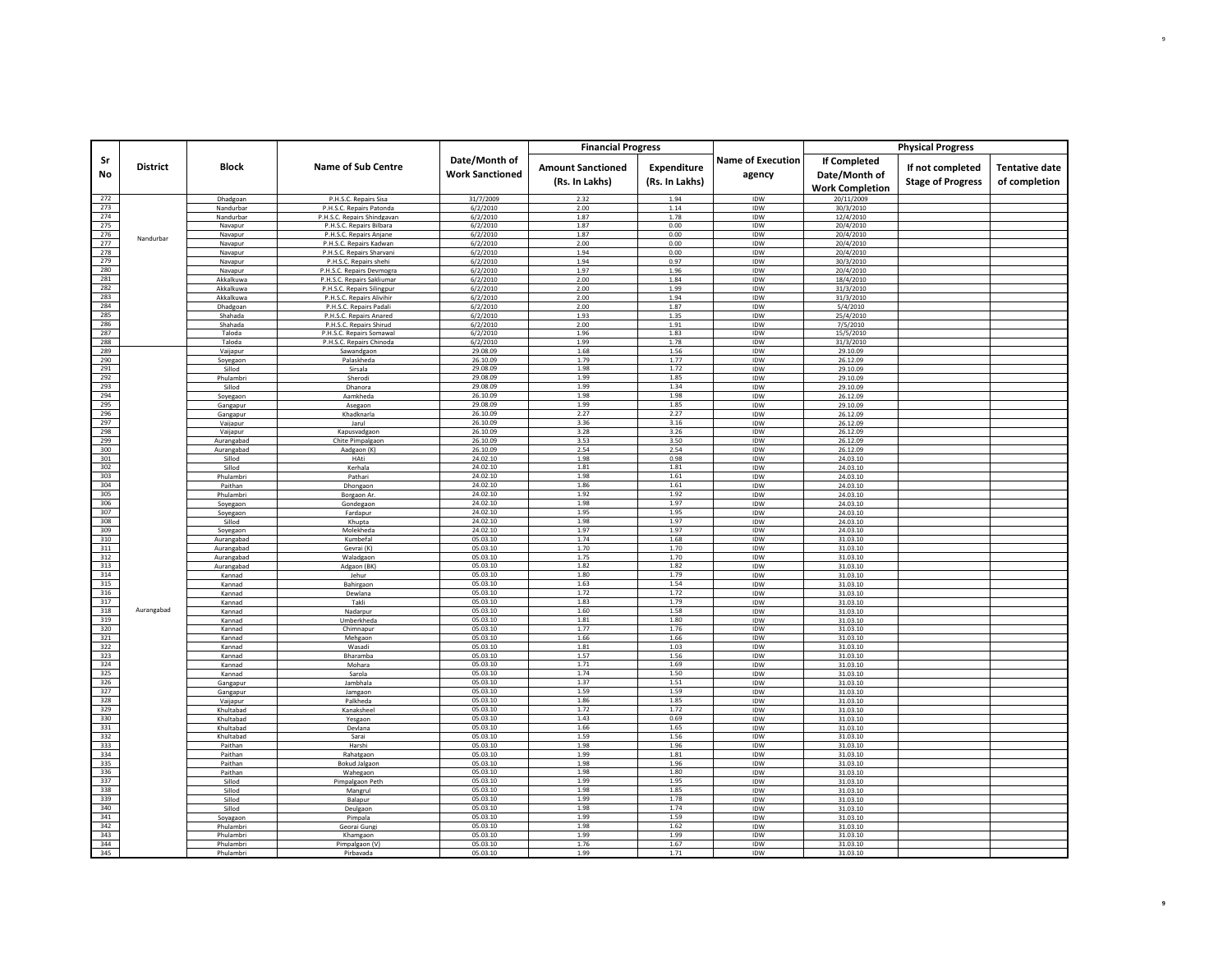|            |                 |                          |                                                    |                                         | <b>Financial Progress</b>                  |                               |                                    |                                                         | <b>Physical Progress</b>                     |                                        |
|------------|-----------------|--------------------------|----------------------------------------------------|-----------------------------------------|--------------------------------------------|-------------------------------|------------------------------------|---------------------------------------------------------|----------------------------------------------|----------------------------------------|
| Sr<br>No   | <b>District</b> | <b>Block</b>             | <b>Name of Sub Centre</b>                          | Date/Month of<br><b>Work Sanctioned</b> | <b>Amount Sanctioned</b><br>(Rs. In Lakhs) | Expenditure<br>(Rs. In Lakhs) | <b>Name of Execution</b><br>agency | If Completed<br>Date/Month of<br><b>Work Completion</b> | If not completed<br><b>Stage of Progress</b> | <b>Tentative date</b><br>of completion |
| 272        |                 | Dhadgoan                 | P.H.S.C. Repairs Sisa                              | 31/7/2009                               | 2.32                                       | 1.94                          | IDW                                | 20/11/2009                                              |                                              |                                        |
| 273        |                 | Nandurbar                | P.H.S.C. Repairs Patonda                           | 6/2/2010                                | 2.00                                       | 1.14                          | IDW                                | 30/3/2010                                               |                                              |                                        |
| 274<br>275 |                 | Nandurbar                | P.H.S.C. Repairs Shindgavan                        | 6/2/2010                                | 1.87                                       | 1.78<br>0.00                  | IDW                                | 12/4/2010                                               |                                              |                                        |
| 276        |                 | Navapur                  | P.H.S.C. Repairs Bilbara                           | 6/2/2010                                | 1.87<br>1.87                               | 0.00                          | IDW<br>IDW                         | 20/4/2010<br>20/4/2010                                  |                                              |                                        |
| 277        | Nandurbar       | Navapur<br>Navapur       | P.H.S.C. Repairs Anjane<br>P.H.S.C. Repairs Kadwan | 6/2/2010<br>6/2/2010                    | 2.00                                       | 0.00                          | IDW                                | 20/4/2010                                               |                                              |                                        |
| 278        |                 | Navapur                  | P.H.S.C. Repairs Sharvani                          | 6/2/2010                                | 1.94                                       | 0.00                          | IDW                                | 20/4/2010                                               |                                              |                                        |
| 279        |                 | Navapur                  | P.H.S.C. Repairs shehi                             | 6/2/2010                                | 1.94                                       | 0.97                          | IDW                                | 30/3/2010                                               |                                              |                                        |
| 280        |                 | Navapur                  | P.H.S.C. Repairs Devmogra                          | 6/2/2010                                | 1.97                                       | 1.96                          | IDW                                | 20/4/2010                                               |                                              |                                        |
| 281        |                 | Akkalkuwa                | P.H.S.C. Repairs Sakliumar                         | 6/2/2010                                | 2.00                                       | 1.84                          | IDW                                | 18/4/2010                                               |                                              |                                        |
| 282        |                 | Akkalkuwa                | P.H.S.C. Repairs Silingpur                         | 6/2/2010                                | 2.00                                       | 1.99                          | <b>IDW</b>                         | 31/3/2010                                               |                                              |                                        |
| 283<br>284 |                 | Akkalkuwa                | P.H.S.C. Repairs Alivihir                          | 6/2/2010                                | 2.00                                       | 1.94                          | IDW                                | 31/3/2010                                               |                                              |                                        |
| 285        |                 | Dhadgoan<br>Shahada      | P.H.S.C. Repairs Padali<br>P.H.S.C. Repairs Anared | 6/2/2010<br>6/2/2010                    | 2.00<br>1.93                               | 1.87<br>1.35                  | IDW<br>IDW                         | 5/4/2010<br>25/4/2010                                   |                                              |                                        |
| 286        |                 | Shahada                  | P.H.S.C. Repairs Shirud                            | 6/2/2010                                | 2.00                                       | 1.91                          | IDW                                | 7/5/2010                                                |                                              |                                        |
| 287        |                 | Taloda                   | P.H.S.C. Repairs Somawal                           | 6/2/2010                                | 1.96                                       | 1.83                          | IDW                                | 15/5/2010                                               |                                              |                                        |
| 288        |                 | Taloda                   | P.H.S.C. Repairs Chinoda                           | 6/2/2010                                | 1.99                                       | 1.78                          | IDW                                | 31/3/2010                                               |                                              |                                        |
| 289        |                 | Vaijapur                 | Sawandgaor                                         | 29.08.09                                | 1.68                                       | 1.56                          | IDW                                | 29.10.09                                                |                                              |                                        |
| 290        |                 | Soyegaon                 | Palaskheda                                         | 26.10.09                                | 1.79                                       | 1.77                          | IDW                                | 26.12.09                                                |                                              |                                        |
| 291        |                 | Sillod                   | Sirsala                                            | 29.08.09                                | 1.98                                       | 1.72                          | IDW                                | 29.10.09                                                |                                              |                                        |
| 292<br>293 |                 | Phulambri<br>Sillod      | Sherodi<br>Dhanora                                 | 29.08.09<br>29.08.09                    | 1.99<br>1.99                               | 1.85<br>1.34                  | IDW                                | 29.10.09                                                |                                              |                                        |
| 294        |                 | Soyegaon                 | Aamkheda                                           | 26.10.09                                | 1.98                                       | 1.98                          | IDW<br>IDW                         | 29.10.09<br>26.12.09                                    |                                              |                                        |
| 295        |                 | Gangapur                 | Asegaon                                            | 29.08.09                                | 1.99                                       | 1.85                          | IDW                                | 29.10.09                                                |                                              |                                        |
| 296        |                 | Gangapur                 | Khadknarla                                         | 26,10.09                                | 2.27                                       | 2.27                          | IDW                                | 26.12.09                                                |                                              |                                        |
| 297        |                 | Vaijapur                 | Jarul                                              | 26.10.09                                | 3.36                                       | 3.16                          | <b>IDW</b>                         | 26.12.09                                                |                                              |                                        |
| 298        |                 | Vaijapur                 | Kapusvadgaon                                       | 26.10.09                                | 3.28                                       | 3.26                          | IDW                                | 26.12.09                                                |                                              |                                        |
| 299        |                 | Aurangabad               | Chite Pimpalgaon                                   | 26.10.09                                | 3.53                                       | 3.50                          | IDW                                | 26.12.09                                                |                                              |                                        |
| 300        |                 | Aurangabad               | Aadgaon (K)                                        | 26.10.09                                | 2.54                                       | 2.54                          | IDW                                | 26.12.09                                                |                                              |                                        |
| 301<br>302 |                 | Sillod<br>Sillod         | HAti<br>Kerhala                                    | 24.02.10<br>24.02.10                    | 1.98<br>1.81                               | 0.98<br>1.81                  | IDW<br>IDW                         | 24.03.10<br>24.03.10                                    |                                              |                                        |
| 303        |                 | Phulambri                | Pathari                                            | 24.02.10                                | 1.98                                       | 1.61                          | IDW                                | 24.03.10                                                |                                              |                                        |
| 304        |                 | Paithar                  | Dhongaon                                           | 24.02.10                                | 1.86                                       | 1.61                          | IDW                                | 24.03.10                                                |                                              |                                        |
| 305        |                 | Phulambri                | Borgaon Ar                                         | 24.02.10                                | 1.92                                       | 1.92                          | IDW                                | 24.03.10                                                |                                              |                                        |
| 306        |                 | Sovegaon                 | Gondegaon                                          | 24.02.10                                | 1.98                                       | 1.97                          | IDW                                | 24.03.10                                                |                                              |                                        |
| 307        |                 | Soyegaon                 | Fardapur                                           | 24.02.10                                | 1.95                                       | 1.95                          | IDW                                | 24.03.10                                                |                                              |                                        |
| 308        |                 | Sillod                   | Khupta                                             | 24.02.10                                | 1.98                                       | 1.97                          | IDW                                | 24.03.10                                                |                                              |                                        |
| 309<br>310 |                 | Soyegaon                 | Molekheda<br>Kumbefal                              | 24.02.10<br>05.03.10                    | 1.97<br>1.74                               | 1.97<br>1.68                  | IDW<br>IDW                         | 24.03.10<br>31.03.10                                    |                                              |                                        |
| 311        |                 | Aurangabad<br>Aurangabad | Gevrai (K)                                         | 05.03.10                                | 1.70                                       | 1.70                          | IDW                                | 31.03.10                                                |                                              |                                        |
| 312        |                 | Aurangabad               | Waladgaon                                          | 05.03.10                                | 1.75                                       | 1.70                          | IDW                                | 31.03.10                                                |                                              |                                        |
| 313        |                 | Aurangabad               | Adgaon (BK)                                        | 05.03.10                                | 1.82                                       | 1.82                          | IDW                                | 31.03.10                                                |                                              |                                        |
| 314        |                 | Kannad                   | Jehur                                              | 05.03.10                                | 1.80                                       | 1.79                          | IDW                                | 31.03.10                                                |                                              |                                        |
| 315        |                 | Kannad                   | Bahirgaon                                          | 05.03.10                                | 1.63                                       | 1.54                          | IDW                                | 31.03.10                                                |                                              |                                        |
| 316        |                 | Kannad                   | Dewlana                                            | 05.03.10                                | 1.72                                       | 1.72                          | IDW                                | 31.03.10                                                |                                              |                                        |
| 317<br>318 | Aurangabad      | Kannad                   | Takli                                              | 05.03.10<br>05.03.10                    | 1.83<br>1.60                               | 1.79<br>1.58                  | IDW                                | 31.03.10                                                |                                              |                                        |
| 319        |                 | Kannad<br>Kannad         | Nadarpur<br>Umberkheda                             | 05.03.10                                | 1.81                                       | 1.80                          | IDW<br><b>IDW</b>                  | 31.03.10<br>31.03.10                                    |                                              |                                        |
| 320        |                 | Kannad                   | Chimnapur                                          | 05.03.10                                | 1.77                                       | 1.76                          | IDW                                | 31.03.10                                                |                                              |                                        |
| 321        |                 | Kannad                   | Mehgaon                                            | 05.03.10                                | 1.66                                       | 1.66                          | IDW                                | 31.03.10                                                |                                              |                                        |
| 322        |                 | Kannad                   | Wasad                                              | 05.03.10                                | 1.81                                       | 1.03                          | IDW                                | 31.03.10                                                |                                              |                                        |
| 323        |                 | Kannad                   | Bharamba                                           | 05.03.10                                | 1.57                                       | 1.56                          | IDW                                | 31.03.10                                                |                                              |                                        |
| 324        |                 | Kannad                   | Mohara                                             | 05.03.10                                | 1.71                                       | 1.69                          | IDW                                | 31.03.10                                                |                                              |                                        |
| 325<br>326 |                 | Kannad                   | Sarola<br>Jambhala                                 | 05.03.10<br>05.03.10                    | 1.74<br>1.37                               | 1.50<br>1.51                  | IDW<br><b>IDW</b>                  | 31.03.10<br>31.03.10                                    |                                              |                                        |
| 327        |                 | Gangapur<br>Gangapur     | Jamgaon                                            | 05.03.10                                | 1.59                                       | 1.59                          | IDW                                | 31.03.10                                                |                                              |                                        |
| 328        |                 | Vaijapur                 | Palkheda                                           | 05.03.10                                | 1.86                                       | 1.85                          | IDW                                | 31.03.10                                                |                                              |                                        |
| 329        |                 | Khultabad                | Kanaksheel                                         | 05.03.10                                | 1.72                                       | 1.72                          | IDW                                | 31.03.10                                                |                                              |                                        |
| 330        |                 | Khultabad                | Yesgaon                                            | 05.03.10                                | 1.43                                       | 0.69                          | IDW                                | 31.03.10                                                |                                              |                                        |
| 331        |                 | Khultabad                | Devlana                                            | 05.03.10                                | 1.66                                       | 1.65                          | IDW                                | 31.03.10                                                |                                              |                                        |
| 332        |                 | Khultabad                | Sarai                                              | 05.03.10                                | 1.59                                       | 1.56                          | IDW                                | 31.03.10                                                |                                              |                                        |
| 333<br>334 |                 | Paithan<br>Paithan       | Harshi                                             | 05.03.10<br>05.03.10                    | 1.98<br>1.99                               | 1.96<br>1.81                  | IDW<br>IDW                         | 31.03.10<br>31.03.10                                    |                                              |                                        |
| 335        |                 | Paithan                  | Rahatgaon<br><b>Bokud Jalgaon</b>                  | 05.03.10                                | 1.98                                       | 1.96                          | IDW                                | 31.03.10                                                |                                              |                                        |
| 336        |                 | Paithan                  | Wahegaon                                           | 05.03.10                                | 1.98                                       | 1.80                          | IDW                                | 31.03.10                                                |                                              |                                        |
| 337        |                 | Sillod                   | Pimpalgaon Peth                                    | 05.03.10                                | 1.99                                       | 1.95                          | IDW                                | 31.03.10                                                |                                              |                                        |
| 338        |                 | Sillod                   | Manerul                                            | 05.03.10                                | 1.98                                       | 1.85                          | IDW                                | 31.03.10                                                |                                              |                                        |
| 339        |                 | Sillod                   | Balapur                                            | 05.03.10                                | 1.99                                       | 1.78                          | IDW                                | 31.03.10                                                |                                              |                                        |
| 340        |                 | Sillod                   | Deulgaor                                           | 05.03.10                                | 1.98                                       | 1.74                          | IDW                                | 31.03.10                                                |                                              |                                        |
| 341<br>342 |                 | Soyagaon<br>Phulambri    | Pimpala                                            | 05.03.10<br>05.03.10                    | 1.99<br>1.98                               | 1.59<br>1.62                  | <b>IDW</b><br>IDW                  | 31.03.10<br>31.03.10                                    |                                              |                                        |
| 343        |                 | Phulambri                | Georai Gung<br>Khamgaon                            | 05.03.10                                | 1.99                                       | 1.99                          | IDW                                | 31.03.10                                                |                                              |                                        |
| 344        |                 | Phulambri                | Pimpalgaon (V)                                     | 05.03.10                                | 1.76                                       | 1.67                          | IDW                                | 31.03.10                                                |                                              |                                        |
| 345        |                 | Phulambr                 | Pirbayada                                          | 05.03.10                                | 1.99                                       | 1.71                          | IDW                                | 31.03.10                                                |                                              |                                        |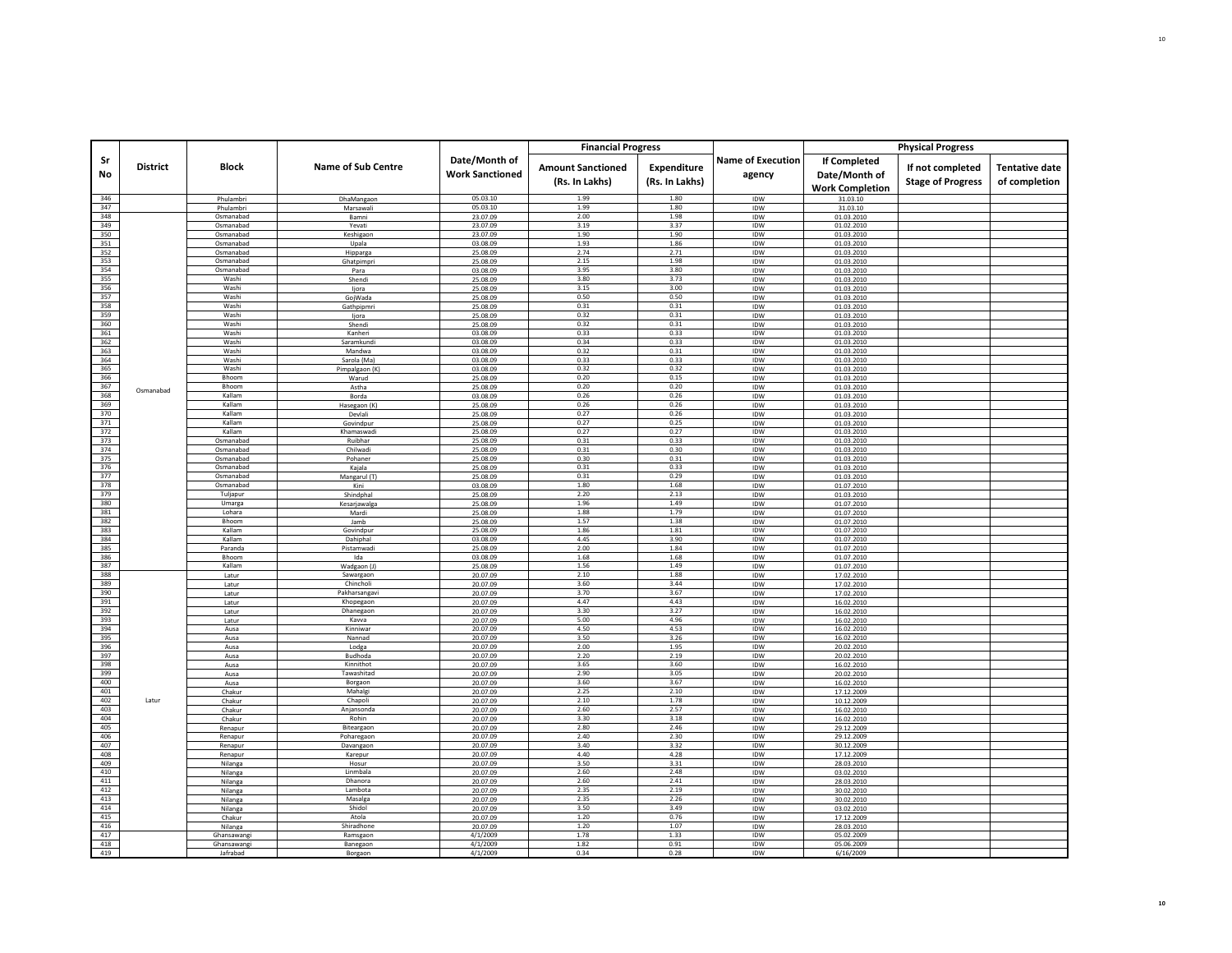|            |                 |                        |                               |                        | <b>Financial Progress</b> |                |                          |                          | <b>Physical Progress</b> |                       |
|------------|-----------------|------------------------|-------------------------------|------------------------|---------------------------|----------------|--------------------------|--------------------------|--------------------------|-----------------------|
| Sr         |                 |                        |                               | Date/Month of          |                           |                | <b>Name of Execution</b> | <b>If Completed</b>      |                          |                       |
|            | <b>District</b> | Block                  | <b>Name of Sub Centre</b>     |                        | <b>Amount Sanctioned</b>  | Expenditure    |                          |                          | If not completed         | <b>Tentative date</b> |
| No         |                 |                        |                               | <b>Work Sanctioned</b> | (Rs. In Lakhs)            | (Rs. In Lakhs) | agency                   | Date/Month of            | <b>Stage of Progress</b> | of completion         |
|            |                 |                        |                               |                        |                           |                |                          | <b>Work Completion</b>   |                          |                       |
| 346        |                 | Phulambri              | DhaMangaon                    | 05.03.10               | 1.99                      | 1.80           | IDW                      | 31.03.10                 |                          |                       |
| 347<br>348 |                 | Phulambri<br>Osmanabad | Marsawali<br>Bamni            | 05.03.10<br>23.07.09   | 1.99<br>2.00              | 1.80<br>1.98   | IDW<br>IDW               | 31.03.10<br>01.03.2010   |                          |                       |
| 349        |                 | Osmanabad              | Yevati                        | 23.07.09               | 3.19                      | 3.37           | IDW                      | 01.02.2010               |                          |                       |
| 350        |                 | Osmanabad              | Keshigaon                     | 23.07.09               | 1.90                      | 1.90           | IDW                      | 01.03.2010               |                          |                       |
| 351        |                 | Osmanabad              | Upala                         | 03.08.09               | 1.93                      | 1.86           | IDW                      | 01.03.2010               |                          |                       |
| 352        |                 | Osmanabad              | Hipparga                      | 25.08.09               | 2.74                      | 2.71           | IDW                      | 01.03.2010               |                          |                       |
| 353<br>354 |                 | Osmanabad<br>Osmanabad | Ghatpimpri<br>Para            | 25.08.09<br>03.08.09   | 2.15<br>3.95              | 1.98<br>3.80   | IDW<br>IDW               | 01.03.2010<br>01.03.2010 |                          |                       |
| 355        |                 | Washi                  | Shendi                        | 25.08.09               | 3.80                      | 3.73           | IDW                      | 01.03.2010               |                          |                       |
| 356        |                 | Washi                  | ljora                         | 25.08.09               | 3.15                      | 3.00           | IDW                      | 01.03.2010               |                          |                       |
| 357        |                 | Washi                  | GojWada                       | 25.08.09               | 0.50                      | 0.50           | IDW                      | 01.03.2010               |                          |                       |
| 358<br>359 |                 | Washi<br>Washi         | Gathpipmri                    | 25.08.09<br>25.08.09   | 0.31<br>0.32              | 0.31<br>0.31   | IDW<br>IDW               | 01.03.2010<br>01.03.2010 |                          |                       |
| 360        |                 | Washi                  | ljora<br>Shendi               | 25.08.09               | 0.32                      | 0.31           | IDW                      | 01.03.2010               |                          |                       |
| 361        |                 | Washi                  | Kanheri                       | 03.08.09               | 0.33                      | 0.33           | IDW                      | 01.03.2010               |                          |                       |
| 362        |                 | Washi                  | Saramkundi                    | 03.08.09               | 0.34                      | 0.33           | IDW                      | 01.03.2010               |                          |                       |
| 363        |                 | Washi                  | Mandwa                        | 03.08.09               | 0.32                      | 0.31           | IDW                      | 01.03.2010               |                          |                       |
| 364<br>365 |                 | Washi<br>Washi         | Sarola (Ma)<br>Pimpalgaon (K) | 03.08.09<br>03.08.09   | 0.33<br>0.32              | 0.33<br>0.32   | IDW<br>IDW               | 01.03.2010<br>01.03.2010 |                          |                       |
| 366        |                 | Bhoom                  | Warud                         | 25.08.09               | 0.20                      | 0.15           | IDW                      | 01.03.2010               |                          |                       |
| 367        | Osmanabad       | Bhoom                  | Astha                         | 25.08.09               | 0.20                      | 0.20           | IDW                      | 01.03.2010               |                          |                       |
| 368        |                 | Kallam                 | Borda                         | 03.08.09               | 0.26                      | 0.26           | IDW                      | 01.03.2010               |                          |                       |
| 369<br>370 |                 | Kallam<br>Kallam       | Hasegaon (K)                  | 25.08.09<br>25.08.09   | 0.26<br>0.27              | 0.26<br>0.26   | IDW                      | 01.03.2010               |                          |                       |
| 371        |                 | Kallam                 | Devlali<br>Govindpur          | 25.08.09               | 0.27                      | 0.25           | IDW<br>IDW               | 01.03.2010<br>01.03.2010 |                          |                       |
| 372        |                 | Kallam                 | Khamaswadi                    | 25.08.09               | 0.27                      | 0.27           | IDW                      | 01.03.2010               |                          |                       |
| 373        |                 | Osmanabad              | Ruibhar                       | 25.08.09               | 0.31                      | 0.33           | IDW                      | 01.03.2010               |                          |                       |
| 374        |                 | Osmanabad              | Chilwadi                      | 25.08.09               | 0.31                      | 0.30           | IDW                      | 01.03.2010               |                          |                       |
| 375<br>376 |                 | Osmanabad<br>Osmanabad | Pohaner<br>Kajala             | 25.08.09<br>25.08.09   | 0.30<br>0.31              | 0.31<br>0.33   | IDW<br>IDW               | 01.03.2010<br>01.03.2010 |                          |                       |
| 377        |                 | Osmanabad              | Mangarul (T)                  | 25.08.09               | 0.31                      | 0.29           | IDW                      | 01.03.2010               |                          |                       |
| 378        |                 | Osmanabad              | Kini                          | 03.08.09               | 1.80                      | 1.68           | IDW                      | 01.07.2010               |                          |                       |
| 379        |                 | Tuljapur               | Shindphal                     | 25.08.09               | 2.20                      | 2.13           | IDW                      | 01.03.2010               |                          |                       |
| 380<br>381 |                 | Umarga<br>Lohara       | Kesarjawalga                  | 25.08.09               | 1.96<br>1.88              | 1.49<br>1.79   | IDW                      | 01.07.2010               |                          |                       |
| 382        |                 | Bhoom                  | Mardi<br>Jamb                 | 25.08.09<br>25.08.09   | 1.57                      | 1.38           | IDW<br>IDW               | 01.07.2010<br>01.07.2010 |                          |                       |
| 383        |                 | Kallam                 | Govindpur                     | 25.08.09               | 1.86                      | 1.81           | IDW                      | 01.07.2010               |                          |                       |
| 384        |                 | Kallam                 | Dahiphal                      | 03.08.09               | 4.45                      | 3.90           | IDW                      | 01.07.2010               |                          |                       |
| 385        |                 | Paranda                | Pistamwad                     | 25.08.09               | 2.00                      | 1.84           | IDW                      | 01.07.2010               |                          |                       |
| 386<br>387 |                 | Bhoom<br>Kallam        | Ida<br>Wadgaon (J             | 03.08.09<br>25.08.09   | 1.68<br>1.56              | 1.68<br>1.49   | IDW<br>IDW               | 01.07.2010<br>01.07.2010 |                          |                       |
| 388        |                 | Latur                  | Sawargaon                     | 20.07.09               | 2.10                      | 1.88           | IDW                      | 17.02.2010               |                          |                       |
| 389        |                 | Latur                  | Chincholi                     | 20.07.09               | 3.60                      | 3.44           | IDW                      | 17.02.2010               |                          |                       |
| 390        |                 | Latur                  | Pakharsangavi                 | 20.07.09               | 3.70                      | 3.67           | IDW                      | 17.02.2010               |                          |                       |
| 391<br>392 |                 | Latur<br>Latur         | Khopegaon<br>Dhanegaon        | 20.07.09<br>20.07.09   | 4.47<br>3.30              | 4.43<br>3.27   | IDW<br>IDW               | 16.02.2010               |                          |                       |
| 393        |                 | Latur                  | Kavva                         | 20.07.09               | 5.00                      | 4.96           | IDW                      | 16.02.2010<br>16.02.2010 |                          |                       |
| 394        |                 | Ausa                   | Kinniwar                      | 20.07.09               | 4.50                      | 4.53           | IDW                      | 16.02.2010               |                          |                       |
| 395        |                 | Ausa                   | Nannad                        | 20.07.09               | 3.50                      | 3.26           | IDW                      | 16.02.2010               |                          |                       |
| 396        |                 | Ausa                   | Lodga                         | 20.07.09               | 2.00                      | 1.95           | <b>IDW</b>               | 20.02.2010               |                          |                       |
| 397<br>398 |                 | Ausa<br>Ausa           | Budhoda<br>Kinnithot          | 20.07.09<br>20.07.09   | 2.20<br>3.65              | 2.19<br>3.60   | IDW<br>IDW               | 20.02.2010<br>16.02.2010 |                          |                       |
| 399        |                 | Ausa                   | Tawashitad                    | 20.07.09               | 2.90                      | 3.05           | IDW                      | 20.02.2010               |                          |                       |
| 400        |                 | Ausa                   | Borgaon                       | 20.07.09               | 3.60                      | 3.67           | IDW                      | 16.02.2010               |                          |                       |
| 401        |                 | Chakur                 | Mahalgi                       | 20.07.09               | 2.25                      | 2.10           | IDW                      | 17.12.2009               |                          |                       |
| 402<br>403 | Latur           | Chakur<br>Chakur       | Chapoli<br>Aniansonda         | 20.07.09<br>20.07.09   | 2.10<br>2.60              | 1.78<br>2.57   | IDW<br><b>IDW</b>        | 10.12.2009               |                          |                       |
| 404        |                 | Chakur                 | Rohin                         | 20.07.09               | 3.30                      | 3.18           | IDW                      | 16.02.2010<br>16.02.2010 |                          |                       |
| 405        |                 | Renapur                | Biteargaon                    | 20.07.09               | 2.80                      | 2.46           | IDW                      | 29.12.2009               |                          |                       |
| 406        |                 | Renapur                | Poharegaon                    | 20.07.09               | 2.40                      | 2.30           | IDW                      | 29.12.2009               |                          |                       |
| 407<br>408 |                 | Renapur                | Davangaon                     | 20.07.09               | 3.40<br>4.40              | 3.32<br>4.28   | IDW                      | 30.12.2009               |                          |                       |
| 409        |                 | Renapur<br>Nilanga     | Karepur<br>Hosur              | 20.07.09<br>20.07.09   | 3.50                      | 3.31           | IDW<br>IDW               | 17.12.2009<br>28.03.2010 |                          |                       |
| 410        |                 | Nilanga                | Linmbala                      | 20.07.09               | 2.60                      | 2.48           | IDW                      | 03.02.2010               |                          |                       |
| 411        |                 | Nilanga                | Dhanora                       | 20.07.09               | 2.60                      | 2.41           | IDW                      | 28.03.2010               |                          |                       |
| 412        |                 | Nilanga                | Lambota                       | 20.07.09               | 2.35                      | 2.19           | IDW                      | 30.02.2010               |                          |                       |
| 413<br>414 |                 | Nilanga                | Masalga<br>Shidol             | 20.07.09<br>20.07.09   | 2.35<br>3.50              | 2.26<br>3.49   | IDW                      | 30.02.2010               |                          |                       |
| 415        |                 | Nilanga<br>Chakur      | Atola                         | 20.07.09               | 1.20                      | 0.76           | IDW<br>IDW               | 03.02.2010<br>17.12.2009 |                          |                       |
| 416        |                 | Nilanga                | Shiradhone                    | 20.07.09               | 1.20                      | 1.07           | IDW                      | 28.03.2010               |                          |                       |
| 417        |                 | Ghansawang             | Ramsgaon                      | 4/1/2009               | 1.78                      | 1.33           | IDW                      | 05.02.2009               |                          |                       |
| 418<br>419 |                 | Ghansawang             | Banegaon                      | 4/1/2009               | 1.82                      | 0.91           | IDW                      | 05.06.2009               |                          |                       |
|            |                 | Jafrabad               | Borgaon                       | 4/1/2009               | 0.34                      | 0.28           | IDW                      | 6/16/2009                |                          |                       |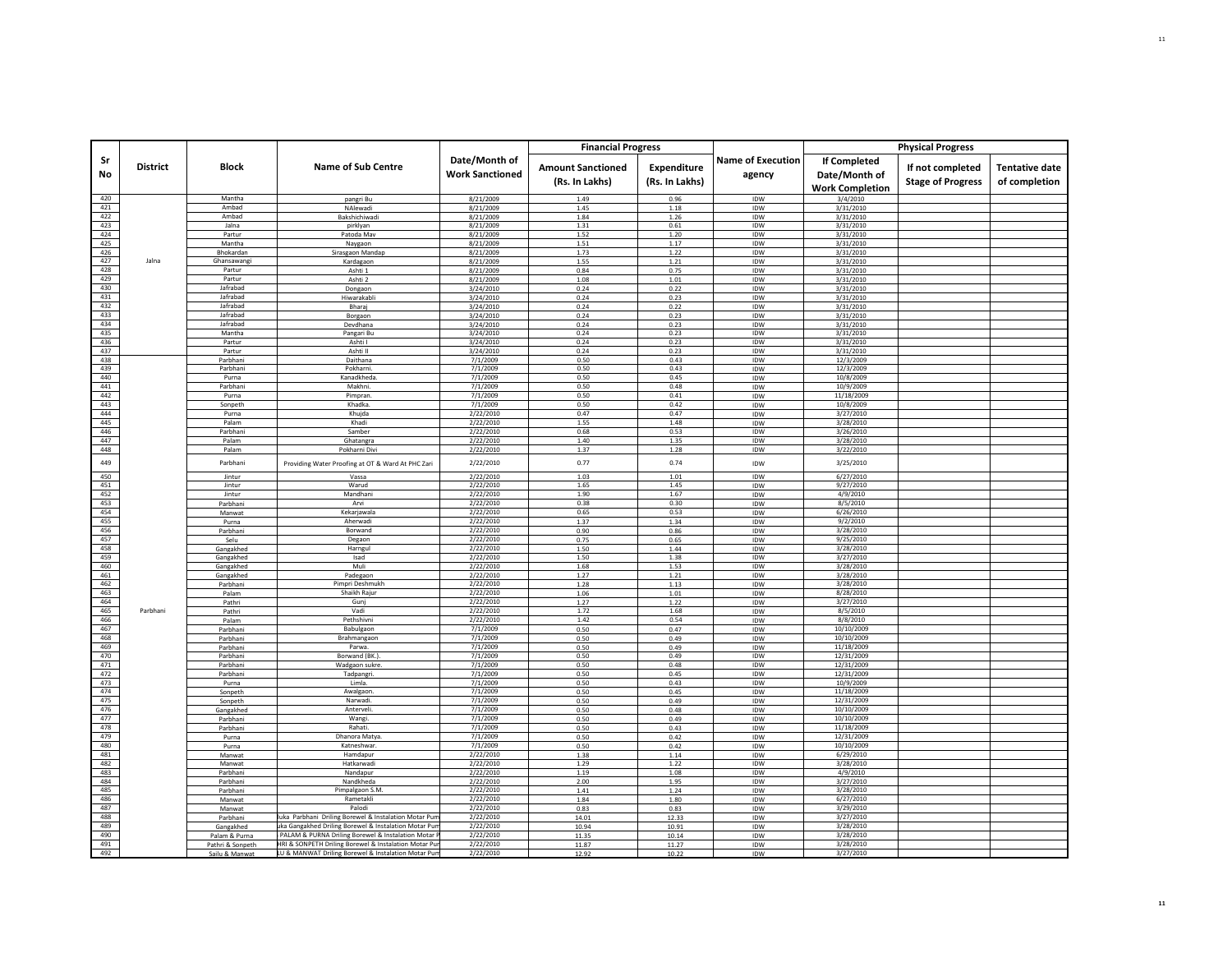|            |                 |                       |                                                       |                                         | <b>Financial Progress</b>                  |                               |                                    |                                                                | <b>Physical Progress</b>                     |                                        |
|------------|-----------------|-----------------------|-------------------------------------------------------|-----------------------------------------|--------------------------------------------|-------------------------------|------------------------------------|----------------------------------------------------------------|----------------------------------------------|----------------------------------------|
| Sr<br>No   | <b>District</b> | <b>Block</b>          | <b>Name of Sub Centre</b>                             | Date/Month of<br><b>Work Sanctioned</b> | <b>Amount Sanctioned</b><br>(Rs. In Lakhs) | Expenditure<br>(Rs. In Lakhs) | <b>Name of Execution</b><br>agency | <b>If Completed</b><br>Date/Month of<br><b>Work Completion</b> | If not completed<br><b>Stage of Progress</b> | <b>Tentative date</b><br>of completion |
| 420        |                 | Mantha                | pangri Bu                                             | 8/21/2009                               | 1.49                                       | 0.96                          | IDW                                | 3/4/2010                                                       |                                              |                                        |
| 421        |                 | Ambad                 | NAlewadi                                              | 8/21/2009                               | 1.45                                       | 1.18                          | IDW                                | 3/31/2010                                                      |                                              |                                        |
| 422        |                 | Ambad                 | Bakshichiwadi                                         | 8/21/2009                               | 1.84                                       | 1.26                          | IDW                                | 3/31/2010                                                      |                                              |                                        |
| 423        |                 | Jalna                 | pirklyar                                              | 8/21/2009                               | 1.31                                       | 0.61                          | IDW                                | 3/31/2010                                                      |                                              |                                        |
| 424<br>425 |                 | Partur<br>Mantha      | Patoda Mav<br>Naygaon                                 | 8/21/2009<br>8/21/2009                  | 1.52<br>1.51                               | 1.20<br>1.17                  | IDW<br>IDW                         | 3/31/2010<br>3/31/2010                                         |                                              |                                        |
| 426        |                 | Bhokardan             | Sirasgaon Mandap                                      | 8/21/2009                               | 1.73                                       | 1.22                          | <b>IDW</b>                         | 3/31/2010                                                      |                                              |                                        |
| 427        | Jalna           | Ghansawangi           | Kardagaon                                             | 8/21/2009                               | 1.55                                       | 1.21                          | IDW                                | 3/31/2010                                                      |                                              |                                        |
| 428        |                 | Partur                | Ashti 1                                               | 8/21/2009                               | 0.84                                       | 0.75                          | IDW                                | 3/31/2010                                                      |                                              |                                        |
| 429        |                 | Partur                | Ashti 2                                               | 8/21/2009                               | 1.08                                       | 1.01                          | IDW                                | 3/31/2010                                                      |                                              |                                        |
| 430        |                 | Jafrabad              | Dongaon                                               | 3/24/2010                               | 0.24                                       | 0.22                          | IDW                                | 3/31/2010                                                      |                                              |                                        |
| 431        |                 | Jafrabad              | Hiwarakabl                                            | 3/24/2010                               | 0.24                                       | 0.23                          | IDW                                | 3/31/2010                                                      |                                              |                                        |
| 432<br>433 |                 | Jafrabad<br>lafrabad  | Bharaj                                                | 3/24/2010                               | 0.24                                       | 0.22                          | IDW                                | 3/31/2010                                                      |                                              |                                        |
| 434        |                 | Jafrabad              | Borgaon<br>Devdhana                                   | 3/24/2010<br>3/24/2010                  | 0.24<br>0.24                               | 0.23<br>0.23                  | IDW<br>IDW                         | 3/31/2010<br>3/31/2010                                         |                                              |                                        |
| 435        |                 | Mantha                | Pangari Bu                                            | 3/24/2010                               | 0.24                                       | 0.23                          | IDW                                | 3/31/2010                                                      |                                              |                                        |
| 436        |                 | Partur                | Ashti I                                               | 3/24/2010                               | 0.24                                       | 0.23                          | IDW                                | 3/31/2010                                                      |                                              |                                        |
| 437        |                 | Partur                | Ashti II                                              | 3/24/2010                               | 0.24                                       | 0.23                          | IDW                                | 3/31/2010                                                      |                                              |                                        |
| 438        |                 | Parbhani              | Daithana                                              | 7/1/2009                                | 0.50                                       | 0.43                          | IDW                                | 12/3/2009                                                      |                                              |                                        |
| 439        |                 | Parbhani              | Pokharni.                                             | 7/1/2009                                | 0.50                                       | 0.43                          | IDW                                | 12/3/2009                                                      |                                              |                                        |
| 440        |                 | Purna                 | Kanadkheda                                            | 7/1/2009                                | 0.50                                       | 0.45                          | IDW                                | 10/8/2009                                                      |                                              |                                        |
| 441<br>442 |                 | Parbhani<br>Purna     | Makhni                                                | 7/1/2009<br>7/1/2009                    | 0.50<br>0.50                               | 0.48<br>0.41                  | IDW                                | 10/9/2009<br>11/18/2009                                        |                                              |                                        |
| 443        |                 | Sonpeth               | Pimpran.<br>Khadka                                    | 7/1/2009                                | 0.50                                       | 0.42                          | IDW<br>IDW                         | 10/8/2009                                                      |                                              |                                        |
| 444        |                 | Purna                 | Khuida                                                | 2/22/2010                               | 0.47                                       | 0.47                          | IDW                                | 3/27/2010                                                      |                                              |                                        |
| 445        |                 | Palam                 | Khadi                                                 | 2/22/2010                               | 1.55                                       | 1.48                          | <b>IDW</b>                         | 3/28/2010                                                      |                                              |                                        |
| 446        |                 | Parbhani              | Samber                                                | 2/22/2010                               | 0.68                                       | 0.53                          | IDW                                | 3/26/2010                                                      |                                              |                                        |
| 447        |                 | Palam                 | Ghatangra                                             | 2/22/2010                               | 1.40                                       | 1.35                          | IDW                                | 3/28/2010                                                      |                                              |                                        |
| 448        |                 | Palam                 | Pokharni Divi                                         | 2/22/2010                               | 1.37                                       | 1.28                          | IDW                                | 3/22/2010                                                      |                                              |                                        |
| 449        |                 | Parbhani              | Providing Water Proofing at OT & Ward At PHC Zari     | 2/22/2010                               | 0.77                                       | 0.74                          | IDW                                | 3/25/2010                                                      |                                              |                                        |
| 450        |                 | Jintur                | Vassa                                                 | 2/22/2010                               | 1.03                                       | 1.01                          | IDW                                | 6/27/2010                                                      |                                              |                                        |
| 451        |                 | Jintur                | Warud                                                 | 2/22/2010                               | 1.65                                       | 1.45                          | IDW                                | 9/27/2010                                                      |                                              |                                        |
| 452        |                 | Jintur                | Mandhani                                              | 2/22/2010                               | 1.90                                       | 1.67                          | IDW                                | 4/9/2010                                                       |                                              |                                        |
| 453<br>454 |                 | Parbhani<br>Manwat    | Arvi<br>Kekariawala                                   | 2/22/2010<br>2/22/2010                  | 0.38<br>0.65                               | 0.30<br>0.53                  | IDW<br>IDW                         | 8/5/2010<br>6/26/2010                                          |                                              |                                        |
| 455        |                 | Purna                 | Aherwadi                                              | 2/22/2010                               | 1.37                                       | 1.34                          | IDW                                | 9/2/2010                                                       |                                              |                                        |
| 456        |                 | Parbhani              | Borwand                                               | 2/22/2010                               | 0.90                                       | 0.86                          | IDW                                | 3/28/2010                                                      |                                              |                                        |
| 457        |                 | Selu                  | Degaon                                                | 2/22/2010                               | 0.75                                       | 0.65                          | IDW                                | 9/25/2010                                                      |                                              |                                        |
| 458        |                 | Gangakhed             | Harneul                                               | 2/22/2010                               | 1.50                                       | 1.44                          | <b>IDW</b>                         | 3/28/2010                                                      |                                              |                                        |
| 459        |                 | Gangakhed             | Isad                                                  | 2/22/2010                               | 1.50                                       | 1.38                          | IDW                                | 3/27/2010                                                      |                                              |                                        |
| 460        |                 | Gangakhed             | Muli                                                  | 2/22/2010                               | 1.68                                       | 1.53                          | IDW                                | 3/28/2010                                                      |                                              |                                        |
| 461<br>462 |                 | Gangakhed<br>Parbhani | Padegaon<br>Pimpri Deshmukh                           | 2/22/2010<br>2/22/2010                  | 1.27<br>1.28                               | 1.21<br>1.13                  | IDW<br>IDW                         | 3/28/2010<br>3/28/2010                                         |                                              |                                        |
| 463        |                 | Palam                 | Shaikh Rajur                                          | 2/22/2010                               | 1.06                                       | 1.01                          | IDW                                | 8/28/2010                                                      |                                              |                                        |
| 464        |                 | Pathri                | Gunj                                                  | 2/22/2010                               | 1.27                                       | 1.22                          | IDW                                | 3/27/2010                                                      |                                              |                                        |
| 465        | Parbhani        | Pathri                | Vadi                                                  | 2/22/2010                               | 1.72                                       | 1.68                          | IDW                                | 8/5/2010                                                       |                                              |                                        |
| 466        |                 | Palam                 | Pethshivni                                            | 2/22/2010                               | 1.42                                       | 0.54                          | IDW                                | 8/8/2010                                                       |                                              |                                        |
| 467        |                 | Parbhani              | Babulgaon                                             | 7/1/2009                                | 0.50                                       | 0.47                          | IDW                                | 10/10/2009                                                     |                                              |                                        |
| 468        |                 | Parbhani              | Brahmangaon                                           | 7/1/2009                                | 0.50                                       | 0.49                          | IDW                                | 10/10/2009                                                     |                                              |                                        |
| 469        |                 | Parbhani              | Parwa.                                                | 7/1/2009                                | 0.50                                       | 0.49                          | IDW                                | 11/18/2009                                                     |                                              |                                        |
| 470<br>471 |                 | Parbhani<br>Parbhani  | Borwand (BK.)<br>Wadgaon sukre                        | 7/1/2009<br>7/1/2009                    | 0.50<br>0.50                               | 0.49<br>0.48                  | IDW<br>IDW                         | 12/31/2009<br>12/31/2009                                       |                                              |                                        |
| 472        |                 | Parbhani              | Tadpangri                                             | 7/1/2009                                | 0.50                                       | 0.45                          | IDW                                | 12/31/2009                                                     |                                              |                                        |
| 473        |                 | Purna                 | Limla                                                 | 7/1/2009                                | 0.50                                       | 0.43                          | <b>IDW</b>                         | 10/9/2009                                                      |                                              |                                        |
| 474        |                 | Sonpeth               | Awalgaon                                              | 7/1/2009                                | 0.50                                       | 0.45                          | IDW                                | 11/18/2009                                                     |                                              |                                        |
| 475        |                 | Sonpeth               | Narwadi.                                              | 7/1/2009                                | 0.50                                       | 0.49                          | IDW                                | 12/31/2009                                                     |                                              |                                        |
| 476        |                 | Gangakhed             | Anterveli.                                            | 7/1/2009                                | 0.50                                       | 0.48                          | <b>IDW</b>                         | 10/10/2009                                                     |                                              |                                        |
| 477        |                 | Parbhani              | Wangi                                                 | 7/1/2009                                | 0.50                                       | 0.49                          | IDW                                | 10/10/2009                                                     |                                              |                                        |
| 478<br>479 |                 | Parbhani              | Rahati.                                               | 7/1/2009                                | 0.50                                       | 0.43                          | IDW                                | 11/18/2009                                                     |                                              |                                        |
| 480        |                 | Purna<br>Purna        | Dhanora Matya<br>Katneshwar                           | 7/1/2009<br>7/1/2009                    | 0.50<br>0.50                               | 0.42<br>0.42                  | IDW<br>IDW                         | 12/31/2009<br>10/10/2009                                       |                                              |                                        |
| 481        |                 | Manwat                | Hamdapur                                              | 2/22/2010                               | 1.38                                       | 1.14                          | IDW                                | 6/29/2010                                                      |                                              |                                        |
| 482        |                 | Manwat                | Hatkarwadi                                            | 2/22/2010                               | 1.29                                       | 1.22                          | IDW                                | 3/28/2010                                                      |                                              |                                        |
| 483        |                 | Parbhani              | Nandapur                                              | 2/22/2010                               | 1.19                                       | 1.08                          | IDW                                | 4/9/2010                                                       |                                              |                                        |
| 484        |                 | Parbhani              | Nandkheda                                             | 2/22/2010                               | 2.00                                       | 1.95                          | IDW                                | 3/27/2010                                                      |                                              |                                        |
| 485        |                 | Parbhani              | Pimpalgaon S.M.                                       | 2/22/2010                               | 1.41                                       | 1.24                          | IDW                                | 3/28/2010                                                      |                                              |                                        |
| 486<br>487 |                 | Manwat                | Rametakli<br>Palodi                                   | 2/22/2010                               | 1.84<br>0.83                               | 1.80                          | IDW                                | 6/27/2010<br>3/29/2010                                         |                                              |                                        |
| 488        |                 | Manwat<br>Parbhani    | uka Parbhani Driling Borewel & Instalation Motar Pun  | 2/22/2010<br>2/22/2010                  | 14.01                                      | 0.83<br>12.33                 | <b>IDW</b><br>IDW                  | 3/27/2010                                                      |                                              |                                        |
| 489        |                 | Gangakhed             | ka Gangakhed Driling Borewel & Instalation Motar Pun  | 2/22/2010                               | 10.94                                      | 10.91                         | IDW                                | 3/28/2010                                                      |                                              |                                        |
| 490        |                 | Palam & Purna         | PALAM & PURNA Driling Borewel & Instalation Motar I   | 2/22/2010                               | 11.35                                      | 10.14                         | <b>IDW</b>                         | 3/28/2010                                                      |                                              |                                        |
| 491        |                 | Pathri & Sonpeth      | HRI & SONPETH Driling Borewel & Instalation Motar Pur | 2/22/2010                               | 11.87                                      | 11.27                         | IDW                                | 3/28/2010                                                      |                                              |                                        |
| 492        |                 | Sailu & Manwat        | LU & MANWAT Driling Borewel & Instalation Motar Pun   | 2/22/2010                               | 12.92                                      | 10.22                         | <b>IDW</b>                         | 3/27/2010                                                      |                                              |                                        |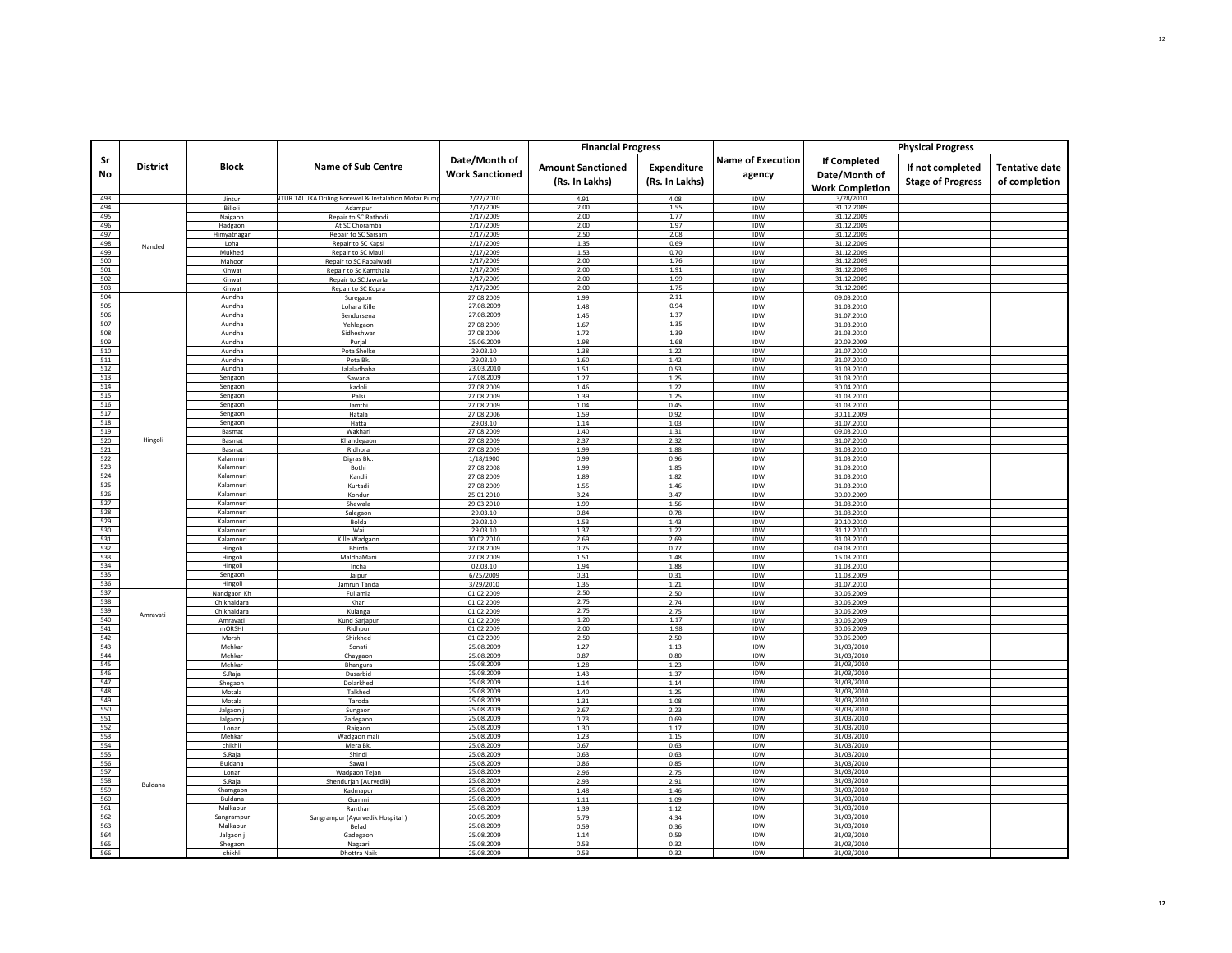|            |                 |                         |                                                                 |                                         | <b>Financial Progress</b>                  |                               |                                    |                                                                | <b>Physical Progress</b>                     |                                        |
|------------|-----------------|-------------------------|-----------------------------------------------------------------|-----------------------------------------|--------------------------------------------|-------------------------------|------------------------------------|----------------------------------------------------------------|----------------------------------------------|----------------------------------------|
| Sr<br>No   | <b>District</b> | <b>Block</b>            | <b>Name of Sub Centre</b>                                       | Date/Month of<br><b>Work Sanctioned</b> | <b>Amount Sanctioned</b><br>(Rs. In Lakhs) | Expenditure<br>(Rs. In Lakhs) | <b>Name of Execution</b><br>agency | <b>If Completed</b><br>Date/Month of<br><b>Work Completion</b> | If not completed<br><b>Stage of Progress</b> | <b>Tentative date</b><br>of completion |
| 493        |                 | Jintur                  | <b>ITUR TALUKA Driling Borewel &amp; Instalation Motar Pump</b> | 2/22/2010                               | 4.91                                       | 4.08                          | IDW                                | 3/28/2010                                                      |                                              |                                        |
| 494<br>495 |                 | Billoli<br>Naigaon      | Adampur<br>Repair to SC Rathodi                                 | 2/17/2009<br>2/17/2009                  | 2.00<br>2.00                               | 1.55<br>1.77                  | IDW<br>IDW                         | 31.12.2009<br>31.12.2009                                       |                                              |                                        |
| 496        |                 | Hadgaon                 | At SC Choramba                                                  | 2/17/2009                               | 2.00                                       | 1.97                          | IDW                                | 31.12.2009                                                     |                                              |                                        |
| 497        |                 | Himyatnagar             | Repair to SC Sarsam                                             | 2/17/2009                               | 2.50                                       | 2.08                          | IDW                                | 31.12.2009                                                     |                                              |                                        |
| 498        | Nanded          | Loha                    | Repair to SC Kapsi                                              | 2/17/2009                               | 1.35                                       | 0.69                          | IDW                                | 31.12.2009                                                     |                                              |                                        |
| 499        |                 | Mukhed                  | Repair to SC Mauli                                              | 2/17/2009                               | 1.53                                       | 0.70                          | IDW                                | 31.12.2009                                                     |                                              |                                        |
| 500<br>501 |                 | Mahoor<br>Kinwat        | Repair to SC Papalwadi<br>Repair to Sc Kamthala                 | 2/17/2009<br>2/17/2009                  | 2.00<br>2.00                               | 1.76<br>1.91                  | IDW<br>IDW                         | 31.12.2009<br>31.12.2009                                       |                                              |                                        |
| 502        |                 | Kinwat                  | Repair to SC Jawarla                                            | 2/17/2009                               | 2.00                                       | 1.99                          | IDW                                | 31.12.2009                                                     |                                              |                                        |
| 503        |                 | Kinwat                  | Repair to SC Kopra                                              | 2/17/2009                               | 2.00                                       | 1.75                          | <b>IDW</b>                         | 31.12.2009                                                     |                                              |                                        |
| 504        |                 | Aundha                  | Suregaon                                                        | 27.08.2009                              | 1.99                                       | 2.11                          | IDW                                | 09.03.2010                                                     |                                              |                                        |
| 505        |                 | Aundha                  | Lohara Kille                                                    | 27.08.2009                              | 1.48                                       | 0.94                          | IDW                                | 31.03.2010                                                     |                                              |                                        |
| 506<br>507 |                 | Aundha<br>Aundha        | Sendursena<br>Yehlegaon                                         | 27.08.2009<br>27.08.2009                | 1.45<br>1.67                               | 1.37<br>1.35                  | IDW<br>IDW                         | 31.07.2010<br>31.03.2010                                       |                                              |                                        |
| 508        |                 | Aundha                  | Sidheshwar                                                      | 27.08.2009                              | 1.72                                       | 1.39                          | IDW                                | 31.03.2010                                                     |                                              |                                        |
| 509        |                 | Aundha                  | Purial                                                          | 25.06.2009                              | 1.98                                       | 1.68                          | IDW                                | 30.09.2009                                                     |                                              |                                        |
| 510        |                 | Aundha                  | Pota Shelke                                                     | 29.03.10                                | 1.38                                       | 1.22                          | IDW                                | 31.07.2010                                                     |                                              |                                        |
| 511        |                 | Aundha                  | Pota Bk                                                         | 29.03.10                                | 1.60                                       | 1.42                          | IDW                                | 31.07.2010                                                     |                                              |                                        |
| 512<br>513 |                 | Aundha<br>Sengaon       | Jalaladhaba<br>Sawana                                           | 23.03.2010<br>27.08.2009                | 1.51<br>1.27                               | 0.53<br>1.25                  | IDW<br>IDW                         | 31.03.2010<br>31.03.2010                                       |                                              |                                        |
| 514        |                 | Sengaon                 | kadoli                                                          | 27.08.2009                              | 1.46                                       | 1.22                          | IDW                                | 30.04.2010                                                     |                                              |                                        |
| 515        |                 | Sengaon                 | Palsi                                                           | 27.08.2009                              | 1.39                                       | 1.25                          | IDW                                | 31.03.2010                                                     |                                              |                                        |
| 516        |                 | Sengaon                 | Jamthi                                                          | 27.08.2009                              | 1.04                                       | 0.45                          | IDW                                | 31.03.2010                                                     |                                              |                                        |
| 517<br>518 |                 | Sengaon<br>Sengaon      | Hatala<br>Hatta                                                 | 27.08.2006<br>29.03.10                  | 1.59<br>1.14                               | 0.92<br>1.03                  | IDW<br><b>IDW</b>                  | 30.11.2009                                                     |                                              |                                        |
| 519        |                 | Basmat                  | Wakhari                                                         | 27.08.2009                              | 1.40                                       | 1.31                          | IDW                                | 31.07.2010<br>09.03.2010                                       |                                              |                                        |
| 520        | Hingoli         | Basmat                  | Khandegaon                                                      | 27.08.2009                              | 2.37                                       | 2.32                          | IDW                                | 31.07.2010                                                     |                                              |                                        |
| 521        |                 | Basmat                  | Ridhora                                                         | 27.08.2009                              | 1.99                                       | 1.88                          | IDW                                | 31.03.2010                                                     |                                              |                                        |
| 522        |                 | Kalamnuri               | Digras Bk                                                       | 1/18/1900                               | 0.99                                       | 0.96                          | IDW                                | 31.03.2010                                                     |                                              |                                        |
| 523        |                 | Kalamnuri               | Bothi                                                           | 27.08.2008                              | 1.99                                       | 1.85                          | IDW                                | 31.03.2010                                                     |                                              |                                        |
| 524<br>525 |                 | Kalamnuri<br>Kalamnuri  | Kandli<br>Kurtadi                                               | 27.08.2009<br>27.08.2009                | 1.89<br>1.55                               | 1.82<br>1.46                  | IDW<br><b>IDW</b>                  | 31.03.2010<br>31.03.2010                                       |                                              |                                        |
| 526        |                 | Kalamnuri               | Kondur                                                          | 25.01.2010                              | 3.24                                       | 3.47                          | IDW                                | 30.09.2009                                                     |                                              |                                        |
| 527        |                 | Kalamnuri               | Shewala                                                         | 29.03.2010                              | 1.99                                       | 1.56                          | IDW                                | 31.08.2010                                                     |                                              |                                        |
| 528        |                 | Kalamnuri               | Salegaon                                                        | 29.03.10                                | 0.84                                       | 0.78                          | IDW                                | 31.08.2010                                                     |                                              |                                        |
| 529<br>530 |                 | Kalamnuri<br>Kalamnuri  | Bolda<br>Wai                                                    | 29.03.10<br>29.03.10                    | 1.53<br>1.37                               | 1.43<br>1.22                  | IDW<br>IDW                         | 30.10.2010<br>31.12.2010                                       |                                              |                                        |
| 531        |                 | Kalamnuri               | Kille Wadgaon                                                   | 10.02.2010                              | 2.69                                       | 2.69                          | IDW                                | 31.03.2010                                                     |                                              |                                        |
| 532        |                 | Hingoli                 | Bhirda                                                          | 27.08.2009                              | 0.75                                       | 0.77                          | IDW                                | 09.03.2010                                                     |                                              |                                        |
| 533        |                 | Hingoli                 | MaldhaMani                                                      | 27.08.2009                              | 1.51                                       | 1.48                          | IDW                                | 15.03.2010                                                     |                                              |                                        |
| 534        |                 | Hingoli                 | Incha                                                           | 02.03.10                                | 1.94                                       | 1.88                          | IDW                                | 31.03.2010                                                     |                                              |                                        |
| 535<br>536 |                 | Sengaon                 | Jaipur<br>Jamrun Tanda                                          | 6/25/2009                               | 0.31                                       | 0.31                          | IDW<br><b>IDW</b>                  | 11.08.2009                                                     |                                              |                                        |
| 537        |                 | Hingoli<br>Nandgaon Kh  | Ful amla                                                        | 3/29/2010<br>01.02.2009                 | 1.35<br>2.50                               | 1.21<br>2.50                  | IDW                                | 31.07.2010<br>30.06.2009                                       |                                              |                                        |
| 538        |                 | Chikhaldara             | Khari                                                           | 01.02.2009                              | 2.75                                       | 2.74                          | IDW                                | 30.06.2009                                                     |                                              |                                        |
| 539        | Amravati        | Chikhaldara             | Kulanga                                                         | 01.02.2009                              | 2.75                                       | 2.75                          | IDW                                | 30.06.2009                                                     |                                              |                                        |
| 540        |                 | Amravati                | Kund Sarjapur                                                   | 01.02.2009                              | 1.20                                       | 1.17                          | IDW                                | 30.06.2009                                                     |                                              |                                        |
| 541<br>542 |                 | <b>mORSHI</b><br>Morshi | Ridhpur<br>Shirkhed                                             | 01.02.2009<br>01.02.2009                | 2.00<br>2.50                               | 1.98<br>2.50                  | IDW<br>IDW                         | 30.06.2009<br>30.06.2009                                       |                                              |                                        |
| 543        |                 | Mehkar                  | Sonati                                                          | 25.08.2009                              | 1.27                                       | 1.13                          | IDW                                | 31/03/2010                                                     |                                              |                                        |
| 544        |                 | Mehkar                  | Chaygaon                                                        | 25.08.2009                              | 0.87                                       | 0.80                          | IDW                                | 31/03/2010                                                     |                                              |                                        |
| 545        |                 | Mehkar                  | Bhangura                                                        | 25.08.2009                              | 1.28                                       | 1.23                          | IDW                                | 31/03/2010                                                     |                                              |                                        |
| 546<br>547 |                 | S.Raja                  | Dusarbid                                                        | 25.08.2009<br>25.08.2009                | 1.43<br>1.14                               | 1.37                          | IDW<br>IDW                         | 31/03/2010<br>31/03/2010                                       |                                              |                                        |
| 548        |                 | Shegaon<br>Motala       | Dolarkhed<br>Talkhed                                            | 25.08.2009                              | 1.40                                       | 1.14<br>1.25                  | IDW                                | 31/03/2010                                                     |                                              |                                        |
| 549        |                 | Motala                  | Taroda                                                          | 25.08.2009                              | 1.31                                       | 1.08                          | IDW                                | 31/03/2010                                                     |                                              |                                        |
| 550        |                 | Jalgaon j               | Sungaon                                                         | 25.08.2009                              | 2.67                                       | 2.23                          | IDW                                | 31/03/2010                                                     |                                              |                                        |
| 551        |                 | Jalgaon                 | Zadegaon                                                        | 25.08.2009                              | 0.73                                       | 0.69                          | IDW                                | 31/03/2010                                                     |                                              |                                        |
| 552<br>553 |                 | Lonar                   | Raigaon                                                         | 25.08.2009                              | 1.30                                       | 1.17                          | IDW<br>IDW                         | 31/03/2010                                                     |                                              |                                        |
| 554        |                 | Mehkar<br>chikhli       | Wadgaon mal<br>Mera Bk                                          | 25.08.2009<br>25.08.2009                | 1.23<br>0.67                               | 1.15<br>0.63                  | IDW                                | 31/03/2010<br>31/03/2010                                       |                                              |                                        |
| 555        |                 | S.Raja                  | Shindi                                                          | 25.08.2009                              | 0.63                                       | 0.63                          | IDW                                | 31/03/2010                                                     |                                              |                                        |
| 556        |                 | Buldana                 | Sawali                                                          | 25.08.2009                              | 0.86                                       | 0.85                          | IDW                                | 31/03/2010                                                     |                                              |                                        |
| 557        |                 | Lonar                   | Wadgaon Tejan                                                   | 25.08.2009                              | 2.96                                       | 2.75                          | IDW                                | 31/03/2010                                                     |                                              |                                        |
| 558        | Buldana         | S.Raja                  | Shendurjan (Aurvedik)                                           | 25.08.2009                              | 2.93                                       | 2.91                          | <b>IDW</b>                         | 31/03/2010                                                     |                                              |                                        |
| 559<br>560 |                 | Khamgaon<br>Buldana     | Kadmapur<br>Gummi                                               | 25.08.2009<br>25.08.2009                | 1.48<br>1.11                               | 1.46<br>1.09                  | IDW<br>IDW                         | 31/03/2010<br>31/03/2010                                       |                                              |                                        |
| 561        |                 | Malkanur                | Ranthan                                                         | 25.08.2009                              | 1.39                                       | 1.12                          | <b>IDW</b>                         | 31/03/2010                                                     |                                              |                                        |
| 562        |                 | Sangrampur              | Sangrampur (Ayurvedik Hospital)                                 | 20.05.2009                              | 5.79                                       | 4.34                          | IDW                                | 31/03/2010                                                     |                                              |                                        |
| 563        |                 | Malkapur                | Belad                                                           | 25.08.2009                              | 0.59                                       | 0.36                          | IDW                                | 31/03/2010                                                     |                                              |                                        |
| 564<br>565 |                 | Jalgaon                 | Gadegaon                                                        | 25.08.2009<br>25.08.2009                | 1.14                                       | 0.59                          | IDW<br>IDW                         | 31/03/2010<br>31/03/2010                                       |                                              |                                        |
| 566        |                 | Shegaon<br>chikhli      | Nagzari<br><b>Dhottra Nail</b>                                  | 25.08.2009                              | 0.53<br>0.53                               | 0.32<br>0.32                  | IDW                                | 31/03/2010                                                     |                                              |                                        |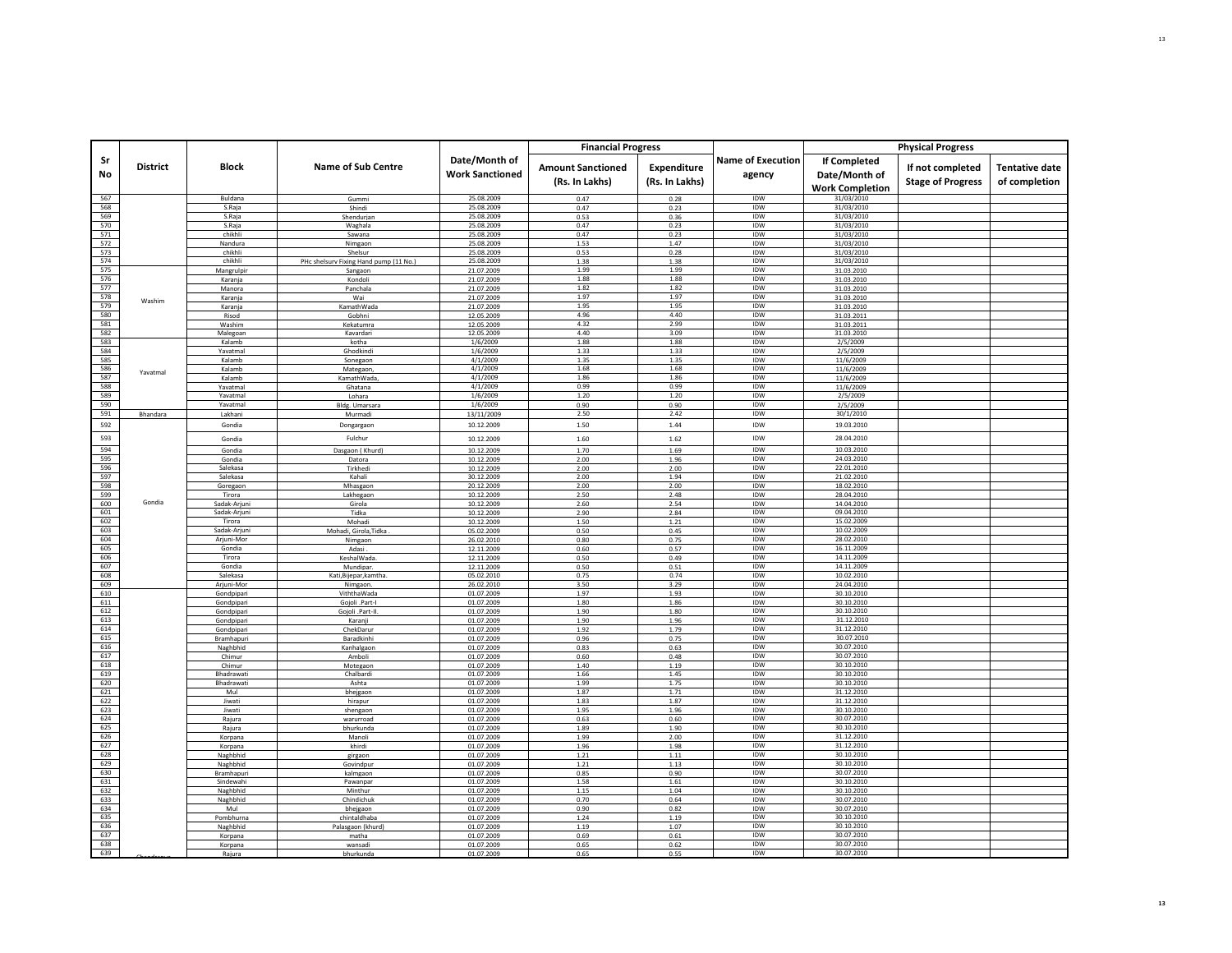|            |                 |                          |                                        |                          | <b>Financial Progress</b> |                |                          |                          | <b>Physical Progress</b> |                       |
|------------|-----------------|--------------------------|----------------------------------------|--------------------------|---------------------------|----------------|--------------------------|--------------------------|--------------------------|-----------------------|
| Sr         |                 |                          |                                        | Date/Month of            |                           |                | <b>Name of Execution</b> | <b>If Completed</b>      |                          |                       |
| No         | <b>District</b> | Block                    | <b>Name of Sub Centre</b>              | <b>Work Sanctioned</b>   | <b>Amount Sanctioned</b>  | Expenditure    | agency                   | Date/Month of            | If not completed         | <b>Tentative date</b> |
|            |                 |                          |                                        |                          | (Rs. In Lakhs)            | (Rs. In Lakhs) |                          | <b>Work Completion</b>   | <b>Stage of Progress</b> | of completion         |
| 567        |                 | Buldana                  | Gummi                                  | 25.08.2009               | 0.47                      | 0.28           | IDW                      | 31/03/2010               |                          |                       |
| 568        |                 | S.Raja                   | Shindi                                 | 25.08.2009               | 0.47                      | 0.23           | <b>IDW</b>               | 31/03/2010               |                          |                       |
| 569        |                 | S.Raja                   | Shendurjan                             | 25.08.2009               | 0.53                      | 0.36           | <b>IDW</b>               | 31/03/2010               |                          |                       |
| 570<br>571 |                 | S.Raja<br>chikhli        | Waghala                                | 25.08.2009<br>25.08.2009 | 0.47<br>0.47              | 0.23<br>0.23   | IDW<br><b>IDW</b>        | 31/03/2010<br>31/03/2010 |                          |                       |
| 572        |                 | Nandura                  | Sawana<br>Nimgaon                      | 25.08.2009               | 1.53                      | 1.47           | <b>IDW</b>               | 31/03/2010               |                          |                       |
| 573        |                 | chikhli                  | Shelsur                                | 25.08.2009               | 0.53                      | 0.28           | IDW                      | 31/03/2010               |                          |                       |
| 574        |                 | chikhli                  | PHc shelsurv Fixing Hand pump (11 No.) | 25.08.2009               | 1.38                      | 1.38           | IDW                      | 31/03/2010               |                          |                       |
| 575<br>576 |                 | Mangrulpir               | Sangaon                                | 21.07.2009               | 1.99<br>1.88              | 1.99<br>1.88   | <b>IDW</b><br>IDW        | 31.03.2010               |                          |                       |
| 577        |                 | Karanja<br>Manora        | Kondol<br>Panchala                     | 21.07.2009<br>21.07.2009 | 1.82                      | 1.82           | IDW                      | 31.03.2010<br>31.03.2010 |                          |                       |
| 578        | Washim          | Karanja                  | Wai                                    | 21.07.2009               | 1.97                      | 1.97           | IDW                      | 31.03.2010               |                          |                       |
| 579        |                 | Karanja                  | KamathWada                             | 21.07.2009               | 1.95                      | 1.95           | IDW                      | 31.03.2010               |                          |                       |
| 580        |                 | Risod                    | Gobhni                                 | 12.05.2009               | 4.96                      | 4.40           | IDW                      | 31.03.2011               |                          |                       |
| 581<br>582 |                 | Washim<br>Malegoan       | Kekatumra<br>Kavardari                 | 12.05.2009<br>12.05.2009 | 4.32<br>4.40              | 2.99<br>3.09   | IDW<br>IDW               | 31.03.2011<br>31.03.2010 |                          |                       |
| 583        |                 | Kalamb                   | kotha                                  | 1/6/2009                 | 1.88                      | 1.88           | IDW                      | 2/5/2009                 |                          |                       |
| 584        |                 | Yavatmal                 | Ghodkindi                              | 1/6/2009                 | 1.33                      | 1.33           | IDW                      | 2/5/2009                 |                          |                       |
| 585        |                 | Kalamb                   | Sonegaon                               | 4/1/2009                 | 1.35                      | 1.35           | IDW                      | 11/6/2009                |                          |                       |
| 586<br>587 | Yavatmal        | Kalamb                   | Mategaon                               | 4/1/2009<br>4/1/2009     | 1.68<br>1.86              | 1.68<br>1.86   | IDW<br>IDW               | 11/6/2009                |                          |                       |
| 588        |                 | Kalamb<br>Yavatmal       | KamathWada,<br>Ghatana                 | 4/1/2009                 | 0.99                      | 0.99           | IDW                      | 11/6/2009<br>11/6/2009   |                          |                       |
| 589        |                 | Yavatmal                 | Lohara                                 | 1/6/2009                 | 1.20                      | 1.20           | <b>IDW</b>               | 2/5/2009                 |                          |                       |
| 590        |                 | Yavatmal                 | Bldg. Umarsara                         | 1/6/2009                 | 0.90                      | 0.90           | IDW                      | 2/5/2009                 |                          |                       |
| 591        | Bhandara        | Lakhani                  | Murmadi                                | 13/11/2009               | 2.50                      | 2.42           | IDW                      | 30/1/2010                |                          |                       |
| 592        |                 | Gondia                   | Dongargaon                             | 10.12.2009               | 1.50                      | 1.44           | IDW                      | 19.03.2010               |                          |                       |
| 593        |                 | Gondia                   | Fulchur                                | 10.12.2009               | 1.60                      | 1.62           | IDW                      | 28.04.2010               |                          |                       |
| 594        |                 | Gondia                   | Dasgaon (Khurd)                        | 10.12.2009               | 1.70                      | 1.69           | IDW                      | 10.03.2010               |                          |                       |
| 595        |                 | Gondia                   | Datora                                 | 10.12.2009               | 2.00                      | 1.96           | IDW                      | 24.03.2010               |                          |                       |
| 596<br>597 |                 | Salekasa<br>Salekasa     | Tirkhedi<br>Kahali                     | 10.12.2009               | 2.00<br>2.00              | 2.00<br>1.94   | IDW<br>IDW               | 22.01.2010<br>21.02.2010 |                          |                       |
| 598        |                 | Goregaon                 | Mhasgaon                               | 30.12.2009<br>20.12.2009 | 2.00                      | 2.00           | IDW                      | 18.02.2010               |                          |                       |
| 599        |                 | Tirora                   | Lakhegaon                              | 10.12.2009               | 2.50                      | 2.48           | <b>IDW</b>               | 28.04.2010               |                          |                       |
| 600        | Gondia          | Sadak-Arjuni             | Girola                                 | 10.12.2009               | 2.60                      | 2.54           | IDW                      | 14.04.2010               |                          |                       |
| 601        |                 | Sadak-Arjuni<br>Tirora   | Tidka                                  | 10.12.2009               | 2.90                      | 2.84           | IDW<br><b>IDW</b>        | 09.04.2010<br>15.02.2009 |                          |                       |
| 602<br>603 |                 | Sadak-Arjuni             | Mohadi<br>Mohadi, Girola, Tidka        | 10.12.2009<br>05.02.2009 | 1.50<br>0.50              | 1.21<br>0.45   | IDW                      | 10.02.2009               |                          |                       |
| 604        |                 | Arjuni-Mor               | Nimgaon                                | 26.02.2010               | 0.80                      | 0.75           | IDW                      | 28.02.2010               |                          |                       |
| 605        |                 | Gondia                   | Adasi                                  | 12.11.2009               | 0.60                      | 0.57           | IDW                      | 16.11.2009               |                          |                       |
| 606        |                 | Tirora                   | KeshalWada                             | 12.11.2009               | 0.50                      | 0.49           | IDW                      | 14.11.2009               |                          |                       |
| 607<br>608 |                 | Gondia<br>Salekasa       | Mundipar<br>Kati,Bijepar,kamtha        | 12.11.2009<br>05.02.2010 | 0.50<br>0.75              | 0.51<br>0.74   | IDW<br>IDW               | 14.11.2009<br>10.02.2010 |                          |                       |
| 609        |                 | Arjuni-Mor               | Nimgaon                                | 26.02.2010               | 3.50                      | 3.29           | IDW                      | 24.04.2010               |                          |                       |
| 610        |                 | Gondpipar                | ViththaWada                            | 01.07.2009               | 1.97                      | 1.93           | IDW                      | 30.10.2010               |                          |                       |
| 611        |                 | Gondpipari               | Gojoli .Part-I                         | 01.07.2009               | 1.80                      | 1.86           | IDW                      | 30.10.2010               |                          |                       |
| 612<br>613 |                 | Gondpipari               | Gojoli .Part-II                        | 01.07.2009<br>01.07.2009 | 1.90<br>1.90              | 1.80<br>1.96   | IDW<br><b>IDW</b>        | 30.10.2010<br>31.12.2010 |                          |                       |
| 614        |                 | Gondpipari<br>Gondpipari | Karanji<br>ChekDarur                   | 01.07.2009               | 1.92                      | 1.79           | IDW                      | 31.12.2010               |                          |                       |
| 615        |                 | Bramhapuri               | Baradkinhi                             | 01.07.2009               | 0.96                      | 0.75           | IDW                      | 30.07.2010               |                          |                       |
| 616        |                 | Naghbhid                 | Kanhalgaon                             | 01.07.2009               | 0.83                      | 0.63           | <b>IDW</b>               | 30.07.2010               |                          |                       |
| 617<br>618 |                 | Chimur<br>Chimur         | Amboli<br>Motegaon                     | 01.07.2009<br>01.07.2009 | 0.60<br>1.40              | 0.48<br>1.19   | IDW<br>IDW               | 30.07.2010<br>30.10.2010 |                          |                       |
| 619        |                 | Bhadrawati               | Chalbardi                              | 01.07.2009               | 1.66                      | 1.45           | IDW                      | 30.10.2010               |                          |                       |
| 620        |                 | Bhadrawati               | Ashta                                  | 01.07.2009               | 1.99                      | 1.75           | IDW                      | 30.10.2010               |                          |                       |
| 621        |                 | Mul                      | bhejgaon                               | 01.07.2009               | 1.87                      | 1.71           | IDW                      | 31.12.2010               |                          |                       |
| 622<br>623 |                 | Jiwati                   | hirapur                                | 01.07.2009               | 1.83                      | 1.87           | IDW<br>IDW               | 31.12.2010<br>30.10.2010 |                          |                       |
| 624        |                 | Jiwati<br>Rajura         | shengaor<br>warurroad                  | 01.07.2009<br>01.07.2009 | 1.95<br>0.63              | 1.96<br>0.60   | IDW                      | 30.07.2010               |                          |                       |
| 625        |                 | Rajura                   | bhurkunda                              | 01.07.2009               | 1.89                      | 1.90           | <b>IDW</b>               | 30.10.2010               |                          |                       |
| 626        |                 | Korpana                  | Manoli                                 | 01.07.2009               | 1.99                      | 2.00           | IDW                      | 31.12.2010               |                          |                       |
| 627        |                 | Korpana                  | khirdi                                 | 01.07.2009               | 1.96                      | 1.98           | IDW                      | 31.12.2010               |                          |                       |
| 628<br>629 |                 | Naghbhid<br>Naghbhid     | girgaor<br>Govindpur                   | 01.07.2009<br>01.07.2009 | 1.21<br>1.21              | 1.11<br>1.13   | IDW<br>IDW               | 30.10.2010<br>30.10.2010 |                          |                       |
| 630        |                 | Bramhapur                | kalmgaon                               | 01.07.2009               | 0.85                      | 0.90           | <b>IDW</b>               | 30.07.2010               |                          |                       |
| 631        |                 | Sindewahi                | Pawanpar                               | 01.07.2009               | 1.58                      | 1.61           | IDW                      | 30.10.2010               |                          |                       |
| 632        |                 | Naghbhid                 | Minthur                                | 01.07.2009               | 1.15                      | 1.04           | IDW                      | 30.10.2010               |                          |                       |
| 633<br>634 |                 | Naghbhid<br>Mul          | Chindichuk                             | 01.07.2009               | 0.70<br>0.90              | 0.64<br>0.82   | IDW<br>IDW               | 30.07.2010<br>30.07.2010 |                          |                       |
| 635        |                 | Pombhurna                | bheigaon<br>chintaldhaba               | 01.07.2009<br>01.07.2009 | 1.24                      | 1.19           | IDW                      | 30.10.2010               |                          |                       |
| 636        |                 | Naghbhid                 | Palasgaon (khurd)                      | 01.07.2009               | 1.19                      | 1.07           | IDW                      | 30.10.2010               |                          |                       |
| 637        |                 | Korpana                  | matha                                  | 01.07.2009               | 0.69                      | 0.61           | <b>IDW</b>               | 30.07.2010               |                          |                       |
| 638<br>639 |                 | Korpana                  | wansadi                                | 01.07.2009               | 0.65                      | 0.62           | IDW<br><b>IDW</b>        | 30.07.2010               |                          |                       |
|            |                 | Rajura                   | bhurkunda                              | 01.07.2009               | 0.65                      | 0.55           |                          | 30.07.2010               |                          |                       |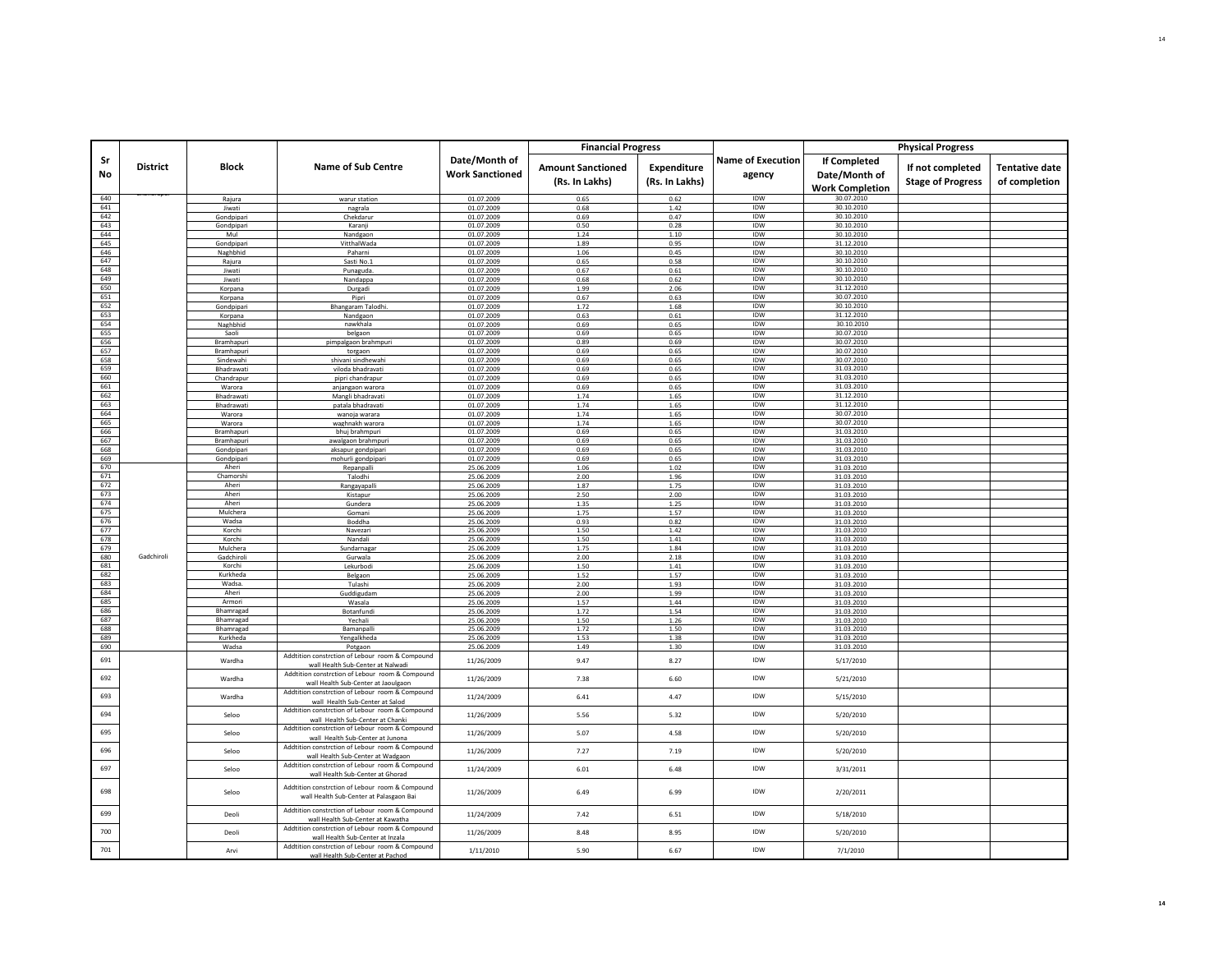|            |                 |                         |                                                                                                                                           |                                         | <b>Financial Progress</b>                  |                                      |                                    |                                                         | <b>Physical Progress</b>                     |                                        |
|------------|-----------------|-------------------------|-------------------------------------------------------------------------------------------------------------------------------------------|-----------------------------------------|--------------------------------------------|--------------------------------------|------------------------------------|---------------------------------------------------------|----------------------------------------------|----------------------------------------|
| Sr<br>No   | <b>District</b> | Block                   | <b>Name of Sub Centre</b>                                                                                                                 | Date/Month of<br><b>Work Sanctioned</b> | <b>Amount Sanctioned</b><br>(Rs. In Lakhs) | <b>Expenditure</b><br>(Rs. In Lakhs) | <b>Name of Execution</b><br>agency | If Completed<br>Date/Month of<br><b>Work Completion</b> | If not completed<br><b>Stage of Progress</b> | <b>Tentative date</b><br>of completion |
| 640        |                 | Rajura                  | warur station                                                                                                                             | 01.07.2009                              | 0.65                                       | 0.62                                 | IDW                                | 30.07.2010                                              |                                              |                                        |
| 641        |                 | Jiwati                  | nagrala                                                                                                                                   | 01.07.2009                              | 0.68                                       | 1.42                                 | IDW                                | 30.10.2010                                              |                                              |                                        |
| 642<br>643 |                 | Gondpipari              | Chekdaruı<br>Karanii                                                                                                                      | 01.07.2009<br>01.07.2009                | 0.69<br>0.50                               | 0.47<br>0.28                         | <b>IDW</b><br>IDW                  | 30.10.2010<br>30.10.2010                                |                                              |                                        |
| 644        |                 | Gondpipari<br>Mul       | Nandgaon                                                                                                                                  | 01.07.2009                              | 1.24                                       | 1.10                                 | IDW                                | 30.10.2010                                              |                                              |                                        |
| 645        |                 | Gondpipari              | VitthalWada                                                                                                                               | 01.07.2009                              | 1.89                                       | 0.95                                 | <b>IDW</b>                         | 31.12.2010                                              |                                              |                                        |
| 646        |                 | Naghbhid                | Paharni                                                                                                                                   | 01.07.2009                              | 1.06                                       | 0.45                                 | IDW                                | 30.10.2010                                              |                                              |                                        |
| 647        |                 | Rajura                  | Sasti No.1                                                                                                                                | 01.07.2009                              | 0.65                                       | 0.58                                 | IDW                                | 30.10.2010                                              |                                              |                                        |
| 648        |                 | Jiwati                  | Punaguda                                                                                                                                  | 01.07.2009                              | 0.67                                       | 0.61                                 | <b>IDW</b>                         | 30.10.2010                                              |                                              |                                        |
| 649<br>650 |                 | Jiwati<br>Korpana       | Nandappa<br>Durgadi                                                                                                                       | 01.07.2009<br>01.07.2009                | 0.68<br>1.99                               | 0.62<br>2.06                         | IDW<br>IDW                         | 30.10.2010<br>31.12.2010                                |                                              |                                        |
| 651        |                 | Korpana                 | Pipri                                                                                                                                     | 01.07.2009                              | 0.67                                       | 0.63                                 | <b>IDW</b>                         | 30.07.2010                                              |                                              |                                        |
| 652        |                 | Gondpipari              | Bhangaram Talodhi                                                                                                                         | 01.07.2009                              | 1.72                                       | 1.68                                 | IDW                                | 30.10.2010                                              |                                              |                                        |
| 653        |                 | Korpana                 | Nandgaon                                                                                                                                  | 01.07.2009                              | 0.63                                       | 0.61                                 | IDW                                | 31.12.2010                                              |                                              |                                        |
| 654        |                 | Naghbhid                | nawkhala                                                                                                                                  | 01.07.2009                              | 0.69                                       | 0.65                                 | <b>IDW</b>                         | 30.10.2010                                              |                                              |                                        |
| 655        |                 | Saoli                   | belgaon                                                                                                                                   | 01.07.2009                              | 0.69                                       | 0.65                                 | IDW<br>IDW                         | 30.07.2010<br>30.07.2010                                |                                              |                                        |
| 656<br>657 |                 | Bramhapuri              | pimpalgaon brahmpuri                                                                                                                      | 01.07.2009<br>01.07.2009                | 0.89<br>0.69                               | 0.69<br>0.65                         | IDW                                | 30.07.2010                                              |                                              |                                        |
| 658        |                 | Bramhapuri<br>Sindewahi | torgaon<br>shivani sindhewahi                                                                                                             | 01.07.2009                              | 0.69                                       | 0.65                                 | IDW                                | 30.07.2010                                              |                                              |                                        |
| 659        |                 | Bhadrawat               | viloda bhadravati                                                                                                                         | 01.07.2009                              | 0.69                                       | 0.65                                 | IDW                                | 31.03.2010                                              |                                              |                                        |
| 660        |                 | Chandrapur              | pipri chandrapur                                                                                                                          | 01.07.2009                              | 0.69                                       | 0.65                                 | IDW                                | 31.03.2010                                              |                                              |                                        |
| 661        |                 | Warora                  | anjangaon warora                                                                                                                          | 01.07.2009                              | 0.69                                       | 0.65                                 | IDW                                | 31.03.2010                                              |                                              |                                        |
| 662        |                 | Bhadrawat               | Mangli bhadravati                                                                                                                         | 01.07.2009                              | 1.74                                       | 1.65                                 | IDW                                | 31.12.2010                                              |                                              |                                        |
| 663<br>664 |                 | Bhadrawati<br>Warora    | patala bhadravati                                                                                                                         | 01.07.2009<br>01.07.2009                | 1.74<br>1.74                               | 1.65<br>1.65                         | IDW<br>IDW                         | 31.12.2010<br>30.07.2010                                |                                              |                                        |
| 665        |                 | Warora                  | wanoja warara<br>waghnakh warora                                                                                                          | 01.07.2009                              | 1.74                                       | 1.65                                 | IDW                                | 30.07.2010                                              |                                              |                                        |
| 666        |                 | Bramhapuri              | bhuj brahmpuri                                                                                                                            | 01.07.2009                              | 0.69                                       | 0.65                                 | IDW                                | 31.03.2010                                              |                                              |                                        |
| 667        |                 | Bramhapuri              | awalgaon brahmpuri                                                                                                                        | 01.07.2009                              | 0.69                                       | 0.65                                 | <b>IDW</b>                         | 31.03.2010                                              |                                              |                                        |
| 668        |                 | Gondpipari              | aksapur gondpipar                                                                                                                         | 01.07.2009                              | 0.69                                       | 0.65                                 | IDW                                | 31.03.2010                                              |                                              |                                        |
| 669        |                 | Gondpipari              | mohurli gondpipari                                                                                                                        | 01.07.2009                              | 0.69                                       | 0.65                                 | IDW                                | 31.03.2010                                              |                                              |                                        |
| 670        |                 | Aheri<br>Chamorshi      | Repanpalli                                                                                                                                | 25.06.2009                              | 1.06                                       | 1.02                                 | <b>IDW</b><br>IDW                  | 31.03.2010                                              |                                              |                                        |
| 671<br>672 |                 | Aheri                   | Talodhi<br>Rangayapal                                                                                                                     | 25.06.2009<br>25.06.2009                | 2.00<br>1.87                               | 1.96<br>1.75                         | IDW                                | 31.03.2010<br>31.03.2010                                |                                              |                                        |
| 673        |                 | Aheri                   | Kistapur                                                                                                                                  | 25.06.2009                              | 2.50                                       | 2.00                                 | <b>IDW</b>                         | 31.03.2010                                              |                                              |                                        |
| 674        |                 | Aheri                   | Gundera                                                                                                                                   | 25.06.2009                              | 1.35                                       | 1.25                                 | IDW                                | 31.03.2010                                              |                                              |                                        |
| 675        |                 | Mulchera                | Gomani                                                                                                                                    | 25.06.2009                              | 1.75                                       | 1.57                                 | IDW                                | 31.03.2010                                              |                                              |                                        |
| 676        |                 | Wadsa                   | Boddha                                                                                                                                    | 25.06.2009                              | 0.93                                       | 0.82                                 | <b>IDW</b>                         | 31.03.2010                                              |                                              |                                        |
| 677        |                 | Korchi                  | Navezari                                                                                                                                  | 25.06.2009                              | 1.50                                       | 1.42                                 | IDW<br>IDW                         | 31.03.2010                                              |                                              |                                        |
| 678<br>679 |                 | Korchi<br>Mulchera      | Nandali<br>Sundarnagar                                                                                                                    | 25.06.2009<br>25.06.2009                | 1.50<br>1.75                               | 1.41<br>1.84                         | IDW                                | 31.03.2010<br>31.03.2010                                |                                              |                                        |
| 680        | Gadchiroli      | Gadchiroli              | Gurwala                                                                                                                                   | 25.06.2009                              | 2.00                                       | 2.18                                 | IDW                                | 31.03.2010                                              |                                              |                                        |
| 681        |                 | Korchi                  | Lekurbodi                                                                                                                                 | 25.06.2009                              | 1.50                                       | 1.41                                 | IDW                                | 31.03.2010                                              |                                              |                                        |
| 682        |                 | Kurkheda                | Belgaon                                                                                                                                   | 25.06.2009                              | 1.52                                       | 1.57                                 | IDW                                | 31.03.2010                                              |                                              |                                        |
| 683        |                 | Wadsa                   | Tulashi                                                                                                                                   | 25.06.2009                              | 2.00                                       | 1.93                                 | IDW                                | 31.03.2010                                              |                                              |                                        |
| 684<br>685 |                 | Aheri                   | Guddigudam                                                                                                                                | 25.06.2009                              | 2.00                                       | 1.99                                 | IDW                                | 31.03.2010                                              |                                              |                                        |
| 686        |                 | Armori<br>Bhamragad     | Wasala<br>Botanfundi                                                                                                                      | 25.06.2009<br>25.06.2009                | 1.57<br>1.72                               | 1.44<br>1.54                         | IDW<br>IDW                         | 31.03.2010<br>31.03.2010                                |                                              |                                        |
| 687        |                 | Bhamragad               | Yechali                                                                                                                                   | 25.06.2009                              | 1.50                                       | 1.26                                 | IDW                                | 31.03.2010                                              |                                              |                                        |
| 688        |                 | Bhamragad               | Bamanpalli                                                                                                                                | 25.06.2009                              | 1.72                                       | 1.50                                 | IDW                                | 31.03.2010                                              |                                              |                                        |
| 689        |                 | Kurkheda                | Yengalkheda                                                                                                                               | 25.06.2009                              | 1.53                                       | 1.38                                 | <b>IDW</b>                         | 31.03.2010                                              |                                              |                                        |
| 690        |                 | Wadsa                   | Potgaon                                                                                                                                   | 25.06.2009                              | 1.49                                       | 1.30                                 | IDW                                | 31.03.2010                                              |                                              |                                        |
| 691        |                 | Wardha                  | Addtition constrction of Lebour room & Compound<br>wall Health Sub-Center at Nalwadi                                                      | 11/26/2009                              | 9.47                                       | 8.27                                 | IDW                                | 5/17/2010                                               |                                              |                                        |
| 692        |                 | Wardha                  | Addtition constrction of Lebour room & Compound<br>wall Health Sub-Center at Jaoulgaon<br>Addtition constrction of Lebour room & Compound | 11/26/2009                              | 7.38                                       | 6.60                                 | IDW                                | 5/21/2010                                               |                                              |                                        |
| 693        |                 | Wardha                  | wall Health Sub-Center at Salod<br>Addtition constrction of Lebour room & Compound                                                        | 11/24/2009                              | 6.41                                       | 4.47                                 | IDW                                | 5/15/2010                                               |                                              |                                        |
| 694        |                 | Seloo                   | wall Health Sub-Center at Chanki<br>Addtition constrction of Lebour room & Compound                                                       | 11/26/2009                              | 5.56                                       | 5.32                                 | IDW<br><b>IDW</b>                  | 5/20/2010                                               |                                              |                                        |
| 695<br>696 |                 | Seloo<br>Seloo          | wall Health Sub-Center at Junona<br>Addtition constrction of Lebour room & Compound                                                       | 11/26/2009<br>11/26/2009                | 5.07<br>7.27                               | 4.58<br>7.19                         | IDW                                | 5/20/2010<br>5/20/2010                                  |                                              |                                        |
| 697        |                 | Seloo                   | wall Health Sub-Center at Wadgaon<br>Addtition constrction of Lebour room & Compound                                                      | 11/24/2009                              | 6.01                                       | 6.48                                 | IDW                                | 3/31/2011                                               |                                              |                                        |
| 698        |                 | Seloo                   | wall Health Sub-Center at Ghorad<br>Addtition constrction of Lebour room & Compound<br>wall Health Sub-Center at Palasgaon Bai            | 11/26/2009                              | 6.49                                       | 6.99                                 | IDW                                | 2/20/2011                                               |                                              |                                        |
| 699        |                 | Deoli                   | Addtition constrction of Lebour room & Compound<br>wall Health Sub-Center at Kawatha                                                      | 11/24/2009                              | 7.42                                       | 6.51                                 | IDW                                | 5/18/2010                                               |                                              |                                        |
| 700        |                 | Deol                    | Addtition constrction of Lebour room & Compound<br>wall Health Sub-Center at Inzala                                                       | 11/26/2009                              | 8.48                                       | 8.95                                 | IDW                                | 5/20/2010                                               |                                              |                                        |
| 701        |                 | Arvi                    | Addtition constrction of Lebour room & Compound<br>wall Health Sub-Center at Pachoo                                                       | 1/11/2010                               | 5.90                                       | 6.67                                 | IDW                                | 7/1/2010                                                |                                              |                                        |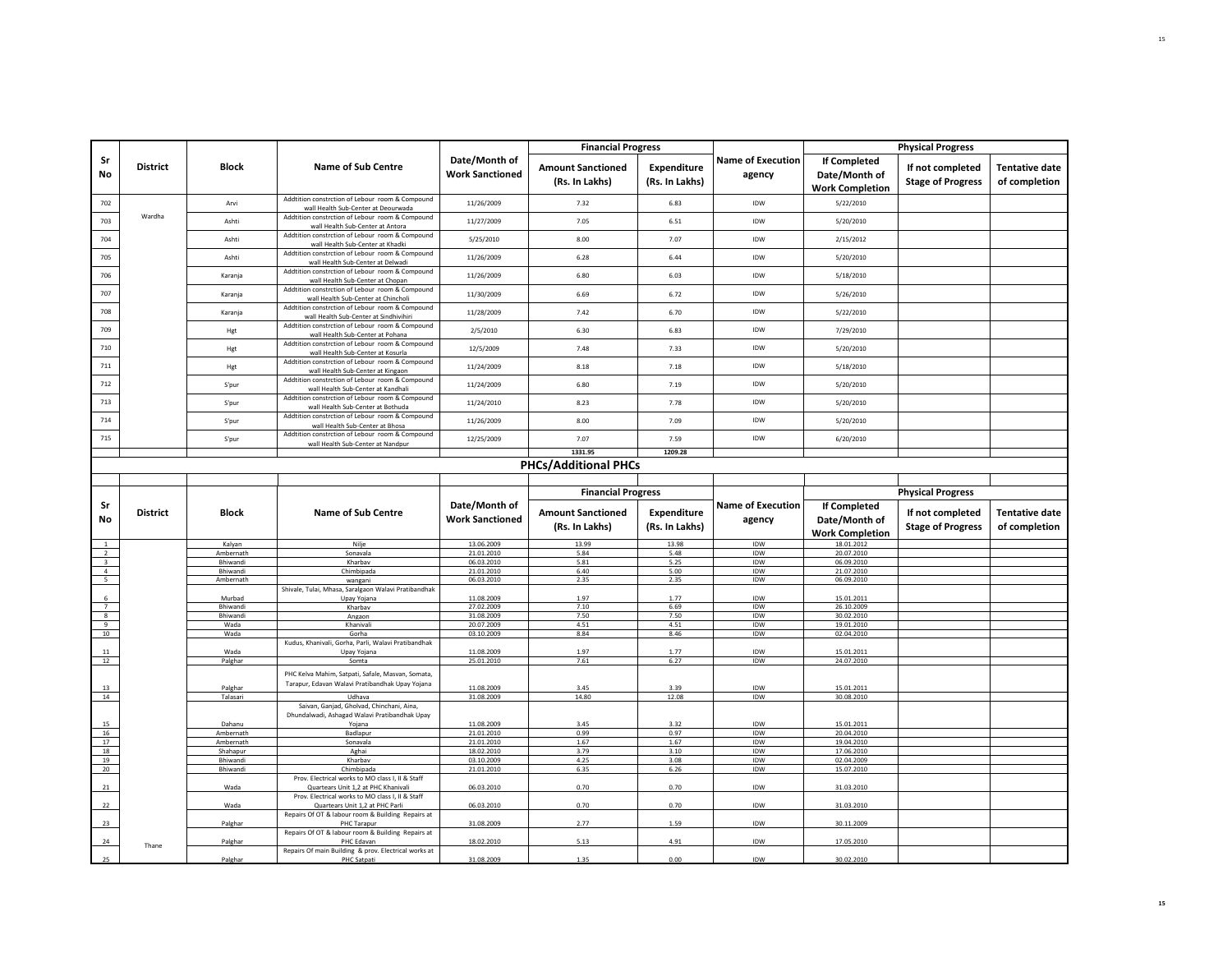|                         |                 |                    |                                                                                                                         |                                         | <b>Financial Progress</b>                  |                               |                                    |                                                                | <b>Physical Progress</b>                     |                                        |
|-------------------------|-----------------|--------------------|-------------------------------------------------------------------------------------------------------------------------|-----------------------------------------|--------------------------------------------|-------------------------------|------------------------------------|----------------------------------------------------------------|----------------------------------------------|----------------------------------------|
| Sr<br>No                | <b>District</b> | <b>Block</b>       | <b>Name of Sub Centre</b>                                                                                               | Date/Month of<br><b>Work Sanctioned</b> | <b>Amount Sanctioned</b><br>(Rs. In Lakhs) | Expenditure<br>(Rs. In Lakhs) | <b>Name of Execution</b><br>agency | <b>If Completed</b><br>Date/Month of<br><b>Work Completion</b> | If not completed<br><b>Stage of Progress</b> | <b>Tentative date</b><br>of completion |
| 702                     |                 | Arvi               | Addtition constrction of Lebour room & Compound<br>wall Health Sub-Center at Deourwada                                  | 11/26/2009                              | 7.32                                       | 6.83                          | IDW                                | 5/22/2010                                                      |                                              |                                        |
| 703                     | Wardha          | Ashti              | Addtition constrction of Lebour room & Compound<br>wall Health Sub-Center at Antora                                     | 11/27/2009                              | 7.05                                       | 6.51                          | IDW                                | 5/20/2010                                                      |                                              |                                        |
| 704                     |                 | Ashti              | Addtition constrction of Lebour room & Compound<br>wall Health Sub-Center at Khadki                                     | 5/25/2010                               | 8.00                                       | 7.07                          | IDW                                | 2/15/2012                                                      |                                              |                                        |
| 705                     |                 | Ashti              | Addtition constrction of Lebour room & Compound<br>wall Health Sub-Center at Delwad                                     | 11/26/2009                              | 6.28                                       | 6.44                          | IDW                                | 5/20/2010                                                      |                                              |                                        |
| 706                     |                 | Karania            | Addtition constrction of Lebour room & Compound<br>wall Health Sub-Center at Chopan                                     | 11/26/2009                              | 6.80                                       | 6.03                          | IDW                                | 5/18/2010                                                      |                                              |                                        |
| 707                     |                 | Karanja            | Addtition constrction of Lebour room & Compound<br>wall Health Sub-Center at Chincholi                                  | 11/30/2009                              | 6.69                                       | 6.72                          | <b>IDW</b>                         | 5/26/2010                                                      |                                              |                                        |
| 708                     |                 | Karanja            | Addition constration of Lebour, room & Compound<br>wall Health Sub-Center at Sindhivihiri                               | 11/28/2009                              | 7.42                                       | 6.70                          | IDW                                | 5/22/2010                                                      |                                              |                                        |
| 709                     |                 | Hgt                | Addtition constrction of Lebour room & Compound<br>wall Health Sub-Center at Pohana                                     | 2/5/2010                                | 6.30                                       | 6.83                          | IDW                                | 7/29/2010                                                      |                                              |                                        |
| 710                     |                 | Hgt                | Addtition constrction of Lebour room & Compound<br>wall Health Sub-Center at Kosurla                                    | 12/5/2009                               | 7.48                                       | 7.33                          | IDW                                | 5/20/2010                                                      |                                              |                                        |
| 711                     |                 | Hgt                | Addition constration of Lebour, room & Compound<br>wall Health Sub-Center at Kingaon                                    | 11/24/2009                              | 8.18                                       | 7.18                          | IDW                                | 5/18/2010                                                      |                                              |                                        |
| 712                     |                 | S'pur              | Addtition constrction of Lebour room & Compound<br>wall Health Sub-Center at Kandhali                                   | 11/24/2009                              | 6.80                                       | 7.19                          | IDW                                | 5/20/2010                                                      |                                              |                                        |
| 713                     |                 | S'pur              | Addtition constrction of Lebour room & Compound<br>wall Health Sub-Center at Bothuda                                    | 11/24/2010                              | 8.23                                       | 7.78                          | IDW                                | 5/20/2010                                                      |                                              |                                        |
| 714                     |                 | S'pur              | Addtition constrction of Lebour room & Compound<br>wall Health Sub-Center at Bhosa                                      | 11/26/2009                              | 8.00                                       | 7.09                          | IDW                                | 5/20/2010                                                      |                                              |                                        |
| 715                     |                 | S'pur              | Addtition constrction of Lebour room & Compound<br>wall Health Sub-Center at Nandpur                                    | 12/25/2009                              | 7.07                                       | 7.59                          | IDW                                | 6/20/2010                                                      |                                              |                                        |
|                         |                 |                    |                                                                                                                         |                                         | 1331.95                                    | 1209.28                       |                                    |                                                                |                                              |                                        |
|                         |                 |                    |                                                                                                                         |                                         |                                            |                               |                                    |                                                                |                                              |                                        |
|                         |                 |                    |                                                                                                                         | Date/Month of                           | <b>Financial Progress</b>                  |                               | <b>Name of Execution</b>           | <b>If Completed</b>                                            | <b>Physical Progress</b>                     |                                        |
| Sr<br>No                | <b>District</b> | <b>Block</b>       | <b>Name of Sub Centre</b>                                                                                               | <b>Work Sanctioned</b>                  | <b>Amount Sanctioned</b><br>(Rs. In Lakhs) | Expenditure<br>(Rs. In Lakhs) | agency                             | Date/Month of                                                  | If not completed<br><b>Stage of Progress</b> |                                        |
|                         |                 | Kalyan             | Nilje                                                                                                                   | 13.06.2009                              | 13.99                                      | 13.98                         | IDW                                | <b>Work Completion</b><br>18.01.2012                           |                                              |                                        |
| $\overline{2}$          |                 | Ambernath          | Sonavala                                                                                                                | 21.01.2010                              | 5.84                                       | 5.48                          | IDW                                | 20.07.2010                                                     |                                              |                                        |
| $\overline{\mathbf{3}}$ |                 | Rhiwandi           | Kharbav                                                                                                                 | 06.03.2010                              | 5.81                                       | 5.25                          | IDW                                | 06.09.2010                                                     |                                              |                                        |
| $\overline{a}$          |                 | Bhiwandi           | Chimbipada                                                                                                              | 21.01.2010                              | 6.40                                       | 5.00                          | IDW                                | 21.07.2010                                                     |                                              |                                        |
| 5                       |                 | Ambernath          | wangani<br>Shivale, Tulai, Mhasa, Saralgaon Walavi Pratibandhak                                                         | 06.03.2010                              | 2.35                                       | 2.35                          | IDW                                | 06.09.2010                                                     |                                              |                                        |
| 7                       |                 | Murbad<br>Bhiwandi | Upay Yojana<br>Kharbav                                                                                                  | 11.08.2009<br>27.02.2009                | 1.97                                       | 1.77                          | IDW<br>IDW                         | 15.01.2011<br>26.10.2009                                       |                                              |                                        |
| 8                       |                 | <b>Bhiwandi</b>    | Angaon                                                                                                                  | 31.08.2009                              | 7.10<br>7.50                               | 6.69<br>7.50                  | <b>IDW</b>                         | 30.02.2010                                                     |                                              |                                        |
| 9                       |                 | Wada               | Khanivali                                                                                                               | 20.07.2009                              | 4.51                                       | 4.51                          | IDW                                | 19.01.2010                                                     |                                              |                                        |
|                         |                 | Wada               | Gorha<br>Kudus, Khanivali, Gorha, Parli, Walavi Pratibandhak                                                            | 03.10.2009                              | 8.84                                       | 8.46                          | <b>IDW</b>                         | 02.04.2010                                                     |                                              |                                        |
| 11                      |                 | Wada               | Upay Yojana                                                                                                             | 11.08.2009                              | 1.97                                       | 1.77                          | IDW                                | 15.01.2011                                                     |                                              |                                        |
|                         |                 | Palghar            | Somta<br>PHC Kelva Mahim, Satpati, Safale, Masvan, Somata,                                                              | 25.01.2010                              | 7.61                                       | 6.27                          | IDW                                | 24.07.2010                                                     |                                              |                                        |
| 10<br>12                |                 |                    | Tarapur, Edavan Walavi Pratibandhak Upay Yojana                                                                         |                                         |                                            |                               |                                    |                                                                |                                              |                                        |
| 13                      |                 | Palghar            |                                                                                                                         | 11.08.2009                              | 3.45                                       | 3.39                          | IDW                                | 15.01.2011                                                     |                                              |                                        |
| 14                      |                 | Talasari           | Udhava<br>Saivan, Ganjad, Gholvad, Chinchani, Aina,                                                                     | 31.08.2009                              | 14.80                                      | 12.08                         | IDW                                | 30.08.2010                                                     |                                              |                                        |
| 15                      |                 | Dahanu             | Dhundalwadi, Ashagad Walavi Pratibandhak Upay                                                                           | 11.08.2009                              | 3.45                                       | 3.32                          | IDW                                | 15.01.2011                                                     |                                              |                                        |
| 16                      |                 | Ambernath          | Yojana<br>Badlapur                                                                                                      | 21.01.2010                              | 0.99                                       | 0.97                          | IDW                                | 20.04.2010                                                     |                                              |                                        |
| 17                      |                 | Ambernath          | Sonavala                                                                                                                | 21.01.2010                              | 1.67                                       | 1.67                          | IDW                                | 19.04.2010                                                     |                                              |                                        |
| 18                      |                 | Shahapur           | Aghai                                                                                                                   | 18.02.2010                              | 3.79                                       | 3.10                          | IDW                                | 17.06.2010                                                     |                                              |                                        |
|                         |                 | Bhiwandi           | Kharbay                                                                                                                 | 03.10.2009                              | 4.25                                       | 3.08                          | IDW                                | 02.04.2009                                                     |                                              |                                        |
| 19<br>20                |                 | <b>Bhiwandi</b>    | Chimbipada                                                                                                              | 21.01.2010                              | 6.35                                       | 6.26                          | IDW                                | 15.07.2010                                                     |                                              |                                        |
|                         |                 | Wada               | Prov. Electrical works to MO class I, II & Staff<br>Quartears Unit 1,2 at PHC Khanivali                                 | 06.03.2010                              | 0.70                                       | 0.70                          | IDW                                | 31.03.2010                                                     |                                              |                                        |
| 22                      |                 | Wada               | Prov. Electrical works to MO class I, II & Staff<br>Quartears Unit 1,2 at PHC Parli                                     | 06.03.2010                              | 0.70                                       | 0.70                          | IDW                                | 31.03.2010                                                     |                                              |                                        |
| 21<br>23                |                 | Palghar            | Repairs Of OT & labour room & Building Repairs at<br>PHC Tarapur                                                        | 31.08.2009                              | 2.77                                       | 1.59                          | IDW                                | 30.11.2009                                                     |                                              |                                        |
| 24                      | Thane           | Palghar            | Repairs Of OT & labour room & Building Repairs at<br>PHC Edavan<br>Repairs Of main Building & prov. Electrical works at | 18.02.2010                              | 5.13                                       | 4.91                          | IDW                                | 17.05.2010                                                     |                                              | <b>Tentative date</b><br>of completion |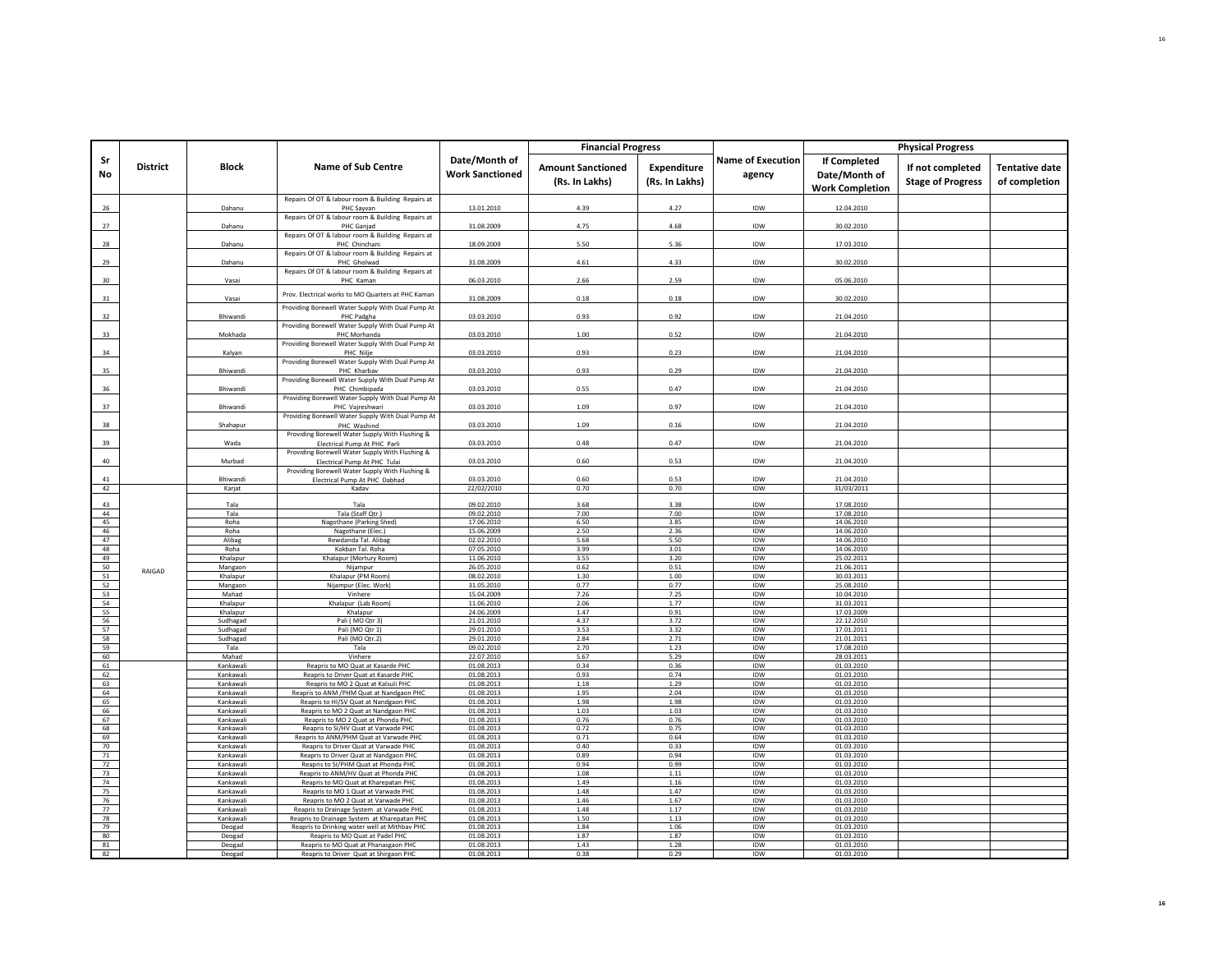|                 |                 |                        |                                                                                                         |                                         | <b>Financial Progress</b>                  |                                      |                                    |                                                                | <b>Physical Progress</b>                     |                                        |
|-----------------|-----------------|------------------------|---------------------------------------------------------------------------------------------------------|-----------------------------------------|--------------------------------------------|--------------------------------------|------------------------------------|----------------------------------------------------------------|----------------------------------------------|----------------------------------------|
| Sr<br>No        | <b>District</b> | Block                  | <b>Name of Sub Centre</b>                                                                               | Date/Month of<br><b>Work Sanctioned</b> | <b>Amount Sanctioned</b><br>(Rs. In Lakhs) | <b>Expenditure</b><br>(Rs. In Lakhs) | <b>Name of Execution</b><br>agency | <b>If Completed</b><br>Date/Month of<br><b>Work Completion</b> | If not completed<br><b>Stage of Progress</b> | <b>Tentative date</b><br>of completion |
| 26              |                 | Dahanu                 | Repairs Of OT & labour room & Building Repairs at<br>PHC Sayvan                                         | 13.01.2010                              | 4.39                                       | 4.27                                 | IDW                                | 12.04.2010                                                     |                                              |                                        |
| 27              |                 | Dahanu                 | Repairs Of OT & labour room & Building Repairs at<br>PHC Ganjad                                         | 31.08.2009                              | 4.75                                       | 4.68                                 | IDW                                | 30.02.2010                                                     |                                              |                                        |
| 28              |                 | Dahanu                 | Repairs Of OT & labour room & Building Repairs at<br>PHC Chinchani                                      | 18.09.2009                              | 5.50                                       | 5.36                                 | IDW                                | 17.03.2010                                                     |                                              |                                        |
|                 |                 |                        | Repairs Of OT & labour room & Building Repairs at                                                       |                                         |                                            |                                      |                                    |                                                                |                                              |                                        |
| 29              |                 | Dahanu                 | PHC Gholwad<br>Repairs Of OT & labour room & Building Repairs at                                        | 31.08.2009                              | 4.61                                       | 4.33                                 | IDW                                | 30.02.2010                                                     |                                              |                                        |
| 30 <sub>o</sub> |                 | Vasai                  | PHC Kaman                                                                                               | 06.03.2010                              | 2.66                                       | 2.59                                 | IDW                                | 05.06.2010                                                     |                                              |                                        |
| 31              |                 | Vasai                  | Prov. Electrical works to MO Quarters at PHC Kaman<br>Providing Borewell Water Supply With Dual Pump At | 31.08.2009                              | 0.18                                       | 0.18                                 | IDW                                | 30.02.2010                                                     |                                              |                                        |
| 32              |                 | Bhiwandi               | PHC Padgha                                                                                              | 03.03.2010                              | 0.93                                       | 0.92                                 | IDW                                | 21.04.2010                                                     |                                              |                                        |
| 33              |                 | Mokhada                | Providing Borewell Water Supply With Dual Pump At<br>PHC Morhanda                                       | 03.03.2010                              | 1.00                                       | 0.52                                 | IDW                                | 21.04.2010                                                     |                                              |                                        |
| 34              |                 | Kalyan                 | Providing Borewell Water Supply With Dual Pump At<br>PHC Nilje                                          | 03.03.2010                              | 0.93                                       | 0.23                                 | IDW                                | 21.04.2010                                                     |                                              |                                        |
| 35              |                 | Bhiwandi               | Providing Borewell Water Supply With Dual Pump At<br>PHC Kharbav                                        | 03.03.2010                              | 0.93                                       | 0.29                                 | IDW                                | 21.04.2010                                                     |                                              |                                        |
| 36              |                 | Bhiwandi               | Providing Borewell Water Supply With Dual Pump At<br>PHC Chimbipada                                     | 03.03.2010                              | 0.55                                       | 0.47                                 | IDW                                | 21.04.2010                                                     |                                              |                                        |
|                 |                 |                        | Providing Borewell Water Supply With Dual Pump At                                                       |                                         |                                            |                                      |                                    |                                                                |                                              |                                        |
| 37              |                 | Bhiwand                | PHC Vajreshwari<br>Providing Borewell Water Supply With Dual Pump At                                    | 03.03.2010                              | 1.09                                       | 0.97                                 | IDW                                | 21.04.2010                                                     |                                              |                                        |
| 38              |                 | Shahapur               | PHC Washind<br>Providing Borewell Water Supply With Flushing &                                          | 03.03.2010                              | 1.09                                       | 0.16                                 | IDW                                | 21.04.2010                                                     |                                              |                                        |
| 39              |                 | Wada                   | Electrical Pump At PHC Parli<br>Providing Borewell Water Supply With Flushing &                         | 03.03.2010                              | 0.48                                       | 0.47                                 | IDW                                | 21.04.2010                                                     |                                              |                                        |
| 40              |                 | Murbad                 | Electrical Pump At PHC Tulai                                                                            | 03.03.2010                              | 0.60                                       | 0.53                                 | IDW                                | 21.04.2010                                                     |                                              |                                        |
| 41              |                 | <b>Bhiwand</b>         | Providing Borewell Water Supply With Flushing &<br>Electrical Pump At PHC Dabhad                        | 03.03.2010                              | 0.60                                       | 0.53                                 | <b>IDW</b>                         | 21.04.2010                                                     |                                              |                                        |
| 42              |                 | Karjat                 | Kadav                                                                                                   | 22/02/2010                              | 0.70                                       | 0.70                                 | IDW                                | 31/03/2011                                                     |                                              |                                        |
| 43<br>44        |                 | Tala<br>Tala           | Tala<br>Tala (Staff Qtr.)                                                                               | 09.02.2010<br>09.02.2010                | 3.68<br>7.00                               | 3.38<br>7.00                         | IDW<br><b>IDW</b>                  | 17.08.2010<br>17.08.2010                                       |                                              |                                        |
| 45              |                 | Roha                   | Nagothane (Parking Shed)                                                                                | 17.06.2010                              | 6.50                                       | 3.85                                 | IDW                                | 14.06.2010                                                     |                                              |                                        |
| 46              |                 | Roha                   | Nagothane (Elec.)                                                                                       | 15.06.2009                              | 2.50                                       | 2.36                                 | IDW                                | 14.06.2010                                                     |                                              |                                        |
| 47<br>48        |                 | Alibag<br>Roha         | Rewdanda Tal, Alibas<br>Kokban Tal. Roha                                                                | 02.02.2010<br>07.05.2010                | 5.68<br>3.99                               | 5.50<br>3.01                         | <b>IDW</b><br>IDW                  | 14.06.2010<br>14.06.2010                                       |                                              |                                        |
| 49              |                 | Khalapur               | Khalapur (Mortury Room)                                                                                 | 11.06.2010                              | 3.55                                       | 3.20                                 | IDW                                | 25.02.2011                                                     |                                              |                                        |
| 50              | RAIGAD          | Mangaon                | Nijampur                                                                                                | 26.05.2010                              | 0.62                                       | 0.51                                 | IDW                                | 21.06.2011                                                     |                                              |                                        |
| 51              |                 | Khalapur               | Khalapur (PM Room)                                                                                      | 08.02.2010                              | 1.30                                       | 1.00                                 | IDW                                | 30.03.2011                                                     |                                              |                                        |
| 52              |                 | Mangaon                | Nijampur (Elec. Work)                                                                                   | 31.05.2010                              | 0.77                                       | 0.77                                 | IDW                                | 25.08.2010                                                     |                                              |                                        |
| 53<br>54        |                 | Mahad<br>Khalapur      | Vinhere<br>Khalapur (Lab Room)                                                                          | 15.04.2009<br>11.06.2010                | 7.26<br>2.06                               | 7.25<br>1.77                         | IDW<br>IDW                         | 10.04.2010<br>31.03.2011                                       |                                              |                                        |
| 55              |                 | Khalapur               | Khalapur                                                                                                | 24.06.2009                              | 1.47                                       | 0.91                                 | IDW                                | 17.03.2009                                                     |                                              |                                        |
| 56              |                 | Sudhagad               | Pali (MO Qtr 3)                                                                                         | 21.01.2010                              | 4.37                                       | 3.72                                 | IDW                                | 22.12.2010                                                     |                                              |                                        |
| 57              |                 | Sudhagad               | Pali (MO Qtr 1)                                                                                         | 29.01.2010                              | 3.53                                       | 3.32                                 | <b>IDW</b>                         | 17.01.2011                                                     |                                              |                                        |
| 58              |                 | Sudhagad               | Pali (MO Qtr.2)                                                                                         | 29.01.2010                              | 2.84                                       | 2.71                                 | <b>IDW</b>                         | 21.01.2011                                                     |                                              |                                        |
| 59<br>60        |                 | Tala<br>Mahad          | Tala<br>Vinhere                                                                                         | 09.02.2010<br>22.07.2010                | 2.70<br>5.67                               | 1.23<br>5.29                         | IDW<br><b>IDW</b>                  | 17.08.2010<br>28.03.2011                                       |                                              |                                        |
| 61              |                 | Kankawali              | Reapris to MO Quat at Kasarde PHC                                                                       | 01.08.2013                              | 0.34                                       | 0.36                                 | IDW                                | 01.03.2010                                                     |                                              |                                        |
| 62              |                 | Kankawali              | Reapris to Driver Quat at Kasarde PHC                                                                   | 01.08.2013                              | 0.93                                       | 0.74                                 | IDW                                | 01.03.2010                                                     |                                              |                                        |
| 63              |                 | Kankawali              | Reapris to MO 2 Quat at Kalsuli PHC                                                                     | 01.08.2013                              | 1.18                                       | 1.29                                 | <b>IDW</b>                         | 01.03.2010                                                     |                                              |                                        |
| 64              |                 | Kankawali              | Reapris to ANM / PHM Quat at Nandgaon PHC                                                               | 01.08.2013                              | 1.95                                       | 2.04                                 | IDW                                | 01.03.2010                                                     |                                              |                                        |
| 65              |                 | Kankawali              | Reapris to HI/SV Quat at Nandgaon PHC                                                                   | 01.08.2013                              | 1.98                                       | 1.98                                 | IDW                                | 01.03.2010                                                     |                                              |                                        |
| 66<br>67        |                 | Kankawali<br>Kankawali | Reapris to MO 2 Quat at Nandgaon PHC<br>Reapris to MO 2 Quat at Phonda PHC                              | 01.08.2013<br>01.08.2013                | 1.03<br>0.76                               | 1.03<br>0.76                         | <b>IDW</b><br>IDW                  | 01.03.2010<br>01.03.2010                                       |                                              |                                        |
| 68              |                 | Kankawali              | Reapris to SI/HV Quat at Varwade PHC                                                                    | 01.08.2013                              | 0.72                                       | 0.75                                 | <b>IDW</b>                         | 01.03.2010                                                     |                                              |                                        |
| 69              |                 | Kankawali              | Reapris to ANM/PHM Quat at Varwade PHC                                                                  | 01.08.2013                              | 0.71                                       | 0.64                                 | <b>IDW</b>                         | 01.03.2010                                                     |                                              |                                        |
| 70              |                 | Kankawali              | Reapris to Driver Quat at Varwade PHC                                                                   | 01.08.2013                              | 0.40                                       | 0.33                                 | IDW                                | 01.03.2010                                                     |                                              |                                        |
| 71              |                 | Kankawali              | Reapris to Driver Quat at Nandgaon PHC                                                                  | 01.08.2013                              | 0.89                                       | 0.94                                 | IDW                                | 01.03.2010                                                     |                                              |                                        |
| 72              |                 | Kankawali              | Reapris to SI/PHM Quat at Phonda PHC                                                                    | 01.08.2013                              | 0.94                                       | 0.99                                 | IDW                                | 01.03.2010                                                     |                                              |                                        |
| 73              |                 | Kankawali              | Reapris to ANM/HV Quat at Phonda PHC                                                                    | 01.08.2013                              | 1.08                                       | 1.11                                 | <b>IDW</b>                         | 01.03.2010                                                     |                                              |                                        |
| 74<br>75        |                 | Kankawali<br>Kankawali | Reapris to MO Quat at Kharepatan PHC<br>Reapris to MO 1 Quat at Varwade PHC                             | 01.08.2013<br>01.08.2013                | 1.49<br>1.48                               | 1.16<br>1.47                         | IDW<br>IDW                         | 01.03.2010<br>01.03.2010                                       |                                              |                                        |
| 76              |                 | Kankawali              | Reapris to MO 2 Quat at Varwade PHC                                                                     | 01.08.2013                              | 1.46                                       | 1.67                                 | IDW                                | 01.03.2010                                                     |                                              |                                        |
| 77              |                 | Kankawali              | Reapris to Drainage System at Varwade PHC                                                               | 01.08.2013                              | 1.48                                       | 1.17                                 | IDW                                | 01.03.2010                                                     |                                              |                                        |
| 78              |                 | Kankawali              | Reapris to Drainage System at Kharepatan PHC                                                            | 01.08.2013                              | 1.50                                       | 1.13                                 | IDW                                | 01.03.2010                                                     |                                              |                                        |
| 79              |                 | Deogad                 | Reapris to Drinking water well at Mithbav PHC                                                           | 01.08.2013                              | 1.84                                       | 1.06                                 | <b>IDW</b>                         | 01.03.2010                                                     |                                              |                                        |
| 80              |                 | Deogad                 | Reapris to MO Quat at Padel PHC                                                                         | 01.08.2013                              | 1.87                                       | 1.87                                 | <b>IDW</b>                         | 01.03.2010                                                     |                                              |                                        |
| 81<br>82        |                 | Deogad                 | Reapris to MO Quat at Phanasgaon PHC                                                                    | 01.08.2013                              | 1.43                                       | 1.28                                 | IDW                                | 01.03.2010                                                     |                                              |                                        |
|                 |                 | Deogac                 | Reapris to Driver Quat at Shirgaon PHC                                                                  | 01.08.2013                              | 0.38                                       | 0.29                                 | <b>IDW</b>                         | 01.03.2010                                                     |                                              |                                        |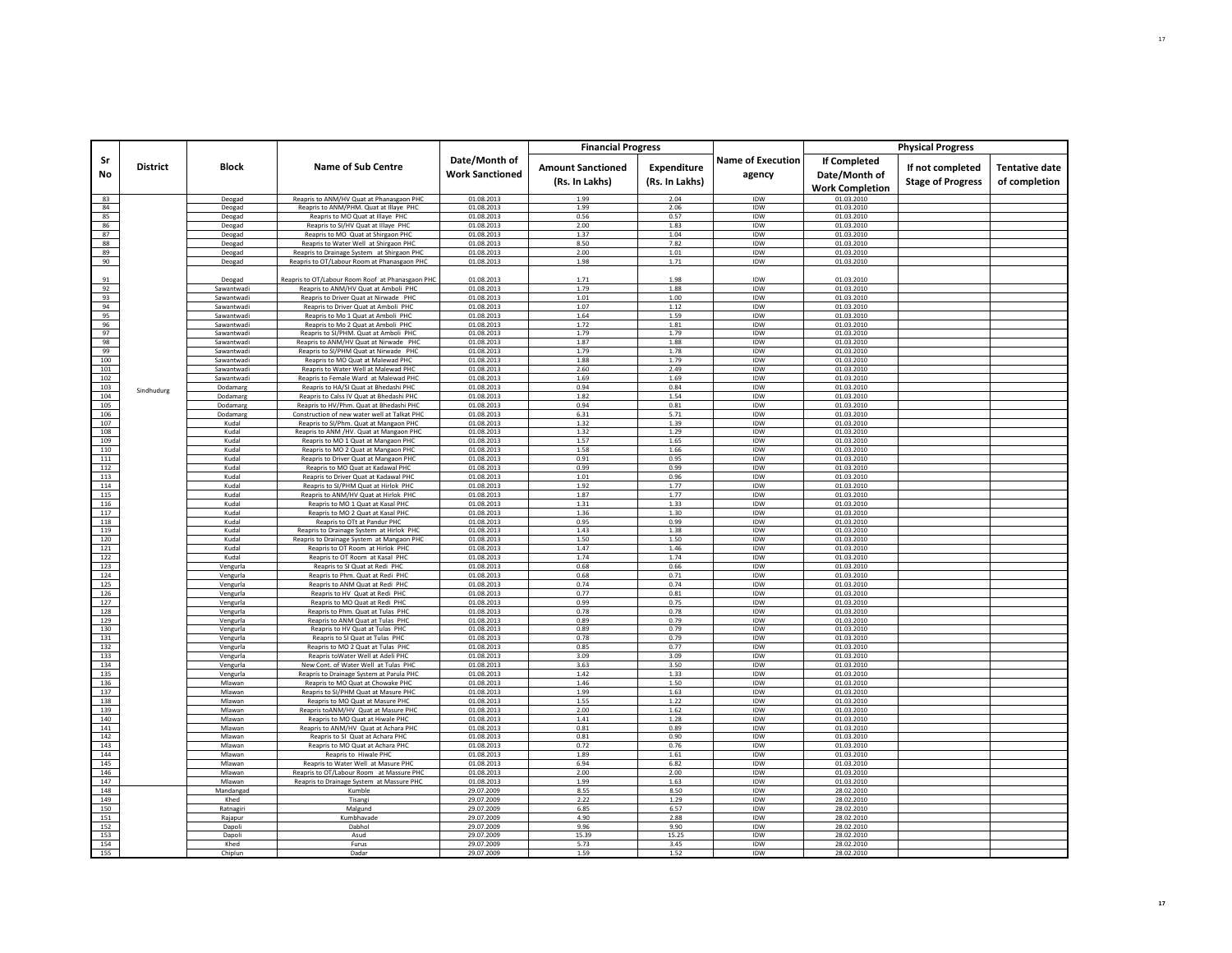|            |                 |                          |                                                                            |                                         | <b>Financial Progress</b>                  |                               |                                    |                                                         | <b>Physical Progress</b>                     |                                        |
|------------|-----------------|--------------------------|----------------------------------------------------------------------------|-----------------------------------------|--------------------------------------------|-------------------------------|------------------------------------|---------------------------------------------------------|----------------------------------------------|----------------------------------------|
| Sr<br>No   | <b>District</b> | <b>Block</b>             | <b>Name of Sub Centre</b>                                                  | Date/Month of<br><b>Work Sanctioned</b> | <b>Amount Sanctioned</b><br>(Rs. In Lakhs) | Expenditure<br>(Rs. In Lakhs) | <b>Name of Execution</b><br>agency | If Completed<br>Date/Month of<br><b>Work Completion</b> | If not completed<br><b>Stage of Progress</b> | <b>Tentative date</b><br>of completion |
| 83         |                 | Deogad                   | Reapris to ANM/HV Quat at Phanasgaon PHC                                   | 01.08.2013                              | 1.99                                       | 2.04                          | IDW                                | 01.03.2010                                              |                                              |                                        |
| 84         |                 | Deogad                   | Reapris to ANM/PHM. Quat at Illaye PHC                                     | 01.08.2013                              | 1.99                                       | 2.06                          | IDW                                | 01.03.2010                                              |                                              |                                        |
| 85<br>86   |                 | Deogad                   | Reapris to MO Quat at Illaye PHC                                           | 01.08.2013                              | 0.56<br>2.00                               | 0.57<br>1.83                  | IDW<br><b>IDW</b>                  | 01.03.2010                                              |                                              |                                        |
| 87         |                 | Deogad<br>Deogad         | Reapris to SI/HV Quat at Illaye PHC<br>Reapris to MO Quat at Shirgaon PHC  | 01.08.2013<br>01.08.2013                | 1.37                                       | 1.04                          | IDW                                | 01.03.2010<br>01.03.2010                                |                                              |                                        |
| 88         |                 | Deogad                   | Reapris to Water Well at Shirgaon PHC                                      | 01.08.2013                              | 8.50                                       | 7.82                          | IDW                                | 01.03.2010                                              |                                              |                                        |
| 89         |                 | Deogad                   | Reapris to Drainage System at Shirgaon PHC                                 | 01.08.2013                              | 2.00                                       | 1.01                          | <b>IDW</b>                         | 01.03.2010                                              |                                              |                                        |
| 90         |                 | Deogad                   | Reapris to OT/Labour Room at Phanasgaon PHC                                | 01.08.2013                              | 1.98                                       | 1.71                          | IDW                                | 01.03.2010                                              |                                              |                                        |
|            |                 |                          |                                                                            |                                         |                                            |                               |                                    |                                                         |                                              |                                        |
| 91         |                 | Deogad                   | Reapris to OT/Labour Room Roof at Phanasgaon PHC                           | 01.08.2013                              | 1.71                                       | 1.98                          | IDW                                | 01.03.2010                                              |                                              |                                        |
| 92         |                 | Sawantwadi               | Reapris to ANM/HV Quat at Amboli PHC                                       | 01.08.2013                              | 1.79                                       | 1.88                          | IDW                                | 01.03.2010                                              |                                              |                                        |
| 93         |                 | Sawantwadi               | Reapris to Driver Quat at Nirwade PHC                                      | 01.08.2013                              | 1.01                                       | 1.00                          | IDW                                | 01.03.2010                                              |                                              |                                        |
| 94         |                 | Sawantwadi               | Reapris to Driver Quat at Amboli PHC                                       | 01.08.2013                              | 1.07                                       | 1.12                          | IDW                                | 01.03.2010                                              |                                              |                                        |
| 95         |                 | Sawantwadi               | Reapris to Mo 1 Quat at Amboli PHC<br>Reapris to Mo 2 Quat at Amboli, PHC  | 01.08.2013                              | 1.64                                       | 1.59                          | IDW<br><b>IDW</b>                  | 01.03.2010                                              |                                              |                                        |
| 96<br>97   |                 | Sawantwadi               | Reapris to SI/PHM. Quat at Amboli PHC                                      | 01.08.2013<br>01.08.2013                | 1.72<br>1.79                               | 1.81<br>1.79                  | IDW                                | 01.03.2010<br>01.03.2010                                |                                              |                                        |
| 98         |                 | Sawantwadi<br>Sawantwadi | Reapris to ANM/HV Quat at Nirwade PHC                                      | 01.08.2013                              | 1.87                                       | 1.88                          | IDW                                | 01.03.2010                                              |                                              |                                        |
| 99         |                 | Sawantwad                | Reapris to SI/PHM Quat at Nirwade PHC                                      | 01.08.2013                              | 1.79                                       | 1.78                          | IDW                                | 01.03.2010                                              |                                              |                                        |
| 100        |                 | Sawantwadi               | Reapris to MO Quat at Malewad PHC                                          | 01.08.2013                              | 1.88                                       | 1.79                          | IDW                                | 01.03.2010                                              |                                              |                                        |
| 101        |                 | Sawantwadi               | Reapris to Water Well at Malewad PHC                                       | 01.08.2013                              | 2.60                                       | 2.49                          | IDW                                | 01.03.2010                                              |                                              |                                        |
| 102        |                 | Sawantwadi               | Reapris to Female Ward at Malewad PHC                                      | 01.08.2013                              | 1.69                                       | 1.69                          | IDW                                | 01.03.2010                                              |                                              |                                        |
| 103        | Sindhudurg      | Dodamarg                 | Reapris to HA/SI Quat at Bhedashi PHC                                      | 01.08.2013                              | 0.94                                       | 0.84                          | IDW                                | 01.03.2010                                              |                                              |                                        |
| 104        |                 | Dodamara                 | Reapris to Calss IV Quat at Bhedashi PHC                                   | 01.08.2013                              | 1.82                                       | 1.54                          | IDW                                | 01.03.2010                                              |                                              |                                        |
| 105        |                 | Dodamarg                 | Reapris to HV/Phm. Quat at Bhedashi PHC                                    | 01.08.2013                              | 0.94                                       | 0.81                          | IDW                                | 01.03.2010                                              |                                              |                                        |
| 106        |                 | Dodamarg                 | Construction of new water well at Talkat PHC                               | 01.08.2013                              | 6.31                                       | 5.71                          | IDW                                | 01.03.2010                                              |                                              |                                        |
| 107        |                 | Kudal                    | Reapris to SI/Phm. Quat at Mangaon PHC                                     | 01.08.2013                              | 1.32                                       | 1.39                          | <b>IDW</b>                         | 01.03.2010                                              |                                              |                                        |
| 108<br>109 |                 | Kudal<br>Kudal           | Reapris to ANM /HV. Quat at Mangaon PHC                                    | 01.08.2013<br>01.08.2013                | 1.32<br>1.57                               | 1.29<br>1.65                  | IDW<br>IDW                         | 01.03.2010<br>01.03.2010                                |                                              |                                        |
| 110        |                 | Kudal                    | Reapris to MO 1 Quat at Mangaon PHC<br>Reapris to MO 2 Quat at Mangaon PHC | 01.08.2013                              | 1.58                                       | 1.66                          | <b>IDW</b>                         | 01.03.2010                                              |                                              |                                        |
| 111        |                 | Kudal                    | Reapris to Driver Quat at Mangaon PHC                                      | 01.08.2013                              | 0.91                                       | 0.95                          | IDW                                | 01.03.2010                                              |                                              |                                        |
| 112        |                 | Kudal                    | Reapris to MO Quat at Kadawal PHC                                          | 01.08.2013                              | 0.99                                       | 0.99                          | IDW                                | 01.03.2010                                              |                                              |                                        |
| 113        |                 | Kudal                    | Reapris to Driver Quat at Kadawal PHC                                      | 01.08.2013                              | 1.01                                       | 0.96                          | IDW                                | 01.03.2010                                              |                                              |                                        |
| 114        |                 | Kudal                    | Reapris to SI/PHM Quat at Hirlok PHC                                       | 01.08.2013                              | 1.92                                       | 1.77                          | IDW                                | 01.03.2010                                              |                                              |                                        |
| 115        |                 | Kudal                    | Reapris to ANM/HV Quat at Hirlok PHC                                       | 01.08.2013                              | 1.87                                       | 1.77                          | IDW                                | 01.03.2010                                              |                                              |                                        |
| 116        |                 | Kudal                    | Reapris to MO 1 Quat at Kasal PHC                                          | 01.08.2013                              | 1.31                                       | 1.33                          | IDW                                | 01.03.2010                                              |                                              |                                        |
| 117        |                 | Kudal                    | Reapris to MO 2 Quat at Kasal PHC                                          | 01.08.2013                              | 1.36                                       | 1.30                          | IDW                                | 01.03.2010                                              |                                              |                                        |
| 118        |                 | Kudal                    | Reapris to OTt at Pandur PHC                                               | 01.08.2013                              | 0.95                                       | 0.99                          | <b>IDW</b>                         | 01.03.2010                                              |                                              |                                        |
| 119        |                 | Kudal                    | Reapris to Drainage System at Hirlok PHC                                   | 01.08.2013                              | 1.43                                       | 1.38                          | IDW                                | 01.03.2010                                              |                                              |                                        |
| 120        |                 | Kudal                    | Reapris to Drainage System at Mangaon PHC                                  | 01.08.2013                              | 1.50                                       | 1.50                          | IDW                                | 01.03.2010                                              |                                              |                                        |
| 121<br>122 |                 | Kudal<br>Kudal           | Reapris to OT Room at Hirlok PHC<br>Reapris to OT Room at Kasal PHC        | 01.08.2013<br>01.08.2013                | 1.47<br>1.74                               | 1.46<br>1.74                  | IDW<br><b>IDW</b>                  | 01.03.2010<br>01.03.2010                                |                                              |                                        |
| 123        |                 | Vengurla                 | Reapris to SI Quat at Redi PHC                                             | 01.08.2013                              | 0.68                                       | 0.66                          | <b>IDW</b>                         | 01.03.2010                                              |                                              |                                        |
| 124        |                 | Vengurla                 | Reapris to Phm. Quat at Redi PHC                                           | 01.08.2013                              | 0.68                                       | 0.71                          | IDW                                | 01.03.2010                                              |                                              |                                        |
| 125        |                 | Vengurla                 | Reapris to ANM Quat at Redi PHC                                            | 01.08.2013                              | 0.74                                       | 0.74                          | <b>IDW</b>                         | 01.03.2010                                              |                                              |                                        |
| 126        |                 | Vengurla                 | Reapris to HV Quat at Redi PHC                                             | 01.08.2013                              | 0.77                                       | 0.81                          | IDW                                | 01.03.2010                                              |                                              |                                        |
| 127        |                 | Vengurla                 | Reapris to MO Quat at Redi PHC                                             | 01.08.2013                              | 0.99                                       | 0.75                          | IDW                                | 01.03.2010                                              |                                              |                                        |
| 128        |                 | Vengurla                 | Reapris to Phm. Quat at Tulas PHC                                          | 01.08.2013                              | 0.78                                       | 0.78                          | IDW                                | 01.03.2010                                              |                                              |                                        |
| 129        |                 | Vengurla                 | Reapris to ANM Quat at Tulas PHC                                           | 01.08.2013                              | 0.89                                       | 0.79                          | <b>IDW</b>                         | 01.03.2010                                              |                                              |                                        |
| 130        |                 | Vengurla                 | Reapris to HV Quat at Tulas PHC                                            | 01.08.2013                              | 0.89                                       | 0.79                          | IDW                                | 01.03.2010                                              |                                              |                                        |
| 131<br>132 |                 | Vengurla<br>Vengurla     | Reapris to SI Quat at Tulas PHC<br>Reapris to MO 2 Quat at Tulas PHC       | 01.08.2013<br>01.08.2013                | 0.78<br>0.85                               | 0.79<br>0.77                  | IDW<br><b>IDW</b>                  | 01.03.2010<br>01.03.2010                                |                                              |                                        |
| 133        |                 | Vengurla                 | Reapris toWater Well at Adeli PHC                                          | 01.08.2013                              | 3.09                                       | 3.09                          | <b>IDW</b>                         | 01.03.2010                                              |                                              |                                        |
| 134        |                 | Vengurla                 | New Cont. of Water Well at Tulas PHC                                       | 01.08.2013                              | 3.63                                       | 3.50                          | <b>IDW</b>                         | 01.03.2010                                              |                                              |                                        |
| 135        |                 | Vengurla                 | Reapris to Drainage System at Parula PHC                                   | 01.08.2013                              | 1.42                                       | 1.33                          | IDW                                | 01.03.2010                                              |                                              |                                        |
| 136        |                 | Mlawan                   | Reapris to MO Quat at Chowake PHC                                          | 01.08.2013                              | 1.46                                       | 1.50                          | <b>IDW</b>                         | 01.03.2010                                              |                                              |                                        |
| 137        |                 | Mlawan                   | Reapris to SI/PHM Quat at Masure PHC                                       | 01.08.2013                              | 1.99                                       | 1.63                          | IDW                                | 01.03.2010                                              |                                              |                                        |
| 138        |                 | Mlawan                   | Reapris to MO Quat at Masure PHC                                           | 01.08.2013                              | 1.55                                       | 1.22                          | IDW                                | 01.03.2010                                              |                                              |                                        |
| 139        |                 | Mlawan                   | Reapris toANM/HV Quat at Masure PHC                                        | 01.08.2013                              | 2.00                                       | 1.62                          | IDW                                | 01.03.2010                                              |                                              |                                        |
| 140        |                 | Mlawan                   | Reapris to MO Quat at Hiwale PHC                                           | 01.08.2013                              | 1.41                                       | 1.28                          | IDW                                | 01.03.2010                                              |                                              |                                        |
| 141<br>142 |                 | Mlawan<br>Mlawan         | Reapris to ANM/HV Quat at Achara PHC<br>Reapris to SI Quat at Achara PHC   | 01.08.2013<br>01.08.2013                | 0.81<br>0.81                               | 0.89<br>0.90                  | IDW<br>IDW                         | 01.03.2010<br>01.03.2010                                |                                              |                                        |
| 143        |                 | Mlawan                   | Reapris to MO Quat at Achara PHC                                           | 01.08.2013                              | 0.72                                       | 0.76                          | IDW                                | 01.03.2010                                              |                                              |                                        |
| 144        |                 | Mlawan                   | Reapris to Hiwale PHC                                                      | 01.08.2013                              | 1.89                                       | 1.61                          | <b>IDW</b>                         | 01.03.2010                                              |                                              |                                        |
| 145        |                 | Mlawan                   | Reapris to Water Well at Masure PHC                                        | 01.08.2013                              | 6.94                                       | 6.82                          | <b>IDW</b>                         | 01.03.2010                                              |                                              |                                        |
| 146        |                 | Mlawan                   | Reapris to OT/Labour Room at Massure PHC                                   | 01.08.2013                              | 2.00                                       | 2.00                          | IDW                                | 01.03.2010                                              |                                              |                                        |
| 147        |                 | Mlawan                   | Reapris to Drainage System at Massure PHC                                  | 01.08.2013                              | 1.99                                       | 1.63                          | <b>IDW</b>                         | 01.03.2010                                              |                                              |                                        |
| 148        |                 | Mandangad                | Kumble                                                                     | 29.07.2009                              | 8.55                                       | 8.50                          | IDW                                | 28.02.2010                                              |                                              |                                        |
| 149        |                 | Khed                     | Tisangi                                                                    | 29.07.2009                              | 2.22                                       | 1.29                          | IDW                                | 28.02.2010                                              |                                              |                                        |
| 150        |                 | Ratnagir                 | Malgund                                                                    | 29.07.2009                              | 6.85                                       | 6.57                          | IDW                                | 28.02.2010                                              |                                              |                                        |
| 151        |                 | Rajapur                  | Kumbhavade                                                                 | 29.07.2009                              | 4.90                                       | 2.88                          | <b>IDW</b>                         | 28.02.2010                                              |                                              |                                        |
| 152        |                 | Dapoli                   | Dabhol                                                                     | 29.07.2009                              | 9.96                                       | 9.90                          | IDW                                | 28.02.2010                                              |                                              |                                        |
| 153<br>154 |                 | Dapoli<br>Khed           | Asud<br>Furus                                                              | 29.07.2009<br>29.07.2009                | 15.39<br>5.73                              | 15.25<br>3.45                 | IDW<br>IDW                         | 28.02.2010<br>28.02.2010                                |                                              |                                        |
| 155        |                 | Chinlur                  | Dadar                                                                      | 29.07.2009                              | 1.59                                       | 1.52                          | IDW                                | 28.02.2010                                              |                                              |                                        |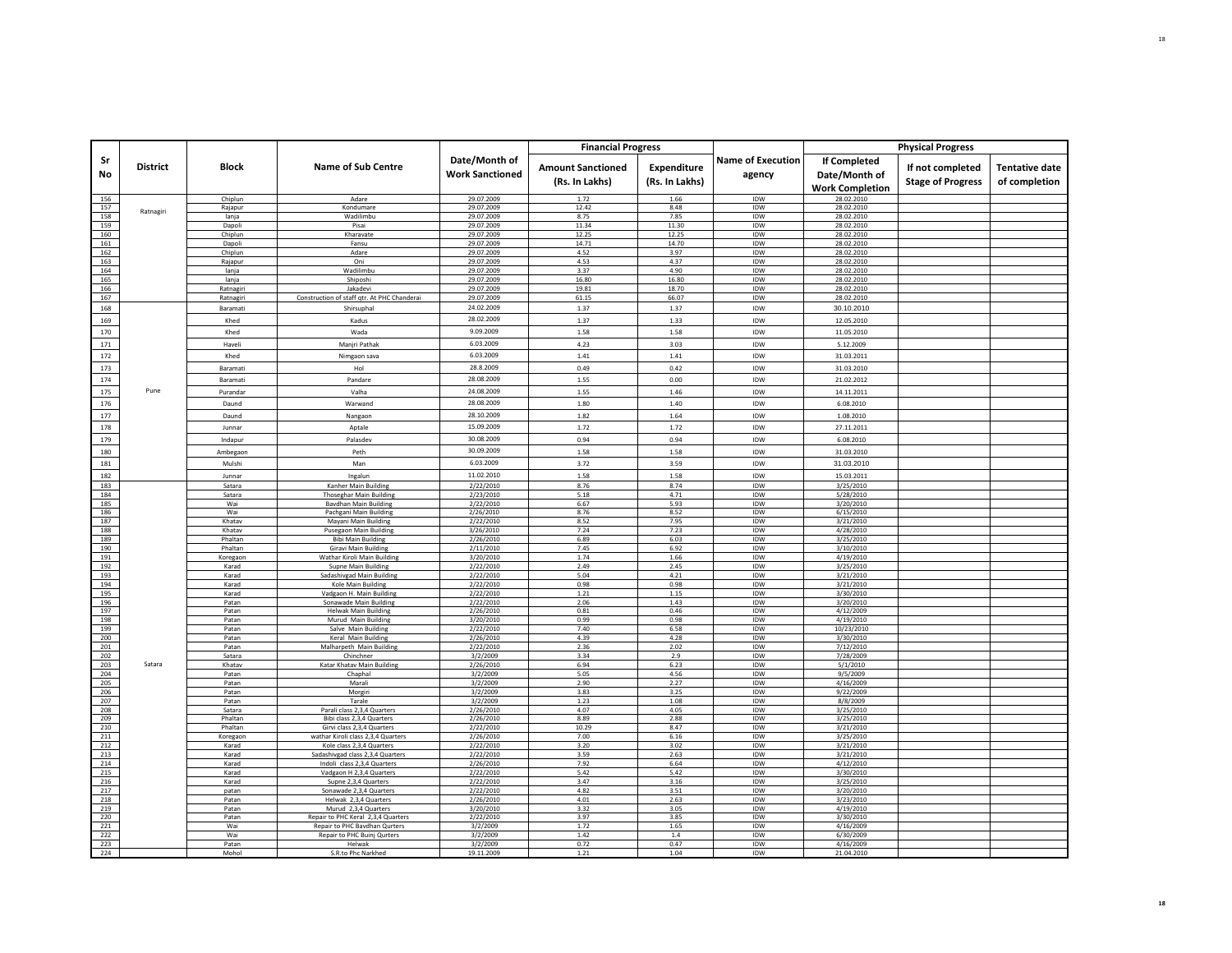|            |                 |                    |                                                                     |                                         | <b>Financial Progress</b>                  |                               |                                    |                                                         | <b>Physical Progress</b>                     |                                        |
|------------|-----------------|--------------------|---------------------------------------------------------------------|-----------------------------------------|--------------------------------------------|-------------------------------|------------------------------------|---------------------------------------------------------|----------------------------------------------|----------------------------------------|
| Sr<br>No   | <b>District</b> | <b>Block</b>       | <b>Name of Sub Centre</b>                                           | Date/Month of<br><b>Work Sanctioned</b> | <b>Amount Sanctioned</b><br>(Rs. In Lakhs) | Expenditure<br>(Rs. In Lakhs) | <b>Name of Execution</b><br>agency | If Completed<br>Date/Month of<br><b>Work Completion</b> | If not completed<br><b>Stage of Progress</b> | <b>Tentative date</b><br>of completion |
| 156        |                 | Chiplun            | Adare                                                               | 29.07.2009                              | 1.72                                       | 1.66                          | IDW                                | 28.02.2010                                              |                                              |                                        |
| 157<br>158 | Ratnagiri       | Rajapur            | Kondumare                                                           | 29.07.2009                              | 12.42<br>8.75                              | 8.48<br>7.85                  | IDW<br>IDW                         | 28.02.2010<br>28.02.2010                                |                                              |                                        |
| 159        |                 | lanja<br>Dapoli    | Wadilimbu<br>Pisai                                                  | 29.07.2009<br>29.07.2009                | 11.34                                      | 11.30                         | <b>IDW</b>                         | 28.02.2010                                              |                                              |                                        |
| 160        |                 | Chiplun            | Kharavate                                                           | 29.07.2009                              | 12.25                                      | 12.25                         | IDW                                | 28.02.2010                                              |                                              |                                        |
| 161        |                 | Dapoli             | Fansu                                                               | 29.07.2009                              | 14.71                                      | 14.70                         | IDW                                | 28.02.2010                                              |                                              |                                        |
| 162        |                 | Chiplun            | Adare                                                               | 29.07.2009                              | 4.52                                       | 3.97                          | IDW                                | 28.02.2010                                              |                                              |                                        |
| 163<br>164 |                 | Rajapur<br>lanja   | Oni<br>Wadilimbu                                                    | 29.07.2009<br>29.07.2009                | 4.53<br>3.37                               | 4.37<br>4.90                  | IDW<br>IDW                         | 28.02.2010<br>28.02.2010                                |                                              |                                        |
| 165        |                 | lanja              | Shiposhi                                                            | 29.07.2009                              | 16.80                                      | 16.80                         | IDW                                | 28.02.2010                                              |                                              |                                        |
| 166        |                 | Ratnagiri          | Jakadevi                                                            | 29.07.2009                              | 19.81                                      | 18.70                         | IDW                                | 28.02.2010                                              |                                              |                                        |
| 167        |                 | Ratnagiri          | Construction of staff gtr. At PHC Chanderai                         | 29.07.2009                              | 61.15                                      | 66.07                         | IDW                                | 28.02.2010                                              |                                              |                                        |
| 168        |                 | Baramati           | Shirsupha                                                           | 24.02.2009                              | 1.37                                       | 1.37                          | IDW                                | 30.10.2010                                              |                                              |                                        |
| 169        |                 | Khed               | Kadus                                                               | 28.02.2009                              | 1.37                                       | 1.33                          | IDW                                | 12.05.2010                                              |                                              |                                        |
| 170        |                 | Khed               | Wada                                                                | 9.09.2009                               | 1.58                                       | 1.58                          | IDW                                | 11.05.2010                                              |                                              |                                        |
| 171        |                 | Haveli             | Manjri Pathak                                                       | 6.03.2009                               | 4.23                                       | 3.03                          | IDW                                | 5.12.2009                                               |                                              |                                        |
| 172        |                 | Khed               | Nimgaon sava                                                        | 6.03.2009                               | 1.41                                       | 1.41                          | IDW                                | 31.03.2011                                              |                                              |                                        |
| 173        |                 | Baramati           | Hol                                                                 | 28.8.2009                               | 0.49                                       | 0.42                          | IDW                                | 31.03.2010                                              |                                              |                                        |
| 174        |                 | Baramati           | Pandare                                                             | 28.08.2009                              | 1.55                                       | 0.00                          | IDW                                | 21.02.2012                                              |                                              |                                        |
| 175        | Pune            | Purandar           | Valha                                                               | 24.08.2009                              | 1.55                                       | 1.46                          | IDW                                | 14.11.2011                                              |                                              |                                        |
| 176        |                 | Daund              | Warwand                                                             | 28.08.2009                              | 1.80                                       | 1.40                          | IDW                                | 6.08.2010                                               |                                              |                                        |
| 177        |                 | Daund              | Nangaon                                                             | 28.10.2009                              | 1.82                                       | 1.64                          | IDW                                | 1.08.2010                                               |                                              |                                        |
|            |                 |                    |                                                                     | 15.09.2009                              | 1.72                                       |                               | <b>IDW</b>                         |                                                         |                                              |                                        |
| 178        |                 | Junnar             | Aptale                                                              |                                         |                                            | 1.72                          |                                    | 27.11.2011                                              |                                              |                                        |
| 179        |                 | Indapur            | Palasdev                                                            | 30.08.2009                              | 0.94                                       | 0.94                          | IDW                                | 6.08.2010                                               |                                              |                                        |
| 180        |                 | Ambegaon           | Peth                                                                | 30.09.2009                              | 1.58                                       | 1.58                          | IDW                                | 31.03.2010                                              |                                              |                                        |
| 181        |                 | Mulshi             | Man                                                                 | 6.03.2009                               | 3.72                                       | 3.59                          | <b>IDW</b>                         | 31.03.2010                                              |                                              |                                        |
| 182        |                 | Junnar             | Ingalun                                                             | 11.02.2010                              | 1.58                                       | 1.58                          | IDW                                | 15.03.2011                                              |                                              |                                        |
| 183        |                 | Satara             | Kanher Main Building                                                | 2/22/2010                               | 8.76                                       | 8.74                          | IDW                                | 3/25/2010                                               |                                              |                                        |
| 184<br>185 |                 | Satara<br>Wai      | Thoseghar Main Building<br><b>Bavdhan Main Building</b>             | 2/23/2010<br>2/22/2010                  | 5.18<br>6.67                               | 4.71<br>5.93                  | IDW<br>IDW                         | 5/28/2010<br>3/20/2010                                  |                                              |                                        |
| 186        |                 | Wai                | Pachgani Main Building                                              | 2/26/2010                               | 8.76                                       | 8.52                          | IDW                                | 6/15/2010                                               |                                              |                                        |
| 187        |                 | Khatav             | Mavani Main Building                                                | 2/22/2010                               | 8.52                                       | 7.95                          | IDW                                | 3/21/2010                                               |                                              |                                        |
| 188        |                 | Khatav             | Pusegaon Main Building                                              | 3/26/2010                               | 7.24                                       | 7.23                          | IDW                                | 4/28/2010                                               |                                              |                                        |
| 189<br>190 |                 | Phaltan<br>Phaltan | <b>Bibi Main Building</b><br><b>Giravi Main Building</b>            | 2/26/2010<br>2/11/2010                  | 6.89<br>7.45                               | 6.03<br>6.92                  | IDW<br><b>IDW</b>                  | 3/25/2010<br>3/10/2010                                  |                                              |                                        |
| 191        |                 | Koregaon           | Wathar Kiroli Main Building                                         | 3/20/2010                               | 1.74                                       | 1.66                          | IDW                                | 4/19/2010                                               |                                              |                                        |
| 192        |                 | Karad              | Supne Main Building                                                 | 2/22/2010                               | 2.49                                       | 2.45                          | IDW                                | 3/25/2010                                               |                                              |                                        |
| 193        |                 | Karad              | Sadashivgad Main Building                                           | 2/22/2010                               | 5.04                                       | 4.21                          | IDW                                | 3/21/2010                                               |                                              |                                        |
| 194<br>195 |                 | Karad<br>Karad     | Kole Main Building<br>Vadgaon H. Main Building                      | 2/22/2010<br>2/22/2010                  | 0.98<br>1.21                               | 0.98<br>1.15                  | IDW<br>IDW                         | 3/21/2010<br>3/30/2010                                  |                                              |                                        |
| 196        |                 | Patan              | Sonawade Main Building                                              | 2/22/2010                               | 2.06                                       | 1.43                          | IDW                                | 3/20/2010                                               |                                              |                                        |
| 197        |                 | Patan              | <b>Helwak Main Building</b>                                         | 2/26/2010                               | 0.81                                       | 0.46                          | IDW                                | 4/12/2009                                               |                                              |                                        |
| 198        |                 | Patan              | Murud Main Building                                                 | 3/20/2010                               | 0.99                                       | 0.98                          | <b>IDW</b>                         | 4/19/2010                                               |                                              |                                        |
| 199<br>200 |                 | Patan<br>Patan     | Salve Main Building<br>Keral Main Building                          | 2/22/2010<br>2/26/2010                  | 7.40<br>4.39                               | 6.58<br>4.28                  | IDW<br>IDW                         | 10/23/2010<br>3/30/2010                                 |                                              |                                        |
| 201        |                 | Patan              | Malharpeth Main Building                                            | 2/22/2010                               | 2.36                                       | 2.02                          | <b>IDW</b>                         | 7/12/2010                                               |                                              |                                        |
| 202        |                 | Satara             | Chinchner                                                           | 3/2/2009                                | 3.34                                       | 2.9                           | IDW                                | 7/28/2009                                               |                                              |                                        |
| 203        | Satara          | Khatav             | Katar Khatav Main Building                                          | 2/26/2010                               | 6.94                                       | 6.23                          | IDW                                | 5/1/2010                                                |                                              |                                        |
| 204<br>205 |                 | Patan<br>Patan     | Chaphal<br>Maral                                                    | 3/2/2009<br>3/2/2009                    | 5.05<br>2.90                               | 4.56<br>2.27                  | IDW<br><b>IDW</b>                  | 9/5/2009<br>4/16/2009                                   |                                              |                                        |
| 206        |                 | Patan              | Morgiri                                                             | 3/2/2009                                | 3.83                                       | 3.25                          | IDW                                | 9/22/2009                                               |                                              |                                        |
| 207        |                 | Patan              | Tarale                                                              | 3/2/2009                                | 1.23                                       | 1.08                          | IDW                                | 8/8/2009                                                |                                              |                                        |
| 208        |                 | Satara             | Parali class 2,3,4 Quarters                                         | 2/26/2010                               | 4.07                                       | 4.05                          | IDW                                | 3/25/2010                                               |                                              |                                        |
| 209<br>210 |                 | Phaltan<br>Phaltan | Bibi class 2.3.4 Quarters<br>Girvi class 2,3,4 Quarters             | 2/26/2010<br>2/22/2010                  | 8.89<br>10.29                              | 2.88<br>8.47                  | IDW<br>IDW                         | 3/25/2010<br>3/21/2010                                  |                                              |                                        |
| 211        |                 | Koregaon           | wathar Kiroli class 2,3,4 Quarters                                  | 2/26/2010                               | 7.00                                       | 6.16                          | IDW                                | 3/25/2010                                               |                                              |                                        |
| 212        |                 | Karad              | Kole class 2,3,4 Quarters                                           | 2/22/2010                               | 3.20                                       | 3.02                          | IDW                                | 3/21/2010                                               |                                              |                                        |
| 213        |                 | Karad              | Sadashivgad class 2,3,4 Quarters                                    | 2/22/2010                               | 3.59                                       | 2.63                          | <b>IDW</b>                         | 3/21/2010                                               |                                              |                                        |
| 214<br>215 |                 | Karad              | Indoli class 2,3,4 Quarters                                         | 2/26/2010                               | 7.92                                       | 6.64                          | IDW<br><b>IDW</b>                  | 4/12/2010                                               |                                              |                                        |
| 216        |                 | Karad<br>Karad     | Vadgaon H 2,3,4 Quarters<br>Supne 2,3,4 Quarters                    | 2/22/2010<br>2/22/2010                  | 5.42<br>3.47                               | 5.42<br>3.16                  | IDW                                | 3/30/2010<br>3/25/2010                                  |                                              |                                        |
| 217        |                 | patan              | Sonawade 2.3.4 Quarters                                             | 2/22/2010                               | 4.82                                       | 3.51                          | IDW                                | 3/20/2010                                               |                                              |                                        |
| 218        |                 | Patan              | Helwak 2,3,4 Quarters                                               | 2/26/2010                               | 4.01                                       | 2.63                          | IDW                                | 3/23/2010                                               |                                              |                                        |
| 219        |                 | Patan              | Murud 2,3,4 Quarters                                                | 3/20/2010                               | 3.32                                       | 3.05                          | IDW                                | 4/19/2010                                               |                                              |                                        |
| 220<br>221 |                 | Patan<br>Wai       | Repair to PHC Keral 2,3,4 Quarters<br>Repair to PHC Bavdhan Qurters | 2/22/2010<br>3/2/2009                   | 3.97<br>1.72                               | 3.85<br>1.65                  | <b>IDW</b><br>IDW                  | 3/30/2010<br>4/16/2009                                  |                                              |                                        |
| 222        |                 | Wai                | Repair to PHC Buinj Qurters                                         | 3/2/2009                                | 1.42                                       | 1.4                           | IDW                                | 6/30/2009                                               |                                              |                                        |
| 223        |                 | Patan              | Helwak                                                              | 3/2/2009                                | 0.72                                       | 0.47                          | IDW                                | 4/16/2009                                               |                                              |                                        |
| 224        |                 | Moho               | S.R.to Phc Narkhed                                                  | 19.11.2009                              | 1.21                                       | 1.04                          | IDW                                | 21.04.2010                                              |                                              |                                        |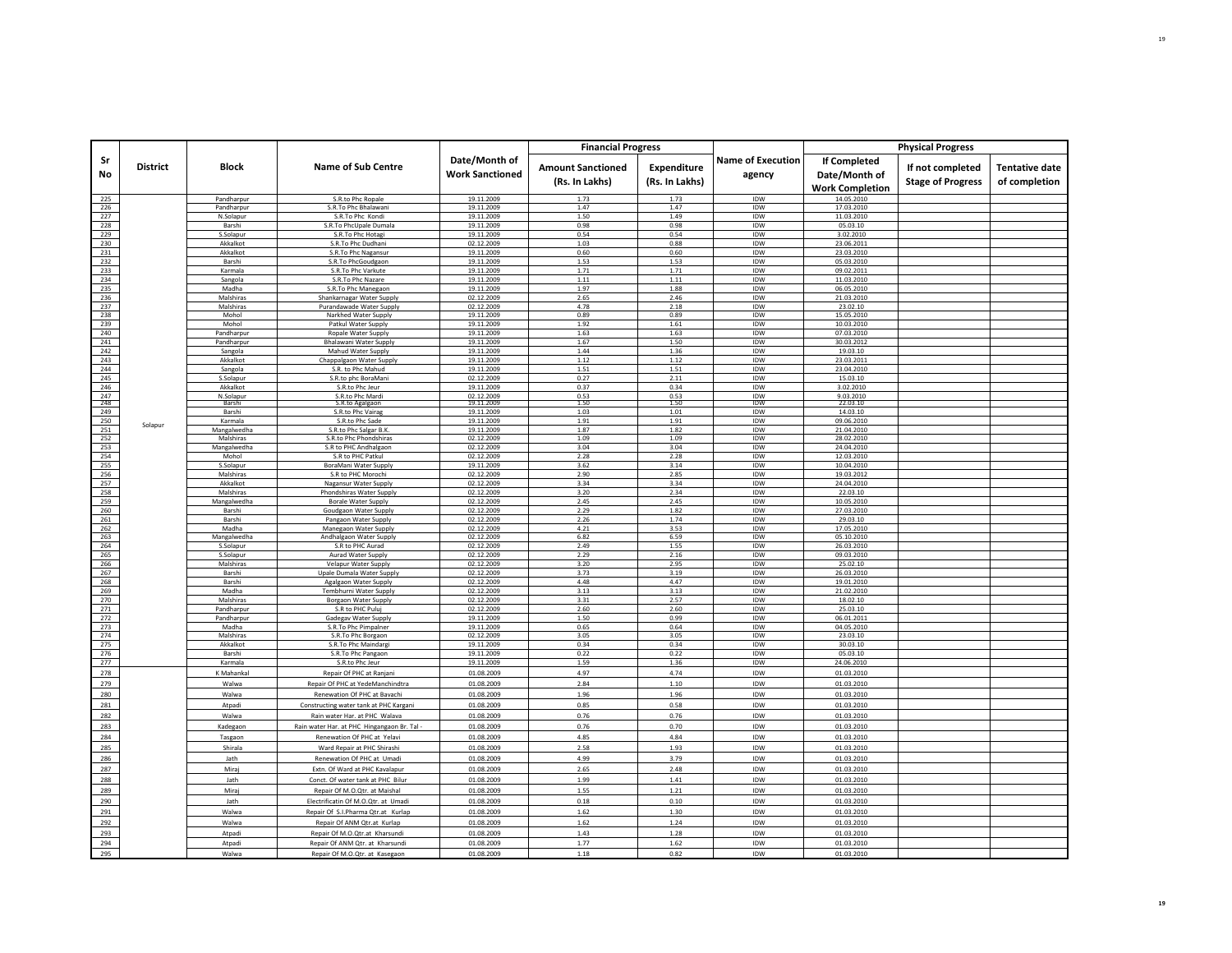|            |                 |                          |                                                       |                                         | <b>Financial Progress</b>                  |                               |                                    |                                                         | <b>Physical Progress</b>                     |                                        |
|------------|-----------------|--------------------------|-------------------------------------------------------|-----------------------------------------|--------------------------------------------|-------------------------------|------------------------------------|---------------------------------------------------------|----------------------------------------------|----------------------------------------|
| Sr<br>No   | <b>District</b> | <b>Block</b>             | <b>Name of Sub Centre</b>                             | Date/Month of<br><b>Work Sanctioned</b> | <b>Amount Sanctioned</b><br>(Rs. In Lakhs) | Expenditure<br>(Rs. In Lakhs) | <b>Name of Execution</b><br>agency | If Completed<br>Date/Month of<br><b>Work Completion</b> | If not completed<br><b>Stage of Progress</b> | <b>Tentative date</b><br>of completion |
| 225        |                 | Pandharpur               | S.R.to Phc Ropale                                     | 19.11.2009                              | 1.73                                       | 1.73                          | IDW                                | 14.05.2010                                              |                                              |                                        |
| 226        |                 | Pandharpur               | S.R.To Phc Bhalawani                                  | 19.11.2009                              | 1.47                                       | 1.47                          | IDW                                | 17.03.2010                                              |                                              |                                        |
| 227        |                 | N.Solapur                | S.R.To Phc Kondi<br>S.R.To PhcUnale Dumala            | 19.11.2009                              | 1.50<br>0.98                               | 1.49<br>0.98                  | IDW<br><b>IDW</b>                  | 11.03.2010<br>05.03.10                                  |                                              |                                        |
| 228<br>229 |                 | Barshi<br>S.Solapur      | S.R.To Phc Hotagi                                     | 19.11.2009<br>19.11.2009                | 0.54                                       | 0.54                          | IDW                                | 3.02.2010                                               |                                              |                                        |
| 230        |                 | Akkalkot                 | S.R.To Phc Dudhani                                    | 02.12.2009                              | 1.03                                       | 0.88                          | IDW                                | 23.06.2011                                              |                                              |                                        |
| 231        |                 | Akkalkot                 | S.R.To Phc Nagansur                                   | 19.11.2009                              | 0.60                                       | 0.60                          | <b>IDW</b>                         | 23.03.2010                                              |                                              |                                        |
| 232        |                 | Barshi                   | S.R.To PhcGoudgaon                                    | 19.11.2009                              | 1.53                                       | 1.53                          | IDW                                | 05.03.2010                                              |                                              |                                        |
| 233        |                 | Karmala                  | S.R.To Phc Varkute                                    | 19.11.2009                              | 1.71                                       | 1.71                          | IDW                                | 09.02.2011                                              |                                              |                                        |
| 234        |                 | Sangola                  | S.R.To Phc Nazare                                     | 19.11.2009                              | 1.11                                       | 1.11                          | IDW                                | 11.03.2010                                              |                                              |                                        |
| 235        |                 | Madha                    | S.R.To Phc Manegaon                                   | 19.11.2009                              | 1.97                                       | 1.88                          | <b>IDW</b>                         | 06.05.2010                                              |                                              |                                        |
| 236<br>237 |                 | Malshiras<br>Malshiras   | Shankarnagar Water Supply<br>Purandawade Water Supply | 02.12.2009<br>02.12.2009                | 2.65<br>4.78                               | 2.46<br>2.18                  | IDW<br>IDW                         | 21.03.2010<br>23.02.10                                  |                                              |                                        |
| 238        |                 | Mohol                    | Narkhed Water Supply                                  | 19.11.2009                              | 0.89                                       | 0.89                          | IDW                                | 15.05.2010                                              |                                              |                                        |
| 239        |                 | Mohol                    | Patkul Water Supply                                   | 19.11.2009                              | 1.92                                       | 1.61                          | IDW                                | 10.03.2010                                              |                                              |                                        |
| 240        |                 | Pandharpur               | Ropale Water Supply                                   | 19.11.2009                              | 1.63                                       | 1.63                          | IDW                                | 07.03.2010                                              |                                              |                                        |
| 241        |                 | Pandharpu                | <b>Bhalawani Water Supply</b>                         | 19.11.2009                              | 1.67                                       | 1.50                          | IDW                                | 30.03.2012                                              |                                              |                                        |
| 242        |                 | Sangola                  | Mahud Water Supply                                    | 19.11.2009                              | 1.44                                       | 1.36                          | IDW                                | 19.03.10                                                |                                              |                                        |
| 243        |                 | Akkalkot                 | Chappalgaon Water Supply                              | 19.11.2009                              | 1.12                                       | 1.12                          | IDW                                | 23.03.2011                                              |                                              |                                        |
| 244<br>245 |                 | Sangola<br>S.Solapur     | S.R. to Phc Mahud<br>S.R.to phc BoraMani              | 19.11.2009<br>02.12.2009                | 1.51<br>0.27                               | 1.51<br>2.11                  | IDW<br><b>IDW</b>                  | 23.04.2010<br>15.03.10                                  |                                              |                                        |
| 246        |                 | Akkalkot                 | S.R.to Phc Jeur                                       | 19.11.2009                              | 0.37                                       | 0.34                          | IDW                                | 3.02.2010                                               |                                              |                                        |
| 247        |                 | N.Solapur                | S.R.to Phc Mardi                                      | 02.12.2009                              | 0.53                                       | 0.53                          | IDW                                | 9.03.2010                                               |                                              |                                        |
| 248        |                 | Barshi                   | S.R.to Agalgaon                                       | 19.11.2009                              | 1.50                                       | 1.50                          | IDW                                | 22.03.10                                                |                                              |                                        |
| 249        |                 | Barshi                   | S.R.to Phc Vairag                                     | 19.11.2009                              | 1.03                                       | 1.01                          | IDW                                | 14.03.10                                                |                                              |                                        |
| 250        | Solapur         | Karmala                  | S.R.to Phc Sade                                       | 19.11.2009                              | 1.91                                       | 1.91                          | IDW                                | 09.06.2010                                              |                                              |                                        |
| 251<br>252 |                 | Mangalwedha<br>Malshiras | S.R.to Phc Salgar B.I<br>S.R.to Phc Phondshiras       | 19.11.2009<br>02.12.2009                | 1.87<br>1.09                               | 1.82<br>1.09                  | IDW<br>IDW                         | 21.04.2010<br>28.02.2010                                |                                              |                                        |
| 253        |                 | Mangalwedha              | S.R to PHC Andhalgaon                                 | 02.12.2009                              | 3.04                                       | 3.04                          | IDW                                | 24.04.2010                                              |                                              |                                        |
| 254        |                 | Mohol                    | S.R to PHC Patkul                                     | 02.12.2009                              | 2.28                                       | 2.28                          | IDW                                | 12.03.2010                                              |                                              |                                        |
| 255        |                 | S.Solapur                | BoraMani Water Supply                                 | 19.11.2009                              | 3.62                                       | 3.14                          | IDW                                | 10.04.2010                                              |                                              |                                        |
| 256        |                 | Malshiras                | S.R to PHC Morochi                                    | 02.12.2009                              | 2.90                                       | 2.85                          | IDW                                | 19.03.2012                                              |                                              |                                        |
| 257        |                 | Akkalkot                 | Nagansur Water Supply                                 | 02.12.2009                              | 3.34                                       | 3.34                          | IDW                                | 24.04.2010                                              |                                              |                                        |
| 258<br>259 |                 | Malshiras                | Phondshiras Water Supply                              | 02.12.2009                              | 3.20<br>2.45                               | 2.34<br>2.45                  | IDW<br>IDW                         | 22.03.10                                                |                                              |                                        |
| 260        |                 | Mangalwedha<br>Barshi    | <b>Borale Water Supply</b><br>Goudgaon Water Supply   | 02.12.2009<br>02.12.2009                | 2.29                                       | 1.82                          | <b>IDW</b>                         | 10.05.2010<br>27.03.2010                                |                                              |                                        |
| 261        |                 | Barshi                   | Pangaon Water Supply                                  | 02.12.2009                              | 2.26                                       | 1.74                          | IDW                                | 29.03.10                                                |                                              |                                        |
| 262        |                 | Madha                    | Manegaon Water Supply                                 | 02.12.2009                              | 4.21                                       | 3.53                          | IDW                                | 17.05.2010                                              |                                              |                                        |
| 263        |                 | Mangalwedha              | Andhalgaon Water Supply                               | 02.12.2009                              | 6.82                                       | 6.59                          | IDW                                | 05.10.2010                                              |                                              |                                        |
| 264        |                 | S.Solapur                | S.R to PHC Aurad                                      | 02.12.2009                              | 2.49                                       | 1.55                          | IDW                                | 26.03.2010                                              |                                              |                                        |
| 265        |                 | S.Solapur                | Aurad Water Supply                                    | 02.12.2009                              | 2.29                                       | 2.16                          | IDW                                | 09.03.2010                                              |                                              |                                        |
| 266<br>267 |                 | Malshiras<br>Barshi      | Velapur Water Supply<br>Upale Dumala Water Supply     | 02.12.2009<br>02.12.2009                | 3.20<br>3.73                               | 2.95<br>3.19                  | IDW<br>IDW                         | 25.02.10<br>26.03.2010                                  |                                              |                                        |
| 268        |                 | Barshi                   | Agalgaon Water Supply                                 | 02.12.2009                              | 4.48                                       | 4.47                          | IDW                                | 19.01.2010                                              |                                              |                                        |
| 269        |                 | Madha                    | Tembhurni Water Supply                                | 02.12.2009                              | 3.13                                       | 3.13                          | IDW                                | 21.02.2010                                              |                                              |                                        |
| 270        |                 | Malshiras                | <b>Borgaon Water Supply</b>                           | 02.12.2009                              | 3.31                                       | 2.57                          | IDW                                | 18.02.10                                                |                                              |                                        |
| 271        |                 | Pandharpur               | S.R to PHC Puluj                                      | 02.12.2009                              | 2.60                                       | 2.60                          | IDW                                | 25.03.10                                                |                                              |                                        |
| 272        |                 | Pandharour               | Gadegav Water Supply                                  | 19.11.2009                              | 1.50                                       | 0.99                          | IDW                                | 06.01.2011                                              |                                              |                                        |
| 273        |                 | Madha<br>Malshiras       | S.R.To Phc Pimpalner                                  | 19.11.2009                              | 0.65                                       | 0.64                          | IDW                                | 04.05.2010                                              |                                              |                                        |
| 274<br>275 |                 | Akkalkot                 | S.R.To Phc Borgaon<br>S.R.To Phc Maindargi            | 02.12.2009<br>19.11.2009                | 3.05<br>0.34                               | 3.05<br>0.34                  | IDW<br><b>IDW</b>                  | 23.03.10<br>30.03.10                                    |                                              |                                        |
| 276        |                 | Barshi                   | S.R.To Phc Pangaon                                    | 19.11.2009                              | 0.22                                       | 0.22                          | IDW                                | 05.03.10                                                |                                              |                                        |
| 277        |                 | Karmala                  | S.R.to Phc Jeur                                       | 19.11.2009                              | 1.59                                       | 1.36                          | IDW                                | 24.06.2010                                              |                                              |                                        |
| 278        |                 | K Mahankal               | Repair Of PHC at Ranjani                              | 01.08.2009                              | 4.97                                       | 4.74                          | IDW                                | 01.03.2010                                              |                                              |                                        |
| 279        |                 | Walwa                    | Repair Of PHC at YedeManchindtra                      | 01.08.2009                              | 2.84                                       | 1.10                          | IDW                                | 01.03.2010                                              |                                              |                                        |
| 280        |                 | Walwa                    | Renewation Of PHC at Bavachi                          | 01.08.2009                              | 1.96                                       | 1.96                          | IDW                                | 01.03.2010                                              |                                              |                                        |
| 281        |                 | Atpadi                   | Constructing water tank at PHC Kargani                | 01.08.2009                              | 0.85                                       | 0.58                          | IDW                                | 01.03.2010                                              |                                              |                                        |
| 282        |                 | Walwa                    | Rain water Har. at PHC Walava                         | 01.08.2009                              | 0.76                                       | 0.76                          | IDW                                | 01.03.2010                                              |                                              |                                        |
| 283        |                 | Kadegaon                 | Rain water Har. at PHC Hingangaon Br. Tal -           | 01.08.2009                              | 0.76                                       | 0.70                          | IDW                                | 01.03.2010                                              |                                              |                                        |
| 284        |                 | Tasgaon                  | Renewation Of PHC at Yelavi                           | 01.08.2009                              | 4.85                                       | 4.84                          | IDW                                | 01.03.2010                                              |                                              |                                        |
| 285        |                 | Shirala                  | Ward Repair at PHC Shirashi                           | 01.08.2009                              | 2.58                                       | 1.93                          | IDW                                | 01.03.2010                                              |                                              |                                        |
| 286        |                 | Jath                     | Renewation Of PHC at Umadi                            | 01.08.2009                              | 4.99                                       | 3.79                          | IDW                                | 01.03.2010                                              |                                              |                                        |
| 287        |                 | Miraj                    | Extn. Of Ward at PHC Kavalapur                        | 01.08.2009                              | 2.65                                       | 2.48                          | IDW                                | 01.03.2010                                              |                                              |                                        |
| 288        |                 | Jath                     | Conct. Of water tank at PHC Bilur                     | 01.08.2009                              | 1.99                                       | 1.41                          | <b>IDW</b>                         | 01.03.2010                                              |                                              |                                        |
| 289        |                 | Miraj                    | Repair Of M.O.Qtr. at Maishal                         | 01.08.2009                              | 1.55                                       | 1.21                          | IDW                                | 01.03.2010                                              |                                              |                                        |
| 290        |                 | Jath                     | Electrificatin Of M.O.Otr, at Umadi                   | 01.08.2009                              | 0.18                                       | 0.10                          | IDW                                | 01.03.2010                                              |                                              |                                        |
| 291        |                 | Walwa                    | Repair Of S.I.Pharma Qtr.at Kurlap                    | 01.08.2009                              | 1.62                                       | 1.30                          | IDW                                | 01.03.2010                                              |                                              |                                        |
| 292        |                 | Walwa                    | Repair Of ANM Qtr.at Kurlap                           | 01.08.2009                              | 1.62                                       | 1.24                          | IDW                                | 01.03.2010                                              |                                              |                                        |
| 293        |                 | Atpadi                   | Repair Of M.O.Qtr.at Kharsundi                        | 01.08.2009                              | 1.43                                       | 1.28                          | IDW                                | 01.03.2010                                              |                                              |                                        |
| 294        |                 | Atpadi                   | Repair Of ANM Qtr. at Kharsundi                       | 01.08.2009                              | 1.77                                       | 1.62                          | IDW                                | 01.03.2010                                              |                                              |                                        |
| 295        |                 | Walwa                    | Repair Of M.O.Qtr. at Kasegaon                        | 01.08.2009                              | 1.18                                       | 0.82                          | <b>IDW</b>                         | 01.03.2010                                              |                                              |                                        |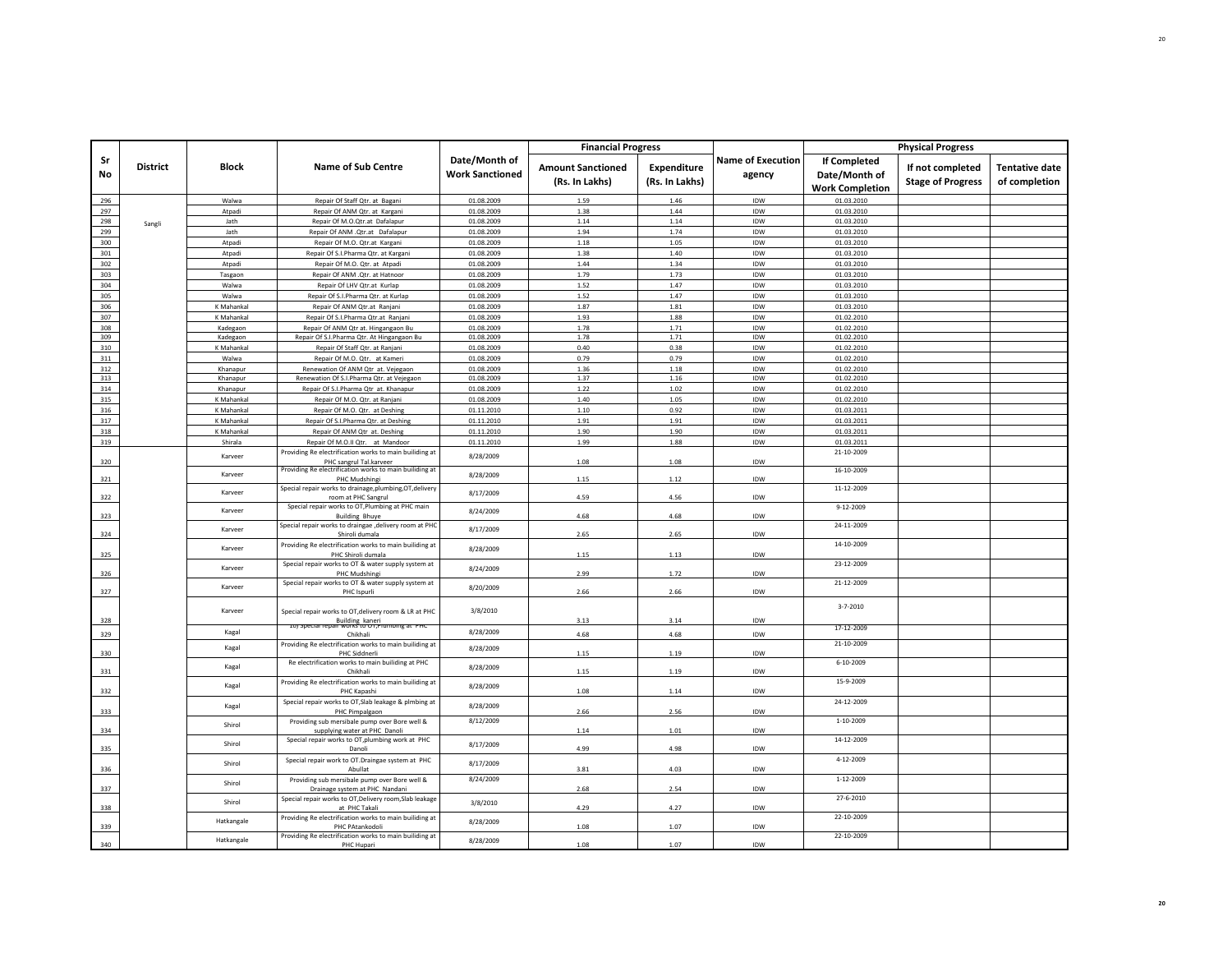|            |                 |                      |                                                                                    |                                         | <b>Financial Progress</b>                  |                                      |                                    |                                                         | <b>Physical Progress</b>                     |                                        |
|------------|-----------------|----------------------|------------------------------------------------------------------------------------|-----------------------------------------|--------------------------------------------|--------------------------------------|------------------------------------|---------------------------------------------------------|----------------------------------------------|----------------------------------------|
| Sr<br>No   | <b>District</b> | Block                | <b>Name of Sub Centre</b>                                                          | Date/Month of<br><b>Work Sanctioned</b> | <b>Amount Sanctioned</b><br>(Rs. In Lakhs) | <b>Expenditure</b><br>(Rs. In Lakhs) | <b>Name of Execution</b><br>agency | If Completed<br>Date/Month of<br><b>Work Completion</b> | If not completed<br><b>Stage of Progress</b> | <b>Tentative date</b><br>of completion |
| 296        |                 | Walwa                | Repair Of Staff Qtr. at Bagani                                                     | 01.08.2009                              | 1.59                                       | 1.46                                 | IDW                                | 01.03.2010                                              |                                              |                                        |
| 297        |                 | Atpadi               | Repair Of ANM Qtr. at Kargani                                                      | 01.08.2009                              | 1.38                                       | 1.44                                 | IDW                                | 01.03.2010                                              |                                              |                                        |
| 298        | Sangli          | Jath                 | Repair Of M.O.Qtr.at Dafalapur                                                     | 01.08.2009                              | 1.14                                       | 1.14                                 | IDW                                | 01.03.2010                                              |                                              |                                        |
| 299        |                 | Jath                 | Repair Of ANM . Qtr.at Dafalapur                                                   | 01.08.2009                              | 1.94                                       | 1.74                                 | IDW                                | 01.03.2010                                              |                                              |                                        |
| 300        |                 | Atpadi               | Repair Of M.O. Qtr.at Kargani                                                      | 01.08.2009                              | 1.18                                       | 1.05                                 | IDW                                | 01.03.2010                                              |                                              |                                        |
| 301        |                 | Atpadi               | Repair Of S.I.Pharma Qtr. at Kargani                                               | 01.08.2009<br>01.08.2009                | 1.38<br>1.44                               | 1.40                                 | IDW<br><b>IDW</b>                  | 01.03.2010                                              |                                              |                                        |
| 302        |                 | Atpadi               | Repair Of M.O. Qtr. at Atpadi                                                      |                                         |                                            | 1.34                                 |                                    | 01.03.2010                                              |                                              |                                        |
| 303<br>304 |                 | Tasgaon<br>Walwa     | Repair Of ANM .Qtr. at Hatnoor<br>Repair Of LHV Qtr.at Kurlap                      | 01.08.2009<br>01.08.2009                | 1.79<br>1.52                               | 1.73<br>1.47                         | IDW<br>IDW                         | 01.03.2010<br>01.03.2010                                |                                              |                                        |
| 305        |                 | Walwa                | Repair Of S.I.Pharma Qtr. at Kurlap                                                | 01.08.2009                              | 1.52                                       | 1.47                                 | IDW                                | 01.03.2010                                              |                                              |                                        |
| 306        |                 | K Mahankal           | Repair Of ANM Qtr.at Ranjani                                                       | 01.08.2009                              | 1.87                                       | 1.81                                 | IDW                                | 01.03.2010                                              |                                              |                                        |
| 307        |                 | K Mahankal           | Repair Of S.I.Pharma Qtr.at Ranjani                                                | 01.08.2009                              | 1.93                                       | 1.88                                 | IDW                                | 01.02.2010                                              |                                              |                                        |
| 308        |                 | Kadegaon             | Repair Of ANM Qtr at. Hingangaon Bu                                                | 01.08.2009                              | 1.78                                       | 1.71                                 | IDW                                | 01.02.2010                                              |                                              |                                        |
| 309        |                 | Kadegaon             | Repair Of S.I.Pharma Qtr. At Hingangaon Bu                                         | 01.08.2009                              | 1.78                                       | 1.71                                 | IDW                                | 01.02.2010                                              |                                              |                                        |
| 310        |                 | K Mahankal           | Repair Of Staff Qtr. at Ranjani                                                    | 01.08.2009                              | 0.40                                       | 0.38                                 | IDW                                | 01.02.2010                                              |                                              |                                        |
| 311        |                 | Walwa                | Repair Of M.O. Qtr. at Kameri                                                      | 01.08.2009                              | 0.79                                       | 0.79                                 | IDW                                | 01.02.2010                                              |                                              |                                        |
| 312<br>313 |                 | Khanapur<br>Khanapur | Renewation Of ANM Qtr at. Vejegaon<br>Renewation Of S.I.Pharma Qtr. at Vejegaon    | 01.08.2009<br>01.08.2009                | 1.36<br>1.37                               | 1.18<br>1.16                         | <b>IDW</b><br>IDW                  | 01.02.2010<br>01.02.2010                                |                                              |                                        |
| 314        |                 | Khanapur             | Repair Of S.I.Pharma Qtr at. Khanapur                                              | 01.08.2009                              | 1.22                                       | 1.02                                 | IDW                                | 01.02.2010                                              |                                              |                                        |
| 315        |                 | K Mahankal           | Repair Of M.O. Qtr. at Ranjani                                                     | 01.08.2009                              | 1.40                                       | 1.05                                 | IDW                                | 01.02.2010                                              |                                              |                                        |
| 316        |                 | K Mahankal           | Repair Of M.O. Qtr. at Deshing                                                     | 01.11.2010                              | 1.10                                       | 0.92                                 | IDW                                | 01.03.2011                                              |                                              |                                        |
| 317        |                 | K Mahankal           | Repair Of S.I.Pharma Qtr. at Deshing                                               | 01.11.2010                              | 1.91                                       | 1.91                                 | IDW                                | 01.03.2011                                              |                                              |                                        |
| 318        |                 | K Mahankal           | Repair Of ANM Qtr at. Deshing                                                      | 01.11.2010                              | 1.90                                       | 1.90                                 | IDW                                | 01.03.2011                                              |                                              |                                        |
| 319        |                 | Shirala              | Repair Of M.O.II Qtr. at Mandoor                                                   | 01.11.2010                              | 1.99                                       | 1.88                                 | IDW                                | 01.03.2011                                              |                                              |                                        |
|            |                 | Karveer              | Providing Re electrification works to main builiding at                            | 8/28/2009                               |                                            |                                      |                                    | 21-10-2009                                              |                                              |                                        |
| 320        |                 |                      | PHC sangrul Tal.karveer<br>Providing Re electrification works to main builiding at |                                         | 1.08                                       | 1.08                                 | IDW                                | 16-10-2009                                              |                                              |                                        |
| 321        |                 | Karveer              | PHC Mudshingi                                                                      | 8/28/2009                               | 1.15                                       | 1.12                                 | IDW                                |                                                         |                                              |                                        |
|            |                 | Karveer              | Special repair works to drainage,plumbing,OT,delivery                              | 8/17/2009                               |                                            |                                      |                                    | 11-12-2009                                              |                                              |                                        |
| 322        |                 |                      | room at PHC Sangrul                                                                |                                         | 4.59                                       | 4.56                                 | IDW                                |                                                         |                                              |                                        |
| 323        |                 | Karveer              | Special repair works to OT, Plumbing at PHC main                                   | 8/24/2009                               | 4.68                                       | 4.68                                 | IDW                                | $9 - 12 - 2009$                                         |                                              |                                        |
|            |                 |                      | <b>Building Bhuye</b><br>Special repair works to draingae ,delivery room at PHC    |                                         |                                            |                                      |                                    | 24-11-2009                                              |                                              |                                        |
| 324        |                 | Karveer              | Shiroli dumala                                                                     | 8/17/2009                               | 2.65                                       | 2.65                                 | IDW                                |                                                         |                                              |                                        |
| 325        |                 | Karveer              | Providing Re electrification works to main builiding at<br>PHC Shiroli dumala      | 8/28/2009                               | 1.15                                       | 1.13                                 | IDW                                | 14-10-2009                                              |                                              |                                        |
| 326        |                 | Karveer              | Special repair works to OT & water supply system at<br>PHC Mudshing                | 8/24/2009                               | 2.99                                       | 1.72                                 | IDW                                | 23-12-2009                                              |                                              |                                        |
| 327        |                 | Karveer              | Special repair works to OT & water supply system at<br>PHC Ispurli                 | 8/20/2009                               | 2.66                                       | 2.66                                 | IDW                                | 21-12-2009                                              |                                              |                                        |
|            |                 | Karveer              | Special repair works to OT, delivery room & LR at PHC                              | 3/8/2010                                |                                            |                                      |                                    | $3 - 7 - 2010$                                          |                                              |                                        |
| 328        |                 |                      | Building kaneri<br>III works to UT, Plumoing at PH<br><b>TOI SDECIAL LED</b>       |                                         | 3.13                                       | 3.14                                 | IDW                                | 17-12-2009                                              |                                              |                                        |
| 329        |                 | Kagal                | Chikhali                                                                           | 8/28/2009                               | 4.68                                       | 4.68                                 | IDW                                |                                                         |                                              |                                        |
| 330        |                 | Kagal                | Providing Re electrification works to main builiding at<br>PHC Siddnerli           | 8/28/2009                               | 1.15                                       | 1.19                                 | IDW                                | 21-10-2009                                              |                                              |                                        |
| 331        |                 | Kagal                | Re electrification works to main builiding at PHC<br>Chikhali                      | 8/28/2009                               | 1.15                                       | 1.19                                 | IDW                                | $6 - 10 - 2009$                                         |                                              |                                        |
| 332        |                 | Kagal                | Providing Re electrification works to main builiding at<br>PHC Kapashi             | 8/28/2009                               | 1.08                                       | 1.14                                 | IDW                                | 15-9-2009                                               |                                              |                                        |
| 333        |                 | Kagal                | Special repair works to OT, Slab leakage & plmbing at<br>PHC Pimpalgaon            | 8/28/2009                               | 2.66                                       | 2.56                                 | IDW                                | 24-12-2009                                              |                                              |                                        |
| 334        |                 | Shirol               | Providing sub mersibale pump over Bore well &<br>supplying water at PHC Danoli     | 8/12/2009                               | 1.14                                       | 1.01                                 | IDW                                | 1-10-2009                                               |                                              |                                        |
| 335        |                 | Shirol               | Special repair works to OT, plumbing work at PHC<br>Danoli                         | 8/17/2009                               | 4.99                                       | 4.98                                 | IDW                                | 14-12-2009                                              |                                              |                                        |
| 336        |                 | Shirol               | Special repair work to OT.Draingae system at PHC<br>Abullat                        | 8/17/2009                               | 3.81                                       | 4.03                                 | IDW                                | 4-12-2009                                               |                                              |                                        |
| 337        |                 | Shirol               | Providing sub mersibale pump over Bore well &<br>Drainage system at PHC Nandani    | 8/24/2009                               | 2.68                                       | 2.54                                 | IDW                                | 1-12-2009                                               |                                              |                                        |
| 338        |                 | Shirol               | Special repair works to OT, Delivery room, Slab leakage<br>at PHC Takali           | 3/8/2010                                | 4.29                                       | 4.27                                 | IDW                                | 27-6-2010                                               |                                              |                                        |
|            |                 | Hatkangale           | Providing Re electrification works to main builiding at<br>PHC PAtankodoli         | 8/28/2009                               | 1.08                                       | 1.07                                 | IDW                                | 22-10-2009                                              |                                              |                                        |
| 339        |                 | Hatkangale           | Providing Re electrification works to main builiding at                            | 8/28/2009                               |                                            |                                      |                                    | 22-10-2009                                              |                                              |                                        |
| 340        |                 |                      | PHC Hupari                                                                         |                                         | 1.08                                       | 1.07                                 | IDW                                |                                                         |                                              |                                        |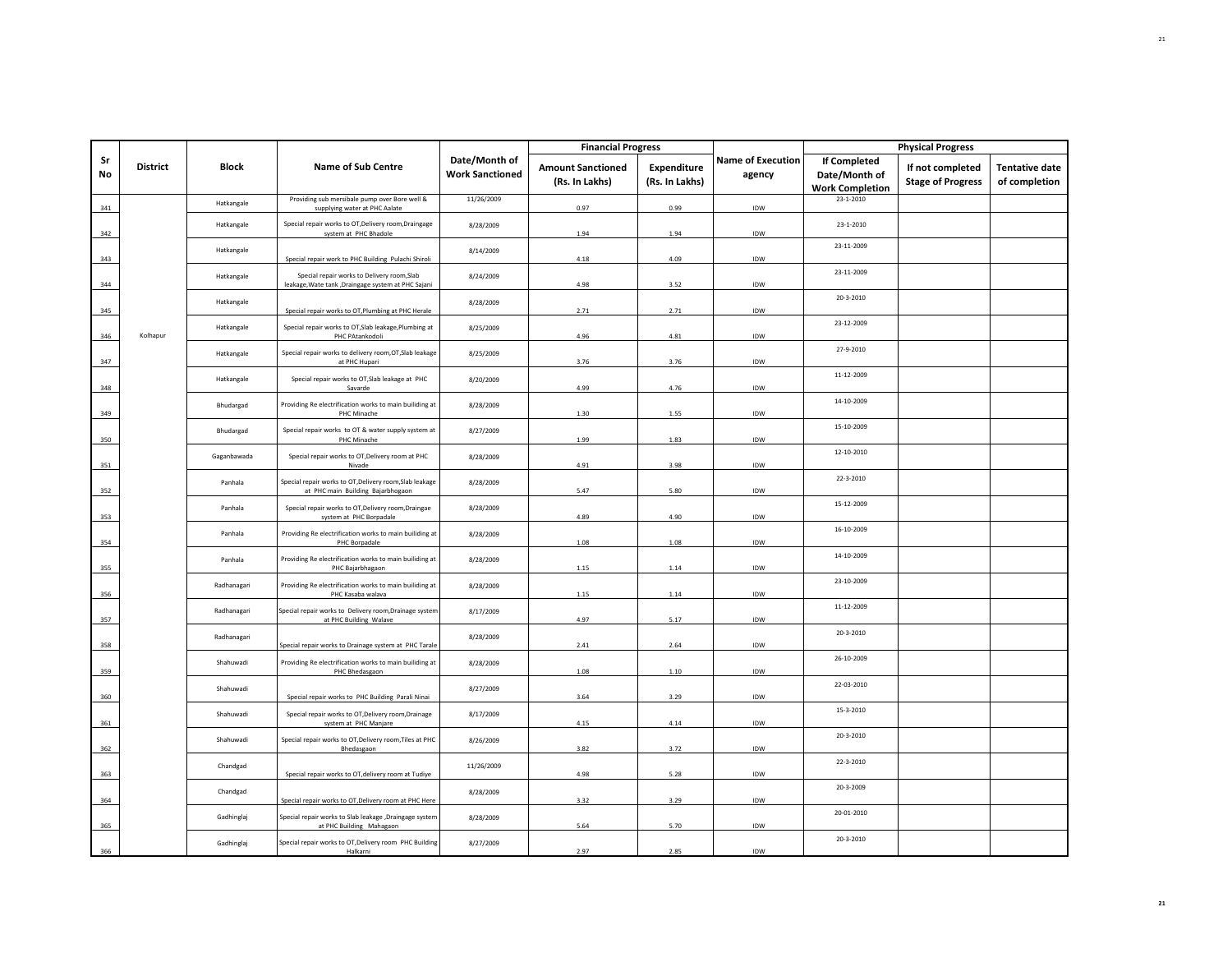|          |                 |              |                                                                                                    |                                         | <b>Financial Progress</b>                  |                               |                                    |                                                         | <b>Physical Progress</b>                     |                                        |
|----------|-----------------|--------------|----------------------------------------------------------------------------------------------------|-----------------------------------------|--------------------------------------------|-------------------------------|------------------------------------|---------------------------------------------------------|----------------------------------------------|----------------------------------------|
| Sr<br>No | <b>District</b> | <b>Block</b> | <b>Name of Sub Centre</b>                                                                          | Date/Month of<br><b>Work Sanctioned</b> | <b>Amount Sanctioned</b><br>(Rs. In Lakhs) | Expenditure<br>(Rs. In Lakhs) | <b>Name of Execution</b><br>agency | If Completed<br>Date/Month of<br><b>Work Completion</b> | If not completed<br><b>Stage of Progress</b> | <b>Tentative date</b><br>of completion |
| 341      |                 | Hatkangale   | Providing sub mersibale pump over Bore well &<br>supplying water at PHC Aalate                     | 11/26/2009                              | 0.97                                       | 0.99                          | IDW                                | 23-1-2010                                               |                                              |                                        |
| 342      |                 | Hatkangale   | Special repair works to OT, Delivery room, Draingage<br>system at PHC Bhadole                      | 8/28/2009                               | 1.94                                       | 1.94                          | IDW                                | 23-1-2010                                               |                                              |                                        |
| 343      |                 | Hatkangale   | Special repair work to PHC Building Pulachi Shiroli                                                | 8/14/2009                               | 4.18                                       | 4.09                          | IDW                                | 23-11-2009                                              |                                              |                                        |
| 344      |                 | Hatkangale   | Special repair works to Delivery room, Slab<br>leakage, Wate tank , Draingage system at PHC Sajani | 8/24/2009                               | 4.98                                       | 3.52                          | IDW                                | 23-11-2009                                              |                                              |                                        |
| 345      |                 | Hatkangale   | Special repair works to OT, Plumbing at PHC Herale                                                 | 8/28/2009                               | 2.71                                       | 2.71                          | IDW                                | 20-3-2010                                               |                                              |                                        |
| 346      | Kolhapur        | Hatkangale   | Special repair works to OT, Slab leakage, Plumbing at<br>PHC PAtankodoli                           | 8/25/2009                               | 4.96                                       | 4.81                          | IDW                                | 23-12-2009                                              |                                              |                                        |
| 347      |                 | Hatkangale   | Special repair works to delivery room, OT, Slab leakage<br>at PHC Hupari                           | 8/25/2009                               | 3.76                                       | 3.76                          | IDW                                | 27-9-2010                                               |                                              |                                        |
| 348      |                 | Hatkangale   | Special repair works to OT, Slab leakage at PHC<br>Savarde                                         | 8/20/2009                               | 4.99                                       | 4.76                          | IDW                                | 11-12-2009                                              |                                              |                                        |
| 349      |                 | Bhudargad    | Providing Re electrification works to main builiding at<br>PHC Minache                             | 8/28/2009                               | 1.30                                       | 1.55                          | IDW                                | 14-10-2009                                              |                                              |                                        |
| 350      |                 | Bhudargad    | Special repair works to OT & water supply system at<br>PHC Minache                                 | 8/27/2009                               | 1.99                                       | 1.83                          | IDW                                | 15-10-2009                                              |                                              |                                        |
| 351      |                 | Gaganbawada  | Special repair works to OT, Delivery room at PHC<br>Nivade                                         | 8/28/2009                               | 4.91                                       | 3.98                          | IDW                                | 12-10-2010                                              |                                              |                                        |
| 352      |                 | Panhala      | Special repair works to OT, Delivery room, Slab leakage<br>at PHC main Building Bajarbhogaon       | 8/28/2009                               | 5.47                                       | 5.80                          | IDW                                | 22-3-2010                                               |                                              |                                        |
| 353      |                 | Panhala      | Special repair works to OT, Delivery room, Draingae<br>system at PHC Borpadale                     | 8/28/2009                               | 4.89                                       | 4.90                          | IDW                                | 15-12-2009                                              |                                              |                                        |
| 354      |                 | Panhala      | Providing Re electrification works to main builiding at<br>PHC Borpadale                           | 8/28/2009                               | 1.08                                       | 1.08                          | IDW                                | 16-10-2009                                              |                                              |                                        |
| 355      |                 | Panhala      | Providing Re electrification works to main builiding at<br>PHC Bajarbhagaon                        | 8/28/2009                               | 1.15                                       | 1.14                          | IDW                                | 14-10-2009                                              |                                              |                                        |
| 356      |                 | Radhanagari  | Providing Re electrification works to main builiding at<br>PHC Kasaba walava                       | 8/28/2009                               | 1.15                                       | 1.14                          | IDW                                | 23-10-2009                                              |                                              |                                        |
| 357      |                 | Radhanagari  | Special repair works to Delivery room, Drainage system<br>at PHC Building Walave                   | 8/17/2009                               | 4.97                                       | 5.17                          | IDW                                | 11-12-2009                                              |                                              |                                        |
| 358      |                 | Radhanagari  | Special repair works to Drainage system at PHC Tarale                                              | 8/28/2009                               | 2.41                                       | 2.64                          | IDW                                | 20-3-2010                                               |                                              |                                        |
| 359      |                 | Shahuwadi    | Providing Re electrification works to main builiding at<br>PHC Bhedasgaon                          | 8/28/2009                               | 1.08                                       | 1.10                          | IDW                                | 26-10-2009                                              |                                              |                                        |
| 360      |                 | Shahuwadi    | Special repair works to PHC Building Parali Ninai                                                  | 8/27/2009                               | 3.64                                       | 3.29                          | IDW                                | 22-03-2010                                              |                                              |                                        |
| 361      |                 | Shahuwadi    | Special repair works to OT, Delivery room, Drainage<br>system at PHC Manjare                       | 8/17/2009                               | 4.15                                       | 4.14                          | IDW                                | 15-3-2010                                               |                                              |                                        |
| 362      |                 | Shahuwadi    | Special repair works to OT, Delivery room, Tiles at PHC<br>Bhedasgaon                              | 8/26/2009                               | 3.82                                       | 3.72                          | IDW                                | 20-3-2010                                               |                                              |                                        |
| 363      |                 | Chandgad     | Special repair works to OT, delivery room at Tudiye                                                | 11/26/2009                              | 4.98                                       | 5.28                          | IDW                                | 22-3-2010                                               |                                              |                                        |
| 364      |                 | Chandgad     | Special repair works to OT, Delivery room at PHC Here                                              | 8/28/2009                               | 3.32                                       | 3.29                          | IDW                                | 20-3-2009                                               |                                              |                                        |
| 365      |                 | Gadhinglaj   | Special repair works to Slab leakage , Draingage system<br>at PHC Building Mahagaon                | 8/28/2009                               | 5.64                                       | 5.70                          | IDW                                | 20-01-2010                                              |                                              |                                        |
| 366      |                 | Gadhinglaj   | Special repair works to OT, Delivery room PHC Building<br>Halkarni                                 | 8/27/2009                               | 2.97                                       | 2.85                          | <b>IDW</b>                         | 20-3-2010                                               |                                              |                                        |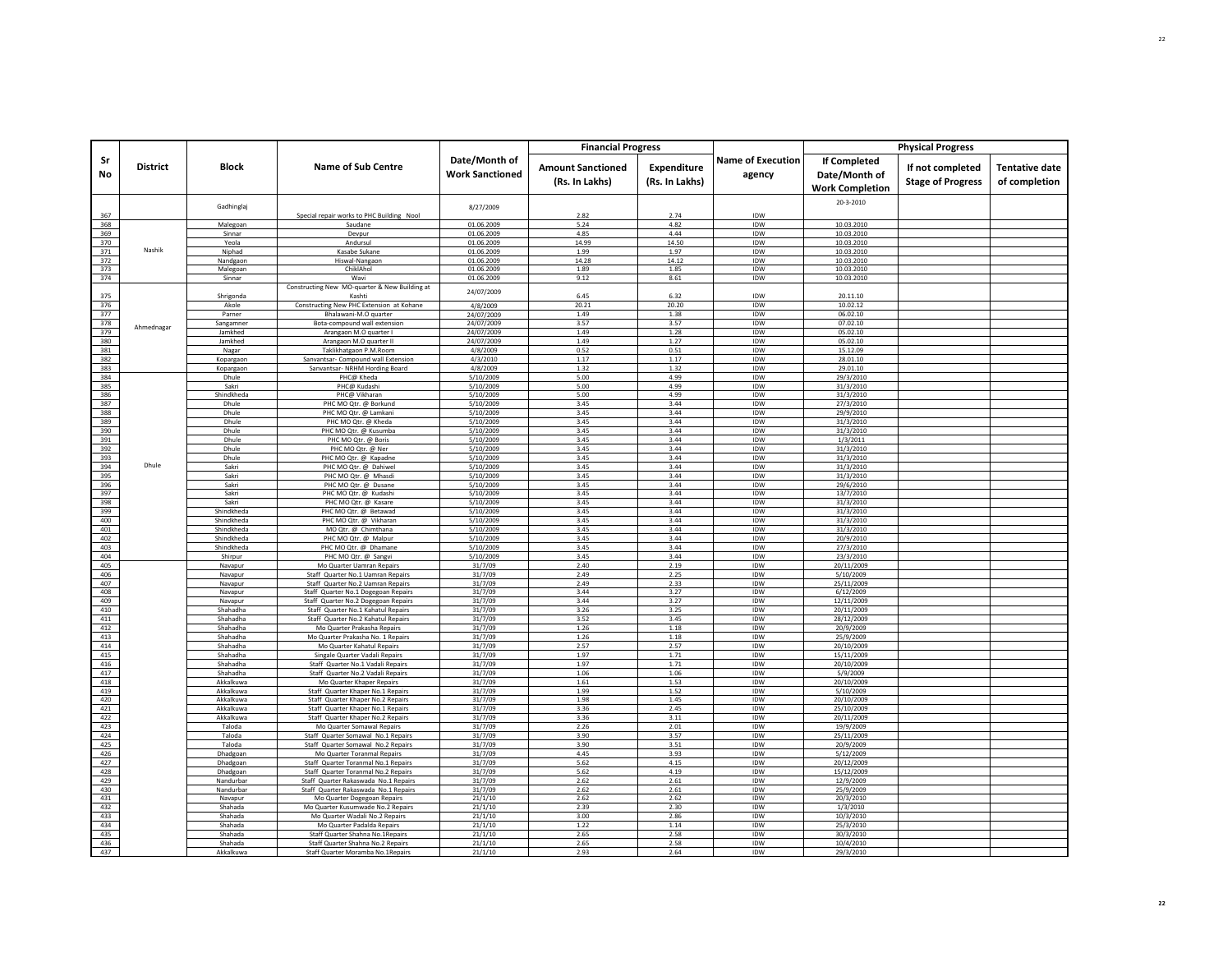| Date/Month of<br><b>Name of Execution</b><br><b>If Completed</b><br>Sr<br><b>District</b><br><b>Block</b><br><b>Name of Sub Centre</b><br>Expenditure<br><b>Tentative date</b><br><b>Amount Sanctioned</b><br>If not completed<br><b>No</b><br><b>Work Sanctioned</b><br>agency<br>Date/Month of<br><b>Stage of Progress</b><br>(Rs. In Lakhs)<br>(Rs. In Lakhs)<br>of completion<br><b>Work Completion</b><br>20-3-2010<br>Gadhinglaj<br>8/27/2009<br>Special repair works to PHC Building Nool<br>2.82<br>2.74<br>IDW<br>367<br>368<br>01.06.2009<br>4.82<br>IDW<br>10.03.2010<br>Malegoan<br>5.24<br>Saudane<br>369<br>4.44<br>IDW<br>10.03.2010<br>01.06.2009<br>4.85<br>Sinnar<br>Devpur<br>370<br>Yeola<br>Andursul<br>01.06.2009<br>14.99<br>14.50<br>IDW<br>10.03.2010<br>Nashik<br>371<br>Niphad<br>Kasabe Sukane<br>01.06.2009<br>1.99<br>1.97<br>IDW<br>10.03.2010<br>372<br>01.06.2009<br>14.28<br><b>IDW</b><br>10.03.2010<br>Nandgaon<br>Hiswal-Nangaon<br>14.12<br>373<br>ChiklAhol<br>01.06.2009<br>1.89<br>1.85<br>IDW<br>10.03.2010<br>Malegoan<br>374<br>01.06.2009<br>9.12<br>8.61<br>IDW<br>10.03.2010<br>Sinnar<br>Wavi<br>Constructing New MO-quarter & New Building at<br>24/07/2009<br>IDW<br>375<br>6.45<br>6.32<br>20.11.10<br>Shrigonda<br>Kashti<br>376<br>4/8/2009<br>20.21<br>20.20<br>IDW<br>10.02.12<br>Akole<br>Constructing New PHC Extension at Kohane<br>377<br>24/07/2009<br>1.49<br>1.38<br>IDW<br>06.02.10<br>Parner<br>Bhalawani-M.O quarter<br>378<br>24/07/2009<br>3.57<br>3.57<br>IDW<br>07.02.10<br>Sangamner<br>Bota-compound wall extension<br>Ahmednagar<br>379<br>1.49<br>1.28<br>IDW<br>Arangaon M.O quarter I<br>24/07/2009<br>05.02.10<br>Jamkhed<br>380<br>Jamkhed<br>Arangaon M.O quarter II<br>1.49<br>1.27<br>IDW<br>05.02.10<br>24/07/2009<br>381<br>0.52<br>IDW<br>Nagar<br>Taklikhatgaon P.M.Room<br>4/8/2009<br>0.51<br>15.12.09<br>382<br>Kopargaon<br>Sanvantsar- Compound wall Extension<br>4/3/2010<br>1.17<br>1.17<br>IDW<br>28.01.10<br>383<br>1.32<br><b>IDW</b><br>Sanvantsar- NRHM Hording Board<br>1.32<br>29.01.10<br>4/8/2009<br>Kopargaor<br>384<br>PHC@ Kheda<br>5/10/2009<br>5.00<br>4.99<br>IDW<br>29/3/2010<br>Dhule<br>385<br>PHC@ Kudashi<br>5.00<br>4.99<br>IDW<br>31/3/2010<br>Sakri<br>5/10/2009<br>386<br>Shindkheda<br>PHC@ Vikharan<br>5/10/2009<br>5.00<br>4.99<br><b>IDW</b><br>31/3/2010<br>387<br>3.44<br>27/3/2010<br>PHC MO Qtr. @ Borkund<br>5/10/2009<br>3.45<br><b>IDW</b><br>Dhule<br>388<br>Dhule<br>PHC MO Qtr. @ Lamkani<br>5/10/2009<br>3.45<br>3.44<br><b>IDW</b><br>29/9/2010<br>389<br>Dhule<br>PHC MO Qtr. @ Kheda<br>5/10/2009<br>3.45<br>3.44<br>IDW<br>31/3/2010<br>390<br>3.44<br>5/10/2009<br>3.45<br>IDW<br>31/3/2010<br>Dhule<br>PHC MO Qtr. @ Kusumba<br>391<br>3.45<br>3.44<br>IDW<br>Dhule<br>PHC MO Otr. @ Boris<br>5/10/2009<br>1/3/2011<br>392<br>3.44<br>Dhule<br>PHC MO Qtr. @ Ner<br>5/10/2009<br>3.45<br>IDW<br>31/3/2010<br>393<br>Dhule<br>PHC MO Qtr. @ Kapadne<br>5/10/2009<br>3.45<br>3.44<br>IDW<br>31/3/2010<br>Dhule<br>394<br>3.45<br>3.44<br>31/3/2010<br>PHC MO Qtr. @ Dahiwel<br>5/10/2009<br>IDW<br>Sakri<br>395<br>Sakri<br>5/10/2009<br>3.45<br>3.44<br>IDW<br>31/3/2010<br>PHC MO Qtr. @ Mhasd<br>396<br>PHC MO Qtr. @ Dusane<br>5/10/2009<br>3.45<br>3.44<br>IDW<br>29/6/2010<br>Sakri<br>397<br>3.44<br><b>IDW</b><br>Sakri<br>PHC MO Qtr. @ Kudashi<br>5/10/2009<br>3.45<br>13/7/2010<br>398<br>3.45<br>3.44<br>IDW<br>Sakri<br>PHC MO Qtr. @ Kasare<br>5/10/2009<br>31/3/2010<br>399<br>Shindkheda<br>PHC MO Qtr. @ Betawad<br>5/10/2009<br>3.45<br>3.44<br>IDW<br>31/3/2010<br>400<br>3.45<br>3.44<br>IDW<br>Shindkheda<br>PHC MO Qtr. @ Vikharan<br>5/10/2009<br>31/3/2010<br>401<br>Shindkheda<br>MO Qtr. @ Chimthana<br>5/10/2009<br>3.45<br>3.44<br>IDW<br>31/3/2010<br>402<br>5/10/2009<br>3.45<br>3.44<br>IDW<br>Shindkheda<br>PHC MO Otr. @ Malpur<br>20/9/2010<br>403<br>PHC MO Qtr. @ Dhamane<br>5/10/2009<br>3.45<br>3.44<br>IDW<br>27/3/2010<br>Shindkheda<br>404<br>Shirpur<br>PHC MO Qtr. @ Sangvi<br>3.45<br>3.44<br>IDW<br>23/3/2010<br>5/10/2009<br>405<br>2.19<br>IDW<br>31/7/09<br>2.40<br>20/11/2009<br>Navapur<br>Mo Quarter Uamran Repairs<br>406<br>2.49<br>2.25<br>IDW<br>Staff Quarter No.1 Uamran Repairs<br>31/7/09<br>5/10/2009<br>Navapur<br>407<br>2.33<br>IDW<br>Navapur<br>Staff Quarter No.2 Uamran Repairs<br>31/7/09<br>2.49<br>25/11/2009<br>408<br>Navapur<br>Staff Quarter No.1 Dogegoan Repairs<br>31/7/09<br>3.44<br>3.27<br>IDW<br>6/12/2009<br>409<br>31/7/09<br>3.44<br>3.27<br>IDW<br>12/11/2009<br>Navapur<br>Staff Quarter No.2 Dogegoan Repairs<br>410<br>Shahadha<br>Staff Quarter No.1 Kahatul Repairs<br>31/7/09<br>3.26<br>3.25<br>IDW<br>20/11/2009<br>411<br>Staff Quarter No.2 Kahatul Repairs<br>31/7/09<br>3.52<br>3.45<br>IDW<br>28/12/2009<br>Shahadha<br>412<br>Shahadha<br>Mo Quarter Prakasha Repairs<br>31/7/09<br>1.26<br>1.18<br>IDW<br>20/9/2009<br>413<br>1.18<br><b>IDW</b><br>Shahadha<br>Mo Quarter Prakasha No. 1 Repairs<br>31/7/09<br>1.26<br>25/9/2009<br>414<br>31/7/09<br>2.57<br>2.57<br>IDW<br>20/10/2009<br>Shahadha<br>Mo Quarter Kahatul Repairs<br>415<br>1.97<br>1.71<br>IDW<br>Shahadha<br>Singale Quarter Vadali Repairs<br>31/7/09<br>15/11/2009<br>416<br>31/7/09<br>1.97<br>1.71<br>IDW<br>Shahadha<br>Staff Quarter No.1 Vadali Repairs<br>20/10/2009<br>417<br>31/7/09<br>1.06<br>1.06<br>IDW<br>5/9/2009<br>Shahadha<br>Staff Quarter No.2 Vadali Repairs<br>418<br>Akkalkuwa<br>Mo Quarter Khaper Repairs<br>31/7/09<br>1.61<br>1.53<br>IDW<br>20/10/2009<br>419<br>Akkalkuwa<br>Staff Quarter Khaper No.1 Repairs<br>31/7/09<br>1.99<br>1.52<br>IDW<br>5/10/2009<br>420<br>1.98<br>IDW<br>Akkalkuwa<br>Staff Quarter Khaper No.2 Repairs<br>31/7/09<br>1.45<br>20/10/2009<br>421<br>2.45<br>IDW<br>Akkalkuwa<br>Staff Quarter Khaper No.1 Repairs<br>31/7/09<br>3.36<br>25/10/2009<br>422<br>Akkalkuwa<br>Staff Quarter Khaper No.2 Repairs<br>31/7/09<br>3.36<br>3.11<br>IDW<br>20/11/2009<br>423<br>Taloda<br>Mo Quarter Somawal Repairs<br>31/7/09<br>2.26<br>2.01<br>IDW<br>19/9/2009<br>3.57<br>424<br>31/7/09<br>3.90<br>IDW<br>25/11/2009<br>Taloda<br>Staff Quarter Somawal No.1 Repairs<br>425<br>3.90<br>3.51<br>IDW<br>Staff Quarter Somawal No.2 Repairs<br>31/7/09<br>20/9/2009<br>Taloda<br>31/7/09<br>4.45<br>3.93<br>IDW<br>426<br>Dhadgoan<br>Mo Quarter Toranmal Repairs<br>5/12/2009<br>427<br>Dhadgoan<br>Staff Quarter Toranmal No.1 Repairs<br>31/7/09<br>5.62<br>4.15<br>IDW<br>20/12/2009<br>428<br>IDW<br>31/7/09<br>5.62<br>4.19<br>15/12/2009<br>Dhadgoan<br>Staff Quarter Toranmal No.2 Repairs<br>429<br>Staff Quarter Rakaswada No.1 Repairs<br>31/7/09<br>2.62<br>2.61<br>IDW<br>12/9/2009<br>Nandurbar<br>430<br>Nandurbar<br>Staff Quarter Rakaswada No.1 Repairs<br>31/7/09<br>2.62<br>2.61<br>IDW<br>25/9/2009<br>431<br>2.62<br>Mo Quarter Dogegoan Repairs<br>21/1/10<br>2.62<br>IDW<br>20/3/2010<br>Navapu<br>432<br>Shahada<br>21/1/10<br>2.39<br>2.30<br><b>IDW</b><br>1/3/2010<br>Mo Quarter Kusumwade No.2 Renairs<br>433<br>2.86<br>Shahada<br>Mo Quarter Wadali No.2 Repairs<br>21/1/10<br>3.00<br><b>IDW</b><br>10/3/2010<br>434<br>Shahada<br>Mo Quarter Padalda Repairs<br>21/1/10<br>1.22<br>1.14<br>IDW<br>25/3/2010<br>435<br>2.65<br>2.58<br>IDW<br>Shahada<br>Staff Quarter Shahna No.1Repairs<br>21/1/10<br>30/3/2010<br>436<br>2.58<br>IDW<br>Staff Quarter Shahna No.2 Repairs<br>2.65<br>Shahada<br>21/1/10<br>10/4/2010 |     |                  |                                   |         | <b>Financial Progress</b> |      |            |           | <b>Physical Progress</b> |  |
|--------------------------------------------------------------------------------------------------------------------------------------------------------------------------------------------------------------------------------------------------------------------------------------------------------------------------------------------------------------------------------------------------------------------------------------------------------------------------------------------------------------------------------------------------------------------------------------------------------------------------------------------------------------------------------------------------------------------------------------------------------------------------------------------------------------------------------------------------------------------------------------------------------------------------------------------------------------------------------------------------------------------------------------------------------------------------------------------------------------------------------------------------------------------------------------------------------------------------------------------------------------------------------------------------------------------------------------------------------------------------------------------------------------------------------------------------------------------------------------------------------------------------------------------------------------------------------------------------------------------------------------------------------------------------------------------------------------------------------------------------------------------------------------------------------------------------------------------------------------------------------------------------------------------------------------------------------------------------------------------------------------------------------------------------------------------------------------------------------------------------------------------------------------------------------------------------------------------------------------------------------------------------------------------------------------------------------------------------------------------------------------------------------------------------------------------------------------------------------------------------------------------------------------------------------------------------------------------------------------------------------------------------------------------------------------------------------------------------------------------------------------------------------------------------------------------------------------------------------------------------------------------------------------------------------------------------------------------------------------------------------------------------------------------------------------------------------------------------------------------------------------------------------------------------------------------------------------------------------------------------------------------------------------------------------------------------------------------------------------------------------------------------------------------------------------------------------------------------------------------------------------------------------------------------------------------------------------------------------------------------------------------------------------------------------------------------------------------------------------------------------------------------------------------------------------------------------------------------------------------------------------------------------------------------------------------------------------------------------------------------------------------------------------------------------------------------------------------------------------------------------------------------------------------------------------------------------------------------------------------------------------------------------------------------------------------------------------------------------------------------------------------------------------------------------------------------------------------------------------------------------------------------------------------------------------------------------------------------------------------------------------------------------------------------------------------------------------------------------------------------------------------------------------------------------------------------------------------------------------------------------------------------------------------------------------------------------------------------------------------------------------------------------------------------------------------------------------------------------------------------------------------------------------------------------------------------------------------------------------------------------------------------------------------------------------------------------------------------------------------------------------------------------------------------------------------------------------------------------------------------------------------------------------------------------------------------------------------------------------------------------------------------------------------------------------------------------------------------------------------------------------------------------------------------------------------------------------------------------------------------------------------------------------------------------------------------------------------------------------------------------------------------------------------------------------------------------------------------------------------------------------------------------------------------------------------------------------------------------------------------------------------------------------------------------------------------------------------------------------------------------------------------------------------------------------------------------------------------------------------------------------------------------------------------------------------------------------------------------------------------------------------------------------------------------------------------------------------------------------------------------------------------------------------------------------------------------------------------------------------------------------------------------------------------------------------------------------------------------------------------------------------------------------------------------------------------------------------------------------------------------------------------------------------------------------------------------------------------------------------------------------------------------------------------------------------------------------------------------------------------------------------------------------------------------------------------------------------------------------------------------------------------|-----|------------------|-----------------------------------|---------|---------------------------|------|------------|-----------|--------------------------|--|
|                                                                                                                                                                                                                                                                                                                                                                                                                                                                                                                                                                                                                                                                                                                                                                                                                                                                                                                                                                                                                                                                                                                                                                                                                                                                                                                                                                                                                                                                                                                                                                                                                                                                                                                                                                                                                                                                                                                                                                                                                                                                                                                                                                                                                                                                                                                                                                                                                                                                                                                                                                                                                                                                                                                                                                                                                                                                                                                                                                                                                                                                                                                                                                                                                                                                                                                                                                                                                                                                                                                                                                                                                                                                                                                                                                                                                                                                                                                                                                                                                                                                                                                                                                                                                                                                                                                                                                                                                                                                                                                                                                                                                                                                                                                                                                                                                                                                                                                                                                                                                                                                                                                                                                                                                                                                                                                                                                                                                                                                                                                                                                                                                                                                                                                                                                                                                                                                                                                                                                                                                                                                                                                                                                                                                                                                                                                                                                                                                                                                                                                                                                                                                                                                                                                                                                                                                                                                                                                                                                                                                                                                                                                                                                                                                                                                                                                                                                                                                                                                                                                          |     |                  |                                   |         |                           |      |            |           |                          |  |
|                                                                                                                                                                                                                                                                                                                                                                                                                                                                                                                                                                                                                                                                                                                                                                                                                                                                                                                                                                                                                                                                                                                                                                                                                                                                                                                                                                                                                                                                                                                                                                                                                                                                                                                                                                                                                                                                                                                                                                                                                                                                                                                                                                                                                                                                                                                                                                                                                                                                                                                                                                                                                                                                                                                                                                                                                                                                                                                                                                                                                                                                                                                                                                                                                                                                                                                                                                                                                                                                                                                                                                                                                                                                                                                                                                                                                                                                                                                                                                                                                                                                                                                                                                                                                                                                                                                                                                                                                                                                                                                                                                                                                                                                                                                                                                                                                                                                                                                                                                                                                                                                                                                                                                                                                                                                                                                                                                                                                                                                                                                                                                                                                                                                                                                                                                                                                                                                                                                                                                                                                                                                                                                                                                                                                                                                                                                                                                                                                                                                                                                                                                                                                                                                                                                                                                                                                                                                                                                                                                                                                                                                                                                                                                                                                                                                                                                                                                                                                                                                                                                          |     |                  |                                   |         |                           |      |            |           |                          |  |
|                                                                                                                                                                                                                                                                                                                                                                                                                                                                                                                                                                                                                                                                                                                                                                                                                                                                                                                                                                                                                                                                                                                                                                                                                                                                                                                                                                                                                                                                                                                                                                                                                                                                                                                                                                                                                                                                                                                                                                                                                                                                                                                                                                                                                                                                                                                                                                                                                                                                                                                                                                                                                                                                                                                                                                                                                                                                                                                                                                                                                                                                                                                                                                                                                                                                                                                                                                                                                                                                                                                                                                                                                                                                                                                                                                                                                                                                                                                                                                                                                                                                                                                                                                                                                                                                                                                                                                                                                                                                                                                                                                                                                                                                                                                                                                                                                                                                                                                                                                                                                                                                                                                                                                                                                                                                                                                                                                                                                                                                                                                                                                                                                                                                                                                                                                                                                                                                                                                                                                                                                                                                                                                                                                                                                                                                                                                                                                                                                                                                                                                                                                                                                                                                                                                                                                                                                                                                                                                                                                                                                                                                                                                                                                                                                                                                                                                                                                                                                                                                                                                          |     |                  |                                   |         |                           |      |            |           |                          |  |
|                                                                                                                                                                                                                                                                                                                                                                                                                                                                                                                                                                                                                                                                                                                                                                                                                                                                                                                                                                                                                                                                                                                                                                                                                                                                                                                                                                                                                                                                                                                                                                                                                                                                                                                                                                                                                                                                                                                                                                                                                                                                                                                                                                                                                                                                                                                                                                                                                                                                                                                                                                                                                                                                                                                                                                                                                                                                                                                                                                                                                                                                                                                                                                                                                                                                                                                                                                                                                                                                                                                                                                                                                                                                                                                                                                                                                                                                                                                                                                                                                                                                                                                                                                                                                                                                                                                                                                                                                                                                                                                                                                                                                                                                                                                                                                                                                                                                                                                                                                                                                                                                                                                                                                                                                                                                                                                                                                                                                                                                                                                                                                                                                                                                                                                                                                                                                                                                                                                                                                                                                                                                                                                                                                                                                                                                                                                                                                                                                                                                                                                                                                                                                                                                                                                                                                                                                                                                                                                                                                                                                                                                                                                                                                                                                                                                                                                                                                                                                                                                                                                          |     |                  |                                   |         |                           |      |            |           |                          |  |
|                                                                                                                                                                                                                                                                                                                                                                                                                                                                                                                                                                                                                                                                                                                                                                                                                                                                                                                                                                                                                                                                                                                                                                                                                                                                                                                                                                                                                                                                                                                                                                                                                                                                                                                                                                                                                                                                                                                                                                                                                                                                                                                                                                                                                                                                                                                                                                                                                                                                                                                                                                                                                                                                                                                                                                                                                                                                                                                                                                                                                                                                                                                                                                                                                                                                                                                                                                                                                                                                                                                                                                                                                                                                                                                                                                                                                                                                                                                                                                                                                                                                                                                                                                                                                                                                                                                                                                                                                                                                                                                                                                                                                                                                                                                                                                                                                                                                                                                                                                                                                                                                                                                                                                                                                                                                                                                                                                                                                                                                                                                                                                                                                                                                                                                                                                                                                                                                                                                                                                                                                                                                                                                                                                                                                                                                                                                                                                                                                                                                                                                                                                                                                                                                                                                                                                                                                                                                                                                                                                                                                                                                                                                                                                                                                                                                                                                                                                                                                                                                                                                          |     |                  |                                   |         |                           |      |            |           |                          |  |
|                                                                                                                                                                                                                                                                                                                                                                                                                                                                                                                                                                                                                                                                                                                                                                                                                                                                                                                                                                                                                                                                                                                                                                                                                                                                                                                                                                                                                                                                                                                                                                                                                                                                                                                                                                                                                                                                                                                                                                                                                                                                                                                                                                                                                                                                                                                                                                                                                                                                                                                                                                                                                                                                                                                                                                                                                                                                                                                                                                                                                                                                                                                                                                                                                                                                                                                                                                                                                                                                                                                                                                                                                                                                                                                                                                                                                                                                                                                                                                                                                                                                                                                                                                                                                                                                                                                                                                                                                                                                                                                                                                                                                                                                                                                                                                                                                                                                                                                                                                                                                                                                                                                                                                                                                                                                                                                                                                                                                                                                                                                                                                                                                                                                                                                                                                                                                                                                                                                                                                                                                                                                                                                                                                                                                                                                                                                                                                                                                                                                                                                                                                                                                                                                                                                                                                                                                                                                                                                                                                                                                                                                                                                                                                                                                                                                                                                                                                                                                                                                                                                          |     |                  |                                   |         |                           |      |            |           |                          |  |
|                                                                                                                                                                                                                                                                                                                                                                                                                                                                                                                                                                                                                                                                                                                                                                                                                                                                                                                                                                                                                                                                                                                                                                                                                                                                                                                                                                                                                                                                                                                                                                                                                                                                                                                                                                                                                                                                                                                                                                                                                                                                                                                                                                                                                                                                                                                                                                                                                                                                                                                                                                                                                                                                                                                                                                                                                                                                                                                                                                                                                                                                                                                                                                                                                                                                                                                                                                                                                                                                                                                                                                                                                                                                                                                                                                                                                                                                                                                                                                                                                                                                                                                                                                                                                                                                                                                                                                                                                                                                                                                                                                                                                                                                                                                                                                                                                                                                                                                                                                                                                                                                                                                                                                                                                                                                                                                                                                                                                                                                                                                                                                                                                                                                                                                                                                                                                                                                                                                                                                                                                                                                                                                                                                                                                                                                                                                                                                                                                                                                                                                                                                                                                                                                                                                                                                                                                                                                                                                                                                                                                                                                                                                                                                                                                                                                                                                                                                                                                                                                                                                          |     |                  |                                   |         |                           |      |            |           |                          |  |
|                                                                                                                                                                                                                                                                                                                                                                                                                                                                                                                                                                                                                                                                                                                                                                                                                                                                                                                                                                                                                                                                                                                                                                                                                                                                                                                                                                                                                                                                                                                                                                                                                                                                                                                                                                                                                                                                                                                                                                                                                                                                                                                                                                                                                                                                                                                                                                                                                                                                                                                                                                                                                                                                                                                                                                                                                                                                                                                                                                                                                                                                                                                                                                                                                                                                                                                                                                                                                                                                                                                                                                                                                                                                                                                                                                                                                                                                                                                                                                                                                                                                                                                                                                                                                                                                                                                                                                                                                                                                                                                                                                                                                                                                                                                                                                                                                                                                                                                                                                                                                                                                                                                                                                                                                                                                                                                                                                                                                                                                                                                                                                                                                                                                                                                                                                                                                                                                                                                                                                                                                                                                                                                                                                                                                                                                                                                                                                                                                                                                                                                                                                                                                                                                                                                                                                                                                                                                                                                                                                                                                                                                                                                                                                                                                                                                                                                                                                                                                                                                                                                          |     |                  |                                   |         |                           |      |            |           |                          |  |
|                                                                                                                                                                                                                                                                                                                                                                                                                                                                                                                                                                                                                                                                                                                                                                                                                                                                                                                                                                                                                                                                                                                                                                                                                                                                                                                                                                                                                                                                                                                                                                                                                                                                                                                                                                                                                                                                                                                                                                                                                                                                                                                                                                                                                                                                                                                                                                                                                                                                                                                                                                                                                                                                                                                                                                                                                                                                                                                                                                                                                                                                                                                                                                                                                                                                                                                                                                                                                                                                                                                                                                                                                                                                                                                                                                                                                                                                                                                                                                                                                                                                                                                                                                                                                                                                                                                                                                                                                                                                                                                                                                                                                                                                                                                                                                                                                                                                                                                                                                                                                                                                                                                                                                                                                                                                                                                                                                                                                                                                                                                                                                                                                                                                                                                                                                                                                                                                                                                                                                                                                                                                                                                                                                                                                                                                                                                                                                                                                                                                                                                                                                                                                                                                                                                                                                                                                                                                                                                                                                                                                                                                                                                                                                                                                                                                                                                                                                                                                                                                                                                          |     |                  |                                   |         |                           |      |            |           |                          |  |
|                                                                                                                                                                                                                                                                                                                                                                                                                                                                                                                                                                                                                                                                                                                                                                                                                                                                                                                                                                                                                                                                                                                                                                                                                                                                                                                                                                                                                                                                                                                                                                                                                                                                                                                                                                                                                                                                                                                                                                                                                                                                                                                                                                                                                                                                                                                                                                                                                                                                                                                                                                                                                                                                                                                                                                                                                                                                                                                                                                                                                                                                                                                                                                                                                                                                                                                                                                                                                                                                                                                                                                                                                                                                                                                                                                                                                                                                                                                                                                                                                                                                                                                                                                                                                                                                                                                                                                                                                                                                                                                                                                                                                                                                                                                                                                                                                                                                                                                                                                                                                                                                                                                                                                                                                                                                                                                                                                                                                                                                                                                                                                                                                                                                                                                                                                                                                                                                                                                                                                                                                                                                                                                                                                                                                                                                                                                                                                                                                                                                                                                                                                                                                                                                                                                                                                                                                                                                                                                                                                                                                                                                                                                                                                                                                                                                                                                                                                                                                                                                                                                          |     |                  |                                   |         |                           |      |            |           |                          |  |
|                                                                                                                                                                                                                                                                                                                                                                                                                                                                                                                                                                                                                                                                                                                                                                                                                                                                                                                                                                                                                                                                                                                                                                                                                                                                                                                                                                                                                                                                                                                                                                                                                                                                                                                                                                                                                                                                                                                                                                                                                                                                                                                                                                                                                                                                                                                                                                                                                                                                                                                                                                                                                                                                                                                                                                                                                                                                                                                                                                                                                                                                                                                                                                                                                                                                                                                                                                                                                                                                                                                                                                                                                                                                                                                                                                                                                                                                                                                                                                                                                                                                                                                                                                                                                                                                                                                                                                                                                                                                                                                                                                                                                                                                                                                                                                                                                                                                                                                                                                                                                                                                                                                                                                                                                                                                                                                                                                                                                                                                                                                                                                                                                                                                                                                                                                                                                                                                                                                                                                                                                                                                                                                                                                                                                                                                                                                                                                                                                                                                                                                                                                                                                                                                                                                                                                                                                                                                                                                                                                                                                                                                                                                                                                                                                                                                                                                                                                                                                                                                                                                          |     |                  |                                   |         |                           |      |            |           |                          |  |
|                                                                                                                                                                                                                                                                                                                                                                                                                                                                                                                                                                                                                                                                                                                                                                                                                                                                                                                                                                                                                                                                                                                                                                                                                                                                                                                                                                                                                                                                                                                                                                                                                                                                                                                                                                                                                                                                                                                                                                                                                                                                                                                                                                                                                                                                                                                                                                                                                                                                                                                                                                                                                                                                                                                                                                                                                                                                                                                                                                                                                                                                                                                                                                                                                                                                                                                                                                                                                                                                                                                                                                                                                                                                                                                                                                                                                                                                                                                                                                                                                                                                                                                                                                                                                                                                                                                                                                                                                                                                                                                                                                                                                                                                                                                                                                                                                                                                                                                                                                                                                                                                                                                                                                                                                                                                                                                                                                                                                                                                                                                                                                                                                                                                                                                                                                                                                                                                                                                                                                                                                                                                                                                                                                                                                                                                                                                                                                                                                                                                                                                                                                                                                                                                                                                                                                                                                                                                                                                                                                                                                                                                                                                                                                                                                                                                                                                                                                                                                                                                                                                          |     |                  |                                   |         |                           |      |            |           |                          |  |
|                                                                                                                                                                                                                                                                                                                                                                                                                                                                                                                                                                                                                                                                                                                                                                                                                                                                                                                                                                                                                                                                                                                                                                                                                                                                                                                                                                                                                                                                                                                                                                                                                                                                                                                                                                                                                                                                                                                                                                                                                                                                                                                                                                                                                                                                                                                                                                                                                                                                                                                                                                                                                                                                                                                                                                                                                                                                                                                                                                                                                                                                                                                                                                                                                                                                                                                                                                                                                                                                                                                                                                                                                                                                                                                                                                                                                                                                                                                                                                                                                                                                                                                                                                                                                                                                                                                                                                                                                                                                                                                                                                                                                                                                                                                                                                                                                                                                                                                                                                                                                                                                                                                                                                                                                                                                                                                                                                                                                                                                                                                                                                                                                                                                                                                                                                                                                                                                                                                                                                                                                                                                                                                                                                                                                                                                                                                                                                                                                                                                                                                                                                                                                                                                                                                                                                                                                                                                                                                                                                                                                                                                                                                                                                                                                                                                                                                                                                                                                                                                                                                          |     |                  |                                   |         |                           |      |            |           |                          |  |
|                                                                                                                                                                                                                                                                                                                                                                                                                                                                                                                                                                                                                                                                                                                                                                                                                                                                                                                                                                                                                                                                                                                                                                                                                                                                                                                                                                                                                                                                                                                                                                                                                                                                                                                                                                                                                                                                                                                                                                                                                                                                                                                                                                                                                                                                                                                                                                                                                                                                                                                                                                                                                                                                                                                                                                                                                                                                                                                                                                                                                                                                                                                                                                                                                                                                                                                                                                                                                                                                                                                                                                                                                                                                                                                                                                                                                                                                                                                                                                                                                                                                                                                                                                                                                                                                                                                                                                                                                                                                                                                                                                                                                                                                                                                                                                                                                                                                                                                                                                                                                                                                                                                                                                                                                                                                                                                                                                                                                                                                                                                                                                                                                                                                                                                                                                                                                                                                                                                                                                                                                                                                                                                                                                                                                                                                                                                                                                                                                                                                                                                                                                                                                                                                                                                                                                                                                                                                                                                                                                                                                                                                                                                                                                                                                                                                                                                                                                                                                                                                                                                          |     |                  |                                   |         |                           |      |            |           |                          |  |
|                                                                                                                                                                                                                                                                                                                                                                                                                                                                                                                                                                                                                                                                                                                                                                                                                                                                                                                                                                                                                                                                                                                                                                                                                                                                                                                                                                                                                                                                                                                                                                                                                                                                                                                                                                                                                                                                                                                                                                                                                                                                                                                                                                                                                                                                                                                                                                                                                                                                                                                                                                                                                                                                                                                                                                                                                                                                                                                                                                                                                                                                                                                                                                                                                                                                                                                                                                                                                                                                                                                                                                                                                                                                                                                                                                                                                                                                                                                                                                                                                                                                                                                                                                                                                                                                                                                                                                                                                                                                                                                                                                                                                                                                                                                                                                                                                                                                                                                                                                                                                                                                                                                                                                                                                                                                                                                                                                                                                                                                                                                                                                                                                                                                                                                                                                                                                                                                                                                                                                                                                                                                                                                                                                                                                                                                                                                                                                                                                                                                                                                                                                                                                                                                                                                                                                                                                                                                                                                                                                                                                                                                                                                                                                                                                                                                                                                                                                                                                                                                                                                          |     |                  |                                   |         |                           |      |            |           |                          |  |
|                                                                                                                                                                                                                                                                                                                                                                                                                                                                                                                                                                                                                                                                                                                                                                                                                                                                                                                                                                                                                                                                                                                                                                                                                                                                                                                                                                                                                                                                                                                                                                                                                                                                                                                                                                                                                                                                                                                                                                                                                                                                                                                                                                                                                                                                                                                                                                                                                                                                                                                                                                                                                                                                                                                                                                                                                                                                                                                                                                                                                                                                                                                                                                                                                                                                                                                                                                                                                                                                                                                                                                                                                                                                                                                                                                                                                                                                                                                                                                                                                                                                                                                                                                                                                                                                                                                                                                                                                                                                                                                                                                                                                                                                                                                                                                                                                                                                                                                                                                                                                                                                                                                                                                                                                                                                                                                                                                                                                                                                                                                                                                                                                                                                                                                                                                                                                                                                                                                                                                                                                                                                                                                                                                                                                                                                                                                                                                                                                                                                                                                                                                                                                                                                                                                                                                                                                                                                                                                                                                                                                                                                                                                                                                                                                                                                                                                                                                                                                                                                                                                          |     |                  |                                   |         |                           |      |            |           |                          |  |
|                                                                                                                                                                                                                                                                                                                                                                                                                                                                                                                                                                                                                                                                                                                                                                                                                                                                                                                                                                                                                                                                                                                                                                                                                                                                                                                                                                                                                                                                                                                                                                                                                                                                                                                                                                                                                                                                                                                                                                                                                                                                                                                                                                                                                                                                                                                                                                                                                                                                                                                                                                                                                                                                                                                                                                                                                                                                                                                                                                                                                                                                                                                                                                                                                                                                                                                                                                                                                                                                                                                                                                                                                                                                                                                                                                                                                                                                                                                                                                                                                                                                                                                                                                                                                                                                                                                                                                                                                                                                                                                                                                                                                                                                                                                                                                                                                                                                                                                                                                                                                                                                                                                                                                                                                                                                                                                                                                                                                                                                                                                                                                                                                                                                                                                                                                                                                                                                                                                                                                                                                                                                                                                                                                                                                                                                                                                                                                                                                                                                                                                                                                                                                                                                                                                                                                                                                                                                                                                                                                                                                                                                                                                                                                                                                                                                                                                                                                                                                                                                                                                          |     |                  |                                   |         |                           |      |            |           |                          |  |
|                                                                                                                                                                                                                                                                                                                                                                                                                                                                                                                                                                                                                                                                                                                                                                                                                                                                                                                                                                                                                                                                                                                                                                                                                                                                                                                                                                                                                                                                                                                                                                                                                                                                                                                                                                                                                                                                                                                                                                                                                                                                                                                                                                                                                                                                                                                                                                                                                                                                                                                                                                                                                                                                                                                                                                                                                                                                                                                                                                                                                                                                                                                                                                                                                                                                                                                                                                                                                                                                                                                                                                                                                                                                                                                                                                                                                                                                                                                                                                                                                                                                                                                                                                                                                                                                                                                                                                                                                                                                                                                                                                                                                                                                                                                                                                                                                                                                                                                                                                                                                                                                                                                                                                                                                                                                                                                                                                                                                                                                                                                                                                                                                                                                                                                                                                                                                                                                                                                                                                                                                                                                                                                                                                                                                                                                                                                                                                                                                                                                                                                                                                                                                                                                                                                                                                                                                                                                                                                                                                                                                                                                                                                                                                                                                                                                                                                                                                                                                                                                                                                          |     |                  |                                   |         |                           |      |            |           |                          |  |
|                                                                                                                                                                                                                                                                                                                                                                                                                                                                                                                                                                                                                                                                                                                                                                                                                                                                                                                                                                                                                                                                                                                                                                                                                                                                                                                                                                                                                                                                                                                                                                                                                                                                                                                                                                                                                                                                                                                                                                                                                                                                                                                                                                                                                                                                                                                                                                                                                                                                                                                                                                                                                                                                                                                                                                                                                                                                                                                                                                                                                                                                                                                                                                                                                                                                                                                                                                                                                                                                                                                                                                                                                                                                                                                                                                                                                                                                                                                                                                                                                                                                                                                                                                                                                                                                                                                                                                                                                                                                                                                                                                                                                                                                                                                                                                                                                                                                                                                                                                                                                                                                                                                                                                                                                                                                                                                                                                                                                                                                                                                                                                                                                                                                                                                                                                                                                                                                                                                                                                                                                                                                                                                                                                                                                                                                                                                                                                                                                                                                                                                                                                                                                                                                                                                                                                                                                                                                                                                                                                                                                                                                                                                                                                                                                                                                                                                                                                                                                                                                                                                          |     |                  |                                   |         |                           |      |            |           |                          |  |
|                                                                                                                                                                                                                                                                                                                                                                                                                                                                                                                                                                                                                                                                                                                                                                                                                                                                                                                                                                                                                                                                                                                                                                                                                                                                                                                                                                                                                                                                                                                                                                                                                                                                                                                                                                                                                                                                                                                                                                                                                                                                                                                                                                                                                                                                                                                                                                                                                                                                                                                                                                                                                                                                                                                                                                                                                                                                                                                                                                                                                                                                                                                                                                                                                                                                                                                                                                                                                                                                                                                                                                                                                                                                                                                                                                                                                                                                                                                                                                                                                                                                                                                                                                                                                                                                                                                                                                                                                                                                                                                                                                                                                                                                                                                                                                                                                                                                                                                                                                                                                                                                                                                                                                                                                                                                                                                                                                                                                                                                                                                                                                                                                                                                                                                                                                                                                                                                                                                                                                                                                                                                                                                                                                                                                                                                                                                                                                                                                                                                                                                                                                                                                                                                                                                                                                                                                                                                                                                                                                                                                                                                                                                                                                                                                                                                                                                                                                                                                                                                                                                          |     |                  |                                   |         |                           |      |            |           |                          |  |
|                                                                                                                                                                                                                                                                                                                                                                                                                                                                                                                                                                                                                                                                                                                                                                                                                                                                                                                                                                                                                                                                                                                                                                                                                                                                                                                                                                                                                                                                                                                                                                                                                                                                                                                                                                                                                                                                                                                                                                                                                                                                                                                                                                                                                                                                                                                                                                                                                                                                                                                                                                                                                                                                                                                                                                                                                                                                                                                                                                                                                                                                                                                                                                                                                                                                                                                                                                                                                                                                                                                                                                                                                                                                                                                                                                                                                                                                                                                                                                                                                                                                                                                                                                                                                                                                                                                                                                                                                                                                                                                                                                                                                                                                                                                                                                                                                                                                                                                                                                                                                                                                                                                                                                                                                                                                                                                                                                                                                                                                                                                                                                                                                                                                                                                                                                                                                                                                                                                                                                                                                                                                                                                                                                                                                                                                                                                                                                                                                                                                                                                                                                                                                                                                                                                                                                                                                                                                                                                                                                                                                                                                                                                                                                                                                                                                                                                                                                                                                                                                                                                          |     |                  |                                   |         |                           |      |            |           |                          |  |
|                                                                                                                                                                                                                                                                                                                                                                                                                                                                                                                                                                                                                                                                                                                                                                                                                                                                                                                                                                                                                                                                                                                                                                                                                                                                                                                                                                                                                                                                                                                                                                                                                                                                                                                                                                                                                                                                                                                                                                                                                                                                                                                                                                                                                                                                                                                                                                                                                                                                                                                                                                                                                                                                                                                                                                                                                                                                                                                                                                                                                                                                                                                                                                                                                                                                                                                                                                                                                                                                                                                                                                                                                                                                                                                                                                                                                                                                                                                                                                                                                                                                                                                                                                                                                                                                                                                                                                                                                                                                                                                                                                                                                                                                                                                                                                                                                                                                                                                                                                                                                                                                                                                                                                                                                                                                                                                                                                                                                                                                                                                                                                                                                                                                                                                                                                                                                                                                                                                                                                                                                                                                                                                                                                                                                                                                                                                                                                                                                                                                                                                                                                                                                                                                                                                                                                                                                                                                                                                                                                                                                                                                                                                                                                                                                                                                                                                                                                                                                                                                                                                          |     |                  |                                   |         |                           |      |            |           |                          |  |
|                                                                                                                                                                                                                                                                                                                                                                                                                                                                                                                                                                                                                                                                                                                                                                                                                                                                                                                                                                                                                                                                                                                                                                                                                                                                                                                                                                                                                                                                                                                                                                                                                                                                                                                                                                                                                                                                                                                                                                                                                                                                                                                                                                                                                                                                                                                                                                                                                                                                                                                                                                                                                                                                                                                                                                                                                                                                                                                                                                                                                                                                                                                                                                                                                                                                                                                                                                                                                                                                                                                                                                                                                                                                                                                                                                                                                                                                                                                                                                                                                                                                                                                                                                                                                                                                                                                                                                                                                                                                                                                                                                                                                                                                                                                                                                                                                                                                                                                                                                                                                                                                                                                                                                                                                                                                                                                                                                                                                                                                                                                                                                                                                                                                                                                                                                                                                                                                                                                                                                                                                                                                                                                                                                                                                                                                                                                                                                                                                                                                                                                                                                                                                                                                                                                                                                                                                                                                                                                                                                                                                                                                                                                                                                                                                                                                                                                                                                                                                                                                                                                          |     |                  |                                   |         |                           |      |            |           |                          |  |
|                                                                                                                                                                                                                                                                                                                                                                                                                                                                                                                                                                                                                                                                                                                                                                                                                                                                                                                                                                                                                                                                                                                                                                                                                                                                                                                                                                                                                                                                                                                                                                                                                                                                                                                                                                                                                                                                                                                                                                                                                                                                                                                                                                                                                                                                                                                                                                                                                                                                                                                                                                                                                                                                                                                                                                                                                                                                                                                                                                                                                                                                                                                                                                                                                                                                                                                                                                                                                                                                                                                                                                                                                                                                                                                                                                                                                                                                                                                                                                                                                                                                                                                                                                                                                                                                                                                                                                                                                                                                                                                                                                                                                                                                                                                                                                                                                                                                                                                                                                                                                                                                                                                                                                                                                                                                                                                                                                                                                                                                                                                                                                                                                                                                                                                                                                                                                                                                                                                                                                                                                                                                                                                                                                                                                                                                                                                                                                                                                                                                                                                                                                                                                                                                                                                                                                                                                                                                                                                                                                                                                                                                                                                                                                                                                                                                                                                                                                                                                                                                                                                          |     |                  |                                   |         |                           |      |            |           |                          |  |
|                                                                                                                                                                                                                                                                                                                                                                                                                                                                                                                                                                                                                                                                                                                                                                                                                                                                                                                                                                                                                                                                                                                                                                                                                                                                                                                                                                                                                                                                                                                                                                                                                                                                                                                                                                                                                                                                                                                                                                                                                                                                                                                                                                                                                                                                                                                                                                                                                                                                                                                                                                                                                                                                                                                                                                                                                                                                                                                                                                                                                                                                                                                                                                                                                                                                                                                                                                                                                                                                                                                                                                                                                                                                                                                                                                                                                                                                                                                                                                                                                                                                                                                                                                                                                                                                                                                                                                                                                                                                                                                                                                                                                                                                                                                                                                                                                                                                                                                                                                                                                                                                                                                                                                                                                                                                                                                                                                                                                                                                                                                                                                                                                                                                                                                                                                                                                                                                                                                                                                                                                                                                                                                                                                                                                                                                                                                                                                                                                                                                                                                                                                                                                                                                                                                                                                                                                                                                                                                                                                                                                                                                                                                                                                                                                                                                                                                                                                                                                                                                                                                          |     |                  |                                   |         |                           |      |            |           |                          |  |
|                                                                                                                                                                                                                                                                                                                                                                                                                                                                                                                                                                                                                                                                                                                                                                                                                                                                                                                                                                                                                                                                                                                                                                                                                                                                                                                                                                                                                                                                                                                                                                                                                                                                                                                                                                                                                                                                                                                                                                                                                                                                                                                                                                                                                                                                                                                                                                                                                                                                                                                                                                                                                                                                                                                                                                                                                                                                                                                                                                                                                                                                                                                                                                                                                                                                                                                                                                                                                                                                                                                                                                                                                                                                                                                                                                                                                                                                                                                                                                                                                                                                                                                                                                                                                                                                                                                                                                                                                                                                                                                                                                                                                                                                                                                                                                                                                                                                                                                                                                                                                                                                                                                                                                                                                                                                                                                                                                                                                                                                                                                                                                                                                                                                                                                                                                                                                                                                                                                                                                                                                                                                                                                                                                                                                                                                                                                                                                                                                                                                                                                                                                                                                                                                                                                                                                                                                                                                                                                                                                                                                                                                                                                                                                                                                                                                                                                                                                                                                                                                                                                          |     |                  |                                   |         |                           |      |            |           |                          |  |
|                                                                                                                                                                                                                                                                                                                                                                                                                                                                                                                                                                                                                                                                                                                                                                                                                                                                                                                                                                                                                                                                                                                                                                                                                                                                                                                                                                                                                                                                                                                                                                                                                                                                                                                                                                                                                                                                                                                                                                                                                                                                                                                                                                                                                                                                                                                                                                                                                                                                                                                                                                                                                                                                                                                                                                                                                                                                                                                                                                                                                                                                                                                                                                                                                                                                                                                                                                                                                                                                                                                                                                                                                                                                                                                                                                                                                                                                                                                                                                                                                                                                                                                                                                                                                                                                                                                                                                                                                                                                                                                                                                                                                                                                                                                                                                                                                                                                                                                                                                                                                                                                                                                                                                                                                                                                                                                                                                                                                                                                                                                                                                                                                                                                                                                                                                                                                                                                                                                                                                                                                                                                                                                                                                                                                                                                                                                                                                                                                                                                                                                                                                                                                                                                                                                                                                                                                                                                                                                                                                                                                                                                                                                                                                                                                                                                                                                                                                                                                                                                                                                          |     |                  |                                   |         |                           |      |            |           |                          |  |
|                                                                                                                                                                                                                                                                                                                                                                                                                                                                                                                                                                                                                                                                                                                                                                                                                                                                                                                                                                                                                                                                                                                                                                                                                                                                                                                                                                                                                                                                                                                                                                                                                                                                                                                                                                                                                                                                                                                                                                                                                                                                                                                                                                                                                                                                                                                                                                                                                                                                                                                                                                                                                                                                                                                                                                                                                                                                                                                                                                                                                                                                                                                                                                                                                                                                                                                                                                                                                                                                                                                                                                                                                                                                                                                                                                                                                                                                                                                                                                                                                                                                                                                                                                                                                                                                                                                                                                                                                                                                                                                                                                                                                                                                                                                                                                                                                                                                                                                                                                                                                                                                                                                                                                                                                                                                                                                                                                                                                                                                                                                                                                                                                                                                                                                                                                                                                                                                                                                                                                                                                                                                                                                                                                                                                                                                                                                                                                                                                                                                                                                                                                                                                                                                                                                                                                                                                                                                                                                                                                                                                                                                                                                                                                                                                                                                                                                                                                                                                                                                                                                          |     |                  |                                   |         |                           |      |            |           |                          |  |
|                                                                                                                                                                                                                                                                                                                                                                                                                                                                                                                                                                                                                                                                                                                                                                                                                                                                                                                                                                                                                                                                                                                                                                                                                                                                                                                                                                                                                                                                                                                                                                                                                                                                                                                                                                                                                                                                                                                                                                                                                                                                                                                                                                                                                                                                                                                                                                                                                                                                                                                                                                                                                                                                                                                                                                                                                                                                                                                                                                                                                                                                                                                                                                                                                                                                                                                                                                                                                                                                                                                                                                                                                                                                                                                                                                                                                                                                                                                                                                                                                                                                                                                                                                                                                                                                                                                                                                                                                                                                                                                                                                                                                                                                                                                                                                                                                                                                                                                                                                                                                                                                                                                                                                                                                                                                                                                                                                                                                                                                                                                                                                                                                                                                                                                                                                                                                                                                                                                                                                                                                                                                                                                                                                                                                                                                                                                                                                                                                                                                                                                                                                                                                                                                                                                                                                                                                                                                                                                                                                                                                                                                                                                                                                                                                                                                                                                                                                                                                                                                                                                          |     |                  |                                   |         |                           |      |            |           |                          |  |
|                                                                                                                                                                                                                                                                                                                                                                                                                                                                                                                                                                                                                                                                                                                                                                                                                                                                                                                                                                                                                                                                                                                                                                                                                                                                                                                                                                                                                                                                                                                                                                                                                                                                                                                                                                                                                                                                                                                                                                                                                                                                                                                                                                                                                                                                                                                                                                                                                                                                                                                                                                                                                                                                                                                                                                                                                                                                                                                                                                                                                                                                                                                                                                                                                                                                                                                                                                                                                                                                                                                                                                                                                                                                                                                                                                                                                                                                                                                                                                                                                                                                                                                                                                                                                                                                                                                                                                                                                                                                                                                                                                                                                                                                                                                                                                                                                                                                                                                                                                                                                                                                                                                                                                                                                                                                                                                                                                                                                                                                                                                                                                                                                                                                                                                                                                                                                                                                                                                                                                                                                                                                                                                                                                                                                                                                                                                                                                                                                                                                                                                                                                                                                                                                                                                                                                                                                                                                                                                                                                                                                                                                                                                                                                                                                                                                                                                                                                                                                                                                                                                          |     |                  |                                   |         |                           |      |            |           |                          |  |
|                                                                                                                                                                                                                                                                                                                                                                                                                                                                                                                                                                                                                                                                                                                                                                                                                                                                                                                                                                                                                                                                                                                                                                                                                                                                                                                                                                                                                                                                                                                                                                                                                                                                                                                                                                                                                                                                                                                                                                                                                                                                                                                                                                                                                                                                                                                                                                                                                                                                                                                                                                                                                                                                                                                                                                                                                                                                                                                                                                                                                                                                                                                                                                                                                                                                                                                                                                                                                                                                                                                                                                                                                                                                                                                                                                                                                                                                                                                                                                                                                                                                                                                                                                                                                                                                                                                                                                                                                                                                                                                                                                                                                                                                                                                                                                                                                                                                                                                                                                                                                                                                                                                                                                                                                                                                                                                                                                                                                                                                                                                                                                                                                                                                                                                                                                                                                                                                                                                                                                                                                                                                                                                                                                                                                                                                                                                                                                                                                                                                                                                                                                                                                                                                                                                                                                                                                                                                                                                                                                                                                                                                                                                                                                                                                                                                                                                                                                                                                                                                                                                          |     |                  |                                   |         |                           |      |            |           |                          |  |
|                                                                                                                                                                                                                                                                                                                                                                                                                                                                                                                                                                                                                                                                                                                                                                                                                                                                                                                                                                                                                                                                                                                                                                                                                                                                                                                                                                                                                                                                                                                                                                                                                                                                                                                                                                                                                                                                                                                                                                                                                                                                                                                                                                                                                                                                                                                                                                                                                                                                                                                                                                                                                                                                                                                                                                                                                                                                                                                                                                                                                                                                                                                                                                                                                                                                                                                                                                                                                                                                                                                                                                                                                                                                                                                                                                                                                                                                                                                                                                                                                                                                                                                                                                                                                                                                                                                                                                                                                                                                                                                                                                                                                                                                                                                                                                                                                                                                                                                                                                                                                                                                                                                                                                                                                                                                                                                                                                                                                                                                                                                                                                                                                                                                                                                                                                                                                                                                                                                                                                                                                                                                                                                                                                                                                                                                                                                                                                                                                                                                                                                                                                                                                                                                                                                                                                                                                                                                                                                                                                                                                                                                                                                                                                                                                                                                                                                                                                                                                                                                                                                          |     |                  |                                   |         |                           |      |            |           |                          |  |
|                                                                                                                                                                                                                                                                                                                                                                                                                                                                                                                                                                                                                                                                                                                                                                                                                                                                                                                                                                                                                                                                                                                                                                                                                                                                                                                                                                                                                                                                                                                                                                                                                                                                                                                                                                                                                                                                                                                                                                                                                                                                                                                                                                                                                                                                                                                                                                                                                                                                                                                                                                                                                                                                                                                                                                                                                                                                                                                                                                                                                                                                                                                                                                                                                                                                                                                                                                                                                                                                                                                                                                                                                                                                                                                                                                                                                                                                                                                                                                                                                                                                                                                                                                                                                                                                                                                                                                                                                                                                                                                                                                                                                                                                                                                                                                                                                                                                                                                                                                                                                                                                                                                                                                                                                                                                                                                                                                                                                                                                                                                                                                                                                                                                                                                                                                                                                                                                                                                                                                                                                                                                                                                                                                                                                                                                                                                                                                                                                                                                                                                                                                                                                                                                                                                                                                                                                                                                                                                                                                                                                                                                                                                                                                                                                                                                                                                                                                                                                                                                                                                          |     |                  |                                   |         |                           |      |            |           |                          |  |
|                                                                                                                                                                                                                                                                                                                                                                                                                                                                                                                                                                                                                                                                                                                                                                                                                                                                                                                                                                                                                                                                                                                                                                                                                                                                                                                                                                                                                                                                                                                                                                                                                                                                                                                                                                                                                                                                                                                                                                                                                                                                                                                                                                                                                                                                                                                                                                                                                                                                                                                                                                                                                                                                                                                                                                                                                                                                                                                                                                                                                                                                                                                                                                                                                                                                                                                                                                                                                                                                                                                                                                                                                                                                                                                                                                                                                                                                                                                                                                                                                                                                                                                                                                                                                                                                                                                                                                                                                                                                                                                                                                                                                                                                                                                                                                                                                                                                                                                                                                                                                                                                                                                                                                                                                                                                                                                                                                                                                                                                                                                                                                                                                                                                                                                                                                                                                                                                                                                                                                                                                                                                                                                                                                                                                                                                                                                                                                                                                                                                                                                                                                                                                                                                                                                                                                                                                                                                                                                                                                                                                                                                                                                                                                                                                                                                                                                                                                                                                                                                                                                          |     |                  |                                   |         |                           |      |            |           |                          |  |
|                                                                                                                                                                                                                                                                                                                                                                                                                                                                                                                                                                                                                                                                                                                                                                                                                                                                                                                                                                                                                                                                                                                                                                                                                                                                                                                                                                                                                                                                                                                                                                                                                                                                                                                                                                                                                                                                                                                                                                                                                                                                                                                                                                                                                                                                                                                                                                                                                                                                                                                                                                                                                                                                                                                                                                                                                                                                                                                                                                                                                                                                                                                                                                                                                                                                                                                                                                                                                                                                                                                                                                                                                                                                                                                                                                                                                                                                                                                                                                                                                                                                                                                                                                                                                                                                                                                                                                                                                                                                                                                                                                                                                                                                                                                                                                                                                                                                                                                                                                                                                                                                                                                                                                                                                                                                                                                                                                                                                                                                                                                                                                                                                                                                                                                                                                                                                                                                                                                                                                                                                                                                                                                                                                                                                                                                                                                                                                                                                                                                                                                                                                                                                                                                                                                                                                                                                                                                                                                                                                                                                                                                                                                                                                                                                                                                                                                                                                                                                                                                                                                          |     |                  |                                   |         |                           |      |            |           |                          |  |
|                                                                                                                                                                                                                                                                                                                                                                                                                                                                                                                                                                                                                                                                                                                                                                                                                                                                                                                                                                                                                                                                                                                                                                                                                                                                                                                                                                                                                                                                                                                                                                                                                                                                                                                                                                                                                                                                                                                                                                                                                                                                                                                                                                                                                                                                                                                                                                                                                                                                                                                                                                                                                                                                                                                                                                                                                                                                                                                                                                                                                                                                                                                                                                                                                                                                                                                                                                                                                                                                                                                                                                                                                                                                                                                                                                                                                                                                                                                                                                                                                                                                                                                                                                                                                                                                                                                                                                                                                                                                                                                                                                                                                                                                                                                                                                                                                                                                                                                                                                                                                                                                                                                                                                                                                                                                                                                                                                                                                                                                                                                                                                                                                                                                                                                                                                                                                                                                                                                                                                                                                                                                                                                                                                                                                                                                                                                                                                                                                                                                                                                                                                                                                                                                                                                                                                                                                                                                                                                                                                                                                                                                                                                                                                                                                                                                                                                                                                                                                                                                                                                          |     |                  |                                   |         |                           |      |            |           |                          |  |
|                                                                                                                                                                                                                                                                                                                                                                                                                                                                                                                                                                                                                                                                                                                                                                                                                                                                                                                                                                                                                                                                                                                                                                                                                                                                                                                                                                                                                                                                                                                                                                                                                                                                                                                                                                                                                                                                                                                                                                                                                                                                                                                                                                                                                                                                                                                                                                                                                                                                                                                                                                                                                                                                                                                                                                                                                                                                                                                                                                                                                                                                                                                                                                                                                                                                                                                                                                                                                                                                                                                                                                                                                                                                                                                                                                                                                                                                                                                                                                                                                                                                                                                                                                                                                                                                                                                                                                                                                                                                                                                                                                                                                                                                                                                                                                                                                                                                                                                                                                                                                                                                                                                                                                                                                                                                                                                                                                                                                                                                                                                                                                                                                                                                                                                                                                                                                                                                                                                                                                                                                                                                                                                                                                                                                                                                                                                                                                                                                                                                                                                                                                                                                                                                                                                                                                                                                                                                                                                                                                                                                                                                                                                                                                                                                                                                                                                                                                                                                                                                                                                          |     |                  |                                   |         |                           |      |            |           |                          |  |
|                                                                                                                                                                                                                                                                                                                                                                                                                                                                                                                                                                                                                                                                                                                                                                                                                                                                                                                                                                                                                                                                                                                                                                                                                                                                                                                                                                                                                                                                                                                                                                                                                                                                                                                                                                                                                                                                                                                                                                                                                                                                                                                                                                                                                                                                                                                                                                                                                                                                                                                                                                                                                                                                                                                                                                                                                                                                                                                                                                                                                                                                                                                                                                                                                                                                                                                                                                                                                                                                                                                                                                                                                                                                                                                                                                                                                                                                                                                                                                                                                                                                                                                                                                                                                                                                                                                                                                                                                                                                                                                                                                                                                                                                                                                                                                                                                                                                                                                                                                                                                                                                                                                                                                                                                                                                                                                                                                                                                                                                                                                                                                                                                                                                                                                                                                                                                                                                                                                                                                                                                                                                                                                                                                                                                                                                                                                                                                                                                                                                                                                                                                                                                                                                                                                                                                                                                                                                                                                                                                                                                                                                                                                                                                                                                                                                                                                                                                                                                                                                                                                          |     |                  |                                   |         |                           |      |            |           |                          |  |
|                                                                                                                                                                                                                                                                                                                                                                                                                                                                                                                                                                                                                                                                                                                                                                                                                                                                                                                                                                                                                                                                                                                                                                                                                                                                                                                                                                                                                                                                                                                                                                                                                                                                                                                                                                                                                                                                                                                                                                                                                                                                                                                                                                                                                                                                                                                                                                                                                                                                                                                                                                                                                                                                                                                                                                                                                                                                                                                                                                                                                                                                                                                                                                                                                                                                                                                                                                                                                                                                                                                                                                                                                                                                                                                                                                                                                                                                                                                                                                                                                                                                                                                                                                                                                                                                                                                                                                                                                                                                                                                                                                                                                                                                                                                                                                                                                                                                                                                                                                                                                                                                                                                                                                                                                                                                                                                                                                                                                                                                                                                                                                                                                                                                                                                                                                                                                                                                                                                                                                                                                                                                                                                                                                                                                                                                                                                                                                                                                                                                                                                                                                                                                                                                                                                                                                                                                                                                                                                                                                                                                                                                                                                                                                                                                                                                                                                                                                                                                                                                                                                          |     |                  |                                   |         |                           |      |            |           |                          |  |
|                                                                                                                                                                                                                                                                                                                                                                                                                                                                                                                                                                                                                                                                                                                                                                                                                                                                                                                                                                                                                                                                                                                                                                                                                                                                                                                                                                                                                                                                                                                                                                                                                                                                                                                                                                                                                                                                                                                                                                                                                                                                                                                                                                                                                                                                                                                                                                                                                                                                                                                                                                                                                                                                                                                                                                                                                                                                                                                                                                                                                                                                                                                                                                                                                                                                                                                                                                                                                                                                                                                                                                                                                                                                                                                                                                                                                                                                                                                                                                                                                                                                                                                                                                                                                                                                                                                                                                                                                                                                                                                                                                                                                                                                                                                                                                                                                                                                                                                                                                                                                                                                                                                                                                                                                                                                                                                                                                                                                                                                                                                                                                                                                                                                                                                                                                                                                                                                                                                                                                                                                                                                                                                                                                                                                                                                                                                                                                                                                                                                                                                                                                                                                                                                                                                                                                                                                                                                                                                                                                                                                                                                                                                                                                                                                                                                                                                                                                                                                                                                                                                          |     |                  |                                   |         |                           |      |            |           |                          |  |
|                                                                                                                                                                                                                                                                                                                                                                                                                                                                                                                                                                                                                                                                                                                                                                                                                                                                                                                                                                                                                                                                                                                                                                                                                                                                                                                                                                                                                                                                                                                                                                                                                                                                                                                                                                                                                                                                                                                                                                                                                                                                                                                                                                                                                                                                                                                                                                                                                                                                                                                                                                                                                                                                                                                                                                                                                                                                                                                                                                                                                                                                                                                                                                                                                                                                                                                                                                                                                                                                                                                                                                                                                                                                                                                                                                                                                                                                                                                                                                                                                                                                                                                                                                                                                                                                                                                                                                                                                                                                                                                                                                                                                                                                                                                                                                                                                                                                                                                                                                                                                                                                                                                                                                                                                                                                                                                                                                                                                                                                                                                                                                                                                                                                                                                                                                                                                                                                                                                                                                                                                                                                                                                                                                                                                                                                                                                                                                                                                                                                                                                                                                                                                                                                                                                                                                                                                                                                                                                                                                                                                                                                                                                                                                                                                                                                                                                                                                                                                                                                                                                          |     |                  |                                   |         |                           |      |            |           |                          |  |
|                                                                                                                                                                                                                                                                                                                                                                                                                                                                                                                                                                                                                                                                                                                                                                                                                                                                                                                                                                                                                                                                                                                                                                                                                                                                                                                                                                                                                                                                                                                                                                                                                                                                                                                                                                                                                                                                                                                                                                                                                                                                                                                                                                                                                                                                                                                                                                                                                                                                                                                                                                                                                                                                                                                                                                                                                                                                                                                                                                                                                                                                                                                                                                                                                                                                                                                                                                                                                                                                                                                                                                                                                                                                                                                                                                                                                                                                                                                                                                                                                                                                                                                                                                                                                                                                                                                                                                                                                                                                                                                                                                                                                                                                                                                                                                                                                                                                                                                                                                                                                                                                                                                                                                                                                                                                                                                                                                                                                                                                                                                                                                                                                                                                                                                                                                                                                                                                                                                                                                                                                                                                                                                                                                                                                                                                                                                                                                                                                                                                                                                                                                                                                                                                                                                                                                                                                                                                                                                                                                                                                                                                                                                                                                                                                                                                                                                                                                                                                                                                                                                          |     |                  |                                   |         |                           |      |            |           |                          |  |
|                                                                                                                                                                                                                                                                                                                                                                                                                                                                                                                                                                                                                                                                                                                                                                                                                                                                                                                                                                                                                                                                                                                                                                                                                                                                                                                                                                                                                                                                                                                                                                                                                                                                                                                                                                                                                                                                                                                                                                                                                                                                                                                                                                                                                                                                                                                                                                                                                                                                                                                                                                                                                                                                                                                                                                                                                                                                                                                                                                                                                                                                                                                                                                                                                                                                                                                                                                                                                                                                                                                                                                                                                                                                                                                                                                                                                                                                                                                                                                                                                                                                                                                                                                                                                                                                                                                                                                                                                                                                                                                                                                                                                                                                                                                                                                                                                                                                                                                                                                                                                                                                                                                                                                                                                                                                                                                                                                                                                                                                                                                                                                                                                                                                                                                                                                                                                                                                                                                                                                                                                                                                                                                                                                                                                                                                                                                                                                                                                                                                                                                                                                                                                                                                                                                                                                                                                                                                                                                                                                                                                                                                                                                                                                                                                                                                                                                                                                                                                                                                                                                          |     |                  |                                   |         |                           |      |            |           |                          |  |
|                                                                                                                                                                                                                                                                                                                                                                                                                                                                                                                                                                                                                                                                                                                                                                                                                                                                                                                                                                                                                                                                                                                                                                                                                                                                                                                                                                                                                                                                                                                                                                                                                                                                                                                                                                                                                                                                                                                                                                                                                                                                                                                                                                                                                                                                                                                                                                                                                                                                                                                                                                                                                                                                                                                                                                                                                                                                                                                                                                                                                                                                                                                                                                                                                                                                                                                                                                                                                                                                                                                                                                                                                                                                                                                                                                                                                                                                                                                                                                                                                                                                                                                                                                                                                                                                                                                                                                                                                                                                                                                                                                                                                                                                                                                                                                                                                                                                                                                                                                                                                                                                                                                                                                                                                                                                                                                                                                                                                                                                                                                                                                                                                                                                                                                                                                                                                                                                                                                                                                                                                                                                                                                                                                                                                                                                                                                                                                                                                                                                                                                                                                                                                                                                                                                                                                                                                                                                                                                                                                                                                                                                                                                                                                                                                                                                                                                                                                                                                                                                                                                          |     |                  |                                   |         |                           |      |            |           |                          |  |
|                                                                                                                                                                                                                                                                                                                                                                                                                                                                                                                                                                                                                                                                                                                                                                                                                                                                                                                                                                                                                                                                                                                                                                                                                                                                                                                                                                                                                                                                                                                                                                                                                                                                                                                                                                                                                                                                                                                                                                                                                                                                                                                                                                                                                                                                                                                                                                                                                                                                                                                                                                                                                                                                                                                                                                                                                                                                                                                                                                                                                                                                                                                                                                                                                                                                                                                                                                                                                                                                                                                                                                                                                                                                                                                                                                                                                                                                                                                                                                                                                                                                                                                                                                                                                                                                                                                                                                                                                                                                                                                                                                                                                                                                                                                                                                                                                                                                                                                                                                                                                                                                                                                                                                                                                                                                                                                                                                                                                                                                                                                                                                                                                                                                                                                                                                                                                                                                                                                                                                                                                                                                                                                                                                                                                                                                                                                                                                                                                                                                                                                                                                                                                                                                                                                                                                                                                                                                                                                                                                                                                                                                                                                                                                                                                                                                                                                                                                                                                                                                                                                          |     |                  |                                   |         |                           |      |            |           |                          |  |
|                                                                                                                                                                                                                                                                                                                                                                                                                                                                                                                                                                                                                                                                                                                                                                                                                                                                                                                                                                                                                                                                                                                                                                                                                                                                                                                                                                                                                                                                                                                                                                                                                                                                                                                                                                                                                                                                                                                                                                                                                                                                                                                                                                                                                                                                                                                                                                                                                                                                                                                                                                                                                                                                                                                                                                                                                                                                                                                                                                                                                                                                                                                                                                                                                                                                                                                                                                                                                                                                                                                                                                                                                                                                                                                                                                                                                                                                                                                                                                                                                                                                                                                                                                                                                                                                                                                                                                                                                                                                                                                                                                                                                                                                                                                                                                                                                                                                                                                                                                                                                                                                                                                                                                                                                                                                                                                                                                                                                                                                                                                                                                                                                                                                                                                                                                                                                                                                                                                                                                                                                                                                                                                                                                                                                                                                                                                                                                                                                                                                                                                                                                                                                                                                                                                                                                                                                                                                                                                                                                                                                                                                                                                                                                                                                                                                                                                                                                                                                                                                                                                          |     |                  |                                   |         |                           |      |            |           |                          |  |
|                                                                                                                                                                                                                                                                                                                                                                                                                                                                                                                                                                                                                                                                                                                                                                                                                                                                                                                                                                                                                                                                                                                                                                                                                                                                                                                                                                                                                                                                                                                                                                                                                                                                                                                                                                                                                                                                                                                                                                                                                                                                                                                                                                                                                                                                                                                                                                                                                                                                                                                                                                                                                                                                                                                                                                                                                                                                                                                                                                                                                                                                                                                                                                                                                                                                                                                                                                                                                                                                                                                                                                                                                                                                                                                                                                                                                                                                                                                                                                                                                                                                                                                                                                                                                                                                                                                                                                                                                                                                                                                                                                                                                                                                                                                                                                                                                                                                                                                                                                                                                                                                                                                                                                                                                                                                                                                                                                                                                                                                                                                                                                                                                                                                                                                                                                                                                                                                                                                                                                                                                                                                                                                                                                                                                                                                                                                                                                                                                                                                                                                                                                                                                                                                                                                                                                                                                                                                                                                                                                                                                                                                                                                                                                                                                                                                                                                                                                                                                                                                                                                          |     |                  |                                   |         |                           |      |            |           |                          |  |
|                                                                                                                                                                                                                                                                                                                                                                                                                                                                                                                                                                                                                                                                                                                                                                                                                                                                                                                                                                                                                                                                                                                                                                                                                                                                                                                                                                                                                                                                                                                                                                                                                                                                                                                                                                                                                                                                                                                                                                                                                                                                                                                                                                                                                                                                                                                                                                                                                                                                                                                                                                                                                                                                                                                                                                                                                                                                                                                                                                                                                                                                                                                                                                                                                                                                                                                                                                                                                                                                                                                                                                                                                                                                                                                                                                                                                                                                                                                                                                                                                                                                                                                                                                                                                                                                                                                                                                                                                                                                                                                                                                                                                                                                                                                                                                                                                                                                                                                                                                                                                                                                                                                                                                                                                                                                                                                                                                                                                                                                                                                                                                                                                                                                                                                                                                                                                                                                                                                                                                                                                                                                                                                                                                                                                                                                                                                                                                                                                                                                                                                                                                                                                                                                                                                                                                                                                                                                                                                                                                                                                                                                                                                                                                                                                                                                                                                                                                                                                                                                                                                          |     |                  |                                   |         |                           |      |            |           |                          |  |
|                                                                                                                                                                                                                                                                                                                                                                                                                                                                                                                                                                                                                                                                                                                                                                                                                                                                                                                                                                                                                                                                                                                                                                                                                                                                                                                                                                                                                                                                                                                                                                                                                                                                                                                                                                                                                                                                                                                                                                                                                                                                                                                                                                                                                                                                                                                                                                                                                                                                                                                                                                                                                                                                                                                                                                                                                                                                                                                                                                                                                                                                                                                                                                                                                                                                                                                                                                                                                                                                                                                                                                                                                                                                                                                                                                                                                                                                                                                                                                                                                                                                                                                                                                                                                                                                                                                                                                                                                                                                                                                                                                                                                                                                                                                                                                                                                                                                                                                                                                                                                                                                                                                                                                                                                                                                                                                                                                                                                                                                                                                                                                                                                                                                                                                                                                                                                                                                                                                                                                                                                                                                                                                                                                                                                                                                                                                                                                                                                                                                                                                                                                                                                                                                                                                                                                                                                                                                                                                                                                                                                                                                                                                                                                                                                                                                                                                                                                                                                                                                                                                          |     |                  |                                   |         |                           |      |            |           |                          |  |
|                                                                                                                                                                                                                                                                                                                                                                                                                                                                                                                                                                                                                                                                                                                                                                                                                                                                                                                                                                                                                                                                                                                                                                                                                                                                                                                                                                                                                                                                                                                                                                                                                                                                                                                                                                                                                                                                                                                                                                                                                                                                                                                                                                                                                                                                                                                                                                                                                                                                                                                                                                                                                                                                                                                                                                                                                                                                                                                                                                                                                                                                                                                                                                                                                                                                                                                                                                                                                                                                                                                                                                                                                                                                                                                                                                                                                                                                                                                                                                                                                                                                                                                                                                                                                                                                                                                                                                                                                                                                                                                                                                                                                                                                                                                                                                                                                                                                                                                                                                                                                                                                                                                                                                                                                                                                                                                                                                                                                                                                                                                                                                                                                                                                                                                                                                                                                                                                                                                                                                                                                                                                                                                                                                                                                                                                                                                                                                                                                                                                                                                                                                                                                                                                                                                                                                                                                                                                                                                                                                                                                                                                                                                                                                                                                                                                                                                                                                                                                                                                                                                          |     |                  |                                   |         |                           |      |            |           |                          |  |
|                                                                                                                                                                                                                                                                                                                                                                                                                                                                                                                                                                                                                                                                                                                                                                                                                                                                                                                                                                                                                                                                                                                                                                                                                                                                                                                                                                                                                                                                                                                                                                                                                                                                                                                                                                                                                                                                                                                                                                                                                                                                                                                                                                                                                                                                                                                                                                                                                                                                                                                                                                                                                                                                                                                                                                                                                                                                                                                                                                                                                                                                                                                                                                                                                                                                                                                                                                                                                                                                                                                                                                                                                                                                                                                                                                                                                                                                                                                                                                                                                                                                                                                                                                                                                                                                                                                                                                                                                                                                                                                                                                                                                                                                                                                                                                                                                                                                                                                                                                                                                                                                                                                                                                                                                                                                                                                                                                                                                                                                                                                                                                                                                                                                                                                                                                                                                                                                                                                                                                                                                                                                                                                                                                                                                                                                                                                                                                                                                                                                                                                                                                                                                                                                                                                                                                                                                                                                                                                                                                                                                                                                                                                                                                                                                                                                                                                                                                                                                                                                                                                          |     |                  |                                   |         |                           |      |            |           |                          |  |
|                                                                                                                                                                                                                                                                                                                                                                                                                                                                                                                                                                                                                                                                                                                                                                                                                                                                                                                                                                                                                                                                                                                                                                                                                                                                                                                                                                                                                                                                                                                                                                                                                                                                                                                                                                                                                                                                                                                                                                                                                                                                                                                                                                                                                                                                                                                                                                                                                                                                                                                                                                                                                                                                                                                                                                                                                                                                                                                                                                                                                                                                                                                                                                                                                                                                                                                                                                                                                                                                                                                                                                                                                                                                                                                                                                                                                                                                                                                                                                                                                                                                                                                                                                                                                                                                                                                                                                                                                                                                                                                                                                                                                                                                                                                                                                                                                                                                                                                                                                                                                                                                                                                                                                                                                                                                                                                                                                                                                                                                                                                                                                                                                                                                                                                                                                                                                                                                                                                                                                                                                                                                                                                                                                                                                                                                                                                                                                                                                                                                                                                                                                                                                                                                                                                                                                                                                                                                                                                                                                                                                                                                                                                                                                                                                                                                                                                                                                                                                                                                                                                          |     |                  |                                   |         |                           |      |            |           |                          |  |
|                                                                                                                                                                                                                                                                                                                                                                                                                                                                                                                                                                                                                                                                                                                                                                                                                                                                                                                                                                                                                                                                                                                                                                                                                                                                                                                                                                                                                                                                                                                                                                                                                                                                                                                                                                                                                                                                                                                                                                                                                                                                                                                                                                                                                                                                                                                                                                                                                                                                                                                                                                                                                                                                                                                                                                                                                                                                                                                                                                                                                                                                                                                                                                                                                                                                                                                                                                                                                                                                                                                                                                                                                                                                                                                                                                                                                                                                                                                                                                                                                                                                                                                                                                                                                                                                                                                                                                                                                                                                                                                                                                                                                                                                                                                                                                                                                                                                                                                                                                                                                                                                                                                                                                                                                                                                                                                                                                                                                                                                                                                                                                                                                                                                                                                                                                                                                                                                                                                                                                                                                                                                                                                                                                                                                                                                                                                                                                                                                                                                                                                                                                                                                                                                                                                                                                                                                                                                                                                                                                                                                                                                                                                                                                                                                                                                                                                                                                                                                                                                                                                          |     |                  |                                   |         |                           |      |            |           |                          |  |
|                                                                                                                                                                                                                                                                                                                                                                                                                                                                                                                                                                                                                                                                                                                                                                                                                                                                                                                                                                                                                                                                                                                                                                                                                                                                                                                                                                                                                                                                                                                                                                                                                                                                                                                                                                                                                                                                                                                                                                                                                                                                                                                                                                                                                                                                                                                                                                                                                                                                                                                                                                                                                                                                                                                                                                                                                                                                                                                                                                                                                                                                                                                                                                                                                                                                                                                                                                                                                                                                                                                                                                                                                                                                                                                                                                                                                                                                                                                                                                                                                                                                                                                                                                                                                                                                                                                                                                                                                                                                                                                                                                                                                                                                                                                                                                                                                                                                                                                                                                                                                                                                                                                                                                                                                                                                                                                                                                                                                                                                                                                                                                                                                                                                                                                                                                                                                                                                                                                                                                                                                                                                                                                                                                                                                                                                                                                                                                                                                                                                                                                                                                                                                                                                                                                                                                                                                                                                                                                                                                                                                                                                                                                                                                                                                                                                                                                                                                                                                                                                                                                          |     |                  |                                   |         |                           |      |            |           |                          |  |
|                                                                                                                                                                                                                                                                                                                                                                                                                                                                                                                                                                                                                                                                                                                                                                                                                                                                                                                                                                                                                                                                                                                                                                                                                                                                                                                                                                                                                                                                                                                                                                                                                                                                                                                                                                                                                                                                                                                                                                                                                                                                                                                                                                                                                                                                                                                                                                                                                                                                                                                                                                                                                                                                                                                                                                                                                                                                                                                                                                                                                                                                                                                                                                                                                                                                                                                                                                                                                                                                                                                                                                                                                                                                                                                                                                                                                                                                                                                                                                                                                                                                                                                                                                                                                                                                                                                                                                                                                                                                                                                                                                                                                                                                                                                                                                                                                                                                                                                                                                                                                                                                                                                                                                                                                                                                                                                                                                                                                                                                                                                                                                                                                                                                                                                                                                                                                                                                                                                                                                                                                                                                                                                                                                                                                                                                                                                                                                                                                                                                                                                                                                                                                                                                                                                                                                                                                                                                                                                                                                                                                                                                                                                                                                                                                                                                                                                                                                                                                                                                                                                          |     |                  |                                   |         |                           |      |            |           |                          |  |
|                                                                                                                                                                                                                                                                                                                                                                                                                                                                                                                                                                                                                                                                                                                                                                                                                                                                                                                                                                                                                                                                                                                                                                                                                                                                                                                                                                                                                                                                                                                                                                                                                                                                                                                                                                                                                                                                                                                                                                                                                                                                                                                                                                                                                                                                                                                                                                                                                                                                                                                                                                                                                                                                                                                                                                                                                                                                                                                                                                                                                                                                                                                                                                                                                                                                                                                                                                                                                                                                                                                                                                                                                                                                                                                                                                                                                                                                                                                                                                                                                                                                                                                                                                                                                                                                                                                                                                                                                                                                                                                                                                                                                                                                                                                                                                                                                                                                                                                                                                                                                                                                                                                                                                                                                                                                                                                                                                                                                                                                                                                                                                                                                                                                                                                                                                                                                                                                                                                                                                                                                                                                                                                                                                                                                                                                                                                                                                                                                                                                                                                                                                                                                                                                                                                                                                                                                                                                                                                                                                                                                                                                                                                                                                                                                                                                                                                                                                                                                                                                                                                          |     |                  |                                   |         |                           |      |            |           |                          |  |
|                                                                                                                                                                                                                                                                                                                                                                                                                                                                                                                                                                                                                                                                                                                                                                                                                                                                                                                                                                                                                                                                                                                                                                                                                                                                                                                                                                                                                                                                                                                                                                                                                                                                                                                                                                                                                                                                                                                                                                                                                                                                                                                                                                                                                                                                                                                                                                                                                                                                                                                                                                                                                                                                                                                                                                                                                                                                                                                                                                                                                                                                                                                                                                                                                                                                                                                                                                                                                                                                                                                                                                                                                                                                                                                                                                                                                                                                                                                                                                                                                                                                                                                                                                                                                                                                                                                                                                                                                                                                                                                                                                                                                                                                                                                                                                                                                                                                                                                                                                                                                                                                                                                                                                                                                                                                                                                                                                                                                                                                                                                                                                                                                                                                                                                                                                                                                                                                                                                                                                                                                                                                                                                                                                                                                                                                                                                                                                                                                                                                                                                                                                                                                                                                                                                                                                                                                                                                                                                                                                                                                                                                                                                                                                                                                                                                                                                                                                                                                                                                                                                          |     |                  |                                   |         |                           |      |            |           |                          |  |
|                                                                                                                                                                                                                                                                                                                                                                                                                                                                                                                                                                                                                                                                                                                                                                                                                                                                                                                                                                                                                                                                                                                                                                                                                                                                                                                                                                                                                                                                                                                                                                                                                                                                                                                                                                                                                                                                                                                                                                                                                                                                                                                                                                                                                                                                                                                                                                                                                                                                                                                                                                                                                                                                                                                                                                                                                                                                                                                                                                                                                                                                                                                                                                                                                                                                                                                                                                                                                                                                                                                                                                                                                                                                                                                                                                                                                                                                                                                                                                                                                                                                                                                                                                                                                                                                                                                                                                                                                                                                                                                                                                                                                                                                                                                                                                                                                                                                                                                                                                                                                                                                                                                                                                                                                                                                                                                                                                                                                                                                                                                                                                                                                                                                                                                                                                                                                                                                                                                                                                                                                                                                                                                                                                                                                                                                                                                                                                                                                                                                                                                                                                                                                                                                                                                                                                                                                                                                                                                                                                                                                                                                                                                                                                                                                                                                                                                                                                                                                                                                                                                          |     |                  |                                   |         |                           |      |            |           |                          |  |
|                                                                                                                                                                                                                                                                                                                                                                                                                                                                                                                                                                                                                                                                                                                                                                                                                                                                                                                                                                                                                                                                                                                                                                                                                                                                                                                                                                                                                                                                                                                                                                                                                                                                                                                                                                                                                                                                                                                                                                                                                                                                                                                                                                                                                                                                                                                                                                                                                                                                                                                                                                                                                                                                                                                                                                                                                                                                                                                                                                                                                                                                                                                                                                                                                                                                                                                                                                                                                                                                                                                                                                                                                                                                                                                                                                                                                                                                                                                                                                                                                                                                                                                                                                                                                                                                                                                                                                                                                                                                                                                                                                                                                                                                                                                                                                                                                                                                                                                                                                                                                                                                                                                                                                                                                                                                                                                                                                                                                                                                                                                                                                                                                                                                                                                                                                                                                                                                                                                                                                                                                                                                                                                                                                                                                                                                                                                                                                                                                                                                                                                                                                                                                                                                                                                                                                                                                                                                                                                                                                                                                                                                                                                                                                                                                                                                                                                                                                                                                                                                                                                          |     |                  |                                   |         |                           |      |            |           |                          |  |
|                                                                                                                                                                                                                                                                                                                                                                                                                                                                                                                                                                                                                                                                                                                                                                                                                                                                                                                                                                                                                                                                                                                                                                                                                                                                                                                                                                                                                                                                                                                                                                                                                                                                                                                                                                                                                                                                                                                                                                                                                                                                                                                                                                                                                                                                                                                                                                                                                                                                                                                                                                                                                                                                                                                                                                                                                                                                                                                                                                                                                                                                                                                                                                                                                                                                                                                                                                                                                                                                                                                                                                                                                                                                                                                                                                                                                                                                                                                                                                                                                                                                                                                                                                                                                                                                                                                                                                                                                                                                                                                                                                                                                                                                                                                                                                                                                                                                                                                                                                                                                                                                                                                                                                                                                                                                                                                                                                                                                                                                                                                                                                                                                                                                                                                                                                                                                                                                                                                                                                                                                                                                                                                                                                                                                                                                                                                                                                                                                                                                                                                                                                                                                                                                                                                                                                                                                                                                                                                                                                                                                                                                                                                                                                                                                                                                                                                                                                                                                                                                                                                          |     |                  |                                   |         |                           |      |            |           |                          |  |
|                                                                                                                                                                                                                                                                                                                                                                                                                                                                                                                                                                                                                                                                                                                                                                                                                                                                                                                                                                                                                                                                                                                                                                                                                                                                                                                                                                                                                                                                                                                                                                                                                                                                                                                                                                                                                                                                                                                                                                                                                                                                                                                                                                                                                                                                                                                                                                                                                                                                                                                                                                                                                                                                                                                                                                                                                                                                                                                                                                                                                                                                                                                                                                                                                                                                                                                                                                                                                                                                                                                                                                                                                                                                                                                                                                                                                                                                                                                                                                                                                                                                                                                                                                                                                                                                                                                                                                                                                                                                                                                                                                                                                                                                                                                                                                                                                                                                                                                                                                                                                                                                                                                                                                                                                                                                                                                                                                                                                                                                                                                                                                                                                                                                                                                                                                                                                                                                                                                                                                                                                                                                                                                                                                                                                                                                                                                                                                                                                                                                                                                                                                                                                                                                                                                                                                                                                                                                                                                                                                                                                                                                                                                                                                                                                                                                                                                                                                                                                                                                                                                          | 437 | <b>Akkalkuwa</b> | Staff Quarter Moramba No.1Repairs | 21/1/10 | 2.93                      | 2.64 | <b>IDW</b> | 29/3/2010 |                          |  |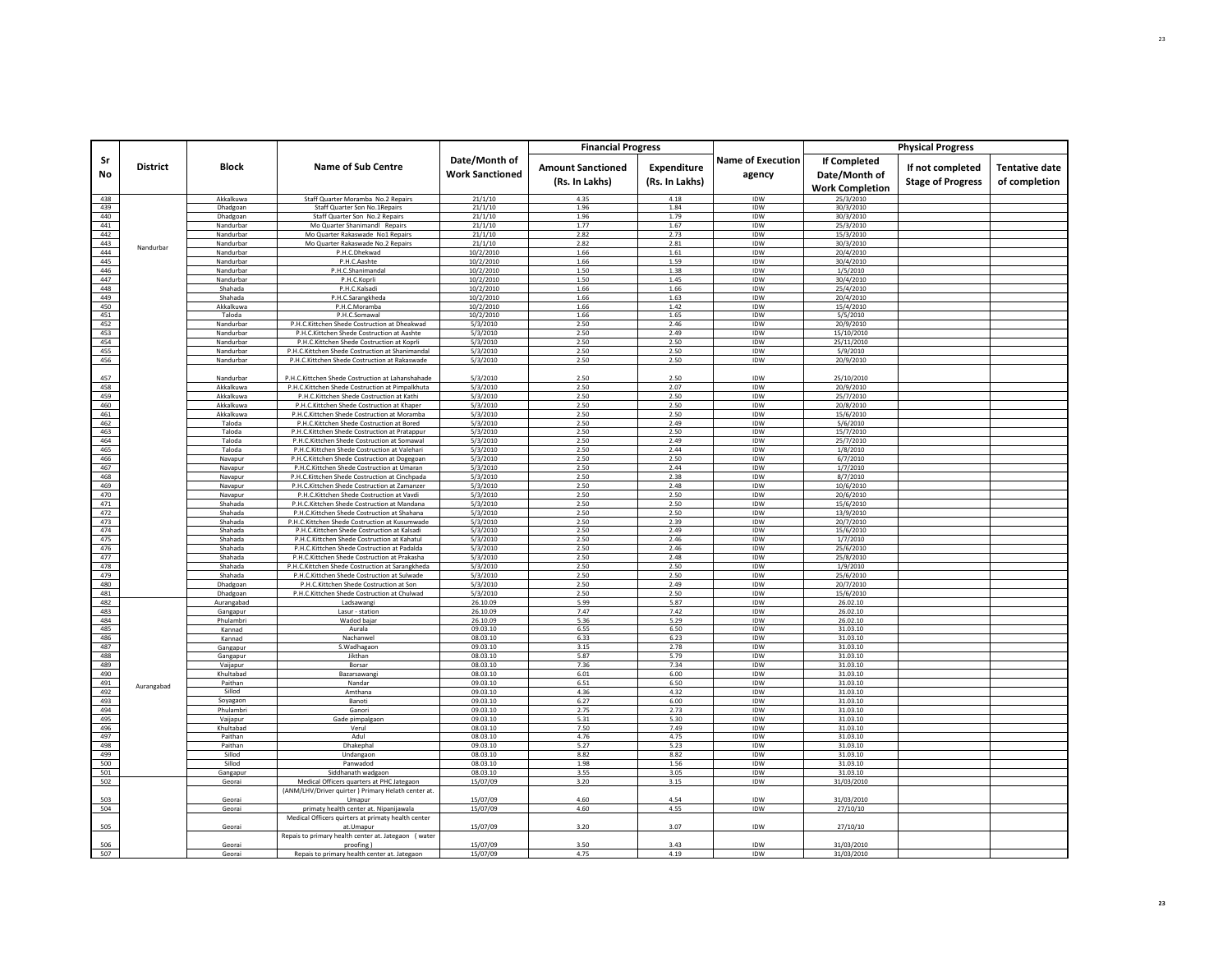|            |                 |                        |                                                                                                 |                                         | <b>Financial Progress</b>                  |                               |                                    |                                                         | <b>Physical Progress</b>                     |                                 |
|------------|-----------------|------------------------|-------------------------------------------------------------------------------------------------|-----------------------------------------|--------------------------------------------|-------------------------------|------------------------------------|---------------------------------------------------------|----------------------------------------------|---------------------------------|
| Sr<br>No   | <b>District</b> | <b>Block</b>           | <b>Name of Sub Centre</b>                                                                       | Date/Month of<br><b>Work Sanctioned</b> | <b>Amount Sanctioned</b><br>(Rs. In Lakhs) | Expenditure<br>(Rs. In Lakhs) | <b>Name of Execution</b><br>agency | If Completed<br>Date/Month of<br><b>Work Completion</b> | If not completed<br><b>Stage of Progress</b> | Tentative date<br>of completion |
| 438        |                 | Akkalkuwa              | Staff Quarter Moramba No.2 Repairs                                                              | 21/1/10                                 | 4.35                                       | 4.18                          | IDW                                | 25/3/2010                                               |                                              |                                 |
| 439        |                 | Dhadgoan               | Staff Quarter Son No.1Repairs                                                                   | 21/1/10                                 | 1.96                                       | 1.84                          | IDW                                | 30/3/2010                                               |                                              |                                 |
| 440        |                 | Dhadgoan               | Staff Quarter Son No.2 Repairs                                                                  | 21/1/10                                 | 1.96                                       | 1.79                          | IDW                                | 30/3/2010                                               |                                              |                                 |
| 441        |                 | Nandurbar              | Mo Quarter Shanimandl Repairs                                                                   | 21/1/10                                 | 1.77                                       | 1.67                          | IDW                                | 25/3/2010                                               |                                              |                                 |
| 442        |                 | Nandurbar              | Mo Quarter Rakaswade No1 Repairs                                                                | 21/1/10                                 | 2.82                                       | 2.73                          | IDW                                | 15/3/2010                                               |                                              |                                 |
| 443<br>444 | Nandurbar       | Nandurbar              | Mo Quarter Rakaswade No.2 Repairs                                                               | 21/1/10                                 | 2.82                                       | 2.81                          | IDW<br><b>IDW</b>                  | 30/3/2010                                               |                                              |                                 |
| 445        |                 | Nandurbar<br>Nandurbar | P.H.C.Dhekwad<br>P.H.C.Aashte                                                                   | 10/2/2010<br>10/2/2010                  | 1.66<br>1.66                               | 1.61<br>1.59                  | IDW                                | 20/4/2010<br>30/4/2010                                  |                                              |                                 |
| 446        |                 | Nandurbar              | P.H.C.Shanimandal                                                                               | 10/2/2010                               | 1.50                                       | 1.38                          | IDW                                | 1/5/2010                                                |                                              |                                 |
| 447        |                 | Nandurbar              | P.H.C.Koprli                                                                                    | 10/2/2010                               | 1.50                                       | 1.45                          | IDW                                | 30/4/2010                                               |                                              |                                 |
| 448        |                 | Shahada                | P.H.C.Kalsadi                                                                                   | 10/2/2010                               | 1.66                                       | 1.66                          | <b>IDW</b>                         | 25/4/2010                                               |                                              |                                 |
| 449        |                 | Shahada                | P.H.C.Sarangkheda                                                                               | 10/2/2010                               | 1.66                                       | 1.63                          | IDW                                | 20/4/2010                                               |                                              |                                 |
| 450        |                 | Akkalkuwa              | P.H.C.Moramba                                                                                   | 10/2/2010                               | 1.66                                       | 1.42                          | IDW                                | 15/4/2010                                               |                                              |                                 |
| 451        |                 | Taloda                 | P.H.C.Somawal                                                                                   | 10/2/2010                               | 1.66                                       | 1.65                          | IDW                                | 5/5/2010                                                |                                              |                                 |
| 452<br>453 |                 | Nandurbar<br>Nandurbar | P.H.C.Kittchen Shede Costruction at Dheakwad<br>P.H.C.Kittchen Shede Costruction at Aashte      | 5/3/2010<br>5/3/2010                    | 2.50<br>2.50                               | 2.46<br>2.49                  | IDW<br>IDW                         | 20/9/2010<br>15/10/2010                                 |                                              |                                 |
| 454        |                 | Nandurbar              | P.H.C.Kittchen Shede Costruction at Koprli                                                      | 5/3/2010                                | 2.50                                       | 2.50                          | IDW                                | 25/11/2010                                              |                                              |                                 |
| 455        |                 | Nandurbar              | P.H.C.Kittchen Shede Costruction at Shanimandal                                                 | 5/3/2010                                | 2.50                                       | 2.50                          | IDW                                | 5/9/2010                                                |                                              |                                 |
| 456        |                 | Nandurbar              | P.H.C.Kittchen Shede Costruction at Rakaswade                                                   | 5/3/2010                                | 2.50                                       | 2.50                          | <b>IDW</b>                         | 20/9/2010                                               |                                              |                                 |
| 457        |                 | Nandurbar              | P.H.C.Kittchen Shede Costruction at Lahanshahade                                                | 5/3/2010                                | 2.50                                       | 2.50                          | IDW                                | 25/10/2010                                              |                                              |                                 |
| 458        |                 | Akkalkuwa              | P.H.C.Kittchen Shede Costruction at Pimpalkhuta                                                 | 5/3/2010                                | 2.50                                       | 2.07                          | IDW                                | 20/9/2010                                               |                                              |                                 |
| 459        |                 | Akkalkuwa              | P.H.C.Kittchen Shede Costruction at Kathi                                                       | 5/3/2010                                | 2.50                                       | 2.50                          | IDW                                | 25/7/2010                                               |                                              |                                 |
| 460        |                 | Akkalkuwa              | P.H.C.Kittchen Shede Costruction at Khaper                                                      | 5/3/2010                                | 2.50                                       | 2.50                          | IDW                                | 20/8/2010                                               |                                              |                                 |
| 461        |                 | Akkalkuwa              | P.H.C.Kittchen Shede Costruction at Moramba                                                     | 5/3/2010                                | 2.50                                       | 2.50                          | IDW                                | 15/6/2010                                               |                                              |                                 |
| 462        |                 | Taloda                 | P.H.C.Kittchen Shede Costruction at Bored                                                       | 5/3/2010                                | 2.50                                       | 2.49                          | IDW                                | 5/6/2010                                                |                                              |                                 |
| 463<br>464 |                 | Taloda<br>Taloda       | P.H.C.Kittchen Shede Costruction at Pratappur<br>P.H.C.Kittchen Shede Costruction at Somawal    | 5/3/2010<br>5/3/2010                    | 2.50<br>2.50                               | 2.50<br>2.49                  | IDW<br>IDW                         | 15/7/2010<br>25/7/2010                                  |                                              |                                 |
| 465        |                 | Taloda                 | P.H.C.Kittchen Shede Costruction at Valehari                                                    | 5/3/2010                                | 2.50                                       | 2.44                          | IDW                                | 1/8/2010                                                |                                              |                                 |
| 466        |                 | Navapur                | P.H.C.Kittchen Shede Costruction at Dogegoan                                                    | 5/3/2010                                | 2.50                                       | 2.50                          | IDW                                | 6/7/2010                                                |                                              |                                 |
| 467        |                 | Navapur                | P.H.C.Kittchen Shede Costruction at Umaran                                                      | 5/3/2010                                | 2.50                                       | 2.44                          | IDW                                | 1/7/2010                                                |                                              |                                 |
| 468        |                 | Navapur                | P.H.C.Kittchen Shede Costruction at Cinchpada                                                   | 5/3/2010                                | 2.50                                       | 2.38                          | IDW                                | 8/7/2010                                                |                                              |                                 |
| 469        |                 | Navapur                | P.H.C.Kittchen Shede Costruction at Zamanzer                                                    | 5/3/2010                                | 2.50                                       | 2.48                          | IDW                                | 10/6/2010                                               |                                              |                                 |
| 470        |                 | Navapur                | P.H.C.Kittchen Shede Costruction at Vavdi                                                       | 5/3/2010                                | 2.50                                       | 2.50                          | IDW                                | 20/6/2010                                               |                                              |                                 |
| 471<br>472 |                 | Shahada<br>Shahada     | P.H.C.Kittchen Shede Costruction at Mandana<br>P.H.C.Kittchen Shede Costruction at Shahana      | 5/3/2010<br>5/3/2010                    | 2.50<br>2.50                               | 2.50<br>2.50                  | IDW<br><b>IDW</b>                  | 15/6/2010<br>13/9/2010                                  |                                              |                                 |
| 473        |                 | Shahada                | P.H.C.Kittchen Shede Costruction at Kusumwade                                                   | 5/3/2010                                | 2.50                                       | 2.39                          | IDW                                | 20/7/2010                                               |                                              |                                 |
| 474        |                 | Shahada                | P.H.C.Kittchen Shede Costruction at Kalsadi                                                     | 5/3/2010                                | 2.50                                       | 2.49                          | IDW                                | 15/6/2010                                               |                                              |                                 |
| 475        |                 | Shahada                | P.H.C.Kittchen Shede Costruction at Kahatul                                                     | 5/3/2010                                | 2.50                                       | 2.46                          | IDW                                | 1/7/2010                                                |                                              |                                 |
| 476        |                 | Shahada                | P.H.C.Kittchen Shede Costruction at Padalda                                                     | 5/3/2010                                | 2.50                                       | 2.46                          | <b>IDW</b>                         | 25/6/2010                                               |                                              |                                 |
| 477        |                 | Shahada                | P.H.C.Kittchen Shede Costruction at Prakasha                                                    | 5/3/2010                                | 2.50                                       | 2.48                          | IDW                                | 25/8/2010                                               |                                              |                                 |
| 478        |                 | Shahada                | P.H.C.Kittchen Shede Costruction at Sarangkheda                                                 | 5/3/2010                                | 2.50                                       | 2.50                          | IDW                                | 1/9/2010                                                |                                              |                                 |
| 479<br>480 |                 | Shahada<br>Dhadgoan    | P.H.C.Kittchen Shede Costruction at Sulwade<br>P.H.C.Kittchen Shede Costruction at Son          | 5/3/2010                                | 2.50<br>2.50                               | 2.50<br>2.49                  | IDW<br>IDW                         | 25/6/2010                                               |                                              |                                 |
| 481        |                 | Dhadgoan               | P.H.C.Kittchen Shede Costruction at Chulwad                                                     | 5/3/2010<br>5/3/2010                    | 2.50                                       | 2.50                          | IDW                                | 20/7/2010<br>15/6/2010                                  |                                              |                                 |
| 482        |                 | Aurangabad             | Ladsawangi                                                                                      | 26.10.09                                | 5.99                                       | 5.87                          | IDW                                | 26.02.10                                                |                                              |                                 |
| 483        |                 | Gangapur               | Lasur - station                                                                                 | 26.10.09                                | 7.47                                       | 7.42                          | IDW                                | 26.02.10                                                |                                              |                                 |
| 484        |                 | Phulambri              | Wadod bajar                                                                                     | 26.10.09                                | 5.36                                       | 5.29                          | IDW                                | 26.02.10                                                |                                              |                                 |
| 485        |                 | Kannad                 | Aurala                                                                                          | 09.03.10                                | 6.55                                       | 6.50                          | IDW                                | 31.03.10                                                |                                              |                                 |
| 486<br>487 |                 | Kannad                 | Nachanwel<br>S. Wadhagaon                                                                       | 08.03.10<br>09.03.10                    | 6.33<br>3.15                               | 6.23<br>2.78                  | IDW<br><b>IDW</b>                  | 31.03.10<br>31.03.10                                    |                                              |                                 |
| 488        |                 | Gangapur               | Jikthan                                                                                         | 08.03.10                                | 5.87                                       | 5.79                          | IDW                                | 31.03.10                                                |                                              |                                 |
| 489        |                 | Gangapur<br>Vaijapur   | Borsa                                                                                           | 08.03.10                                | 7.36                                       | 7.34                          | IDW                                | 31.03.10                                                |                                              |                                 |
| 490        |                 | Khultabad              | Bazarsawan                                                                                      | 08.03.10                                | 6.01                                       | 6.00                          | IDW                                | 31.03.10                                                |                                              |                                 |
| 491        | Aurangabad      | Paithan                | Nandar                                                                                          | 09.03.10                                | 6.51                                       | 6.50                          | IDW                                | 31.03.10                                                |                                              |                                 |
| 492        |                 | Sillod                 | Amthana                                                                                         | 09.03.10                                | 4.36                                       | 4.32                          | IDW                                | 31.03.10                                                |                                              |                                 |
| 493        |                 | Soyagaon               | Banoti                                                                                          | 09.03.10                                | 6.27                                       | 6.00                          | IDW                                | 31.03.10                                                |                                              |                                 |
| 494<br>495 |                 | Phulambri              | Ganori                                                                                          | 09.03.10<br>09.03.10                    | 2.75<br>5.31                               | 2.73<br>5.30                  | IDW<br>IDW                         | 31.03.10<br>31.03.10                                    |                                              |                                 |
| 496        |                 | Vaijapur<br>Khultabad  | Gade pimpalgaon<br>Verul                                                                        | 08.03.10                                | 7.50                                       | 7.49                          | IDW                                | 31.03.10                                                |                                              |                                 |
| 497        |                 | Paithan                | Adul                                                                                            | 08.03.10                                | 4.76                                       | 4.75                          | IDW                                | 31.03.10                                                |                                              |                                 |
| 498        |                 | Paithan                | Dhakephal                                                                                       | 09.03.10                                | 5.27                                       | 5.23                          | IDW                                | 31.03.10                                                |                                              |                                 |
| 499        |                 | Sillod                 | Undangaon                                                                                       | 08.03.10                                | 8.82                                       | 8.82                          | IDW                                | 31.03.10                                                |                                              |                                 |
| 500        |                 | Sillod                 | Panwadod                                                                                        | 08.03.10                                | 1.98                                       | 1.56                          | IDW                                | 31.03.10                                                |                                              |                                 |
| 501        |                 | Gangapur               | Siddhanath wadgaon                                                                              | 08.03.10                                | 3.55                                       | 3.05                          | IDW                                | 31.03.10                                                |                                              |                                 |
| 502        |                 | Georai                 | Medical Officers quarters at PHC Jategaon<br>(ANM/LHV/Driver quirter) Primary Helath center at. | 15/07/09                                | 3.20                                       | 3.15                          | IDW                                | 31/03/2010                                              |                                              |                                 |
| 503        |                 | Georai                 | Umapur                                                                                          | 15/07/09                                | 4.60                                       | 4.54                          | IDW                                | 31/03/2010                                              |                                              |                                 |
| 504        |                 | Georai                 | primaty health center at. Nipanijawala                                                          | 15/07/09                                | 4.60                                       | 4.55                          | <b>IDW</b>                         | 27/10/10                                                |                                              |                                 |
| 505        |                 | Georai                 | Medical Officers quirters at primaty health center<br>at.Umapur                                 | 15/07/09                                | 3.20                                       | 3.07                          | IDW                                | 27/10/10                                                |                                              |                                 |
| 506        |                 | Georai                 | Repais to primary health center at. Jategaon (water<br>proofing)                                | 15/07/09                                | 3.50                                       | 3.43                          | <b>IDW</b>                         | 31/03/2010                                              |                                              |                                 |
| 507        |                 | Geora                  | Repais to primary health center at. Jategaon                                                    | 15/07/09                                | 4.75                                       | 4.19                          | IDW                                | 31/03/2010                                              |                                              |                                 |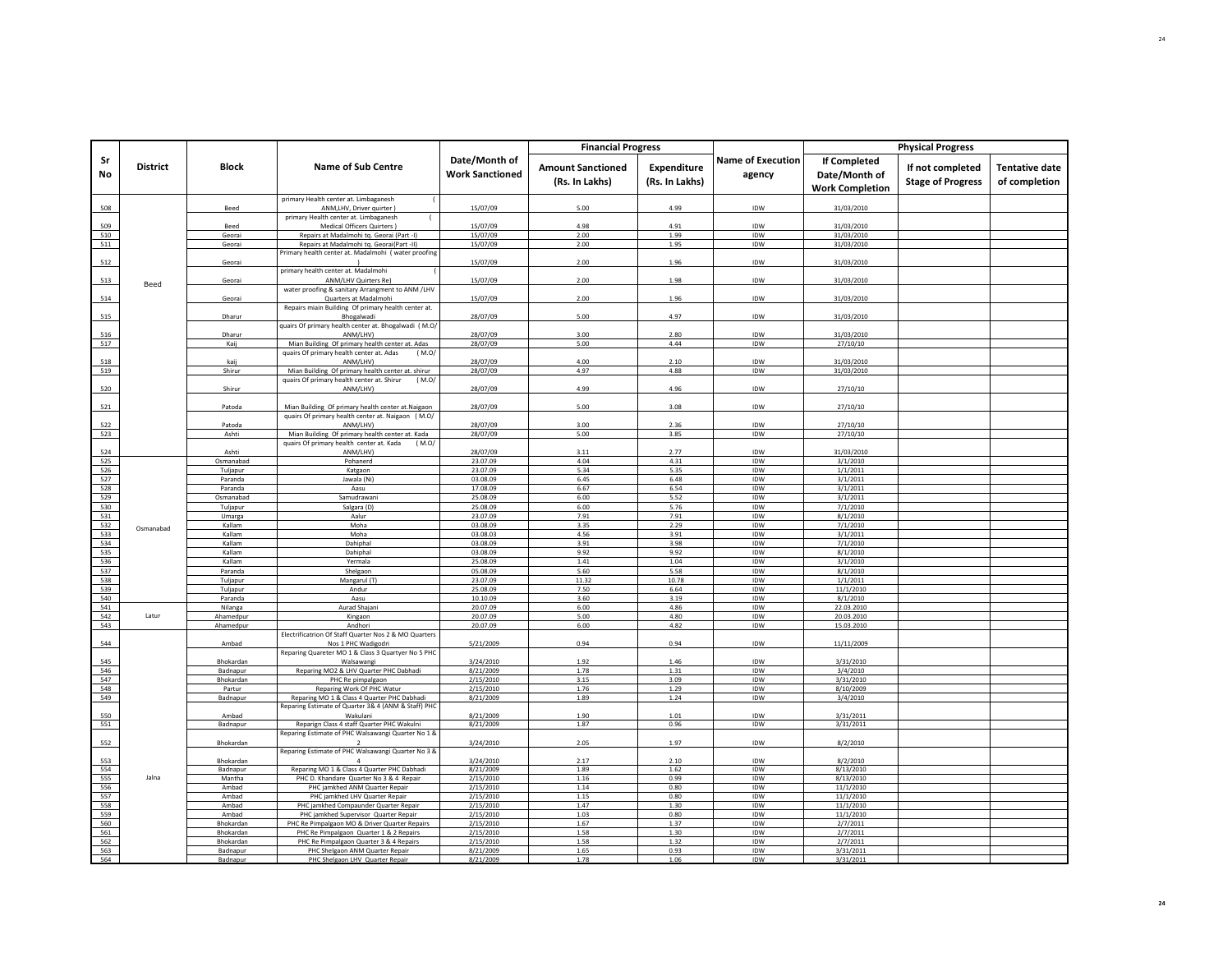|            |                 |                       |                                                                                                      |                                         | <b>Financial Progress</b>                  |                               |                                    |                                                         | <b>Physical Progress</b>                     |                                        |
|------------|-----------------|-----------------------|------------------------------------------------------------------------------------------------------|-----------------------------------------|--------------------------------------------|-------------------------------|------------------------------------|---------------------------------------------------------|----------------------------------------------|----------------------------------------|
| Sr<br>No   | <b>District</b> | <b>Block</b>          | <b>Name of Sub Centre</b>                                                                            | Date/Month of<br><b>Work Sanctioned</b> | <b>Amount Sanctioned</b><br>(Rs. In Lakhs) | Expenditure<br>(Rs. In Lakhs) | <b>Name of Execution</b><br>agency | If Completed<br>Date/Month of<br><b>Work Completion</b> | If not completed<br><b>Stage of Progress</b> | <b>Tentative date</b><br>of completion |
| 508        |                 | Beed                  | primary Health center at. Limbaganesh<br>ANM,LHV, Driver quirter)                                    | 15/07/09                                | 5.00                                       | 4.99                          | IDW                                | 31/03/2010                                              |                                              |                                        |
| 509        |                 | Beed                  | primary Health center at. Limbaganesh<br>Medical Officers Quirters)                                  | 15/07/09                                | 4.98                                       | 4.91                          | IDW                                | 31/03/2010                                              |                                              |                                        |
| 510        |                 | Georai                | Repairs at Madalmohi tq. Georai (Part -I)                                                            | 15/07/09                                | 2.00                                       | 1.99                          | IDW                                | 31/03/2010                                              |                                              |                                        |
| 511        |                 | Georai                | Repairs at Madalmohi tq. Georai(Part -II)                                                            | 15/07/09                                | 2.00                                       | 1.95                          | IDW                                | 31/03/2010                                              |                                              |                                        |
|            |                 |                       | Primary health center at. Madalmohi (water proofing                                                  |                                         |                                            |                               |                                    |                                                         |                                              |                                        |
| 512        |                 | Georai                | primary health center at. Madalmohi                                                                  | 15/07/09                                | 2.00                                       | 1.96                          | IDW                                | 31/03/2010                                              |                                              |                                        |
| 513        | Beed            | Georai                | <b>ANM/LHV Quirters Re</b>                                                                           | 15/07/09                                | 2.00                                       | 1.98                          | IDW                                | 31/03/2010                                              |                                              |                                        |
|            |                 |                       | water proofing & sanitary Arrangment to ANM /LHV                                                     |                                         |                                            |                               |                                    |                                                         |                                              |                                        |
| 514        |                 | Georai                | Quarters at Madalmohi<br>Repairs miain Building Of primary health center at.                         | 15/07/09                                | 2.00                                       | 1.96                          | IDW                                | 31/03/2010                                              |                                              |                                        |
| 515        |                 | Dharur                | Bhogalwadi                                                                                           | 28/07/09                                | 5.00                                       | 4.97                          | IDW                                | 31/03/2010                                              |                                              |                                        |
|            |                 |                       | quairs Of primary health center at. Bhogalwadi (M.O/                                                 |                                         |                                            |                               |                                    |                                                         |                                              |                                        |
| 516<br>517 |                 | Dharur                | ANM/LHV)                                                                                             | 28/07/09<br>28/07/09                    | 3.00<br>5.00                               | 2.80<br>4.44                  | IDW<br>IDW                         | 31/03/2010                                              |                                              |                                        |
|            |                 | Kaij                  | Mian Building Of primary health center at. Adas<br>quairs Of primary health center at. Adas<br>(M.O) |                                         |                                            |                               |                                    | 27/10/10                                                |                                              |                                        |
| 518        |                 | kaij                  | ANM/LHV)                                                                                             | 28/07/09                                | 4.00                                       | 2.10                          | IDW                                | 31/03/2010                                              |                                              |                                        |
| 519        |                 | Shirur                | Mian Building Of primary health center at. shirur                                                    | 28/07/09                                | 4.97                                       | 4.88                          | IDW                                | 31/03/2010                                              |                                              |                                        |
| 520        |                 | Shirur                | (M.O)<br>quairs Of primary health center at. Shirur<br>ANM/LHV)                                      | 28/07/09                                | 4.99                                       | 4.96                          | IDW                                | 27/10/10                                                |                                              |                                        |
|            |                 |                       |                                                                                                      |                                         |                                            |                               |                                    |                                                         |                                              |                                        |
| 521        |                 | Patoda                | Mian Building Of primary health center at Naigaon                                                    | 28/07/09                                | 5.00                                       | 3.08                          | IDW                                | 27/10/10                                                |                                              |                                        |
| 522        |                 | Patoda                | quairs Of primary health center at. Naigaon ( M.O/<br>ANM/LHV)                                       | 28/07/09                                | 3.00                                       | 2.36                          | IDW                                | 27/10/10                                                |                                              |                                        |
| 523        |                 | Ashti                 | Mian Building Of primary health center at. Kada                                                      | 28/07/09                                | 5.00                                       | 3.85                          | IDW                                | 27/10/10                                                |                                              |                                        |
|            |                 |                       | quairs Of primary health center at. Kada<br>(M.O)                                                    |                                         |                                            |                               |                                    |                                                         |                                              |                                        |
| 524        |                 | Ashti                 | ANM/LHV)                                                                                             | 28/07/09                                | 3.11                                       | 2.77                          | IDW                                | 31/03/2010                                              |                                              |                                        |
| 525<br>526 |                 | Osmanabad<br>Tuljapur | Pohanerd<br>Katgaon                                                                                  | 23.07.09<br>23.07.09                    | 4.04<br>5.34                               | 4.31<br>5.35                  | IDW<br>IDW                         | 3/1/2010<br>1/1/2011                                    |                                              |                                        |
| 527        |                 | Paranda               | Jawala (Ni)                                                                                          | 03.08.09                                | 6.45                                       | 6.48                          | IDW                                | 3/1/2011                                                |                                              |                                        |
| 528        |                 | Paranda               | Aasu                                                                                                 | 17.08.09                                | 6.67                                       | 6.54                          | IDW                                | 3/1/2011                                                |                                              |                                        |
| 529        |                 | Osmanabad             | Samudrawani                                                                                          | 25.08.09                                | 6.00                                       | 5.52                          | IDW                                | 3/1/2011                                                |                                              |                                        |
| 530        |                 | Tuljapur              | Salgara (D)                                                                                          | 25.08.09                                | 6.00                                       | 5.76                          | IDW                                | 7/1/2010                                                |                                              |                                        |
| 531<br>532 |                 | Umarga<br>Kallam      | Aalur<br>Moha                                                                                        | 23.07.09<br>03.08.09                    | 7.91<br>3.35                               | 7.91<br>2.29                  | IDW<br>IDW                         | 8/1/2010<br>7/1/2010                                    |                                              |                                        |
| 533        | Osmanabad       | Kallam                | Moha                                                                                                 | 03.08.03                                | 4.56                                       | 3.91                          | IDW                                | 3/1/2011                                                |                                              |                                        |
| 534        |                 | Kallam                | Dahiphal                                                                                             | 03.08.09                                | 3.91                                       | 3.98                          | IDW                                | 7/1/2010                                                |                                              |                                        |
| 535        |                 | Kallam<br>Kallam      | Dahipha                                                                                              | 03.08.09<br>25.08.09                    | 9.92                                       | 9.92<br>1.04                  | IDW<br>IDW                         | 8/1/2010                                                |                                              |                                        |
| 536<br>537 |                 | Paranda               | Yermala<br>Shelgaon                                                                                  | 05.08.09                                | 1.41<br>5.60                               | 5.58                          | IDW                                | 3/1/2010<br>8/1/2010                                    |                                              |                                        |
| 538        |                 | Tuljapur              | Mangarul (T)                                                                                         | 23.07.09                                | 11.32                                      | 10.78                         | IDW                                | 1/1/2011                                                |                                              |                                        |
| 539        |                 | Tuljapur              | Andur                                                                                                | 25.08.09                                | 7.50                                       | 6.64                          | IDW                                | 11/1/2010                                               |                                              |                                        |
| 540<br>541 |                 | Paranda               | Aasu<br>Aurad Shajani                                                                                | 10.10.09<br>20.07.09                    | 3.60<br>6.00                               | 3.19<br>4.86                  | IDW<br>IDW                         | 8/1/2010<br>22.03.2010                                  |                                              |                                        |
| 542        | Latur           | Nilanga<br>Ahamedpur  | Kingaon                                                                                              | 20.07.09                                | 5.00                                       | 4.80                          | IDW                                | 20.03.2010                                              |                                              |                                        |
| 543        |                 | Ahamedpur             | Andhori                                                                                              | 20.07.09                                | 6.00                                       | 4.82                          | IDW                                | 15.03.2010                                              |                                              |                                        |
|            |                 |                       | Electrificatrion Of Staff Quarter Nos 2 & MO Quarters                                                |                                         |                                            |                               |                                    |                                                         |                                              |                                        |
| 544        |                 | Ambad                 | Nos 1 PHC Wadigodri<br>Reparing Quareter MO 1 & Class 3 Quartyer No 5 PHC                            | 5/21/2009                               | 0.94                                       | 0.94                          | IDW                                | 11/11/2009                                              |                                              |                                        |
| 545        |                 | Bhokardan             | Walsawangi                                                                                           | 3/24/2010                               | 1.92                                       | 1.46                          | IDW                                | 3/31/2010                                               |                                              |                                        |
| 546        |                 | Badnapur              | Reparing MO2 & LHV Quarter PHC Dabhadi                                                               | 8/21/2009                               | 1.78                                       | 1.31                          | IDW                                | 3/4/2010                                                |                                              |                                        |
| 547        |                 | Bhokardan             | PHC Re pimpalgaon                                                                                    | 2/15/2010                               | 3.15                                       | 3.09                          | IDW                                | 3/31/2010                                               |                                              |                                        |
| 548<br>549 |                 | Partur<br>Badnapur    | Reparing Work Of PHC Watur<br>Reparing MO 1 & Class 4 Quarter PHC Dabhadi                            | 2/15/2010<br>8/21/2009                  | 1.76<br>1.89                               | 1.29<br>1.24                  | IDW<br>IDW                         | 8/10/2009<br>3/4/2010                                   |                                              |                                        |
|            |                 |                       | Reparing Estimate of Quarter 3& 4 (ANM & Staff) PHC                                                  |                                         |                                            |                               |                                    |                                                         |                                              |                                        |
| 550        |                 | Ambad                 | Wakulani                                                                                             | 8/21/2009                               | 1.90                                       | 1.01                          | IDW                                | 3/31/2011                                               |                                              |                                        |
| 551        |                 | Badnapur              | Reparign Class 4 staff Quarter PHC Wakulni<br>Reparing Estimate of PHC Walsawangi Quarter No 1 &     | 8/21/2009                               | 1.87                                       | 0.96                          | IDW                                | 3/31/2011                                               |                                              |                                        |
| 552        |                 | Bhokardan             | $\overline{2}$                                                                                       | 3/24/2010                               | 2.05                                       | 1.97                          | IDW                                | 8/2/2010                                                |                                              |                                        |
|            |                 |                       | Reparing Estimate of PHC Walsawangi Quarter No 3 &                                                   |                                         |                                            |                               |                                    |                                                         |                                              |                                        |
| 553<br>554 |                 | Bhokardan             | $\overline{a}$                                                                                       | 3/24/2010                               | 2.17                                       | 2.10                          | <b>IDW</b><br>IDW                  | 8/2/2010                                                |                                              |                                        |
| 555        | Jalna           | Badnapur<br>Mantha    | Reparing MO 1 & Class 4 Quarter PHC Dabhadi<br>PHC D. Khandare Quarter No 3 & 4 Repair               | 8/21/2009<br>2/15/2010                  | 1.89<br>1.16                               | 1.62<br>0.99                  | IDW                                | 8/13/2010<br>8/13/2010                                  |                                              |                                        |
| 556        |                 | Ambad                 | PHC jamkhed ANM Quarter Repair                                                                       | 2/15/2010                               | 1.14                                       | 0.80                          | IDW                                | 11/1/2010                                               |                                              |                                        |
| 557        |                 | Amhad                 | PHC jamkhed LHV Quarter Repair                                                                       | 2/15/2010                               | 1.15                                       | 0.80                          | IDW                                | 11/1/2010                                               |                                              |                                        |
| 558        |                 | Ambad                 | PHC jamkhed Compaunder Quarter Repair                                                                | 2/15/2010                               | 1.47<br>1.03                               | 1.30<br>0.80                  | IDW<br><b>IDW</b>                  | 11/1/2010                                               |                                              |                                        |
| 559<br>560 |                 | Ambad<br>Bhokardan    | PHC jamkhed Supervisor Quarter Repair<br>PHC Re Pimpalgaon MO & Driver Quarter Repairs               | 2/15/2010<br>2/15/2010                  | 1.67                                       | 1.37                          | IDW                                | 11/1/2010<br>2/7/2011                                   |                                              |                                        |
| 561        |                 | Bhokardan             | PHC Re Pimpalgaon Quarter 1 & 2 Repairs                                                              | 2/15/2010                               | 1.58                                       | 1.30                          | IDW                                | 2/7/2011                                                |                                              |                                        |
| 562        |                 | Bhokardan             | PHC Re Pimpalgaon Quarter 3 & 4 Repairs                                                              | 2/15/2010                               | 1.58                                       | 1.32                          | IDW                                | 2/7/2011                                                |                                              |                                        |
| 563<br>564 |                 | Badnapur<br>Badnanu   | PHC Shelgaon ANM Quarter Repair<br>PHC Shelgaon LHV Quarter Repair                                   | 8/21/2009<br>8/21/2009                  | 1.65<br>1.78                               | 0.93<br>1.06                  | IDW<br>IDW                         | 3/31/2011<br>3/31/201                                   |                                              |                                        |
|            |                 |                       |                                                                                                      |                                         |                                            |                               |                                    |                                                         |                                              |                                        |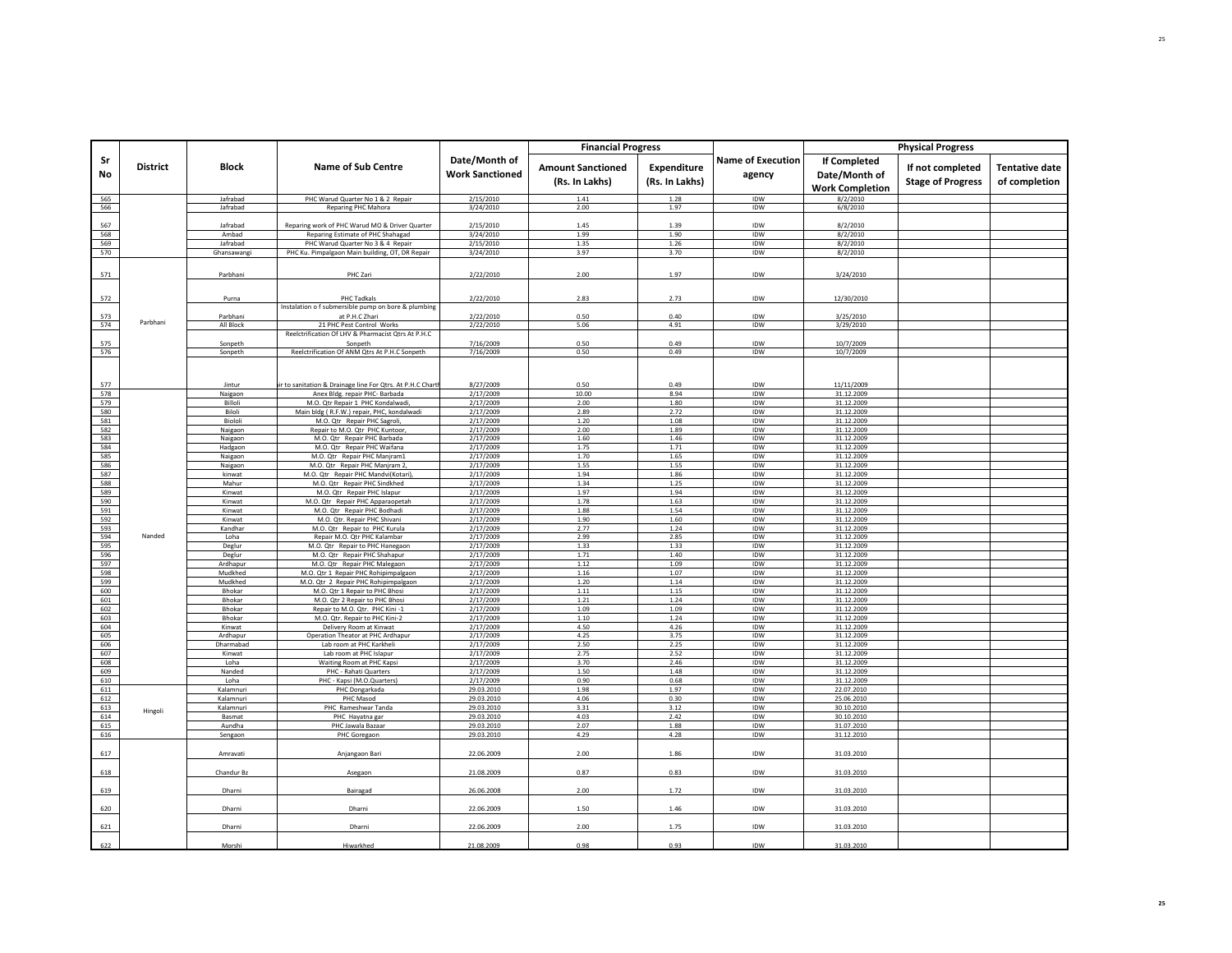|            |                 |                     |                                                                       |                                         | <b>Financial Progress</b>                  |                               |                                    |                                                         | <b>Physical Progress</b>                     |                                        |
|------------|-----------------|---------------------|-----------------------------------------------------------------------|-----------------------------------------|--------------------------------------------|-------------------------------|------------------------------------|---------------------------------------------------------|----------------------------------------------|----------------------------------------|
| Sr<br>No   | <b>District</b> | Block               | <b>Name of Sub Centre</b>                                             | Date/Month of<br><b>Work Sanctioned</b> | <b>Amount Sanctioned</b><br>(Rs. In Lakhs) | Expenditure<br>(Rs. In Lakhs) | <b>Name of Execution</b><br>agency | If Completed<br>Date/Month of<br><b>Work Completion</b> | If not completed<br><b>Stage of Progress</b> | <b>Tentative date</b><br>of completion |
| 565        |                 | Jafrabad            | PHC Warud Quarter No 1 & 2 Repair                                     | 2/15/2010                               | 1.41                                       | 1.28                          | IDW                                | 8/2/2010                                                |                                              |                                        |
| 566        |                 | Jafrabad            | Reparing PHC Mahora                                                   | 3/24/2010                               | 2.00                                       | 1.97                          | IDW                                | 6/8/2010                                                |                                              |                                        |
| 567        |                 | Jafrabad            | Reparing work of PHC Warud MO & Driver Quarter                        | 2/15/2010                               | 1.45                                       | 1.39                          | IDW                                | 8/2/2010                                                |                                              |                                        |
| 568        |                 | Ambad               | Reparing Estimate of PHC Shahagad                                     | 3/24/2010                               | 1.99                                       | 1.90                          | IDW                                | 8/2/2010                                                |                                              |                                        |
| 569        |                 | Jafrabad            | PHC Warud Quarter No 3 & 4 Repair                                     | 2/15/2010                               | 1.35                                       | 1.26                          | IDW                                | 8/2/2010                                                |                                              |                                        |
| 570        |                 | Ghansawangi         | PHC Ku. Pimpalgaon Main building, OT, DR Repair                       | 3/24/2010                               | 3.97                                       | 3.70                          | IDW                                | 8/2/2010                                                |                                              |                                        |
| 571        |                 | Parbhani            | PHC Zari                                                              | 2/22/2010                               | 2.00                                       | 1.97                          | IDW                                | 3/24/2010                                               |                                              |                                        |
| 572        |                 | Purna               | <b>PHC Tadkals</b>                                                    | 2/22/2010                               | 2.83                                       | 2.73                          | IDW                                | 12/30/2010                                              |                                              |                                        |
|            |                 | Parbhani            | Instalation o f submersible pump on bore & plumbing<br>at P.H.C Zhari | 2/22/2010                               | 0.50                                       | 0.40                          | IDW                                | 3/25/2010                                               |                                              |                                        |
| 573<br>574 | Parbhani        | All Block           | 21 PHC Pest Control Works                                             | 2/22/2010                               | 5.06                                       | 4.91                          | IDW                                | 3/29/2010                                               |                                              |                                        |
|            |                 |                     | Reelctrification Of LHV & Pharmacist Qtrs At P.H.C                    |                                         |                                            |                               |                                    |                                                         |                                              |                                        |
| 575        |                 | Sonpeth             | Sonpeth                                                               | 7/16/2009                               | 0.50                                       | 0.49                          | IDW                                | 10/7/2009                                               |                                              |                                        |
| 576        |                 | Sonpeth             | Reelctrification Of ANM Qtrs At P.H.C Sonpeth                         | 7/16/2009                               | 0.50                                       | 0.49                          | IDW                                | 10/7/2009                                               |                                              |                                        |
|            |                 |                     |                                                                       |                                         |                                            |                               |                                    |                                                         |                                              |                                        |
| 577        |                 | Jintur              | r to sanitation & Drainage line For Qtrs. At P.H.C Chart              | 8/27/2009                               | 0.50                                       | 0.49                          | IDW                                | 11/11/2009                                              |                                              |                                        |
| 578<br>579 |                 | Naigaon<br>Billoli  | Anex Bldg. repair PHC- Barbada<br>M.O. Qtr Repair 1 PHC Kondalwadi,   | 2/17/2009<br>2/17/2009                  | 10.00<br>2.00                              | 8.94<br>1.80                  | IDW<br><b>IDW</b>                  | 31.12.2009<br>31.12.2009                                |                                              |                                        |
| 580        |                 | Biloli              | Main bldg (R.F.W.) repair, PHC, kondalwadi                            | 2/17/2009                               | 2.89                                       | 2.72                          | IDW                                | 31.12.2009                                              |                                              |                                        |
| 581        |                 | Biololi             | M.O. Qtr Repair PHC Sagroli,                                          | 2/17/2009                               | 1.20                                       | 1.08                          | IDW                                | 31.12.2009                                              |                                              |                                        |
| 582        |                 | Naigaon             | Repair to M.O. Qtr PHC Kuntoor,                                       | 2/17/2009                               | 2.00                                       | 1.89                          | <b>IDW</b>                         | 31.12.2009                                              |                                              |                                        |
| 583        |                 | Naigaon             | M.O. Qtr Repair PHC Barbada                                           | 2/17/2009                               | 1.60                                       | 1.46                          | IDW                                | 31.12.2009                                              |                                              |                                        |
| 584<br>585 |                 | Hadgaon<br>Naigaon  | M.O. Qtr Repair PHC Waifana<br>M.O. Qtr Repair PHC Manjram1           | 2/17/2009<br>2/17/2009                  | 1.75<br>1.70                               | 1.71<br>1.65                  | IDW<br>IDW                         | 31.12.2009<br>31.12.2009                                |                                              |                                        |
| 586        |                 | Naigaon             | M.O. Qtr Repair PHC Manjram 2,                                        | 2/17/2009                               | 1.55                                       | 1.55                          | IDW                                | 31.12.2009                                              |                                              |                                        |
| 587        |                 | kinwat              | M.O. Qtr Repair PHC Mandvi(Kotari),                                   | 2/17/2009                               | 1.94                                       | 1.86                          | IDW                                | 31.12.2009                                              |                                              |                                        |
| 588        |                 | Mahur               | M.O. Qtr Repair PHC Sindkhed                                          | 2/17/2009                               | 1.34                                       | 1.25                          | IDW                                | 31.12.2009                                              |                                              |                                        |
| 589        |                 | Kinwat              | M.O. Qtr Repair PHC Islapur                                           | 2/17/2009                               | 1.97                                       | 1.94                          | IDW                                | 31.12.2009                                              |                                              |                                        |
| 590<br>591 |                 | Kinwat<br>Kinwat    | M.O. Qtr Repair PHC Apparaopetah<br>M.O. Qtr Repair PHC Bodhadi       | 2/17/2009<br>2/17/2009                  | 1.78<br>1.88                               | 1.63<br>1.54                  | IDW<br>IDW                         | 31.12.2009<br>31.12.2009                                |                                              |                                        |
| 592        |                 | Kinwat              | M.O. Qtr. Repair PHC Shivani                                          | 2/17/2009                               | 1.90                                       | 1.60                          | IDW                                | 31.12.2009                                              |                                              |                                        |
| 593        |                 | Kandhar             | M.O. Qtr Repair to PHC Kurula                                         | 2/17/2009                               | 2.77                                       | 1.24                          | IDW                                | 31.12.2009                                              |                                              |                                        |
| 594        | Nanded          | Loha                | Repair M.O. Qtr PHC Kalambar                                          | 2/17/2009                               | 2.99                                       | 2.85                          | IDW                                | 31.12.2009                                              |                                              |                                        |
| 595        |                 | Deglur              | M.O. Qtr Repair to PHC Hanegaon                                       | 2/17/2009                               | 1.33                                       | 1.33                          | IDW                                | 31.12.2009                                              |                                              |                                        |
| 596<br>597 |                 | Deglur<br>Ardhapur  | M.O. Qtr Repair PHC Shahapur<br>M.O. Qtr Repair PHC Malegaon          | 2/17/2009<br>2/17/2009                  | 1.71<br>1.12                               | 1.40<br>1.09                  | IDW<br>IDW                         | 31.12.2009<br>31.12.2009                                |                                              |                                        |
| 598        |                 | Mudkhed             | M.O. Qtr 1 Repair PHC Rohipimpalgaon                                  | 2/17/2009                               | 1.16                                       | 1.07                          | IDW                                | 31.12.2009                                              |                                              |                                        |
| 599        |                 | Mudkhed             | M.O. Qtr 2 Repair PHC Rohipimpalgaon                                  | 2/17/2009                               | 1.20                                       | 1.14                          | IDW                                | 31.12.2009                                              |                                              |                                        |
| 600        |                 | Bhokar              | M.O. Qtr 1 Repair to PHC Bhosi                                        | 2/17/2009                               | 1.11                                       | 1.15                          | IDW                                | 31.12.2009                                              |                                              |                                        |
| 601<br>602 |                 | Bhokar<br>Bhokar    | M.O. Qtr 2 Repair to PHC Bhosi<br>Repair to M.O. Qtr. PHC Kini -1     | 2/17/2009<br>2/17/2009                  | 1.21<br>1.09                               | 1.24<br>1.09                  | IDW<br>IDW                         | 31.12.2009<br>31.12.2009                                |                                              |                                        |
| 603        |                 | Bhokar              | M.O. Qtr. Repair to PHC Kini-2                                        | 2/17/2009                               | 1.10                                       | 1.24                          | IDW                                | 31.12.2009                                              |                                              |                                        |
| 604        |                 | Kinwat              | Delivery Room at Kinwat                                               | 2/17/2009                               | 4.50                                       | 4.26                          | IDW                                | 31.12.2009                                              |                                              |                                        |
| 605        |                 | Ardhapur            | Operation Theator at PHC Ardhapur                                     | 2/17/2009                               | 4.25                                       | 3.75                          | IDW                                | 31.12.2009                                              |                                              |                                        |
| 606        |                 | Dharmabad           | Lab room at PHC Karkheli                                              | 2/17/2009                               | 2.50                                       | 2.25                          | IDW                                | 31.12.2009                                              |                                              |                                        |
| 607<br>608 |                 | Kinwat<br>Loha      | Lab room at PHC Islapur<br>Waiting Room at PHC Kapsi                  | 2/17/2009<br>2/17/2009                  | 2.75<br>3.70                               | 2.52<br>2.46                  | IDW<br>IDW                         | 31.12.2009<br>31.12.2009                                |                                              |                                        |
| 609        |                 | Nanded              | PHC - Rahati Quarters                                                 | 2/17/2009                               | 1.50                                       | 1.48                          | IDW                                | 31.12.2009                                              |                                              |                                        |
| 610        |                 | Loha                | PHC - Kapsi (M.O.Quarters)                                            | 2/17/2009                               | 0.90                                       | 0.68                          | IDW                                | 31.12.2009                                              |                                              |                                        |
| 611        |                 | Kalamnur            | PHC Dongarkada                                                        | 29.03.2010                              | 1.98                                       | 1.97                          | IDW                                | 22.07.2010                                              |                                              |                                        |
| 612        |                 | Kalamnuri           | PHC Masod                                                             | 29.03.2010                              | 4.06                                       | 0.30                          | IDW                                | 25.06.2010                                              |                                              |                                        |
| 613<br>614 | Hingoli         | Kalamnuri<br>Basmat | PHC Rameshwar Tanda<br>PHC Hayatna gar                                | 29.03.2010<br>29.03.2010                | 3.31<br>4.03                               | 3.12<br>2.42                  | IDW<br>IDW                         | 30.10.2010<br>30.10.2010                                |                                              |                                        |
| 615        |                 | Aundha              | PHC Jawala Bazaar                                                     | 29.03.2010                              | 2.07                                       | 1.88                          | <b>IDW</b>                         | 31.07.2010                                              |                                              |                                        |
| 616        |                 | Sengaon             | PHC Goregaon                                                          | 29.03.2010                              | 4.29                                       | 4.28                          | IDW                                | 31.12.2010                                              |                                              |                                        |
| 617        |                 | Amravati            | Anjangaon Bari                                                        | 22.06.2009                              | 2.00                                       | 1.86                          | IDW                                | 31.03.2010                                              |                                              |                                        |
| 618        |                 | Chandur Bz          | Asegaon                                                               | 21.08.2009                              | 0.87                                       | 0.83                          | IDW                                | 31.03.2010                                              |                                              |                                        |
| 619        |                 | Dhami               | Bairagad                                                              | 26.06.2008                              | 2.00                                       | 1.72                          | IDW                                | 31.03.2010                                              |                                              |                                        |
| 620        |                 | Dharni              | Dharni                                                                | 22.06.2009                              | 1.50                                       | 1.46                          | IDW                                | 31.03.2010                                              |                                              |                                        |
| 621        |                 | Dharni              | Dharni                                                                | 22.06.2009                              | 2.00                                       | 1.75                          | IDW                                | 31.03.2010                                              |                                              |                                        |
| 622        |                 | Morshi              | Hiwarkhed                                                             | 21.08.2009                              | 0.98                                       | 0.93                          | <b>IDW</b>                         | 31.03.2010                                              |                                              |                                        |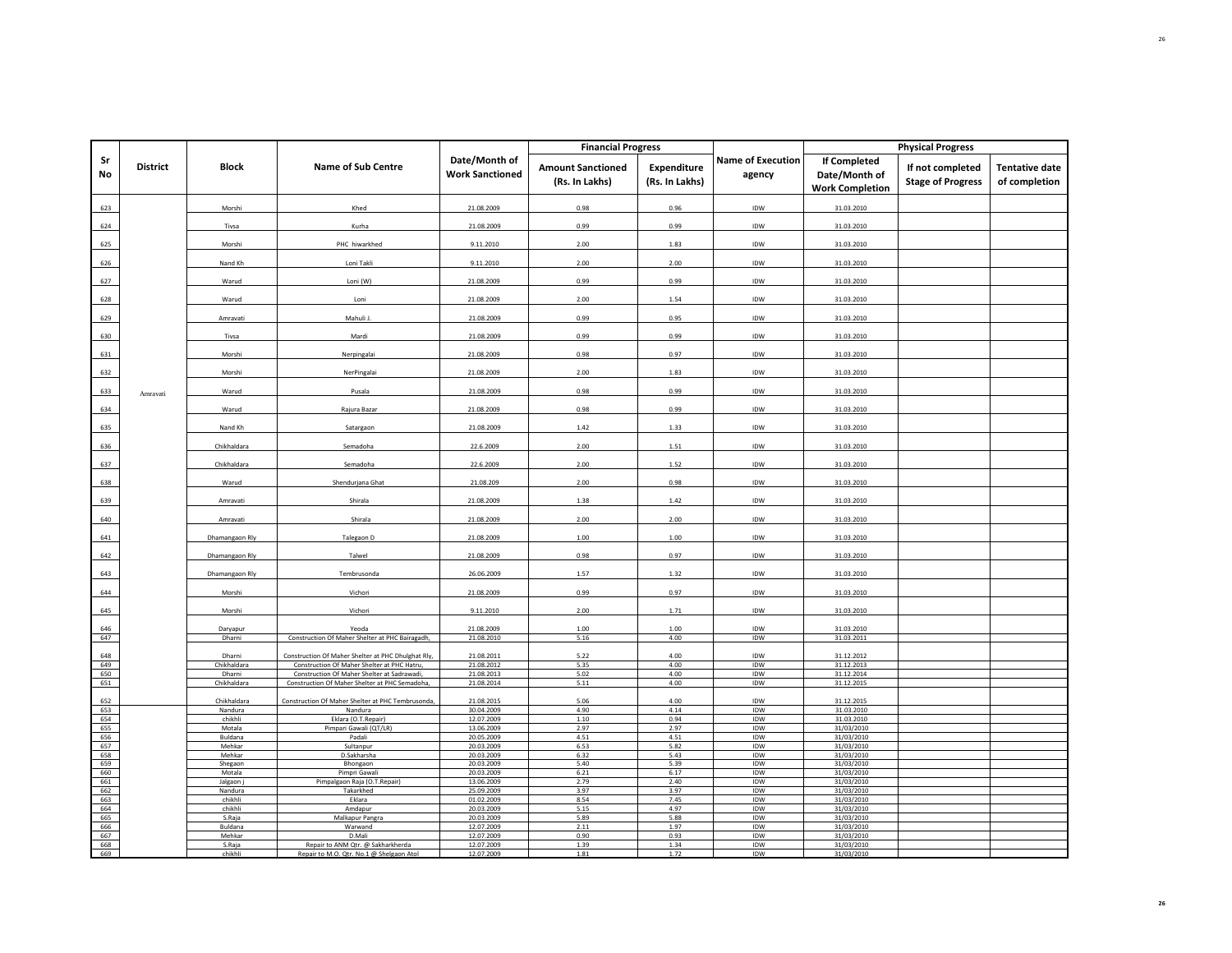|            |                 |                       |                                                                                                   |                                         | <b>Financial Progress</b>                  |                               |                                    |                                                         | <b>Physical Progress</b>                     |                                        |
|------------|-----------------|-----------------------|---------------------------------------------------------------------------------------------------|-----------------------------------------|--------------------------------------------|-------------------------------|------------------------------------|---------------------------------------------------------|----------------------------------------------|----------------------------------------|
| Sr<br>No   | <b>District</b> | <b>Block</b>          | <b>Name of Sub Centre</b>                                                                         | Date/Month of<br><b>Work Sanctioned</b> | <b>Amount Sanctioned</b><br>(Rs. In Lakhs) | Expenditure<br>(Rs. In Lakhs) | <b>Name of Execution</b><br>agency | If Completed<br>Date/Month of<br><b>Work Completion</b> | If not completed<br><b>Stage of Progress</b> | <b>Tentative date</b><br>of completion |
| 623        |                 | Morshi                | Khed                                                                                              | 21.08.2009                              | 0.98                                       | 0.96                          | IDW                                | 31.03.2010                                              |                                              |                                        |
| 624        |                 | Tivsa                 | Kurha                                                                                             | 21.08.2009                              | 0.99                                       | 0.99                          | IDW                                | 31.03.2010                                              |                                              |                                        |
| 625        |                 | Morshi                | PHC hiwarkhed                                                                                     | 9.11.2010                               | 2.00                                       | 1.83                          | IDW                                | 31.03.2010                                              |                                              |                                        |
| 626        |                 | Nand Kh               | Loni Takli                                                                                        | 9.11.2010                               | 2.00                                       | 2.00                          | IDW                                | 31.03.2010                                              |                                              |                                        |
| 627        |                 | Warud                 | Loni (W)                                                                                          | 21.08.2009                              | 0.99                                       | 0.99                          | IDW                                | 31.03.2010                                              |                                              |                                        |
| 628        |                 | Warud                 | Loni                                                                                              | 21.08.2009                              | 2.00                                       | 1.54                          | IDW                                | 31.03.2010                                              |                                              |                                        |
| 629        |                 | Amravati              | Mahuli J.                                                                                         | 21.08.2009                              | 0.99                                       | 0.95                          | IDW                                | 31.03.2010                                              |                                              |                                        |
| 630        |                 | Tivsa                 | Mardi                                                                                             | 21.08.2009                              | 0.99                                       | 0.99                          | IDW                                | 31.03.2010                                              |                                              |                                        |
| 631        |                 | Morshi                | Nerpingalai                                                                                       | 21.08.2009                              | 0.98                                       | 0.97                          | IDW                                | 31.03.2010                                              |                                              |                                        |
| 632        |                 | Morshi                | NerPingalai                                                                                       | 21.08.2009                              | 2.00                                       | 1.83                          | IDW                                | 31.03.2010                                              |                                              |                                        |
| 633        | Amravati        | Warud                 | Pusala                                                                                            | 21.08.2009                              | 0.98                                       | 0.99                          | IDW                                | 31.03.2010                                              |                                              |                                        |
| 634        |                 | Warud                 | Rajura Bazar                                                                                      | 21.08.2009                              | 0.98                                       | 0.99                          | IDW                                | 31.03.2010                                              |                                              |                                        |
| 635        |                 | Nand Kh               | Satargaon                                                                                         | 21.08.2009                              | 1.42                                       | 1.33                          | IDW                                | 31.03.2010                                              |                                              |                                        |
| 636        |                 | Chikhaldara           | Semadoha                                                                                          | 22.6.2009                               | 2.00                                       | 1.51                          | IDW                                | 31.03.2010                                              |                                              |                                        |
| 637        |                 | Chikhaldara           | Semadoha                                                                                          | 22.6.2009                               | 2.00                                       | 1.52                          | IDW                                | 31.03.2010                                              |                                              |                                        |
| 638        |                 | Warud                 | Shendurjana Ghat                                                                                  | 21.08.209                               | 2.00                                       | 0.98                          | IDW                                | 31.03.2010                                              |                                              |                                        |
| 639        |                 | Amravati              | Shirala                                                                                           | 21.08.2009                              | 1.38                                       | 1.42                          | IDW                                | 31.03.2010                                              |                                              |                                        |
| 640        |                 | Amravati              | Shirala                                                                                           | 21.08.2009                              | 2.00                                       | 2.00                          | IDW                                | 31.03.2010                                              |                                              |                                        |
| 641        |                 | Dhamangaon Rly        | Talegaon D                                                                                        | 21.08.2009                              | 1.00                                       | 1.00                          | IDW                                | 31.03.2010                                              |                                              |                                        |
| 642        |                 | Dhamangaon Rly        | Talwel                                                                                            | 21.08.2009                              | 0.98                                       | 0.97                          | IDW                                | 31.03.2010                                              |                                              |                                        |
| 643        |                 | Dhamangaon Rly        | Tembrusonda                                                                                       | 26.06.2009                              | 1.57                                       | 1.32                          | IDW                                | 31.03.2010                                              |                                              |                                        |
| 644        |                 | Morshi                | Vichori                                                                                           | 21.08.2009                              | 0.99                                       | 0.97                          | IDW                                | 31.03.2010                                              |                                              |                                        |
| 645        |                 | Morshi                | Vichori                                                                                           | 9.11.2010                               | 2.00                                       | 1.71                          | IDW                                | 31.03.2010                                              |                                              |                                        |
| 646        |                 | Daryapur              | Yeoda                                                                                             | 21.08.2009                              | 1.00                                       | 1.00                          | IDW                                | 31.03.2010                                              |                                              |                                        |
| 647        |                 | Dharni                | Construction Of Maher Shelter at PHC Bairagadh,                                                   | 21.08.2010                              | 5.16                                       | 4.00                          | IDW                                | 31.03.2011                                              |                                              |                                        |
| 648<br>649 |                 | Dharni<br>Chikhaldara | Construction Of Maher Shelter at PHC Dhulghat Rly,<br>Construction Of Maher Shelter at PHC Hatru, | 21.08.2011<br>21.08.2012                | 5.22<br>5.35                               | 4.00<br>4.00                  | IDW<br>IDW                         | 31.12.2012<br>31.12.2013                                |                                              |                                        |
| 650<br>651 |                 | Dharni<br>Chikhaldara | Construction Of Maher Shelter at Sadrawadi,<br>Construction Of Maher Shelter at PHC Semadoha,     | 21.08.2013<br>21.08.2014                | 5.02<br>5.11                               | 4.00<br>4.00                  | IDW<br>IDW                         | 31.12.2014<br>31.12.2015                                |                                              |                                        |
| 652        |                 | Chikhaldara           | Construction Of Maher Shelter at PHC Tembrusonda,                                                 | 21.08.2015                              | 5.06                                       | 4.00                          | IDW                                | 31.12.2015                                              |                                              |                                        |
| 653        |                 | Nandura               | Nandura                                                                                           | 30.04.2009                              | 4.90                                       | 4.14                          | IDW                                | 31.03.2010                                              |                                              |                                        |
| 654<br>655 |                 | chikhli<br>Motala     | Eklara (O.T.Repair)<br>Pimpari Gawali (QT/LR)                                                     | 12.07.2009<br>13.06.2009                | 1.10<br>2.97                               | 0.94<br>2.97                  | IDW<br>IDW                         | 31.03.2010<br>31/03/2010                                |                                              |                                        |
| 656        |                 | Buldana               | Padali                                                                                            | 20.05.2009                              | 4.51                                       | 4.51                          | IDW                                | 31/03/2010                                              |                                              |                                        |
| 657        |                 | Mehkar                | Sultanpur                                                                                         | 20.03.2009                              | 6.53                                       | 5.82                          | IDW                                | 31/03/2010                                              |                                              |                                        |
| 658        |                 | Mehkar                | D.Sakharsha                                                                                       | 20.03.2009                              | 6.32                                       | 5.43                          | IDW                                | 31/03/2010                                              |                                              |                                        |
| 659<br>660 |                 | Shegaon<br>Motala     | Bhongaon<br>Pimpri Gawali                                                                         | 20.03.2009<br>20.03.2009                | 5.40<br>6.21                               | 5.39<br>6.17                  | IDW<br>IDW                         | 31/03/2010<br>31/03/2010                                |                                              |                                        |
| 661        |                 | Jalgaon j             | Pimpalgaon Raja (O.T.Repair)                                                                      | 13.06.2009                              | 2.79                                       | 2.40                          | IDW                                | 31/03/2010                                              |                                              |                                        |
| 662        |                 | Nandura               | Takarkhed                                                                                         | 25.09.2009                              | 3.97                                       | 3.97                          | IDW                                | 31/03/2010                                              |                                              |                                        |
| 663<br>664 |                 | chikhli<br>chikhli    | Eklara<br>Amdapur                                                                                 | 01.02.2009<br>20.03.2009                | 8.54<br>5.15                               | 7.45<br>4.97                  | IDW<br>IDW                         | 31/03/2010<br>31/03/2010                                |                                              |                                        |
| 665        |                 | S.Raja                | Malkapur Pangra                                                                                   | 20.03.2009                              | 5.89                                       | 5.88                          | IDW                                | 31/03/2010                                              |                                              |                                        |
| 666        |                 | Buldana               | Warwand                                                                                           | 12.07.2009                              | 2.11                                       | 1.97                          | IDW                                | 31/03/2010                                              |                                              |                                        |
| 667<br>668 |                 | Mehkar<br>S.Raja      | D.Mali                                                                                            | 12.07.2009<br>12.07.2009                | 0.90<br>1.39                               | 0.93<br>1.34                  | IDW<br>IDW                         | 31/03/2010                                              |                                              |                                        |
| 669        |                 | chikhli               | Repair to ANM Qtr. @ Sakharkherda<br>Repair to M.O. Qtr. No.1 @ Shelgaon Atol                     | 12.07.2009                              | 1.81                                       | 1.72                          | IDW                                | 31/03/2010<br>31/03/2010                                |                                              |                                        |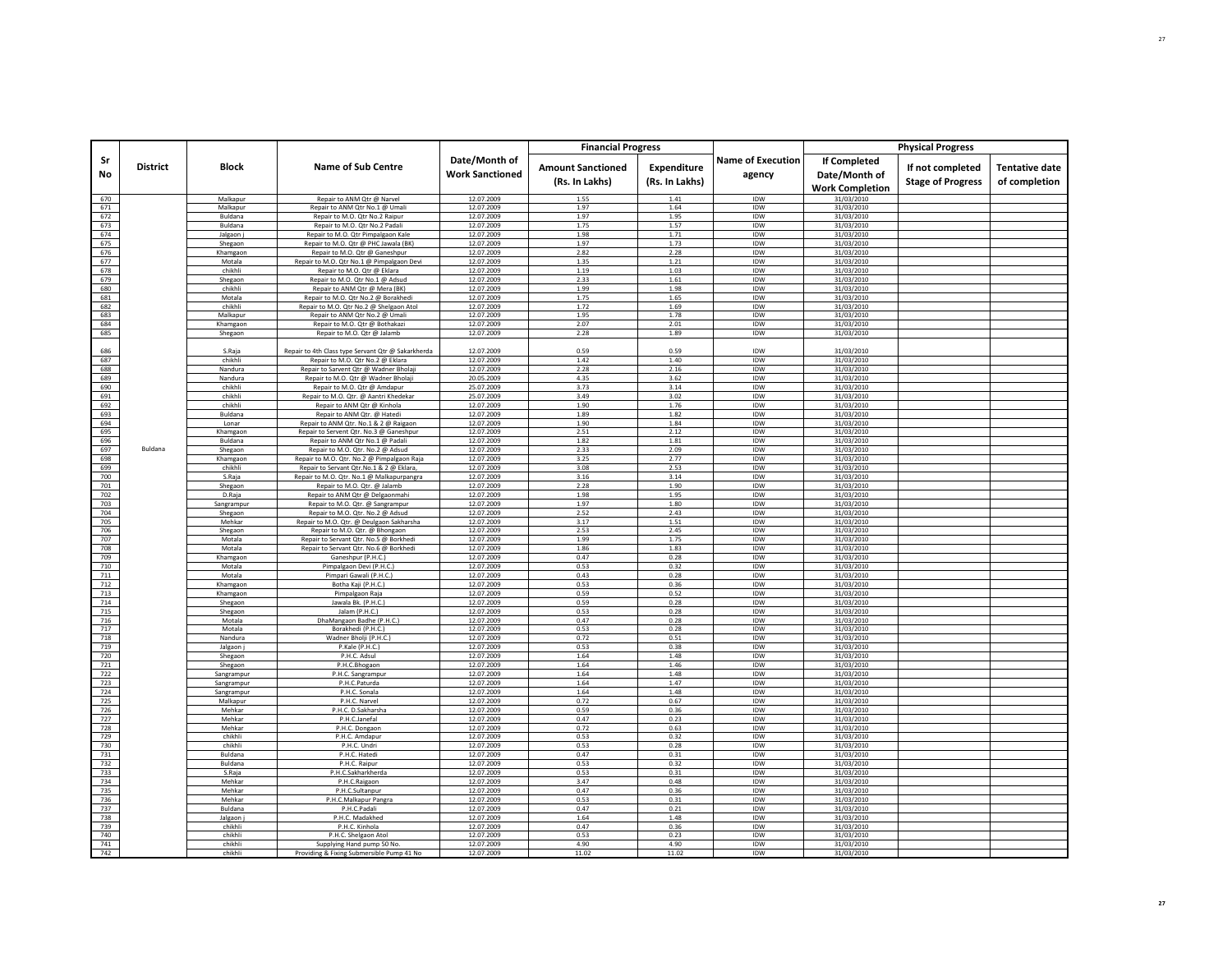|            |                 |                        |                                                                                        |                                         | <b>Financial Progress</b>                  |                               |                                    |                                                         | <b>Physical Progress</b>                     |                                        |
|------------|-----------------|------------------------|----------------------------------------------------------------------------------------|-----------------------------------------|--------------------------------------------|-------------------------------|------------------------------------|---------------------------------------------------------|----------------------------------------------|----------------------------------------|
| Sr<br>No   | <b>District</b> | <b>Block</b>           | <b>Name of Sub Centre</b>                                                              | Date/Month of<br><b>Work Sanctioned</b> | <b>Amount Sanctioned</b><br>(Rs. In Lakhs) | Expenditure<br>(Rs. In Lakhs) | <b>Name of Execution</b><br>agency | If Completed<br>Date/Month of<br><b>Work Completion</b> | If not completed<br><b>Stage of Progress</b> | <b>Tentative date</b><br>of completion |
| 670        |                 | Malkapur               | Repair to ANM Qtr @ Narvel                                                             | 12.07.2009                              | 1.55                                       | 1.41                          | IDW                                | 31/03/2010                                              |                                              |                                        |
| 671        |                 | Malkapur               | Repair to ANM Qtr No.1 @ Umali                                                         | 12.07.2009                              | 1.97                                       | 1.64                          | IDW                                | 31/03/2010                                              |                                              |                                        |
| 672        |                 | Buldana                | Repair to M.O. Qtr No.2 Raipur                                                         | 12.07.2009                              | 1.97                                       | 1.95                          | IDW                                | 31/03/2010                                              |                                              |                                        |
| 673        |                 | <b>Buldana</b>         | Renair to M.O. Otr No.2 Padali                                                         | 12.07.2009                              | 1.75                                       | 1.57                          | <b>IDW</b>                         | 31/03/2010                                              |                                              |                                        |
| 674<br>675 |                 | Jalgaon j              | Repair to M.O. Qtr Pimpalgaon Kale<br>Repair to M.O. Qtr @ PHC Jawala (BK)             | 12.07.2009<br>12.07.2009                | 1.98<br>1.97                               | 1.71<br>1.73                  | IDW<br>IDW                         | 31/03/2010<br>31/03/2010                                |                                              |                                        |
| 676        |                 | Shegaon<br>Khamgaon    | Repair to M.O. Qtr @ Ganeshpur                                                         | 12.07.2009                              | 2.82                                       | 2.28                          | <b>IDW</b>                         | 31/03/2010                                              |                                              |                                        |
| 677        |                 | Motala                 | Repair to M.O. Qtr No.1 @ Pimpalgaon Devi                                              | 12.07.2009                              | 1.35                                       | 1.21                          | <b>IDW</b>                         | 31/03/2010                                              |                                              |                                        |
| 678        |                 | chikhli                | Repair to M.O. Qtr @ Eklara                                                            | 12.07.2009                              | 1.19                                       | 1.03                          | IDW                                | 31/03/2010                                              |                                              |                                        |
| 679        |                 | Shegaon                | Repair to M.O. Qtr No.1 @ Adsud                                                        | 12.07.2009                              | 2.33                                       | 1.61                          | IDW                                | 31/03/2010                                              |                                              |                                        |
| 680        |                 | chikhli                | Repair to ANM Qtr @ Mera (BK)                                                          | 12.07.2009                              | 1.99                                       | 1.98                          | <b>IDW</b>                         | 31/03/2010                                              |                                              |                                        |
| 681        |                 | Motala                 | Repair to M.O. Qtr No.2 @ Borakhedi                                                    | 12.07.2009                              | 1.75                                       | 1.65                          | IDW                                | 31/03/2010                                              |                                              |                                        |
| 682        |                 | chikhli                | Repair to M.O. Qtr No.2 @ Shelgaon Atol                                                | 12.07.2009                              | 1.72                                       | 1.69                          | IDW                                | 31/03/2010                                              |                                              |                                        |
| 683        |                 | Malkapur               | Repair to ANM Qtr No.2 @ Umali                                                         | 12.07.2009                              | 1.95                                       | 1.78                          | IDW                                | 31/03/2010                                              |                                              |                                        |
| 684<br>685 |                 | Khamgaon               | Repair to M.O. Otr @ Bothakazi<br>Repair to M.O. Qtr @ Jalamb                          | 12.07.2009<br>12.07.2009                | 2.07<br>2.28                               | 2.01<br>1.89                  | IDW<br>IDW                         | 31/03/2010                                              |                                              |                                        |
|            |                 | Shegaon                |                                                                                        |                                         |                                            |                               |                                    | 31/03/2010                                              |                                              |                                        |
| 686<br>687 |                 | S.Raja<br>chikhli      | Repair to 4th Class type Servant Qtr @ Sakarkherda<br>Repair to M.O. Qtr No.2 @ Eklara | 12.07.2009<br>12.07.2009                | 0.59<br>1.42                               | 0.59<br>1.40                  | IDW<br>IDW                         | 31/03/2010<br>31/03/2010                                |                                              |                                        |
| 688        |                 | Nandura                | Repair to Sarvent Qtr @ Wadner Bholaji                                                 | 12.07.2009                              | 2.28                                       | 2.16                          | IDW                                | 31/03/2010                                              |                                              |                                        |
| 689        |                 | Nandura                | Repair to M.O. Qtr @ Wadner Bholaji                                                    | 20.05.2009                              | 4.35                                       | 3.62                          | IDW                                | 31/03/2010                                              |                                              |                                        |
| 690        |                 | chikhli                | Repair to M.O. Qtr @ Amdapur                                                           | 25.07.2009                              | 3.73                                       | 3.14                          | <b>IDW</b>                         | 31/03/2010                                              |                                              |                                        |
| 691        |                 | chikhli                | Repair to M.O. Qtr. @ Aantri Khedekar                                                  | 25.07.2009                              | 3.49                                       | 3.02                          | IDW                                | 31/03/2010                                              |                                              |                                        |
| 692        |                 | chikhli                | Repair to ANM Qtr @ Kinhola                                                            | 12.07.2009                              | 1.90                                       | 1.76                          | IDW                                | 31/03/2010                                              |                                              |                                        |
| 693        |                 | Buldana                | Repair to ANM Qtr. @ Hatedi                                                            | 12.07.2009                              | 1.89                                       | 1.82                          | IDW                                | 31/03/2010                                              |                                              |                                        |
| 694        |                 | Lonar                  | Repair to ANM Qtr. No.1 & 2 @ Raigaon                                                  | 12.07.2009                              | 1.90                                       | 1.84                          | <b>IDW</b>                         | 31/03/2010                                              |                                              |                                        |
| 695        |                 | Khamgaon               | Repair to Servent Qtr. No.3 @ Ganeshpur                                                | 12.07.2009                              | 2.51                                       | 2.12                          | IDW                                | 31/03/2010                                              |                                              |                                        |
| 696<br>697 | Buldana         | Buldana                | Repair to ANM Qtr No.1 @ Padali<br>Repair to M.O. Qtr. No.2 @ Adsuc                    | 12.07.2009<br>12.07.2009                | 1.82<br>2.33                               | 1.81<br>2.09                  | IDW<br>IDW                         | 31/03/2010<br>31/03/2010                                |                                              |                                        |
| 698        |                 | Shegaon<br>Khamgaon    | Repair to M.O. Qtr. No.2 @ Pimpalgaon Raja                                             | 12.07.2009                              | 3.25                                       | 2.77                          | IDW                                | 31/03/2010                                              |                                              |                                        |
| 699        |                 | chikhli                | Repair to Servant Qtr.No.1 & 2 @ Eklara,                                               | 12.07.2009                              | 3.08                                       | 2.53                          | IDW                                | 31/03/2010                                              |                                              |                                        |
| 700        |                 | S.Raja                 | Repair to M.O. Qtr. No.1 @ Malkapurpangra                                              | 12.07.2009                              | 3.16                                       | 3.14                          | IDW                                | 31/03/2010                                              |                                              |                                        |
| 701        |                 | Shegaon                | Repair to M.O. Qtr. @ Jalamb                                                           | 12.07.2009                              | 2.28                                       | 1.90                          | IDW                                | 31/03/2010                                              |                                              |                                        |
| 702        |                 | D.Raja                 | Repair to ANM Qtr @ Delgaonmahi                                                        | 12.07.2009                              | 1.98                                       | 1.95                          | IDW                                | 31/03/2010                                              |                                              |                                        |
| 703        |                 | Sangrampur             | Repair to M.O. Qtr. @ Sangrampur                                                       | 12.07.2009                              | 1.97                                       | 1.80                          | IDW                                | 31/03/2010                                              |                                              |                                        |
| 704        |                 | Shegaon                | Repair to M.O. Qtr. No.2 @ Adsud                                                       | 12.07.2009                              | 2.52                                       | 2.43                          | <b>IDW</b>                         | 31/03/2010                                              |                                              |                                        |
| 705<br>706 |                 | Mehkar<br>Shegaon      | Repair to M.O. Qtr. @ Deulgaon Sakharsha<br>Repair to M.O. Qtr. @ Bhongaon             | 12.07.2009<br>12.07.2009                | 3.17<br>2.53                               | 1.51<br>2.45                  | IDW<br>IDW                         | 31/03/2010<br>31/03/2010                                |                                              |                                        |
| 707        |                 | Motala                 | Repair to Servant Qtr. No.5 @ Borkhedi                                                 | 12.07.2009                              | 1.99                                       | 1.75                          | IDW                                | 31/03/2010                                              |                                              |                                        |
| 708        |                 | Motala                 | Repair to Servant Otr. No.6 @ Borkhedi                                                 | 12.07.2009                              | 1.86                                       | 1.83                          | <b>IDW</b>                         | 31/03/2010                                              |                                              |                                        |
| 709        |                 | Khamgaon               | Ganeshpur (P.H.C.)                                                                     | 12.07.2009                              | 0.47                                       | 0.28                          | <b>IDW</b>                         | 31/03/2010                                              |                                              |                                        |
| 710        |                 | Motala                 | Pimpalgaon Devi (P.H.C.)                                                               | 12.07.2009                              | 0.53                                       | 0.32                          | IDW                                | 31/03/2010                                              |                                              |                                        |
| 711        |                 | Motala                 | Pimpari Gawali (P.H.C.)                                                                | 12.07.2009                              | 0.43                                       | 0.28                          | IDW                                | 31/03/2010                                              |                                              |                                        |
| 712        |                 | Khamgaon               | Botha Kaji (P.H.C.)                                                                    | 12.07.2009                              | 0.53                                       | 0.36                          | IDW                                | 31/03/2010                                              |                                              |                                        |
| 713        |                 | Khamgaon               | Pimpalgaon Raja                                                                        | 12.07.2009                              | 0.59                                       | 0.52                          | IDW                                | 31/03/2010                                              |                                              |                                        |
| 714        |                 | Shegaon                | Jawala Bk. (P.H.C.)                                                                    | 12.07.2009                              | 0.59                                       | 0.28                          | IDW<br><b>IDW</b>                  | 31/03/2010                                              |                                              |                                        |
| 715<br>716 |                 | Shegaon<br>Motala      | Jalam (P.H.C.)<br>DhaMangaon Badhe (P.H.C.)                                            | 12.07.2009<br>12.07.2009                | 0.53<br>0.47                               | 0.28<br>0.28                  | IDW                                | 31/03/2010<br>31/03/2010                                |                                              |                                        |
| 717        |                 | Motala                 | Borakhedi (P.H.C.)                                                                     | 12.07.2009                              | 0.53                                       | 0.28                          | IDW                                | 31/03/2010                                              |                                              |                                        |
| 718        |                 | Nandura                | Wadner Bholji (P.H.C.)                                                                 | 12.07.2009                              | 0.72                                       | 0.51                          | IDW                                | 31/03/2010                                              |                                              |                                        |
| 719        |                 | Jalgaon                | P.Kale (P.H.C.)                                                                        | 12.07.2009                              | 0.53                                       | 0.38                          | <b>IDW</b>                         | 31/03/2010                                              |                                              |                                        |
| 720        |                 | Shegaon                | P.H.C. Adsul                                                                           | 12.07.2009                              | 1.64                                       | 1.48                          | IDW                                | 31/03/2010                                              |                                              |                                        |
| 721        |                 | Shegaon                | P.H.C.Bhogaon                                                                          | 12.07.2009                              | 1.64                                       | 1.46                          | IDW                                | 31/03/2010                                              |                                              |                                        |
| 722        |                 | Sangrampu              | P.H.C. Sangrampur                                                                      | 12.07.2009                              | 1.64                                       | 1.48                          | IDW                                | 31/03/2010                                              |                                              |                                        |
| 723        |                 | Sangrampur             | P.H.C.Paturda                                                                          | 12.07.2009                              | 1.64                                       | 1.47                          | IDW                                | 31/03/2010                                              |                                              |                                        |
| 724<br>725 |                 | Sangrampur<br>Malkapur | P.H.C. Sonala<br>P.H.C. Narvel                                                         | 12.07.2009<br>12.07.2009                | 1.64<br>0.72                               | 1.48<br>0.67                  | <b>IDW</b><br>IDW                  | 31/03/2010<br>31/03/2010                                |                                              |                                        |
| 726        |                 | Mehkar                 | P.H.C. D.Sakharsha                                                                     | 12.07.2009                              | 0.59                                       | 0.36                          | <b>IDW</b>                         | 31/03/2010                                              |                                              |                                        |
| 727        |                 | Mehkar                 | P.H.C.Janefal                                                                          | 12.07.2009                              | 0.47                                       | 0.23                          | IDW                                | 31/03/2010                                              |                                              |                                        |
| 728        |                 | Mehkar                 | P.H.C. Dongaon                                                                         | 12.07.2009                              | 0.72                                       | 0.63                          | IDW                                | 31/03/2010                                              |                                              |                                        |
| 729        |                 | chikhli                | P.H.C. Amdapur                                                                         | 12.07.2009                              | 0.53                                       | 0.32                          | IDW                                | 31/03/2010                                              |                                              |                                        |
| 730        |                 | chikhli                | P.H.C. Undri                                                                           | 12.07.2009                              | 0.53                                       | 0.28                          | IDW                                | 31/03/2010                                              |                                              |                                        |
| 731        |                 | Buldana                | P.H.C. Hatedi                                                                          | 12.07.2009                              | 0.47                                       | 0.31                          | IDW                                | 31/03/2010                                              |                                              |                                        |
| 732        |                 | Buldana                | P.H.C. Raipur                                                                          | 12.07.2009                              | 0.53                                       | 0.32                          | IDW                                | 31/03/2010                                              |                                              |                                        |
| 733<br>734 |                 | S.Raja<br>Mehkar       | P.H.C.Sakharkherda<br>P.H.C.Raigaon                                                    | 12.07.2009<br>12.07.2009                | 0.53<br>3.47                               | 0.31<br>0.48                  | IDW<br>IDW                         | 31/03/2010                                              |                                              |                                        |
| 735        |                 | Mehkar                 | P.H.C.Sultanpur                                                                        | 12.07.2009                              | 0.47                                       | 0.36                          | IDW                                | 31/03/2010<br>31/03/2010                                |                                              |                                        |
| 736        |                 | Mehkar                 | P.H.C.Malkapur Pangra                                                                  | 12.07.2009                              | 0.53                                       | 0.31                          | IDW                                | 31/03/2010                                              |                                              |                                        |
| 737        |                 | <b>Buldana</b>         | P.H.C.Padali                                                                           | 12.07.2009                              | 0.47                                       | 0.21                          | <b>IDW</b>                         | 31/03/2010                                              |                                              |                                        |
| 738        |                 | Jalgaon j              | P.H.C. Madakhed                                                                        | 12.07.2009                              | 1.64                                       | 1.48                          | IDW                                | 31/03/2010                                              |                                              |                                        |
| 739        |                 | chikhli                | P.H.C. Kinhola                                                                         | 12.07.2009                              | 0.47                                       | 0.36                          | IDW                                | 31/03/2010                                              |                                              |                                        |
| 740        |                 | chikhli                | P.H.C. Shelgaon Atol                                                                   | 12.07.2009                              | 0.53                                       | 0.23                          | <b>IDW</b>                         | 31/03/2010                                              |                                              |                                        |
| 741        |                 | chikhli                | Supplying Hand pump 50 No.                                                             | 12.07.2009                              | 4.90                                       | 4.90                          | IDW                                | 31/03/2010                                              |                                              |                                        |
| 742        |                 | chikhl                 | Providing & Fixing Submersible Pump 41 No                                              | 12.07.2009                              | 11.02                                      | 11.02                         | <b>IDW</b>                         | 31/03/2010                                              |                                              |                                        |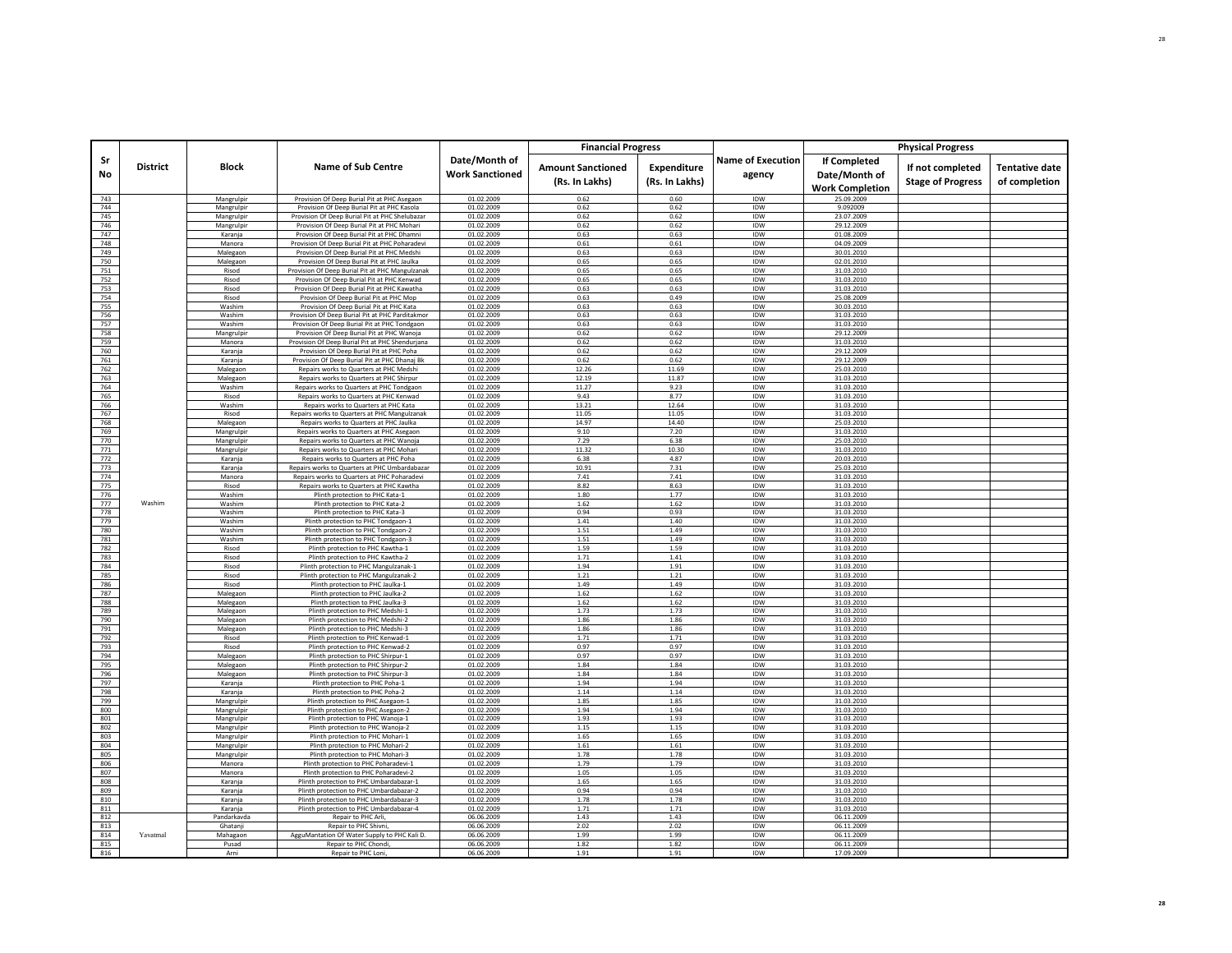| <b>Financial Progress</b><br><b>Physical Progress</b><br>Date/Month of<br><b>Name of Execution</b><br><b>If Completed</b><br>Sr<br><b>Block</b><br><b>District</b><br><b>Name of Sub Centre</b><br><b>Amount Sanctioned</b><br>If not completed<br><b>Expenditure</b><br><b>Work Sanctioned</b><br>No<br>agency<br>Date/Month of<br><b>Stage of Progress</b><br>(Rs. In Lakhs)<br>(Rs. In Lakhs)<br><b>Work Completion</b><br>01.02.2009<br>0.62<br>0.60<br>743<br>Provision Of Deep Burial Pit at PHC Asegaon<br>IDW<br>25.09.2009<br>Mangrulpir<br>0.62<br><b>IDW</b><br>744<br>Mangrulpir<br>Provision Of Deep Burial Pit at PHC Kasola<br>01.02.2009<br>0.62<br>9.092009<br>745<br>01.02.2009<br>0.62<br>0.62<br>IDW<br>23.07.2009<br>Mangrulpir<br>Provision Of Deep Burial Pit at PHC Shelubazar<br>746<br>01.02.2009<br>0.62<br>0.62<br>Mangrulpir<br>Provision Of Deep Burial Pit at PHC Mohari<br><b>IDW</b><br>29.12.2009<br>747<br>Provision Of Deep Burial Pit at PHC Dhamni<br>01.02.2009<br>0.63<br>0.63<br>IDW<br>01.08.2009<br>Karania<br>748<br>Manora<br>Provision Of Deep Burial Pit at PHC Poharadevi<br>01.02.2009<br>0.61<br>0.61<br>IDW<br>04.09.2009<br>749<br>Malegaon<br>Provision Of Deep Burial Pit at PHC Medshi<br>01.02.2009<br>0.63<br>0.63<br>IDW<br>30.01.2010<br>750<br>Malegaon<br>Provision Of Deep Burial Pit at PHC Jaulka<br>01.02.2009<br>0.65<br>0.65<br><b>IDW</b><br>02.01.2010<br>751<br>0.65<br>IDW<br>Provision Of Deep Burial Pit at PHC Mangulzanak<br>01.02.2009<br>0.65<br>31.03.2010<br>Risod<br>752<br>0.65<br>IDW<br>Risod<br>Provision Of Deep Burial Pit at PHC Kenwad<br>01.02.2009<br>0.65<br>31.03.2010<br>753<br>Risod<br>01.02.2009<br>0.63<br>0.63<br>IDW<br>31.03.2010<br>Provision Of Deep Burial Pit at PHC Kawatha<br>754<br>01.02.2009<br>0.49<br><b>IDW</b><br>Provision Of Deep Burial Pit at PHC Mop<br>0.63<br>25.08.2009<br>Risod<br>755<br>Washim<br>Provision Of Deep Burial Pit at PHC Kata<br>01.02.2009<br>0.63<br>0.63<br><b>IDW</b><br>30.03.2010<br>756<br>Provision Of Deep Burial Pit at PHC Parditakmor<br>01.02.2009<br>0.63<br>IDW<br>Washim<br>0.63<br>31.03.2010<br>757<br>0.63<br>Washim<br>Provision Of Deep Burial Pit at PHC Tondgaon<br>01.02.2009<br>0.63<br><b>IDW</b><br>31.03.2010<br>758<br>01.02.2009<br>0.62<br>0.62<br>IDW<br>29.12.2009<br>Mangrulpir<br>Provision Of Deep Burial Pit at PHC Wanoia<br>759<br>Manora<br>Provision Of Deep Burial Pit at PHC Shendurjana<br>01.02.2009<br>0.62<br>0.62<br>IDW<br>31.03.2010<br>760<br>Provision Of Deep Burial Pit at PHC Poha<br>01.02.2009<br>0.62<br>0.62<br>IDW<br>29.12.2009<br>Karanja<br>761<br>01.02.2009<br>0.62<br>0.62<br>IDW<br>Karanja<br>Provision Of Deep Burial Pit at PHC Dhanaj Bk<br>29.12.2009<br>762<br>01.02.2009<br>12.26<br>11.69<br>IDW<br>Malegaon<br>25.03.2010<br>Repairs works to Quarters at PHC Medshi<br>763<br>01.02.2009<br>12.19<br>11.87<br>IDW<br>31.03.2010<br>Malegaon<br>Repairs works to Quarters at PHC Shirpur<br>764<br>Washim<br>Repairs works to Quarters at PHC Tondgaor<br>01.02.2009<br>11.27<br>9.23<br>IDW<br>31.03.2010<br>765<br>IDW<br>01.02.2009<br>9.43<br>8.77<br>31.03.2010<br>Repairs works to Quarters at PHC Kenwad<br>Risod<br>766<br>Washim<br>Repairs works to Quarters at PHC Kata<br>01.02.2009<br>13.21<br>12.64<br>IDW<br>31.03.2010<br>767<br>01.02.2009<br>11.05<br>11.05<br>IDW<br>31.03.2010<br>Risod<br>Repairs works to Quarters at PHC Mangulzanal<br>768<br>01.02.2009<br>14.97<br>14.40<br><b>IDW</b><br>25.03.2010<br>Malegaon<br>Repairs works to Quarters at PHC Jaulka<br>769<br>Mangrulpin<br>01.02.2009<br>9.10<br>7.20<br>IDW<br>31.03.2010<br>Repairs works to Quarters at PHC Asegaon<br>770<br>Mangrulpir<br>Repairs works to Quarters at PHC Wanoja<br>01.02.2009<br>7.29<br>6.38<br><b>IDW</b><br>25.03.2010<br>771<br>Mangrulpir<br>Repairs works to Quarters at PHC Mohari<br>01.02.2009<br>11.32<br>10.30<br>IDW<br>31.03.2010<br>772<br>4.87<br>IDW<br>01.02.2009<br>6.38<br>20.03.2010<br>Karanja<br>Repairs works to Quarters at PHC Poha<br>773<br>01.02.2009<br>10.91<br>7.31<br>IDW<br>25.03.2010<br>Karania<br>Repairs works to Quarters at PHC Umbardabazar<br>774<br>Manora<br>01.02.2009<br>7.41<br>7.41<br>IDW<br>31.03.2010<br>Repairs works to Quarters at PHC Poharadevi<br>775<br>8.82<br>8.63<br>IDW<br>Risod<br>Repairs works to Quarters at PHC Kawtha<br>01.02.2009<br>31.03.2010<br>776<br>1.80<br>1.77<br>IDW<br>Washim<br>Plinth protection to PHC Kata-1<br>01.02.2009<br>31.03.2010<br>777<br>Washim<br>Washim<br>Plinth protection to PHC Kata-2<br>01.02.2009<br>1.62<br>1.62<br><b>IDW</b><br>31.03.2010<br>778<br>Washim<br>Plinth protection to PHC Kata-3<br>01.02.2009<br>0.94<br>0.93<br>IDW<br>31.03.2010<br>779<br>01.02.2009<br>1.41<br>1.40<br><b>IDW</b><br>31.03.2010<br>Washim<br>Plinth protection to PHC Tondgaon-1<br>780<br>Washim<br>Plinth protection to PHC Tondgaon-2<br>01.02.2009<br>1.51<br>1.49<br>IDW<br>31.03.2010<br>781<br>1.49<br>Washim<br>Plinth protection to PHC Tondgaon-3<br>01.02.2009<br>1.51<br><b>IDW</b><br>31.03.2010<br>782<br>1.59<br>1.59<br>Risod<br>Plinth protection to PHC Kawtha-1<br>01.02.2009<br><b>IDW</b><br>31.03.2010<br>783<br>01.02.2009<br>1.71<br>1.41<br>IDW<br>Plinth protection to PHC Kawtha-2<br>31.03.2010<br>Risod<br>784<br>Risod<br>Plinth protection to PHC Mangulzanak-1<br>01.02.2009<br>1.94<br>1.91<br>IDW<br>31.03.2010<br>785<br>Risod<br>Plinth protection to PHC Mangulzanak-2<br>01.02.2009<br>1.21<br>1.21<br>IDW<br>31.03.2010<br>786<br>IDW<br>Risod<br>Plinth protection to PHC Jaulka-1<br>01.02.2009<br>1.49<br>1.49<br>31.03.2010<br>787<br>1.62<br>1.62<br>IDW<br>Malegaon<br>Plinth protection to PHC Jaulka-2<br>01.02.2009<br>31.03.2010<br>788<br>1.62<br>1.62<br>IDW<br>Malegaon<br>Plinth protection to PHC Jaulka-3<br>01.02.2009<br>31.03.2010<br>789<br>Malegaon<br>Plinth protection to PHC Medshi-1<br>01.02.2009<br>1.73<br>1.73<br>IDW<br>31.03.2010<br>790<br>01.02.2009<br>1.86<br>1.86<br><b>IDW</b><br>Malegaon<br>Plinth protection to PHC Medshi-2<br>31.03.2010<br>791<br>Malegaon<br>Plinth protection to PHC Medshi-3<br>01.02.2009<br>1.86<br>1.86<br>IDW<br>31.03.2010<br>792<br>01.02.2009<br>1.71<br>1.71<br>IDW<br>31.03.2010<br>Risod<br>Plinth protection to PHC Kenwad-1<br>793<br>0.97<br>Risod<br>Plinth protection to PHC Kenwad-2<br>01.02.2009<br>0.97<br>IDW<br>31.03.2010<br>794<br>01.02.2009<br>0.97<br>0.97<br>IDW<br>31.03.2010<br>Plinth protection to PHC Shirpur-1<br>Malegaon<br>795<br>Malegaon<br>Plinth protection to PHC Shirpur-2<br>01.02.2009<br>1.84<br>1.84<br>IDW<br>31.03.2010<br>1.84 |                                        |
|------------------------------------------------------------------------------------------------------------------------------------------------------------------------------------------------------------------------------------------------------------------------------------------------------------------------------------------------------------------------------------------------------------------------------------------------------------------------------------------------------------------------------------------------------------------------------------------------------------------------------------------------------------------------------------------------------------------------------------------------------------------------------------------------------------------------------------------------------------------------------------------------------------------------------------------------------------------------------------------------------------------------------------------------------------------------------------------------------------------------------------------------------------------------------------------------------------------------------------------------------------------------------------------------------------------------------------------------------------------------------------------------------------------------------------------------------------------------------------------------------------------------------------------------------------------------------------------------------------------------------------------------------------------------------------------------------------------------------------------------------------------------------------------------------------------------------------------------------------------------------------------------------------------------------------------------------------------------------------------------------------------------------------------------------------------------------------------------------------------------------------------------------------------------------------------------------------------------------------------------------------------------------------------------------------------------------------------------------------------------------------------------------------------------------------------------------------------------------------------------------------------------------------------------------------------------------------------------------------------------------------------------------------------------------------------------------------------------------------------------------------------------------------------------------------------------------------------------------------------------------------------------------------------------------------------------------------------------------------------------------------------------------------------------------------------------------------------------------------------------------------------------------------------------------------------------------------------------------------------------------------------------------------------------------------------------------------------------------------------------------------------------------------------------------------------------------------------------------------------------------------------------------------------------------------------------------------------------------------------------------------------------------------------------------------------------------------------------------------------------------------------------------------------------------------------------------------------------------------------------------------------------------------------------------------------------------------------------------------------------------------------------------------------------------------------------------------------------------------------------------------------------------------------------------------------------------------------------------------------------------------------------------------------------------------------------------------------------------------------------------------------------------------------------------------------------------------------------------------------------------------------------------------------------------------------------------------------------------------------------------------------------------------------------------------------------------------------------------------------------------------------------------------------------------------------------------------------------------------------------------------------------------------------------------------------------------------------------------------------------------------------------------------------------------------------------------------------------------------------------------------------------------------------------------------------------------------------------------------------------------------------------------------------------------------------------------------------------------------------------------------------------------------------------------------------------------------------------------------------------------------------------------------------------------------------------------------------------------------------------------------------------------------------------------------------------------------------------------------------------------------------------------------------------------------------------------------------------------------------------------------------------------------------------------------------------------------------------------------------------------------------------------------------------------------------------------------------------------------------------------------------------------------------------------------------------------------------------------------------------------------------------------------------------------------------------------------------------------------------------------------------------------------------------------------------------------------------------------------------------------------------------------------------------------------------------------------------------------------------------------------------------------------------------------------------------------------------|----------------------------------------|
|                                                                                                                                                                                                                                                                                                                                                                                                                                                                                                                                                                                                                                                                                                                                                                                                                                                                                                                                                                                                                                                                                                                                                                                                                                                                                                                                                                                                                                                                                                                                                                                                                                                                                                                                                                                                                                                                                                                                                                                                                                                                                                                                                                                                                                                                                                                                                                                                                                                                                                                                                                                                                                                                                                                                                                                                                                                                                                                                                                                                                                                                                                                                                                                                                                                                                                                                                                                                                                                                                                                                                                                                                                                                                                                                                                                                                                                                                                                                                                                                                                                                                                                                                                                                                                                                                                                                                                                                                                                                                                                                                                                                                                                                                                                                                                                                                                                                                                                                                                                                                                                                                                                                                                                                                                                                                                                                                                                                                                                                                                                                                                                                                                                                                                                                                                                                                                                                                                                                                                                                                                                                                                                                                                                                                                                                                                                                                                                                                                                                                                                                                                                                                                                                                                                  | <b>Tentative date</b><br>of completion |
|                                                                                                                                                                                                                                                                                                                                                                                                                                                                                                                                                                                                                                                                                                                                                                                                                                                                                                                                                                                                                                                                                                                                                                                                                                                                                                                                                                                                                                                                                                                                                                                                                                                                                                                                                                                                                                                                                                                                                                                                                                                                                                                                                                                                                                                                                                                                                                                                                                                                                                                                                                                                                                                                                                                                                                                                                                                                                                                                                                                                                                                                                                                                                                                                                                                                                                                                                                                                                                                                                                                                                                                                                                                                                                                                                                                                                                                                                                                                                                                                                                                                                                                                                                                                                                                                                                                                                                                                                                                                                                                                                                                                                                                                                                                                                                                                                                                                                                                                                                                                                                                                                                                                                                                                                                                                                                                                                                                                                                                                                                                                                                                                                                                                                                                                                                                                                                                                                                                                                                                                                                                                                                                                                                                                                                                                                                                                                                                                                                                                                                                                                                                                                                                                                                                  |                                        |
|                                                                                                                                                                                                                                                                                                                                                                                                                                                                                                                                                                                                                                                                                                                                                                                                                                                                                                                                                                                                                                                                                                                                                                                                                                                                                                                                                                                                                                                                                                                                                                                                                                                                                                                                                                                                                                                                                                                                                                                                                                                                                                                                                                                                                                                                                                                                                                                                                                                                                                                                                                                                                                                                                                                                                                                                                                                                                                                                                                                                                                                                                                                                                                                                                                                                                                                                                                                                                                                                                                                                                                                                                                                                                                                                                                                                                                                                                                                                                                                                                                                                                                                                                                                                                                                                                                                                                                                                                                                                                                                                                                                                                                                                                                                                                                                                                                                                                                                                                                                                                                                                                                                                                                                                                                                                                                                                                                                                                                                                                                                                                                                                                                                                                                                                                                                                                                                                                                                                                                                                                                                                                                                                                                                                                                                                                                                                                                                                                                                                                                                                                                                                                                                                                                                  |                                        |
|                                                                                                                                                                                                                                                                                                                                                                                                                                                                                                                                                                                                                                                                                                                                                                                                                                                                                                                                                                                                                                                                                                                                                                                                                                                                                                                                                                                                                                                                                                                                                                                                                                                                                                                                                                                                                                                                                                                                                                                                                                                                                                                                                                                                                                                                                                                                                                                                                                                                                                                                                                                                                                                                                                                                                                                                                                                                                                                                                                                                                                                                                                                                                                                                                                                                                                                                                                                                                                                                                                                                                                                                                                                                                                                                                                                                                                                                                                                                                                                                                                                                                                                                                                                                                                                                                                                                                                                                                                                                                                                                                                                                                                                                                                                                                                                                                                                                                                                                                                                                                                                                                                                                                                                                                                                                                                                                                                                                                                                                                                                                                                                                                                                                                                                                                                                                                                                                                                                                                                                                                                                                                                                                                                                                                                                                                                                                                                                                                                                                                                                                                                                                                                                                                                                  |                                        |
|                                                                                                                                                                                                                                                                                                                                                                                                                                                                                                                                                                                                                                                                                                                                                                                                                                                                                                                                                                                                                                                                                                                                                                                                                                                                                                                                                                                                                                                                                                                                                                                                                                                                                                                                                                                                                                                                                                                                                                                                                                                                                                                                                                                                                                                                                                                                                                                                                                                                                                                                                                                                                                                                                                                                                                                                                                                                                                                                                                                                                                                                                                                                                                                                                                                                                                                                                                                                                                                                                                                                                                                                                                                                                                                                                                                                                                                                                                                                                                                                                                                                                                                                                                                                                                                                                                                                                                                                                                                                                                                                                                                                                                                                                                                                                                                                                                                                                                                                                                                                                                                                                                                                                                                                                                                                                                                                                                                                                                                                                                                                                                                                                                                                                                                                                                                                                                                                                                                                                                                                                                                                                                                                                                                                                                                                                                                                                                                                                                                                                                                                                                                                                                                                                                                  |                                        |
|                                                                                                                                                                                                                                                                                                                                                                                                                                                                                                                                                                                                                                                                                                                                                                                                                                                                                                                                                                                                                                                                                                                                                                                                                                                                                                                                                                                                                                                                                                                                                                                                                                                                                                                                                                                                                                                                                                                                                                                                                                                                                                                                                                                                                                                                                                                                                                                                                                                                                                                                                                                                                                                                                                                                                                                                                                                                                                                                                                                                                                                                                                                                                                                                                                                                                                                                                                                                                                                                                                                                                                                                                                                                                                                                                                                                                                                                                                                                                                                                                                                                                                                                                                                                                                                                                                                                                                                                                                                                                                                                                                                                                                                                                                                                                                                                                                                                                                                                                                                                                                                                                                                                                                                                                                                                                                                                                                                                                                                                                                                                                                                                                                                                                                                                                                                                                                                                                                                                                                                                                                                                                                                                                                                                                                                                                                                                                                                                                                                                                                                                                                                                                                                                                                                  |                                        |
|                                                                                                                                                                                                                                                                                                                                                                                                                                                                                                                                                                                                                                                                                                                                                                                                                                                                                                                                                                                                                                                                                                                                                                                                                                                                                                                                                                                                                                                                                                                                                                                                                                                                                                                                                                                                                                                                                                                                                                                                                                                                                                                                                                                                                                                                                                                                                                                                                                                                                                                                                                                                                                                                                                                                                                                                                                                                                                                                                                                                                                                                                                                                                                                                                                                                                                                                                                                                                                                                                                                                                                                                                                                                                                                                                                                                                                                                                                                                                                                                                                                                                                                                                                                                                                                                                                                                                                                                                                                                                                                                                                                                                                                                                                                                                                                                                                                                                                                                                                                                                                                                                                                                                                                                                                                                                                                                                                                                                                                                                                                                                                                                                                                                                                                                                                                                                                                                                                                                                                                                                                                                                                                                                                                                                                                                                                                                                                                                                                                                                                                                                                                                                                                                                                                  |                                        |
|                                                                                                                                                                                                                                                                                                                                                                                                                                                                                                                                                                                                                                                                                                                                                                                                                                                                                                                                                                                                                                                                                                                                                                                                                                                                                                                                                                                                                                                                                                                                                                                                                                                                                                                                                                                                                                                                                                                                                                                                                                                                                                                                                                                                                                                                                                                                                                                                                                                                                                                                                                                                                                                                                                                                                                                                                                                                                                                                                                                                                                                                                                                                                                                                                                                                                                                                                                                                                                                                                                                                                                                                                                                                                                                                                                                                                                                                                                                                                                                                                                                                                                                                                                                                                                                                                                                                                                                                                                                                                                                                                                                                                                                                                                                                                                                                                                                                                                                                                                                                                                                                                                                                                                                                                                                                                                                                                                                                                                                                                                                                                                                                                                                                                                                                                                                                                                                                                                                                                                                                                                                                                                                                                                                                                                                                                                                                                                                                                                                                                                                                                                                                                                                                                                                  |                                        |
|                                                                                                                                                                                                                                                                                                                                                                                                                                                                                                                                                                                                                                                                                                                                                                                                                                                                                                                                                                                                                                                                                                                                                                                                                                                                                                                                                                                                                                                                                                                                                                                                                                                                                                                                                                                                                                                                                                                                                                                                                                                                                                                                                                                                                                                                                                                                                                                                                                                                                                                                                                                                                                                                                                                                                                                                                                                                                                                                                                                                                                                                                                                                                                                                                                                                                                                                                                                                                                                                                                                                                                                                                                                                                                                                                                                                                                                                                                                                                                                                                                                                                                                                                                                                                                                                                                                                                                                                                                                                                                                                                                                                                                                                                                                                                                                                                                                                                                                                                                                                                                                                                                                                                                                                                                                                                                                                                                                                                                                                                                                                                                                                                                                                                                                                                                                                                                                                                                                                                                                                                                                                                                                                                                                                                                                                                                                                                                                                                                                                                                                                                                                                                                                                                                                  |                                        |
|                                                                                                                                                                                                                                                                                                                                                                                                                                                                                                                                                                                                                                                                                                                                                                                                                                                                                                                                                                                                                                                                                                                                                                                                                                                                                                                                                                                                                                                                                                                                                                                                                                                                                                                                                                                                                                                                                                                                                                                                                                                                                                                                                                                                                                                                                                                                                                                                                                                                                                                                                                                                                                                                                                                                                                                                                                                                                                                                                                                                                                                                                                                                                                                                                                                                                                                                                                                                                                                                                                                                                                                                                                                                                                                                                                                                                                                                                                                                                                                                                                                                                                                                                                                                                                                                                                                                                                                                                                                                                                                                                                                                                                                                                                                                                                                                                                                                                                                                                                                                                                                                                                                                                                                                                                                                                                                                                                                                                                                                                                                                                                                                                                                                                                                                                                                                                                                                                                                                                                                                                                                                                                                                                                                                                                                                                                                                                                                                                                                                                                                                                                                                                                                                                                                  |                                        |
|                                                                                                                                                                                                                                                                                                                                                                                                                                                                                                                                                                                                                                                                                                                                                                                                                                                                                                                                                                                                                                                                                                                                                                                                                                                                                                                                                                                                                                                                                                                                                                                                                                                                                                                                                                                                                                                                                                                                                                                                                                                                                                                                                                                                                                                                                                                                                                                                                                                                                                                                                                                                                                                                                                                                                                                                                                                                                                                                                                                                                                                                                                                                                                                                                                                                                                                                                                                                                                                                                                                                                                                                                                                                                                                                                                                                                                                                                                                                                                                                                                                                                                                                                                                                                                                                                                                                                                                                                                                                                                                                                                                                                                                                                                                                                                                                                                                                                                                                                                                                                                                                                                                                                                                                                                                                                                                                                                                                                                                                                                                                                                                                                                                                                                                                                                                                                                                                                                                                                                                                                                                                                                                                                                                                                                                                                                                                                                                                                                                                                                                                                                                                                                                                                                                  |                                        |
|                                                                                                                                                                                                                                                                                                                                                                                                                                                                                                                                                                                                                                                                                                                                                                                                                                                                                                                                                                                                                                                                                                                                                                                                                                                                                                                                                                                                                                                                                                                                                                                                                                                                                                                                                                                                                                                                                                                                                                                                                                                                                                                                                                                                                                                                                                                                                                                                                                                                                                                                                                                                                                                                                                                                                                                                                                                                                                                                                                                                                                                                                                                                                                                                                                                                                                                                                                                                                                                                                                                                                                                                                                                                                                                                                                                                                                                                                                                                                                                                                                                                                                                                                                                                                                                                                                                                                                                                                                                                                                                                                                                                                                                                                                                                                                                                                                                                                                                                                                                                                                                                                                                                                                                                                                                                                                                                                                                                                                                                                                                                                                                                                                                                                                                                                                                                                                                                                                                                                                                                                                                                                                                                                                                                                                                                                                                                                                                                                                                                                                                                                                                                                                                                                                                  |                                        |
|                                                                                                                                                                                                                                                                                                                                                                                                                                                                                                                                                                                                                                                                                                                                                                                                                                                                                                                                                                                                                                                                                                                                                                                                                                                                                                                                                                                                                                                                                                                                                                                                                                                                                                                                                                                                                                                                                                                                                                                                                                                                                                                                                                                                                                                                                                                                                                                                                                                                                                                                                                                                                                                                                                                                                                                                                                                                                                                                                                                                                                                                                                                                                                                                                                                                                                                                                                                                                                                                                                                                                                                                                                                                                                                                                                                                                                                                                                                                                                                                                                                                                                                                                                                                                                                                                                                                                                                                                                                                                                                                                                                                                                                                                                                                                                                                                                                                                                                                                                                                                                                                                                                                                                                                                                                                                                                                                                                                                                                                                                                                                                                                                                                                                                                                                                                                                                                                                                                                                                                                                                                                                                                                                                                                                                                                                                                                                                                                                                                                                                                                                                                                                                                                                                                  |                                        |
|                                                                                                                                                                                                                                                                                                                                                                                                                                                                                                                                                                                                                                                                                                                                                                                                                                                                                                                                                                                                                                                                                                                                                                                                                                                                                                                                                                                                                                                                                                                                                                                                                                                                                                                                                                                                                                                                                                                                                                                                                                                                                                                                                                                                                                                                                                                                                                                                                                                                                                                                                                                                                                                                                                                                                                                                                                                                                                                                                                                                                                                                                                                                                                                                                                                                                                                                                                                                                                                                                                                                                                                                                                                                                                                                                                                                                                                                                                                                                                                                                                                                                                                                                                                                                                                                                                                                                                                                                                                                                                                                                                                                                                                                                                                                                                                                                                                                                                                                                                                                                                                                                                                                                                                                                                                                                                                                                                                                                                                                                                                                                                                                                                                                                                                                                                                                                                                                                                                                                                                                                                                                                                                                                                                                                                                                                                                                                                                                                                                                                                                                                                                                                                                                                                                  |                                        |
|                                                                                                                                                                                                                                                                                                                                                                                                                                                                                                                                                                                                                                                                                                                                                                                                                                                                                                                                                                                                                                                                                                                                                                                                                                                                                                                                                                                                                                                                                                                                                                                                                                                                                                                                                                                                                                                                                                                                                                                                                                                                                                                                                                                                                                                                                                                                                                                                                                                                                                                                                                                                                                                                                                                                                                                                                                                                                                                                                                                                                                                                                                                                                                                                                                                                                                                                                                                                                                                                                                                                                                                                                                                                                                                                                                                                                                                                                                                                                                                                                                                                                                                                                                                                                                                                                                                                                                                                                                                                                                                                                                                                                                                                                                                                                                                                                                                                                                                                                                                                                                                                                                                                                                                                                                                                                                                                                                                                                                                                                                                                                                                                                                                                                                                                                                                                                                                                                                                                                                                                                                                                                                                                                                                                                                                                                                                                                                                                                                                                                                                                                                                                                                                                                                                  |                                        |
|                                                                                                                                                                                                                                                                                                                                                                                                                                                                                                                                                                                                                                                                                                                                                                                                                                                                                                                                                                                                                                                                                                                                                                                                                                                                                                                                                                                                                                                                                                                                                                                                                                                                                                                                                                                                                                                                                                                                                                                                                                                                                                                                                                                                                                                                                                                                                                                                                                                                                                                                                                                                                                                                                                                                                                                                                                                                                                                                                                                                                                                                                                                                                                                                                                                                                                                                                                                                                                                                                                                                                                                                                                                                                                                                                                                                                                                                                                                                                                                                                                                                                                                                                                                                                                                                                                                                                                                                                                                                                                                                                                                                                                                                                                                                                                                                                                                                                                                                                                                                                                                                                                                                                                                                                                                                                                                                                                                                                                                                                                                                                                                                                                                                                                                                                                                                                                                                                                                                                                                                                                                                                                                                                                                                                                                                                                                                                                                                                                                                                                                                                                                                                                                                                                                  |                                        |
|                                                                                                                                                                                                                                                                                                                                                                                                                                                                                                                                                                                                                                                                                                                                                                                                                                                                                                                                                                                                                                                                                                                                                                                                                                                                                                                                                                                                                                                                                                                                                                                                                                                                                                                                                                                                                                                                                                                                                                                                                                                                                                                                                                                                                                                                                                                                                                                                                                                                                                                                                                                                                                                                                                                                                                                                                                                                                                                                                                                                                                                                                                                                                                                                                                                                                                                                                                                                                                                                                                                                                                                                                                                                                                                                                                                                                                                                                                                                                                                                                                                                                                                                                                                                                                                                                                                                                                                                                                                                                                                                                                                                                                                                                                                                                                                                                                                                                                                                                                                                                                                                                                                                                                                                                                                                                                                                                                                                                                                                                                                                                                                                                                                                                                                                                                                                                                                                                                                                                                                                                                                                                                                                                                                                                                                                                                                                                                                                                                                                                                                                                                                                                                                                                                                  |                                        |
|                                                                                                                                                                                                                                                                                                                                                                                                                                                                                                                                                                                                                                                                                                                                                                                                                                                                                                                                                                                                                                                                                                                                                                                                                                                                                                                                                                                                                                                                                                                                                                                                                                                                                                                                                                                                                                                                                                                                                                                                                                                                                                                                                                                                                                                                                                                                                                                                                                                                                                                                                                                                                                                                                                                                                                                                                                                                                                                                                                                                                                                                                                                                                                                                                                                                                                                                                                                                                                                                                                                                                                                                                                                                                                                                                                                                                                                                                                                                                                                                                                                                                                                                                                                                                                                                                                                                                                                                                                                                                                                                                                                                                                                                                                                                                                                                                                                                                                                                                                                                                                                                                                                                                                                                                                                                                                                                                                                                                                                                                                                                                                                                                                                                                                                                                                                                                                                                                                                                                                                                                                                                                                                                                                                                                                                                                                                                                                                                                                                                                                                                                                                                                                                                                                                  |                                        |
|                                                                                                                                                                                                                                                                                                                                                                                                                                                                                                                                                                                                                                                                                                                                                                                                                                                                                                                                                                                                                                                                                                                                                                                                                                                                                                                                                                                                                                                                                                                                                                                                                                                                                                                                                                                                                                                                                                                                                                                                                                                                                                                                                                                                                                                                                                                                                                                                                                                                                                                                                                                                                                                                                                                                                                                                                                                                                                                                                                                                                                                                                                                                                                                                                                                                                                                                                                                                                                                                                                                                                                                                                                                                                                                                                                                                                                                                                                                                                                                                                                                                                                                                                                                                                                                                                                                                                                                                                                                                                                                                                                                                                                                                                                                                                                                                                                                                                                                                                                                                                                                                                                                                                                                                                                                                                                                                                                                                                                                                                                                                                                                                                                                                                                                                                                                                                                                                                                                                                                                                                                                                                                                                                                                                                                                                                                                                                                                                                                                                                                                                                                                                                                                                                                                  |                                        |
|                                                                                                                                                                                                                                                                                                                                                                                                                                                                                                                                                                                                                                                                                                                                                                                                                                                                                                                                                                                                                                                                                                                                                                                                                                                                                                                                                                                                                                                                                                                                                                                                                                                                                                                                                                                                                                                                                                                                                                                                                                                                                                                                                                                                                                                                                                                                                                                                                                                                                                                                                                                                                                                                                                                                                                                                                                                                                                                                                                                                                                                                                                                                                                                                                                                                                                                                                                                                                                                                                                                                                                                                                                                                                                                                                                                                                                                                                                                                                                                                                                                                                                                                                                                                                                                                                                                                                                                                                                                                                                                                                                                                                                                                                                                                                                                                                                                                                                                                                                                                                                                                                                                                                                                                                                                                                                                                                                                                                                                                                                                                                                                                                                                                                                                                                                                                                                                                                                                                                                                                                                                                                                                                                                                                                                                                                                                                                                                                                                                                                                                                                                                                                                                                                                                  |                                        |
|                                                                                                                                                                                                                                                                                                                                                                                                                                                                                                                                                                                                                                                                                                                                                                                                                                                                                                                                                                                                                                                                                                                                                                                                                                                                                                                                                                                                                                                                                                                                                                                                                                                                                                                                                                                                                                                                                                                                                                                                                                                                                                                                                                                                                                                                                                                                                                                                                                                                                                                                                                                                                                                                                                                                                                                                                                                                                                                                                                                                                                                                                                                                                                                                                                                                                                                                                                                                                                                                                                                                                                                                                                                                                                                                                                                                                                                                                                                                                                                                                                                                                                                                                                                                                                                                                                                                                                                                                                                                                                                                                                                                                                                                                                                                                                                                                                                                                                                                                                                                                                                                                                                                                                                                                                                                                                                                                                                                                                                                                                                                                                                                                                                                                                                                                                                                                                                                                                                                                                                                                                                                                                                                                                                                                                                                                                                                                                                                                                                                                                                                                                                                                                                                                                                  |                                        |
|                                                                                                                                                                                                                                                                                                                                                                                                                                                                                                                                                                                                                                                                                                                                                                                                                                                                                                                                                                                                                                                                                                                                                                                                                                                                                                                                                                                                                                                                                                                                                                                                                                                                                                                                                                                                                                                                                                                                                                                                                                                                                                                                                                                                                                                                                                                                                                                                                                                                                                                                                                                                                                                                                                                                                                                                                                                                                                                                                                                                                                                                                                                                                                                                                                                                                                                                                                                                                                                                                                                                                                                                                                                                                                                                                                                                                                                                                                                                                                                                                                                                                                                                                                                                                                                                                                                                                                                                                                                                                                                                                                                                                                                                                                                                                                                                                                                                                                                                                                                                                                                                                                                                                                                                                                                                                                                                                                                                                                                                                                                                                                                                                                                                                                                                                                                                                                                                                                                                                                                                                                                                                                                                                                                                                                                                                                                                                                                                                                                                                                                                                                                                                                                                                                                  |                                        |
|                                                                                                                                                                                                                                                                                                                                                                                                                                                                                                                                                                                                                                                                                                                                                                                                                                                                                                                                                                                                                                                                                                                                                                                                                                                                                                                                                                                                                                                                                                                                                                                                                                                                                                                                                                                                                                                                                                                                                                                                                                                                                                                                                                                                                                                                                                                                                                                                                                                                                                                                                                                                                                                                                                                                                                                                                                                                                                                                                                                                                                                                                                                                                                                                                                                                                                                                                                                                                                                                                                                                                                                                                                                                                                                                                                                                                                                                                                                                                                                                                                                                                                                                                                                                                                                                                                                                                                                                                                                                                                                                                                                                                                                                                                                                                                                                                                                                                                                                                                                                                                                                                                                                                                                                                                                                                                                                                                                                                                                                                                                                                                                                                                                                                                                                                                                                                                                                                                                                                                                                                                                                                                                                                                                                                                                                                                                                                                                                                                                                                                                                                                                                                                                                                                                  |                                        |
|                                                                                                                                                                                                                                                                                                                                                                                                                                                                                                                                                                                                                                                                                                                                                                                                                                                                                                                                                                                                                                                                                                                                                                                                                                                                                                                                                                                                                                                                                                                                                                                                                                                                                                                                                                                                                                                                                                                                                                                                                                                                                                                                                                                                                                                                                                                                                                                                                                                                                                                                                                                                                                                                                                                                                                                                                                                                                                                                                                                                                                                                                                                                                                                                                                                                                                                                                                                                                                                                                                                                                                                                                                                                                                                                                                                                                                                                                                                                                                                                                                                                                                                                                                                                                                                                                                                                                                                                                                                                                                                                                                                                                                                                                                                                                                                                                                                                                                                                                                                                                                                                                                                                                                                                                                                                                                                                                                                                                                                                                                                                                                                                                                                                                                                                                                                                                                                                                                                                                                                                                                                                                                                                                                                                                                                                                                                                                                                                                                                                                                                                                                                                                                                                                                                  |                                        |
|                                                                                                                                                                                                                                                                                                                                                                                                                                                                                                                                                                                                                                                                                                                                                                                                                                                                                                                                                                                                                                                                                                                                                                                                                                                                                                                                                                                                                                                                                                                                                                                                                                                                                                                                                                                                                                                                                                                                                                                                                                                                                                                                                                                                                                                                                                                                                                                                                                                                                                                                                                                                                                                                                                                                                                                                                                                                                                                                                                                                                                                                                                                                                                                                                                                                                                                                                                                                                                                                                                                                                                                                                                                                                                                                                                                                                                                                                                                                                                                                                                                                                                                                                                                                                                                                                                                                                                                                                                                                                                                                                                                                                                                                                                                                                                                                                                                                                                                                                                                                                                                                                                                                                                                                                                                                                                                                                                                                                                                                                                                                                                                                                                                                                                                                                                                                                                                                                                                                                                                                                                                                                                                                                                                                                                                                                                                                                                                                                                                                                                                                                                                                                                                                                                                  |                                        |
|                                                                                                                                                                                                                                                                                                                                                                                                                                                                                                                                                                                                                                                                                                                                                                                                                                                                                                                                                                                                                                                                                                                                                                                                                                                                                                                                                                                                                                                                                                                                                                                                                                                                                                                                                                                                                                                                                                                                                                                                                                                                                                                                                                                                                                                                                                                                                                                                                                                                                                                                                                                                                                                                                                                                                                                                                                                                                                                                                                                                                                                                                                                                                                                                                                                                                                                                                                                                                                                                                                                                                                                                                                                                                                                                                                                                                                                                                                                                                                                                                                                                                                                                                                                                                                                                                                                                                                                                                                                                                                                                                                                                                                                                                                                                                                                                                                                                                                                                                                                                                                                                                                                                                                                                                                                                                                                                                                                                                                                                                                                                                                                                                                                                                                                                                                                                                                                                                                                                                                                                                                                                                                                                                                                                                                                                                                                                                                                                                                                                                                                                                                                                                                                                                                                  |                                        |
|                                                                                                                                                                                                                                                                                                                                                                                                                                                                                                                                                                                                                                                                                                                                                                                                                                                                                                                                                                                                                                                                                                                                                                                                                                                                                                                                                                                                                                                                                                                                                                                                                                                                                                                                                                                                                                                                                                                                                                                                                                                                                                                                                                                                                                                                                                                                                                                                                                                                                                                                                                                                                                                                                                                                                                                                                                                                                                                                                                                                                                                                                                                                                                                                                                                                                                                                                                                                                                                                                                                                                                                                                                                                                                                                                                                                                                                                                                                                                                                                                                                                                                                                                                                                                                                                                                                                                                                                                                                                                                                                                                                                                                                                                                                                                                                                                                                                                                                                                                                                                                                                                                                                                                                                                                                                                                                                                                                                                                                                                                                                                                                                                                                                                                                                                                                                                                                                                                                                                                                                                                                                                                                                                                                                                                                                                                                                                                                                                                                                                                                                                                                                                                                                                                                  |                                        |
|                                                                                                                                                                                                                                                                                                                                                                                                                                                                                                                                                                                                                                                                                                                                                                                                                                                                                                                                                                                                                                                                                                                                                                                                                                                                                                                                                                                                                                                                                                                                                                                                                                                                                                                                                                                                                                                                                                                                                                                                                                                                                                                                                                                                                                                                                                                                                                                                                                                                                                                                                                                                                                                                                                                                                                                                                                                                                                                                                                                                                                                                                                                                                                                                                                                                                                                                                                                                                                                                                                                                                                                                                                                                                                                                                                                                                                                                                                                                                                                                                                                                                                                                                                                                                                                                                                                                                                                                                                                                                                                                                                                                                                                                                                                                                                                                                                                                                                                                                                                                                                                                                                                                                                                                                                                                                                                                                                                                                                                                                                                                                                                                                                                                                                                                                                                                                                                                                                                                                                                                                                                                                                                                                                                                                                                                                                                                                                                                                                                                                                                                                                                                                                                                                                                  |                                        |
|                                                                                                                                                                                                                                                                                                                                                                                                                                                                                                                                                                                                                                                                                                                                                                                                                                                                                                                                                                                                                                                                                                                                                                                                                                                                                                                                                                                                                                                                                                                                                                                                                                                                                                                                                                                                                                                                                                                                                                                                                                                                                                                                                                                                                                                                                                                                                                                                                                                                                                                                                                                                                                                                                                                                                                                                                                                                                                                                                                                                                                                                                                                                                                                                                                                                                                                                                                                                                                                                                                                                                                                                                                                                                                                                                                                                                                                                                                                                                                                                                                                                                                                                                                                                                                                                                                                                                                                                                                                                                                                                                                                                                                                                                                                                                                                                                                                                                                                                                                                                                                                                                                                                                                                                                                                                                                                                                                                                                                                                                                                                                                                                                                                                                                                                                                                                                                                                                                                                                                                                                                                                                                                                                                                                                                                                                                                                                                                                                                                                                                                                                                                                                                                                                                                  |                                        |
|                                                                                                                                                                                                                                                                                                                                                                                                                                                                                                                                                                                                                                                                                                                                                                                                                                                                                                                                                                                                                                                                                                                                                                                                                                                                                                                                                                                                                                                                                                                                                                                                                                                                                                                                                                                                                                                                                                                                                                                                                                                                                                                                                                                                                                                                                                                                                                                                                                                                                                                                                                                                                                                                                                                                                                                                                                                                                                                                                                                                                                                                                                                                                                                                                                                                                                                                                                                                                                                                                                                                                                                                                                                                                                                                                                                                                                                                                                                                                                                                                                                                                                                                                                                                                                                                                                                                                                                                                                                                                                                                                                                                                                                                                                                                                                                                                                                                                                                                                                                                                                                                                                                                                                                                                                                                                                                                                                                                                                                                                                                                                                                                                                                                                                                                                                                                                                                                                                                                                                                                                                                                                                                                                                                                                                                                                                                                                                                                                                                                                                                                                                                                                                                                                                                  |                                        |
|                                                                                                                                                                                                                                                                                                                                                                                                                                                                                                                                                                                                                                                                                                                                                                                                                                                                                                                                                                                                                                                                                                                                                                                                                                                                                                                                                                                                                                                                                                                                                                                                                                                                                                                                                                                                                                                                                                                                                                                                                                                                                                                                                                                                                                                                                                                                                                                                                                                                                                                                                                                                                                                                                                                                                                                                                                                                                                                                                                                                                                                                                                                                                                                                                                                                                                                                                                                                                                                                                                                                                                                                                                                                                                                                                                                                                                                                                                                                                                                                                                                                                                                                                                                                                                                                                                                                                                                                                                                                                                                                                                                                                                                                                                                                                                                                                                                                                                                                                                                                                                                                                                                                                                                                                                                                                                                                                                                                                                                                                                                                                                                                                                                                                                                                                                                                                                                                                                                                                                                                                                                                                                                                                                                                                                                                                                                                                                                                                                                                                                                                                                                                                                                                                                                  |                                        |
|                                                                                                                                                                                                                                                                                                                                                                                                                                                                                                                                                                                                                                                                                                                                                                                                                                                                                                                                                                                                                                                                                                                                                                                                                                                                                                                                                                                                                                                                                                                                                                                                                                                                                                                                                                                                                                                                                                                                                                                                                                                                                                                                                                                                                                                                                                                                                                                                                                                                                                                                                                                                                                                                                                                                                                                                                                                                                                                                                                                                                                                                                                                                                                                                                                                                                                                                                                                                                                                                                                                                                                                                                                                                                                                                                                                                                                                                                                                                                                                                                                                                                                                                                                                                                                                                                                                                                                                                                                                                                                                                                                                                                                                                                                                                                                                                                                                                                                                                                                                                                                                                                                                                                                                                                                                                                                                                                                                                                                                                                                                                                                                                                                                                                                                                                                                                                                                                                                                                                                                                                                                                                                                                                                                                                                                                                                                                                                                                                                                                                                                                                                                                                                                                                                                  |                                        |
|                                                                                                                                                                                                                                                                                                                                                                                                                                                                                                                                                                                                                                                                                                                                                                                                                                                                                                                                                                                                                                                                                                                                                                                                                                                                                                                                                                                                                                                                                                                                                                                                                                                                                                                                                                                                                                                                                                                                                                                                                                                                                                                                                                                                                                                                                                                                                                                                                                                                                                                                                                                                                                                                                                                                                                                                                                                                                                                                                                                                                                                                                                                                                                                                                                                                                                                                                                                                                                                                                                                                                                                                                                                                                                                                                                                                                                                                                                                                                                                                                                                                                                                                                                                                                                                                                                                                                                                                                                                                                                                                                                                                                                                                                                                                                                                                                                                                                                                                                                                                                                                                                                                                                                                                                                                                                                                                                                                                                                                                                                                                                                                                                                                                                                                                                                                                                                                                                                                                                                                                                                                                                                                                                                                                                                                                                                                                                                                                                                                                                                                                                                                                                                                                                                                  |                                        |
|                                                                                                                                                                                                                                                                                                                                                                                                                                                                                                                                                                                                                                                                                                                                                                                                                                                                                                                                                                                                                                                                                                                                                                                                                                                                                                                                                                                                                                                                                                                                                                                                                                                                                                                                                                                                                                                                                                                                                                                                                                                                                                                                                                                                                                                                                                                                                                                                                                                                                                                                                                                                                                                                                                                                                                                                                                                                                                                                                                                                                                                                                                                                                                                                                                                                                                                                                                                                                                                                                                                                                                                                                                                                                                                                                                                                                                                                                                                                                                                                                                                                                                                                                                                                                                                                                                                                                                                                                                                                                                                                                                                                                                                                                                                                                                                                                                                                                                                                                                                                                                                                                                                                                                                                                                                                                                                                                                                                                                                                                                                                                                                                                                                                                                                                                                                                                                                                                                                                                                                                                                                                                                                                                                                                                                                                                                                                                                                                                                                                                                                                                                                                                                                                                                                  |                                        |
|                                                                                                                                                                                                                                                                                                                                                                                                                                                                                                                                                                                                                                                                                                                                                                                                                                                                                                                                                                                                                                                                                                                                                                                                                                                                                                                                                                                                                                                                                                                                                                                                                                                                                                                                                                                                                                                                                                                                                                                                                                                                                                                                                                                                                                                                                                                                                                                                                                                                                                                                                                                                                                                                                                                                                                                                                                                                                                                                                                                                                                                                                                                                                                                                                                                                                                                                                                                                                                                                                                                                                                                                                                                                                                                                                                                                                                                                                                                                                                                                                                                                                                                                                                                                                                                                                                                                                                                                                                                                                                                                                                                                                                                                                                                                                                                                                                                                                                                                                                                                                                                                                                                                                                                                                                                                                                                                                                                                                                                                                                                                                                                                                                                                                                                                                                                                                                                                                                                                                                                                                                                                                                                                                                                                                                                                                                                                                                                                                                                                                                                                                                                                                                                                                                                  |                                        |
|                                                                                                                                                                                                                                                                                                                                                                                                                                                                                                                                                                                                                                                                                                                                                                                                                                                                                                                                                                                                                                                                                                                                                                                                                                                                                                                                                                                                                                                                                                                                                                                                                                                                                                                                                                                                                                                                                                                                                                                                                                                                                                                                                                                                                                                                                                                                                                                                                                                                                                                                                                                                                                                                                                                                                                                                                                                                                                                                                                                                                                                                                                                                                                                                                                                                                                                                                                                                                                                                                                                                                                                                                                                                                                                                                                                                                                                                                                                                                                                                                                                                                                                                                                                                                                                                                                                                                                                                                                                                                                                                                                                                                                                                                                                                                                                                                                                                                                                                                                                                                                                                                                                                                                                                                                                                                                                                                                                                                                                                                                                                                                                                                                                                                                                                                                                                                                                                                                                                                                                                                                                                                                                                                                                                                                                                                                                                                                                                                                                                                                                                                                                                                                                                                                                  |                                        |
|                                                                                                                                                                                                                                                                                                                                                                                                                                                                                                                                                                                                                                                                                                                                                                                                                                                                                                                                                                                                                                                                                                                                                                                                                                                                                                                                                                                                                                                                                                                                                                                                                                                                                                                                                                                                                                                                                                                                                                                                                                                                                                                                                                                                                                                                                                                                                                                                                                                                                                                                                                                                                                                                                                                                                                                                                                                                                                                                                                                                                                                                                                                                                                                                                                                                                                                                                                                                                                                                                                                                                                                                                                                                                                                                                                                                                                                                                                                                                                                                                                                                                                                                                                                                                                                                                                                                                                                                                                                                                                                                                                                                                                                                                                                                                                                                                                                                                                                                                                                                                                                                                                                                                                                                                                                                                                                                                                                                                                                                                                                                                                                                                                                                                                                                                                                                                                                                                                                                                                                                                                                                                                                                                                                                                                                                                                                                                                                                                                                                                                                                                                                                                                                                                                                  |                                        |
|                                                                                                                                                                                                                                                                                                                                                                                                                                                                                                                                                                                                                                                                                                                                                                                                                                                                                                                                                                                                                                                                                                                                                                                                                                                                                                                                                                                                                                                                                                                                                                                                                                                                                                                                                                                                                                                                                                                                                                                                                                                                                                                                                                                                                                                                                                                                                                                                                                                                                                                                                                                                                                                                                                                                                                                                                                                                                                                                                                                                                                                                                                                                                                                                                                                                                                                                                                                                                                                                                                                                                                                                                                                                                                                                                                                                                                                                                                                                                                                                                                                                                                                                                                                                                                                                                                                                                                                                                                                                                                                                                                                                                                                                                                                                                                                                                                                                                                                                                                                                                                                                                                                                                                                                                                                                                                                                                                                                                                                                                                                                                                                                                                                                                                                                                                                                                                                                                                                                                                                                                                                                                                                                                                                                                                                                                                                                                                                                                                                                                                                                                                                                                                                                                                                  |                                        |
|                                                                                                                                                                                                                                                                                                                                                                                                                                                                                                                                                                                                                                                                                                                                                                                                                                                                                                                                                                                                                                                                                                                                                                                                                                                                                                                                                                                                                                                                                                                                                                                                                                                                                                                                                                                                                                                                                                                                                                                                                                                                                                                                                                                                                                                                                                                                                                                                                                                                                                                                                                                                                                                                                                                                                                                                                                                                                                                                                                                                                                                                                                                                                                                                                                                                                                                                                                                                                                                                                                                                                                                                                                                                                                                                                                                                                                                                                                                                                                                                                                                                                                                                                                                                                                                                                                                                                                                                                                                                                                                                                                                                                                                                                                                                                                                                                                                                                                                                                                                                                                                                                                                                                                                                                                                                                                                                                                                                                                                                                                                                                                                                                                                                                                                                                                                                                                                                                                                                                                                                                                                                                                                                                                                                                                                                                                                                                                                                                                                                                                                                                                                                                                                                                                                  |                                        |
|                                                                                                                                                                                                                                                                                                                                                                                                                                                                                                                                                                                                                                                                                                                                                                                                                                                                                                                                                                                                                                                                                                                                                                                                                                                                                                                                                                                                                                                                                                                                                                                                                                                                                                                                                                                                                                                                                                                                                                                                                                                                                                                                                                                                                                                                                                                                                                                                                                                                                                                                                                                                                                                                                                                                                                                                                                                                                                                                                                                                                                                                                                                                                                                                                                                                                                                                                                                                                                                                                                                                                                                                                                                                                                                                                                                                                                                                                                                                                                                                                                                                                                                                                                                                                                                                                                                                                                                                                                                                                                                                                                                                                                                                                                                                                                                                                                                                                                                                                                                                                                                                                                                                                                                                                                                                                                                                                                                                                                                                                                                                                                                                                                                                                                                                                                                                                                                                                                                                                                                                                                                                                                                                                                                                                                                                                                                                                                                                                                                                                                                                                                                                                                                                                                                  |                                        |
|                                                                                                                                                                                                                                                                                                                                                                                                                                                                                                                                                                                                                                                                                                                                                                                                                                                                                                                                                                                                                                                                                                                                                                                                                                                                                                                                                                                                                                                                                                                                                                                                                                                                                                                                                                                                                                                                                                                                                                                                                                                                                                                                                                                                                                                                                                                                                                                                                                                                                                                                                                                                                                                                                                                                                                                                                                                                                                                                                                                                                                                                                                                                                                                                                                                                                                                                                                                                                                                                                                                                                                                                                                                                                                                                                                                                                                                                                                                                                                                                                                                                                                                                                                                                                                                                                                                                                                                                                                                                                                                                                                                                                                                                                                                                                                                                                                                                                                                                                                                                                                                                                                                                                                                                                                                                                                                                                                                                                                                                                                                                                                                                                                                                                                                                                                                                                                                                                                                                                                                                                                                                                                                                                                                                                                                                                                                                                                                                                                                                                                                                                                                                                                                                                                                  |                                        |
|                                                                                                                                                                                                                                                                                                                                                                                                                                                                                                                                                                                                                                                                                                                                                                                                                                                                                                                                                                                                                                                                                                                                                                                                                                                                                                                                                                                                                                                                                                                                                                                                                                                                                                                                                                                                                                                                                                                                                                                                                                                                                                                                                                                                                                                                                                                                                                                                                                                                                                                                                                                                                                                                                                                                                                                                                                                                                                                                                                                                                                                                                                                                                                                                                                                                                                                                                                                                                                                                                                                                                                                                                                                                                                                                                                                                                                                                                                                                                                                                                                                                                                                                                                                                                                                                                                                                                                                                                                                                                                                                                                                                                                                                                                                                                                                                                                                                                                                                                                                                                                                                                                                                                                                                                                                                                                                                                                                                                                                                                                                                                                                                                                                                                                                                                                                                                                                                                                                                                                                                                                                                                                                                                                                                                                                                                                                                                                                                                                                                                                                                                                                                                                                                                                                  |                                        |
|                                                                                                                                                                                                                                                                                                                                                                                                                                                                                                                                                                                                                                                                                                                                                                                                                                                                                                                                                                                                                                                                                                                                                                                                                                                                                                                                                                                                                                                                                                                                                                                                                                                                                                                                                                                                                                                                                                                                                                                                                                                                                                                                                                                                                                                                                                                                                                                                                                                                                                                                                                                                                                                                                                                                                                                                                                                                                                                                                                                                                                                                                                                                                                                                                                                                                                                                                                                                                                                                                                                                                                                                                                                                                                                                                                                                                                                                                                                                                                                                                                                                                                                                                                                                                                                                                                                                                                                                                                                                                                                                                                                                                                                                                                                                                                                                                                                                                                                                                                                                                                                                                                                                                                                                                                                                                                                                                                                                                                                                                                                                                                                                                                                                                                                                                                                                                                                                                                                                                                                                                                                                                                                                                                                                                                                                                                                                                                                                                                                                                                                                                                                                                                                                                                                  |                                        |
|                                                                                                                                                                                                                                                                                                                                                                                                                                                                                                                                                                                                                                                                                                                                                                                                                                                                                                                                                                                                                                                                                                                                                                                                                                                                                                                                                                                                                                                                                                                                                                                                                                                                                                                                                                                                                                                                                                                                                                                                                                                                                                                                                                                                                                                                                                                                                                                                                                                                                                                                                                                                                                                                                                                                                                                                                                                                                                                                                                                                                                                                                                                                                                                                                                                                                                                                                                                                                                                                                                                                                                                                                                                                                                                                                                                                                                                                                                                                                                                                                                                                                                                                                                                                                                                                                                                                                                                                                                                                                                                                                                                                                                                                                                                                                                                                                                                                                                                                                                                                                                                                                                                                                                                                                                                                                                                                                                                                                                                                                                                                                                                                                                                                                                                                                                                                                                                                                                                                                                                                                                                                                                                                                                                                                                                                                                                                                                                                                                                                                                                                                                                                                                                                                                                  |                                        |
|                                                                                                                                                                                                                                                                                                                                                                                                                                                                                                                                                                                                                                                                                                                                                                                                                                                                                                                                                                                                                                                                                                                                                                                                                                                                                                                                                                                                                                                                                                                                                                                                                                                                                                                                                                                                                                                                                                                                                                                                                                                                                                                                                                                                                                                                                                                                                                                                                                                                                                                                                                                                                                                                                                                                                                                                                                                                                                                                                                                                                                                                                                                                                                                                                                                                                                                                                                                                                                                                                                                                                                                                                                                                                                                                                                                                                                                                                                                                                                                                                                                                                                                                                                                                                                                                                                                                                                                                                                                                                                                                                                                                                                                                                                                                                                                                                                                                                                                                                                                                                                                                                                                                                                                                                                                                                                                                                                                                                                                                                                                                                                                                                                                                                                                                                                                                                                                                                                                                                                                                                                                                                                                                                                                                                                                                                                                                                                                                                                                                                                                                                                                                                                                                                                                  |                                        |
|                                                                                                                                                                                                                                                                                                                                                                                                                                                                                                                                                                                                                                                                                                                                                                                                                                                                                                                                                                                                                                                                                                                                                                                                                                                                                                                                                                                                                                                                                                                                                                                                                                                                                                                                                                                                                                                                                                                                                                                                                                                                                                                                                                                                                                                                                                                                                                                                                                                                                                                                                                                                                                                                                                                                                                                                                                                                                                                                                                                                                                                                                                                                                                                                                                                                                                                                                                                                                                                                                                                                                                                                                                                                                                                                                                                                                                                                                                                                                                                                                                                                                                                                                                                                                                                                                                                                                                                                                                                                                                                                                                                                                                                                                                                                                                                                                                                                                                                                                                                                                                                                                                                                                                                                                                                                                                                                                                                                                                                                                                                                                                                                                                                                                                                                                                                                                                                                                                                                                                                                                                                                                                                                                                                                                                                                                                                                                                                                                                                                                                                                                                                                                                                                                                                  |                                        |
| 796<br>Malegaor<br>Plinth protection to PHC Shirpur-3<br>01.02.2009<br>1.84<br>IDW<br>31.03.2010<br>797<br>01.02.2009<br>1.94<br>1.94<br><b>IDW</b><br>Karania<br>Plinth protection to PHC Poha-1<br>31.03.2010                                                                                                                                                                                                                                                                                                                                                                                                                                                                                                                                                                                                                                                                                                                                                                                                                                                                                                                                                                                                                                                                                                                                                                                                                                                                                                                                                                                                                                                                                                                                                                                                                                                                                                                                                                                                                                                                                                                                                                                                                                                                                                                                                                                                                                                                                                                                                                                                                                                                                                                                                                                                                                                                                                                                                                                                                                                                                                                                                                                                                                                                                                                                                                                                                                                                                                                                                                                                                                                                                                                                                                                                                                                                                                                                                                                                                                                                                                                                                                                                                                                                                                                                                                                                                                                                                                                                                                                                                                                                                                                                                                                                                                                                                                                                                                                                                                                                                                                                                                                                                                                                                                                                                                                                                                                                                                                                                                                                                                                                                                                                                                                                                                                                                                                                                                                                                                                                                                                                                                                                                                                                                                                                                                                                                                                                                                                                                                                                                                                                                                  |                                        |
| 798<br>01.02.2009<br>1.14<br>IDW<br>31.03.2010<br>Karania<br>Plinth protection to PHC Poha-2<br>1.14                                                                                                                                                                                                                                                                                                                                                                                                                                                                                                                                                                                                                                                                                                                                                                                                                                                                                                                                                                                                                                                                                                                                                                                                                                                                                                                                                                                                                                                                                                                                                                                                                                                                                                                                                                                                                                                                                                                                                                                                                                                                                                                                                                                                                                                                                                                                                                                                                                                                                                                                                                                                                                                                                                                                                                                                                                                                                                                                                                                                                                                                                                                                                                                                                                                                                                                                                                                                                                                                                                                                                                                                                                                                                                                                                                                                                                                                                                                                                                                                                                                                                                                                                                                                                                                                                                                                                                                                                                                                                                                                                                                                                                                                                                                                                                                                                                                                                                                                                                                                                                                                                                                                                                                                                                                                                                                                                                                                                                                                                                                                                                                                                                                                                                                                                                                                                                                                                                                                                                                                                                                                                                                                                                                                                                                                                                                                                                                                                                                                                                                                                                                                             |                                        |
| 799<br>01.02.2009<br>1.85<br>1.85<br>IDW<br>Mangrulpir<br>Plinth protection to PHC Asegaon-1<br>31.03.2010                                                                                                                                                                                                                                                                                                                                                                                                                                                                                                                                                                                                                                                                                                                                                                                                                                                                                                                                                                                                                                                                                                                                                                                                                                                                                                                                                                                                                                                                                                                                                                                                                                                                                                                                                                                                                                                                                                                                                                                                                                                                                                                                                                                                                                                                                                                                                                                                                                                                                                                                                                                                                                                                                                                                                                                                                                                                                                                                                                                                                                                                                                                                                                                                                                                                                                                                                                                                                                                                                                                                                                                                                                                                                                                                                                                                                                                                                                                                                                                                                                                                                                                                                                                                                                                                                                                                                                                                                                                                                                                                                                                                                                                                                                                                                                                                                                                                                                                                                                                                                                                                                                                                                                                                                                                                                                                                                                                                                                                                                                                                                                                                                                                                                                                                                                                                                                                                                                                                                                                                                                                                                                                                                                                                                                                                                                                                                                                                                                                                                                                                                                                                       |                                        |
| 800<br>Mangrulpir<br>Plinth protection to PHC Asegaon-2<br>01.02.2009<br>1.94<br>1.94<br>IDW<br>31.03.2010                                                                                                                                                                                                                                                                                                                                                                                                                                                                                                                                                                                                                                                                                                                                                                                                                                                                                                                                                                                                                                                                                                                                                                                                                                                                                                                                                                                                                                                                                                                                                                                                                                                                                                                                                                                                                                                                                                                                                                                                                                                                                                                                                                                                                                                                                                                                                                                                                                                                                                                                                                                                                                                                                                                                                                                                                                                                                                                                                                                                                                                                                                                                                                                                                                                                                                                                                                                                                                                                                                                                                                                                                                                                                                                                                                                                                                                                                                                                                                                                                                                                                                                                                                                                                                                                                                                                                                                                                                                                                                                                                                                                                                                                                                                                                                                                                                                                                                                                                                                                                                                                                                                                                                                                                                                                                                                                                                                                                                                                                                                                                                                                                                                                                                                                                                                                                                                                                                                                                                                                                                                                                                                                                                                                                                                                                                                                                                                                                                                                                                                                                                                                       |                                        |
| 1.93<br>1.93<br><b>IDW</b><br>801<br>Mangrulpir<br>Plinth protection to PHC Wanoia-1<br>01.02.2009<br>31.03.2010                                                                                                                                                                                                                                                                                                                                                                                                                                                                                                                                                                                                                                                                                                                                                                                                                                                                                                                                                                                                                                                                                                                                                                                                                                                                                                                                                                                                                                                                                                                                                                                                                                                                                                                                                                                                                                                                                                                                                                                                                                                                                                                                                                                                                                                                                                                                                                                                                                                                                                                                                                                                                                                                                                                                                                                                                                                                                                                                                                                                                                                                                                                                                                                                                                                                                                                                                                                                                                                                                                                                                                                                                                                                                                                                                                                                                                                                                                                                                                                                                                                                                                                                                                                                                                                                                                                                                                                                                                                                                                                                                                                                                                                                                                                                                                                                                                                                                                                                                                                                                                                                                                                                                                                                                                                                                                                                                                                                                                                                                                                                                                                                                                                                                                                                                                                                                                                                                                                                                                                                                                                                                                                                                                                                                                                                                                                                                                                                                                                                                                                                                                                                 |                                        |
| 802<br>Mangrulpir<br>Plinth protection to PHC Wanoja-2<br>01.02.2009<br>1.15<br>1.15<br>IDW<br>31.03.2010<br>803<br>1.65<br>1.65<br>IDW<br>Plinth protection to PHC Mohari-1                                                                                                                                                                                                                                                                                                                                                                                                                                                                                                                                                                                                                                                                                                                                                                                                                                                                                                                                                                                                                                                                                                                                                                                                                                                                                                                                                                                                                                                                                                                                                                                                                                                                                                                                                                                                                                                                                                                                                                                                                                                                                                                                                                                                                                                                                                                                                                                                                                                                                                                                                                                                                                                                                                                                                                                                                                                                                                                                                                                                                                                                                                                                                                                                                                                                                                                                                                                                                                                                                                                                                                                                                                                                                                                                                                                                                                                                                                                                                                                                                                                                                                                                                                                                                                                                                                                                                                                                                                                                                                                                                                                                                                                                                                                                                                                                                                                                                                                                                                                                                                                                                                                                                                                                                                                                                                                                                                                                                                                                                                                                                                                                                                                                                                                                                                                                                                                                                                                                                                                                                                                                                                                                                                                                                                                                                                                                                                                                                                                                                                                                     |                                        |
| Mangrulpir<br>01.02.2009<br>31.03.2010<br>1.61<br>1.61<br>804<br>01.02.2009<br>IDW<br>31.03.2010<br>Mangrulpir<br>Plinth protection to PHC Mohari-2                                                                                                                                                                                                                                                                                                                                                                                                                                                                                                                                                                                                                                                                                                                                                                                                                                                                                                                                                                                                                                                                                                                                                                                                                                                                                                                                                                                                                                                                                                                                                                                                                                                                                                                                                                                                                                                                                                                                                                                                                                                                                                                                                                                                                                                                                                                                                                                                                                                                                                                                                                                                                                                                                                                                                                                                                                                                                                                                                                                                                                                                                                                                                                                                                                                                                                                                                                                                                                                                                                                                                                                                                                                                                                                                                                                                                                                                                                                                                                                                                                                                                                                                                                                                                                                                                                                                                                                                                                                                                                                                                                                                                                                                                                                                                                                                                                                                                                                                                                                                                                                                                                                                                                                                                                                                                                                                                                                                                                                                                                                                                                                                                                                                                                                                                                                                                                                                                                                                                                                                                                                                                                                                                                                                                                                                                                                                                                                                                                                                                                                                                              |                                        |
| 1.78<br>1.78<br>IDW<br>805<br>01.02.2009<br>31.03.2010<br>Mangrulpir<br>Plinth protection to PHC Mohari-3                                                                                                                                                                                                                                                                                                                                                                                                                                                                                                                                                                                                                                                                                                                                                                                                                                                                                                                                                                                                                                                                                                                                                                                                                                                                                                                                                                                                                                                                                                                                                                                                                                                                                                                                                                                                                                                                                                                                                                                                                                                                                                                                                                                                                                                                                                                                                                                                                                                                                                                                                                                                                                                                                                                                                                                                                                                                                                                                                                                                                                                                                                                                                                                                                                                                                                                                                                                                                                                                                                                                                                                                                                                                                                                                                                                                                                                                                                                                                                                                                                                                                                                                                                                                                                                                                                                                                                                                                                                                                                                                                                                                                                                                                                                                                                                                                                                                                                                                                                                                                                                                                                                                                                                                                                                                                                                                                                                                                                                                                                                                                                                                                                                                                                                                                                                                                                                                                                                                                                                                                                                                                                                                                                                                                                                                                                                                                                                                                                                                                                                                                                                                        |                                        |
| 806<br>Manora<br>Plinth protection to PHC Poharadevi-1<br>01.02.2009<br>1.79<br>1.79<br>IDW<br>31.03.2010                                                                                                                                                                                                                                                                                                                                                                                                                                                                                                                                                                                                                                                                                                                                                                                                                                                                                                                                                                                                                                                                                                                                                                                                                                                                                                                                                                                                                                                                                                                                                                                                                                                                                                                                                                                                                                                                                                                                                                                                                                                                                                                                                                                                                                                                                                                                                                                                                                                                                                                                                                                                                                                                                                                                                                                                                                                                                                                                                                                                                                                                                                                                                                                                                                                                                                                                                                                                                                                                                                                                                                                                                                                                                                                                                                                                                                                                                                                                                                                                                                                                                                                                                                                                                                                                                                                                                                                                                                                                                                                                                                                                                                                                                                                                                                                                                                                                                                                                                                                                                                                                                                                                                                                                                                                                                                                                                                                                                                                                                                                                                                                                                                                                                                                                                                                                                                                                                                                                                                                                                                                                                                                                                                                                                                                                                                                                                                                                                                                                                                                                                                                                        |                                        |
| 807<br>Manora<br>Plinth protection to PHC Poharadevi-2<br>01.02.2009<br>1.05<br>1.05<br>IDW<br>31.03.2010                                                                                                                                                                                                                                                                                                                                                                                                                                                                                                                                                                                                                                                                                                                                                                                                                                                                                                                                                                                                                                                                                                                                                                                                                                                                                                                                                                                                                                                                                                                                                                                                                                                                                                                                                                                                                                                                                                                                                                                                                                                                                                                                                                                                                                                                                                                                                                                                                                                                                                                                                                                                                                                                                                                                                                                                                                                                                                                                                                                                                                                                                                                                                                                                                                                                                                                                                                                                                                                                                                                                                                                                                                                                                                                                                                                                                                                                                                                                                                                                                                                                                                                                                                                                                                                                                                                                                                                                                                                                                                                                                                                                                                                                                                                                                                                                                                                                                                                                                                                                                                                                                                                                                                                                                                                                                                                                                                                                                                                                                                                                                                                                                                                                                                                                                                                                                                                                                                                                                                                                                                                                                                                                                                                                                                                                                                                                                                                                                                                                                                                                                                                                        |                                        |
| 808<br>IDW<br>Karanja<br>Plinth protection to PHC Umbardabazar-1<br>01.02.2009<br>1.65<br>1.65<br>31.03.2010                                                                                                                                                                                                                                                                                                                                                                                                                                                                                                                                                                                                                                                                                                                                                                                                                                                                                                                                                                                                                                                                                                                                                                                                                                                                                                                                                                                                                                                                                                                                                                                                                                                                                                                                                                                                                                                                                                                                                                                                                                                                                                                                                                                                                                                                                                                                                                                                                                                                                                                                                                                                                                                                                                                                                                                                                                                                                                                                                                                                                                                                                                                                                                                                                                                                                                                                                                                                                                                                                                                                                                                                                                                                                                                                                                                                                                                                                                                                                                                                                                                                                                                                                                                                                                                                                                                                                                                                                                                                                                                                                                                                                                                                                                                                                                                                                                                                                                                                                                                                                                                                                                                                                                                                                                                                                                                                                                                                                                                                                                                                                                                                                                                                                                                                                                                                                                                                                                                                                                                                                                                                                                                                                                                                                                                                                                                                                                                                                                                                                                                                                                                                     |                                        |
| 809<br>Plinth protection to PHC Umbardabazar-2<br>01.02.2009<br>0.94<br>0.94<br>IDW<br>31.03.2010<br>Karania<br>810<br>Plinth protection to PHC Umbardabazar-3<br>01.02.2009<br>1.78<br>1.78<br>IDW<br>Karanja<br>31.03.2010                                                                                                                                                                                                                                                                                                                                                                                                                                                                                                                                                                                                                                                                                                                                                                                                                                                                                                                                                                                                                                                                                                                                                                                                                                                                                                                                                                                                                                                                                                                                                                                                                                                                                                                                                                                                                                                                                                                                                                                                                                                                                                                                                                                                                                                                                                                                                                                                                                                                                                                                                                                                                                                                                                                                                                                                                                                                                                                                                                                                                                                                                                                                                                                                                                                                                                                                                                                                                                                                                                                                                                                                                                                                                                                                                                                                                                                                                                                                                                                                                                                                                                                                                                                                                                                                                                                                                                                                                                                                                                                                                                                                                                                                                                                                                                                                                                                                                                                                                                                                                                                                                                                                                                                                                                                                                                                                                                                                                                                                                                                                                                                                                                                                                                                                                                                                                                                                                                                                                                                                                                                                                                                                                                                                                                                                                                                                                                                                                                                                                     |                                        |
| 811<br>Plinth protection to PHC Umbardabazar-4<br>01.02.2009<br>1.71<br>1.71<br>IDW<br>31.03.2010<br>Karanja                                                                                                                                                                                                                                                                                                                                                                                                                                                                                                                                                                                                                                                                                                                                                                                                                                                                                                                                                                                                                                                                                                                                                                                                                                                                                                                                                                                                                                                                                                                                                                                                                                                                                                                                                                                                                                                                                                                                                                                                                                                                                                                                                                                                                                                                                                                                                                                                                                                                                                                                                                                                                                                                                                                                                                                                                                                                                                                                                                                                                                                                                                                                                                                                                                                                                                                                                                                                                                                                                                                                                                                                                                                                                                                                                                                                                                                                                                                                                                                                                                                                                                                                                                                                                                                                                                                                                                                                                                                                                                                                                                                                                                                                                                                                                                                                                                                                                                                                                                                                                                                                                                                                                                                                                                                                                                                                                                                                                                                                                                                                                                                                                                                                                                                                                                                                                                                                                                                                                                                                                                                                                                                                                                                                                                                                                                                                                                                                                                                                                                                                                                                                     |                                        |
| 812<br>Pandarkavda<br>Repair to PHC Arli<br>06.06.2009<br>1.43<br>1.43<br><b>IDW</b><br>06.11.2009                                                                                                                                                                                                                                                                                                                                                                                                                                                                                                                                                                                                                                                                                                                                                                                                                                                                                                                                                                                                                                                                                                                                                                                                                                                                                                                                                                                                                                                                                                                                                                                                                                                                                                                                                                                                                                                                                                                                                                                                                                                                                                                                                                                                                                                                                                                                                                                                                                                                                                                                                                                                                                                                                                                                                                                                                                                                                                                                                                                                                                                                                                                                                                                                                                                                                                                                                                                                                                                                                                                                                                                                                                                                                                                                                                                                                                                                                                                                                                                                                                                                                                                                                                                                                                                                                                                                                                                                                                                                                                                                                                                                                                                                                                                                                                                                                                                                                                                                                                                                                                                                                                                                                                                                                                                                                                                                                                                                                                                                                                                                                                                                                                                                                                                                                                                                                                                                                                                                                                                                                                                                                                                                                                                                                                                                                                                                                                                                                                                                                                                                                                                                               |                                        |
| 2.02<br>813<br>Ghatanii<br>Repair to PHC Shivni<br>06.06.2009<br>2.02<br><b>IDW</b><br>06.11.2009                                                                                                                                                                                                                                                                                                                                                                                                                                                                                                                                                                                                                                                                                                                                                                                                                                                                                                                                                                                                                                                                                                                                                                                                                                                                                                                                                                                                                                                                                                                                                                                                                                                                                                                                                                                                                                                                                                                                                                                                                                                                                                                                                                                                                                                                                                                                                                                                                                                                                                                                                                                                                                                                                                                                                                                                                                                                                                                                                                                                                                                                                                                                                                                                                                                                                                                                                                                                                                                                                                                                                                                                                                                                                                                                                                                                                                                                                                                                                                                                                                                                                                                                                                                                                                                                                                                                                                                                                                                                                                                                                                                                                                                                                                                                                                                                                                                                                                                                                                                                                                                                                                                                                                                                                                                                                                                                                                                                                                                                                                                                                                                                                                                                                                                                                                                                                                                                                                                                                                                                                                                                                                                                                                                                                                                                                                                                                                                                                                                                                                                                                                                                                |                                        |
| 814<br>Yavatmal<br>Mahagaon<br>AgguMantation Of Water Supply to PHC Kali D.<br>06.06.2009<br>1.99<br>1.99<br>IDW<br>06.11.2009                                                                                                                                                                                                                                                                                                                                                                                                                                                                                                                                                                                                                                                                                                                                                                                                                                                                                                                                                                                                                                                                                                                                                                                                                                                                                                                                                                                                                                                                                                                                                                                                                                                                                                                                                                                                                                                                                                                                                                                                                                                                                                                                                                                                                                                                                                                                                                                                                                                                                                                                                                                                                                                                                                                                                                                                                                                                                                                                                                                                                                                                                                                                                                                                                                                                                                                                                                                                                                                                                                                                                                                                                                                                                                                                                                                                                                                                                                                                                                                                                                                                                                                                                                                                                                                                                                                                                                                                                                                                                                                                                                                                                                                                                                                                                                                                                                                                                                                                                                                                                                                                                                                                                                                                                                                                                                                                                                                                                                                                                                                                                                                                                                                                                                                                                                                                                                                                                                                                                                                                                                                                                                                                                                                                                                                                                                                                                                                                                                                                                                                                                                                   |                                        |
| 1.82<br>1.82<br>IDW<br>815<br>06.11.2009<br>Pusad<br>Repair to PHC Chondi<br>06.06.2009<br>816<br>Arni<br>Repair to PHC Loni<br>06.06.2009<br>1.91<br>1.91<br>IDW<br>17.09.2009                                                                                                                                                                                                                                                                                                                                                                                                                                                                                                                                                                                                                                                                                                                                                                                                                                                                                                                                                                                                                                                                                                                                                                                                                                                                                                                                                                                                                                                                                                                                                                                                                                                                                                                                                                                                                                                                                                                                                                                                                                                                                                                                                                                                                                                                                                                                                                                                                                                                                                                                                                                                                                                                                                                                                                                                                                                                                                                                                                                                                                                                                                                                                                                                                                                                                                                                                                                                                                                                                                                                                                                                                                                                                                                                                                                                                                                                                                                                                                                                                                                                                                                                                                                                                                                                                                                                                                                                                                                                                                                                                                                                                                                                                                                                                                                                                                                                                                                                                                                                                                                                                                                                                                                                                                                                                                                                                                                                                                                                                                                                                                                                                                                                                                                                                                                                                                                                                                                                                                                                                                                                                                                                                                                                                                                                                                                                                                                                                                                                                                                                  |                                        |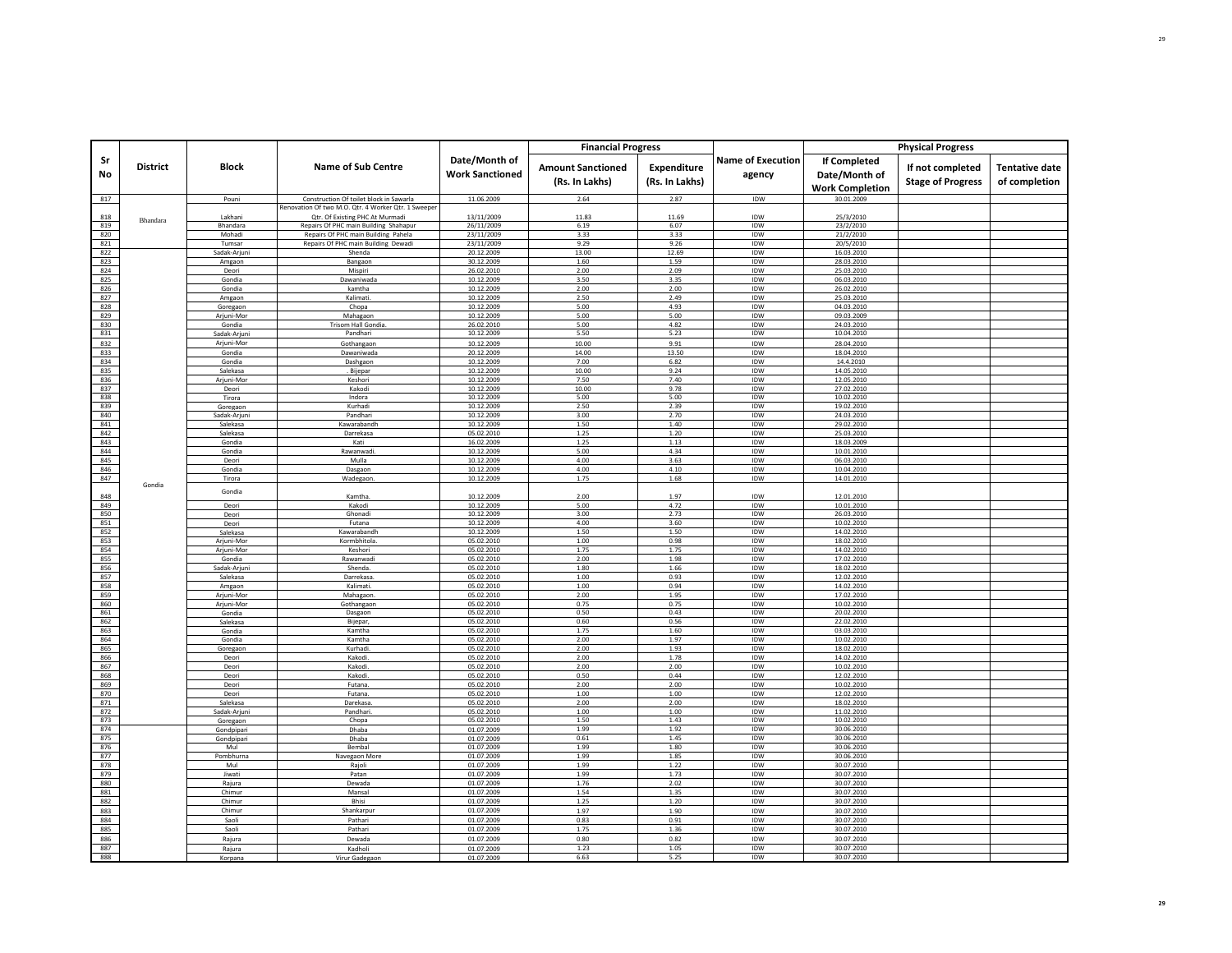|            |                 |                          |                                                                                                |                                         | <b>Financial Progress</b>                  |                               |                                    |                                                                | <b>Physical Progress</b>                     |                                        |
|------------|-----------------|--------------------------|------------------------------------------------------------------------------------------------|-----------------------------------------|--------------------------------------------|-------------------------------|------------------------------------|----------------------------------------------------------------|----------------------------------------------|----------------------------------------|
| Sr<br>No   | <b>District</b> | <b>Block</b>             | <b>Name of Sub Centre</b>                                                                      | Date/Month of<br><b>Work Sanctioned</b> | <b>Amount Sanctioned</b><br>(Rs. In Lakhs) | Expenditure<br>(Rs. In Lakhs) | <b>Name of Execution</b><br>agency | <b>If Completed</b><br>Date/Month of<br><b>Work Completion</b> | If not completed<br><b>Stage of Progress</b> | <b>Tentative date</b><br>of completion |
| 817        |                 | Pouni                    | Construction Of toilet block in Sawarla<br>Renovation Of two M.O. Qtr. 4 Worker Qtr. 1 Sweeper | 11.06.2009                              | 2.64                                       | 2.87                          | IDW                                | 30.01.2009                                                     |                                              |                                        |
| 818        |                 | Lakhani                  | Qtr. Of Existing PHC At Murmadi                                                                | 13/11/2009                              | 11.83                                      | 11.69                         | IDW                                | 25/3/2010                                                      |                                              |                                        |
| 819        | Bhandara        | Bhandara                 | Repairs Of PHC main Building Shahapur                                                          | 26/11/2009                              | 6.19                                       | 6.07                          | <b>IDW</b>                         | 23/2/2010                                                      |                                              |                                        |
| 820        |                 | Mohadi                   | Repairs Of PHC main Building Pahela                                                            | 23/11/2009                              | 3.33                                       | 3.33                          | IDW                                | 21/2/2010                                                      |                                              |                                        |
| 821<br>822 |                 | Tumsar<br>Sadak-Arjuni   | Repairs Of PHC main Building Dewadi<br>Shenda                                                  | 23/11/2009<br>20.12.2009                | 9.29<br>13.00                              | 9.26<br>12.69                 | IDW<br>IDW                         | 20/5/2010<br>16.03.2010                                        |                                              |                                        |
| 823        |                 | Amgaon                   | Bangaon                                                                                        | 30.12.2009                              | 1.60                                       | 1.59                          | IDW                                | 28.03.2010                                                     |                                              |                                        |
| 824        |                 | Deori                    | Mispiri                                                                                        | 26.02.2010                              | 2.00                                       | 2.09                          | IDW                                | 25.03.2010                                                     |                                              |                                        |
| 825        |                 | Gondia                   | Dawaniwada                                                                                     | 10.12.2009                              | 3.50                                       | 3.35                          | IDW                                | 06.03.2010                                                     |                                              |                                        |
| 826<br>827 |                 | Gondia<br>Amgaon         | kamtha<br>Kalimati.                                                                            | 10.12.2009<br>10.12.2009                | 2.00<br>2.50                               | 2.00<br>2.49                  | IDW<br>IDW                         | 26.02.2010<br>25.03.2010                                       |                                              |                                        |
| 828        |                 | Goregaon                 | Chopa                                                                                          | 10.12.2009                              | 5.00                                       | 4.93                          | IDW                                | 04.03.2010                                                     |                                              |                                        |
| 829        |                 | Arjuni-Mor               | Mahagaon                                                                                       | 10.12.2009                              | 5.00                                       | 5.00                          | IDW                                | 09.03.2009                                                     |                                              |                                        |
| 830<br>831 |                 | Gondia<br>Sadak-Arjuni   | Trisom Hall Gondia.<br>Pandhari                                                                | 26.02.2010<br>10.12.2009                | 5.00<br>5.50                               | 4.82<br>5.23                  | IDW<br>IDW                         | 24.03.2010<br>10.04.2010                                       |                                              |                                        |
| 832        |                 | Arjuni-Mor               | Gothangaon                                                                                     | 10.12.2009                              | 10.00                                      | 9.91                          | IDW                                | 28.04.2010                                                     |                                              |                                        |
| 833        |                 | Gondia                   | Dawaniwada                                                                                     | 20.12.2009                              | 14.00                                      | 13.50                         | IDW                                | 18.04.2010                                                     |                                              |                                        |
| 834        |                 | Gondia                   | Dashgaon                                                                                       | 10.12.2009                              | 7.00                                       | 6.82                          | IDW                                | 14.4.2010                                                      |                                              |                                        |
| 835        |                 | Salekasa                 | . Bijepar                                                                                      | 10.12.2009                              | 10.00                                      | 9.24                          | IDW                                | 14.05.2010                                                     |                                              |                                        |
| 836<br>837 |                 | Arjuni-Mor<br>Deori      | Keshori<br>Kakodi                                                                              | 10.12.2009<br>10.12.2009                | 7.50<br>10.00                              | 7.40<br>9.78                  | IDW<br>IDW                         | 12.05.2010<br>27.02.2010                                       |                                              |                                        |
| 838        |                 | Tirora                   | Indora                                                                                         | 10.12.2009                              | 5.00                                       | 5.00                          | IDW                                | 10.02.2010                                                     |                                              |                                        |
| 839        |                 | Goregaon                 | Kurhadi                                                                                        | 10.12.2009                              | 2.50                                       | 2.39                          | IDW                                | 19.02.2010                                                     |                                              |                                        |
| 840        |                 | Sadak-Ariun              | Pandhar                                                                                        | 10.12.2009                              | 3.00                                       | 2.70                          | IDW                                | 24.03.2010                                                     |                                              |                                        |
| 841<br>842 |                 | Salekasa<br>Salekasa     | Kawarabandh<br>Darrekasa                                                                       | 10.12.2009<br>05.02.2010                | 1.50<br>1.25                               | 1.40<br>1.20                  | IDW<br>IDW                         | 29.02.2010<br>25.03.2010                                       |                                              |                                        |
| 843        |                 | Gondia                   | Kati                                                                                           | 16.02.2009                              | 1.25                                       | 1.13                          | IDW                                | 18.03.2009                                                     |                                              |                                        |
| 844        |                 | Gondia                   | Rawanwadi                                                                                      | 10.12.2009                              | 5.00                                       | 4.34                          | IDW                                | 10.01.2010                                                     |                                              |                                        |
| 845<br>846 |                 | Deori                    | Mulla                                                                                          | 10.12.2009                              | 4.00<br>4.00                               | 3.63<br>4.10                  | IDW<br><b>IDW</b>                  | 06.03.2010                                                     |                                              |                                        |
| 847        |                 | Gondia<br>Tirora         | Dasgaon<br>Wadegaon                                                                            | 10.12.2009<br>10.12.2009                | 1.75                                       | 1.68                          | IDW                                | 10.04.2010<br>14.01.2010                                       |                                              |                                        |
|            | Gondia          | Gondia                   |                                                                                                |                                         |                                            |                               |                                    |                                                                |                                              |                                        |
| 848        |                 |                          | Kamtha                                                                                         | 10.12.2009                              | 2.00                                       | 1.97                          | IDW                                | 12.01.2010                                                     |                                              |                                        |
| 849<br>850 |                 | Deori<br>Deori           | Kakodi<br>Ghonadi                                                                              | 10.12.2009<br>10.12.2009                | 5.00<br>3.00                               | 4.72<br>2.73                  | IDW<br>IDW                         | 10.01.2010<br>26.03.2010                                       |                                              |                                        |
| 851        |                 | Deori                    | Futana                                                                                         | 10.12.2009                              | 4.00                                       | 3.60                          | IDW                                | 10.02.2010                                                     |                                              |                                        |
| 852        |                 | Salekasa                 | Kawarabandh                                                                                    | 10.12.2009                              | 1.50                                       | 1.50                          | IDW                                | 14.02.2010                                                     |                                              |                                        |
| 853        |                 | Arjuni-Mor               | Kormbhitola.                                                                                   | 05.02.2010                              | 1.00                                       | 0.98                          | <b>IDW</b>                         | 18.02.2010                                                     |                                              |                                        |
| 854<br>855 |                 | Arjuni-Mor<br>Gondia     | Keshori<br>Rawanwadi                                                                           | 05.02.2010<br>05.02.2010                | 1.75<br>2.00                               | 1.75<br>1.98                  | IDW<br>IDW                         | 14.02.2010<br>17.02.2010                                       |                                              |                                        |
| 856        |                 | Sadak-Arjun              | Shenda.                                                                                        | 05.02.2010                              | 1.80                                       | 1.66                          | IDW                                | 18.02.2010                                                     |                                              |                                        |
| 857        |                 | Salekasa                 | Darrekasa                                                                                      | 05.02.2010                              | 1.00                                       | 0.93                          | IDW                                | 12.02.2010                                                     |                                              |                                        |
| 858<br>859 |                 | Amgaon                   | Kalimati                                                                                       | 05.02.2010                              | 1.00<br>2.00                               | 0.94<br>1.95                  | IDW<br><b>IDW</b>                  | 14.02.2010                                                     |                                              |                                        |
| 860        |                 | Arjuni-Mor<br>Arjuni-Mor | Mahagaon.<br>Gothangaon                                                                        | 05.02.2010<br>05.02.2010                | 0.75                                       | 0.75                          | IDW                                | 17.02.2010<br>10.02.2010                                       |                                              |                                        |
| 861        |                 | Gondia                   | Dasgaon                                                                                        | 05.02.2010                              | 0.50                                       | 0.43                          | IDW                                | 20.02.2010                                                     |                                              |                                        |
| 862        |                 | Salekasa                 | Bijepar,                                                                                       | 05.02.2010                              | 0.60                                       | 0.56                          | IDW                                | 22.02.2010                                                     |                                              |                                        |
| 863<br>864 |                 | Gondia<br>Gondia         | Kamtha<br>Kamtha                                                                               | 05.02.2010<br>05.02.2010                | 1.75<br>2.00                               | 1.60<br>1.97                  | IDW<br>IDW                         | 03.03.2010<br>10.02.2010                                       |                                              |                                        |
| 865        |                 | Goregaon                 | Kurhadi                                                                                        | 05.02.2010                              | 2.00                                       | 1.93                          | IDW                                | 18.02.2010                                                     |                                              |                                        |
| 866        |                 | Deori                    | Kakodi                                                                                         | 05.02.2010                              | 2.00                                       | 1.78                          | <b>IDW</b>                         | 14.02.2010                                                     |                                              |                                        |
| 867        |                 | Deori                    | Kakodi                                                                                         | 05.02.2010                              | 2.00                                       | 2.00                          | IDW                                | 10.02.2010                                                     |                                              |                                        |
| 868<br>869 |                 | Deori<br>Deori           | Kakodi.<br>Futana                                                                              | 05.02.2010<br>05.02.2010                | 0.50<br>2.00                               | 0.44<br>2.00                  | IDW<br>IDW                         | 12.02.2010<br>10.02.2010                                       |                                              |                                        |
| 870        |                 | Deori                    | Futana                                                                                         | 05.02.2010                              | 1.00                                       | 1.00                          | IDW                                | 12.02.2010                                                     |                                              |                                        |
| 871        |                 | Salekasa                 | Darekasa                                                                                       | 05.02.2010                              | 2.00                                       | 2.00                          | IDW                                | 18.02.2010                                                     |                                              |                                        |
| 872<br>873 |                 | Sadak-Arjun              | Pandhari                                                                                       | 05.02.2010<br>05.02.2010                | 1.00<br>1.50                               | 1.00<br>1.43                  | IDW<br>IDW                         | 11.02.2010<br>10.02.2010                                       |                                              |                                        |
| 874        |                 | Goregaon<br>Gondpipari   | Chopa<br>Dhaba                                                                                 | 01.07.2009                              | 1.99                                       | 1.92                          | IDW                                | 30.06.2010                                                     |                                              |                                        |
| 875        |                 | Gondpipari               | Dhaba                                                                                          | 01.07.2009                              | 0.61                                       | 1.45                          | IDW                                | 30.06.2010                                                     |                                              |                                        |
| 876        |                 | Mul                      | <b>Bembal</b>                                                                                  | 01.07.2009                              | 1.99                                       | 1.80                          | IDW                                | 30.06.2010                                                     |                                              |                                        |
| 877<br>878 |                 | Pombhurna<br>Mul         | Navegaon More<br>Rajol                                                                         | 01.07.2009<br>01.07.2009                | 1.99<br>1.99                               | 1.85<br>1.22                  | IDW<br>IDW                         | 30.06.2010<br>30.07.2010                                       |                                              |                                        |
| 879        |                 | Jiwati                   | Patan                                                                                          | 01.07.2009                              | 1.99                                       | 1.73                          | <b>IDW</b>                         | 30.07.2010                                                     |                                              |                                        |
| 880        |                 | Rajura                   | Dewada                                                                                         | 01.07.2009                              | 1.76                                       | 2.02                          | IDW                                | 30.07.2010                                                     |                                              |                                        |
| 881        |                 | Chimur                   | Mansal                                                                                         | 01.07.2009                              | 1.54                                       | 1.35                          | IDW                                | 30.07.2010                                                     |                                              |                                        |
| 882<br>883 |                 | Chimur<br>Chimur         | Bhisi<br>Shankarpur                                                                            | 01.07.2009<br>01.07.2009                | 1.25<br>1.97                               | 1.20<br>1.90                  | IDW<br>IDW                         | 30.07.2010                                                     |                                              |                                        |
| 884        |                 | Saoli                    | Pathari                                                                                        | 01.07.2009                              | 0.83                                       | 0.91                          | IDW                                | 30.07.2010<br>30.07.2010                                       |                                              |                                        |
| 885        |                 | Saoli                    | Pathari                                                                                        | 01.07.2009                              | 1.75                                       | 1.36                          | IDW                                | 30.07.2010                                                     |                                              |                                        |
| 886        |                 | Rajura                   | Dewada                                                                                         | 01.07.2009                              | 0.80                                       | 0.82                          | <b>IDW</b>                         | 30.07.2010                                                     |                                              |                                        |
| 887        |                 | Raiura                   | Kadholi                                                                                        | 01.07.2009                              | 1.23                                       | 1.05                          | IDW                                | 30.07.2010                                                     |                                              |                                        |
| 888        |                 | Korpana                  | Virur Gadegaor                                                                                 | 01.07.2009                              | 6.63                                       | 5.25                          | IDW                                | 30.07.2010                                                     |                                              |                                        |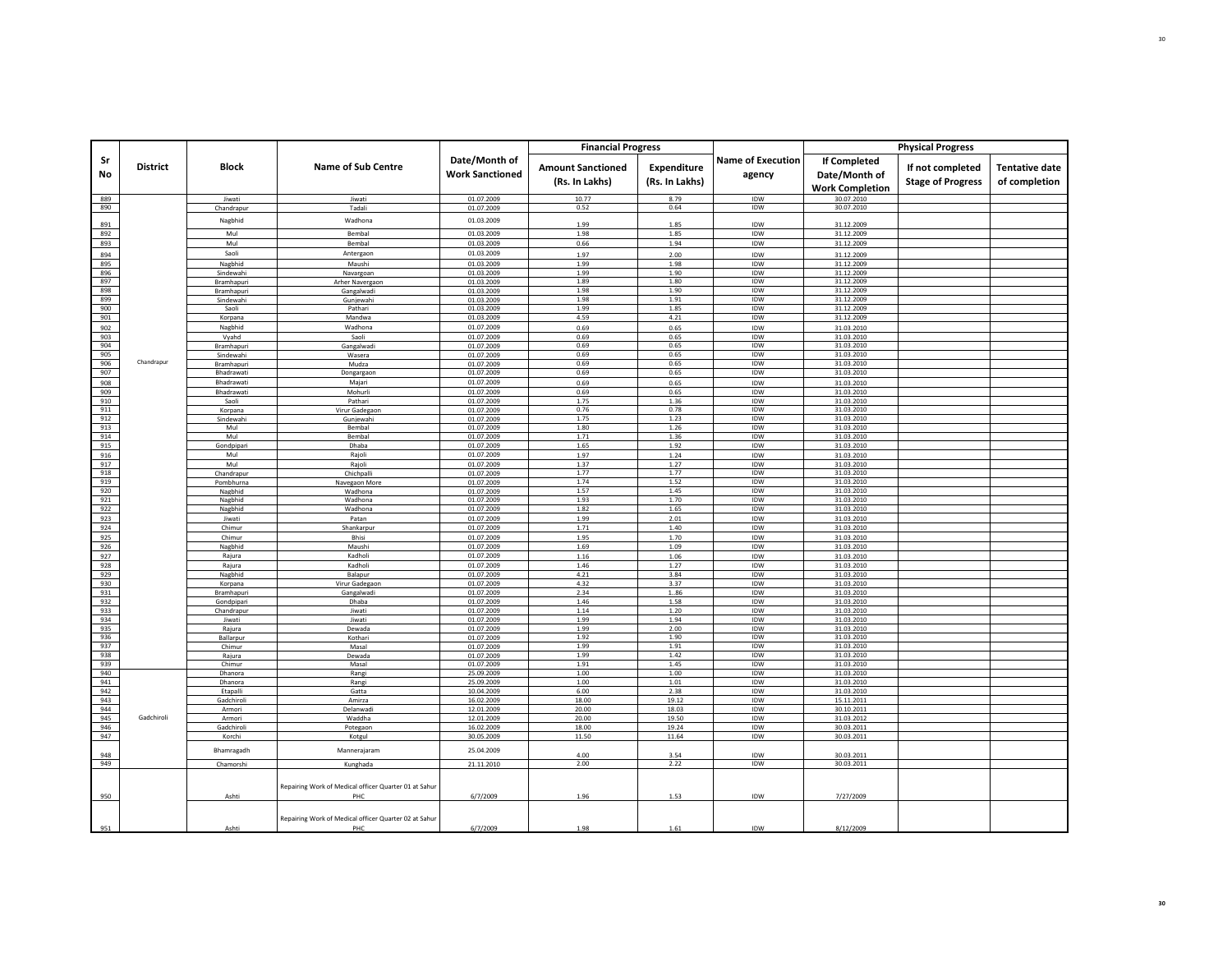|            |                 |                          |                                                       |                                         | <b>Financial Progress</b>                  |                               |                                    |                                                                | <b>Physical Progress</b>                     |                                        |
|------------|-----------------|--------------------------|-------------------------------------------------------|-----------------------------------------|--------------------------------------------|-------------------------------|------------------------------------|----------------------------------------------------------------|----------------------------------------------|----------------------------------------|
| Sr<br>No   | <b>District</b> | <b>Block</b>             | <b>Name of Sub Centre</b>                             | Date/Month of<br><b>Work Sanctioned</b> | <b>Amount Sanctioned</b><br>(Rs. In Lakhs) | Expenditure<br>(Rs. In Lakhs) | <b>Name of Execution</b><br>agency | <b>If Completed</b><br>Date/Month of<br><b>Work Completion</b> | If not completed<br><b>Stage of Progress</b> | <b>Tentative date</b><br>of completion |
| 889        |                 | Jiwati                   | Jiwati                                                | 01.07.2009                              | 10.77                                      | 8.79                          | IDW                                | 30.07.2010<br>30.07.2010                                       |                                              |                                        |
| 890        |                 | Chandrapur               | Tadali                                                | 01.07.2009                              | 0.52                                       | 0.64                          | IDW                                |                                                                |                                              |                                        |
| 891        |                 | Nagbhid                  | Wadhona                                               | 01.03.2009                              | 1.99                                       | 1.85                          | IDW                                | 31.12.2009                                                     |                                              |                                        |
| 892<br>893 |                 | Mul<br>Mul               | Bembal<br>Bembal                                      | 01.03.2009<br>01.03.2009                | 1.98<br>0.66                               | 1.85<br>1.94                  | IDW<br>IDW                         | 31.12.2009<br>31.12.2009                                       |                                              |                                        |
| 894        |                 | Saoli                    | Antergaon                                             | 01.03.2009                              | 1.97                                       | 2.00                          | IDW                                | 31.12.2009                                                     |                                              |                                        |
| 895        |                 | Nagbhid                  | Maushi                                                | 01.03.2009                              | 1.99                                       | 1.98                          | IDW                                | 31.12.2009                                                     |                                              |                                        |
| 896        |                 | Sindewahi                | Navargoan                                             | 01.03.2009                              | 1.99                                       | 1.90                          | IDW                                | 31.12.2009                                                     |                                              |                                        |
| 897<br>898 |                 | Bramhapuri<br>Bramhapuri | Arher Navergaon<br>Gangalwadi                         | 01.03.2009<br>01.03.2009                | 1.89<br>1.98                               | 1.80<br>1.90                  | IDW<br>IDW                         | 31.12.2009<br>31.12.2009                                       |                                              |                                        |
| 899        |                 | Sindewahi                | Gunjewahi                                             | 01.03.2009                              | 1.98                                       | 1.91                          | IDW                                | 31.12.2009                                                     |                                              |                                        |
| 900        |                 | Saoli                    | Pathari                                               | 01.03.2009                              | 1.99                                       | 1.85                          | IDW                                | 31.12.2009                                                     |                                              |                                        |
| 901<br>902 |                 | Korpana<br>Nagbhid       | Mandwa<br>Wadhona                                     | 01.03.2009<br>01.07.2009                | 4.59<br>0.69                               | 4.21<br>0.65                  | IDW<br>IDW                         | 31.12.2009<br>31.03.2010                                       |                                              |                                        |
| 903        |                 | Vyahd                    | Saoli                                                 | 01.07.2009                              | 0.69                                       | 0.65                          | IDW                                | 31.03.2010                                                     |                                              |                                        |
| 904        |                 | Bramhapuri               | Gangalwadi                                            | 01.07.2009                              | 0.69                                       | 0.65                          | IDW                                | 31.03.2010                                                     |                                              |                                        |
| 905        | Chandrapur      | Sindewahi                | Wasera                                                | 01.07.2009                              | 0.69                                       | 0.65                          | IDW                                | 31.03.2010                                                     |                                              |                                        |
| 906<br>907 |                 | Bramhapuri<br>Bhadrawati | Mudza<br>Dongargaon                                   | 01.07.2009<br>01.07.2009                | 0.69<br>0.69                               | 0.65<br>0.65                  | IDW<br>IDW                         | 31.03.2010<br>31.03.2010                                       |                                              |                                        |
| 908        |                 | Bhadrawati               | Majari                                                | 01.07.2009                              | 0.69                                       | 0.65                          | IDW                                | 31.03.2010                                                     |                                              |                                        |
| 909        |                 | Bhadrawati               | Mohurl                                                | 01.07.2009                              | 0.69                                       | 0.65                          | IDW                                | 31.03.2010                                                     |                                              |                                        |
| 910<br>911 |                 | Saoli<br>Korpana         | Pathari<br>Virur Gadegaon                             | 01.07.2009<br>01.07.2009                | 1.75<br>0.76                               | 1.36<br>0.78                  | IDW<br>IDW                         | 31.03.2010<br>31.03.2010                                       |                                              |                                        |
| 912        |                 | Sindewahi                | Gunjewahi                                             | 01.07.2009                              | 1.75                                       | 1.23                          | IDW                                | 31.03.2010                                                     |                                              |                                        |
| 913        |                 | Mul                      | Bembal                                                | 01.07.2009                              | 1.80                                       | 1.26                          | IDW                                | 31.03.2010                                                     |                                              |                                        |
| 914<br>915 |                 | Mul<br>Gondpipari        | <b>Bembal</b><br>Dhaba                                | 01.07.2009<br>01.07.2009                | 1.71<br>1.65                               | 1.36<br>1.92                  | IDW<br>IDW                         | 31.03.2010<br>31.03.2010                                       |                                              |                                        |
| 916        |                 | Mul                      | Rajoli                                                | 01.07.2009                              | 1.97                                       | 1.24                          | IDW                                | 31.03.2010                                                     |                                              |                                        |
| 917        |                 | Mul                      | Rajoli                                                | 01.07.2009                              | 1.37                                       | 1.27                          | IDW                                | 31.03.2010                                                     |                                              |                                        |
| 918        |                 | Chandrapur               | Chichpalli                                            | 01.07.2009                              | 1.77                                       | 1.77                          | IDW                                | 31.03.2010                                                     |                                              |                                        |
| 919<br>920 |                 | Pombhurna<br>Nagbhid     | Navegaon More<br>Wadhona                              | 01.07.2009<br>01.07.2009                | 1.74<br>1.57                               | 1.52<br>1.45                  | IDW<br>IDW                         | 31.03.2010<br>31.03.2010                                       |                                              |                                        |
| 921        |                 | Nagbhid                  | Wadhona                                               | 01.07.2009                              | 1.93                                       | 1.70                          | IDW                                | 31.03.2010                                                     |                                              |                                        |
| 922        |                 | Nagbhid                  | Wadhona                                               | 01.07.2009                              | 1.82                                       | 1.65                          | IDW                                | 31.03.2010                                                     |                                              |                                        |
| 923<br>924 |                 | Jiwati<br>Chimur         | Patan<br>Shankarpur                                   | 01.07.2009<br>01.07.2009                | 1.99<br>1.71                               | 2.01<br>1.40                  | IDW<br>IDW                         | 31.03.2010<br>31.03.2010                                       |                                              |                                        |
| 925        |                 | Chimur                   | Bhisi                                                 | 01.07.2009                              | 1.95                                       | 1.70                          | IDW                                | 31.03.2010                                                     |                                              |                                        |
| 926        |                 | Nagbhid                  | Maushi                                                | 01.07.2009                              | 1.69                                       | 1.09                          | IDW                                | 31.03.2010                                                     |                                              |                                        |
| 927        |                 | Rajura                   | Kadholi                                               | 01.07.2009                              | 1.16                                       | 1.06                          | IDW                                | 31.03.2010                                                     |                                              |                                        |
| 928<br>929 |                 | Rajura<br>Nagbhid        | Kadholi<br>Balapur                                    | 01.07.2009<br>01.07.2009                | 1.46<br>4.21                               | 1.27<br>3.84                  | IDW<br>IDW                         | 31.03.2010<br>31.03.2010                                       |                                              |                                        |
| 930        |                 | Korpana                  | Virur Gadegaon                                        | 01.07.2009                              | 4.32                                       | 3.37                          | IDW                                | 31.03.2010                                                     |                                              |                                        |
| 931        |                 | Bramhapuri               | Gangalwadi                                            | 01.07.2009                              | 2.34                                       | 186                           | IDW                                | 31.03.2010                                                     |                                              |                                        |
| 932<br>933 |                 | Gondpipari<br>Chandrapur | Dhaba<br>liwati                                       | 01.07.2009<br>01.07.2009                | 1.46<br>1.14                               | 1.58<br>1.20                  | IDW<br>IDW                         | 31.03.2010<br>31.03.2010                                       |                                              |                                        |
| 934        |                 | Jiwati                   | Jiwati                                                | 01.07.2009                              | 1.99                                       | 1.94                          | IDW                                | 31.03.2010                                                     |                                              |                                        |
| 935        |                 | Rajura                   | Dewada                                                | 01.07.2009                              | 1.99                                       | 2.00                          | IDW                                | 31.03.2010                                                     |                                              |                                        |
| 936<br>937 |                 | Ballarpur<br>Chimur      | Kothari<br>Masal                                      | 01.07.2009<br>01.07.2009                | 1.92<br>1.99                               | 1.90<br>1.91                  | IDW<br>IDW                         | 31.03.2010<br>31.03.2010                                       |                                              |                                        |
| 938        |                 | Rajura                   | Dewada                                                | 01.07.2009                              | 1.99                                       | 1.42                          | IDW                                | 31.03.2010                                                     |                                              |                                        |
| 939        |                 | Chimur                   | Masal                                                 | 01.07.2009                              | 1.91                                       | 1.45                          | IDW                                | 31.03.2010                                                     |                                              |                                        |
| 940<br>941 |                 | Dhanora<br>Dhanora       | Rangi<br>Rangi                                        | 25.09.2009<br>25.09.2009                | 1.00<br>1.00                               | 1.00<br>1.01                  | IDW<br>IDW                         | 31.03.2010<br>31.03.2010                                       |                                              |                                        |
| 942        |                 | Etapalli                 | Gatta                                                 | 10.04.2009                              | 6.00                                       | 2.38                          | IDW                                | 31.03.2010                                                     |                                              |                                        |
| 943        |                 | Gadchiroli               | Amirza                                                | 16.02.2009                              | 18.00                                      | 19.12                         | IDW                                | 15.11.2011                                                     |                                              |                                        |
| 944<br>945 | Gadchiroli      | Armori<br>Armori         | Delanwad<br>Waddha                                    | 12.01.2009<br>12.01.2009                | 20.00<br>20.00                             | 18.03<br>19.50                | IDW<br>IDW                         | 30.10.2011<br>31.03.2012                                       |                                              |                                        |
| 946        |                 | Gadchiroli               | Potegaon                                              | 16.02.2009                              | 18.00                                      | 19.24                         | IDW                                | 30.03.2011                                                     |                                              |                                        |
| 947        |                 | Korchi                   | Kotgul                                                | 30.05.2009                              | 11.50                                      | 11.64                         | IDW                                | 30.03.2011                                                     |                                              |                                        |
| 948        |                 | Bhamragadh               | Mannerajaram                                          | 25.04.2009                              | 4.00                                       | 3.54                          | IDW                                | 30.03.2011                                                     |                                              |                                        |
| 949        |                 | Chamorshi                | Kunghada                                              | 21.11.2010                              | 2.00                                       | 2.22                          | IDW                                | 30.03.2011                                                     |                                              |                                        |
|            |                 |                          | Repairing Work of Medical officer Quarter 01 at Sahur |                                         |                                            |                               |                                    |                                                                |                                              |                                        |
| 950        |                 | Ashti                    | PHC                                                   | 6/7/2009                                | 1.96                                       | 1.53                          | IDW                                | 7/27/2009                                                      |                                              |                                        |
|            |                 |                          | Repairing Work of Medical officer Quarter 02 at Sahur |                                         |                                            |                               |                                    |                                                                |                                              |                                        |
| 951        |                 | Ashti                    |                                                       | 6/7/2009                                | 1.98                                       | 1.61                          | IDW                                | 8/12/2009                                                      |                                              |                                        |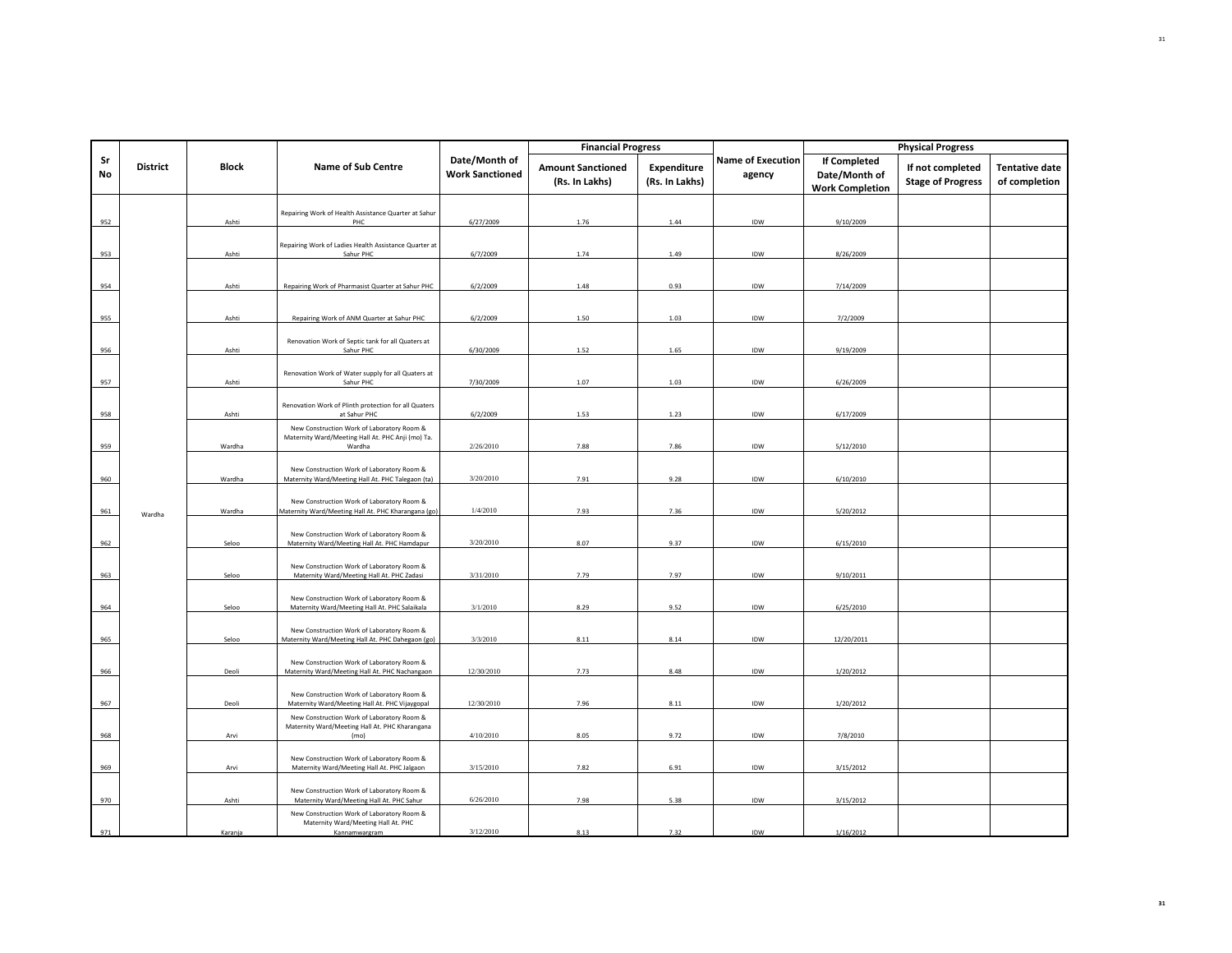|          |                 |         |                                                                                                           |                                         | <b>Financial Progress</b>                  |                               |                                    |                                                         | <b>Physical Progress</b>                     |                                        |
|----------|-----------------|---------|-----------------------------------------------------------------------------------------------------------|-----------------------------------------|--------------------------------------------|-------------------------------|------------------------------------|---------------------------------------------------------|----------------------------------------------|----------------------------------------|
| Sr<br>No | <b>District</b> | Block   | <b>Name of Sub Centre</b>                                                                                 | Date/Month of<br><b>Work Sanctioned</b> | <b>Amount Sanctioned</b><br>(Rs. In Lakhs) | Expenditure<br>(Rs. In Lakhs) | <b>Name of Execution</b><br>agency | If Completed<br>Date/Month of<br><b>Work Completion</b> | If not completed<br><b>Stage of Progress</b> | <b>Tentative date</b><br>of completion |
| 952      |                 | Ashti   | Repairing Work of Health Assistance Quarter at Sahur<br>PHC                                               | 6/27/2009                               | 1.76                                       | 1.44                          | IDW                                | 9/10/2009                                               |                                              |                                        |
| 953      |                 | Ashti   | Repairing Work of Ladies Health Assistance Quarter at<br>Sahur PHC                                        | 6/7/2009                                | 1.74                                       | 1.49                          | IDW                                | 8/26/2009                                               |                                              |                                        |
| 954      |                 | Ashti   | Repairing Work of Pharmasist Quarter at Sahur PHC                                                         | 6/2/2009                                | 1.48                                       | 0.93                          | IDW                                | 7/14/2009                                               |                                              |                                        |
| 955      |                 | Ashti   | Repairing Work of ANM Quarter at Sahur PHC                                                                | 6/2/2009                                | 1.50                                       | 1.03                          | IDW                                | 7/2/2009                                                |                                              |                                        |
| 956      |                 | Ashti   | Renovation Work of Septic tank for all Quaters at<br>Sahur PHC                                            | 6/30/2009                               | 1.52                                       | 1.65                          | IDW                                | 9/19/2009                                               |                                              |                                        |
| 957      |                 | Ashti   | Renovation Work of Water supply for all Quaters at<br>Sahur PHC                                           | 7/30/2009                               | 1.07                                       | 1.03                          | IDW                                | 6/26/2009                                               |                                              |                                        |
| 958      |                 | Ashti   | Renovation Work of Plinth protection for all Quaters<br>at Sahur PHC                                      | 6/2/2009                                | 1.53                                       | 1.23                          | IDW                                | 6/17/2009                                               |                                              |                                        |
| 959      |                 | Wardha  | New Construction Work of Laboratory Room &<br>Maternity Ward/Meeting Hall At. PHC Anji (mo) Ta.<br>Wardha | 2/26/2010                               | 7.88                                       | 7.86                          | IDW                                | 5/12/2010                                               |                                              |                                        |
| 960      |                 | Wardha  | New Construction Work of Laboratory Room &<br>Maternity Ward/Meeting Hall At. PHC Talegaon (ta)           | 3/20/2010                               | 7.91                                       | 9.28                          | IDW                                | 6/10/2010                                               |                                              |                                        |
| 961      | Wardha          | Wardha  | New Construction Work of Laboratory Room &<br>Maternity Ward/Meeting Hall At. PHC Kharangana (go)         | 1/4/2010                                | 7.93                                       | 7.36                          | IDW                                | 5/20/2012                                               |                                              |                                        |
| 962      |                 | Seloo   | New Construction Work of Laboratory Room &<br>Maternity Ward/Meeting Hall At. PHC Hamdapur                | 3/20/2010                               | 8.07                                       | 9.37                          | IDW                                | 6/15/2010                                               |                                              |                                        |
| 963      |                 | Seloo   | New Construction Work of Laboratory Room &<br>Maternity Ward/Meeting Hall At. PHC Zadasi                  | 3/31/2010                               | 7.79                                       | 7.97                          | IDW                                | 9/10/2011                                               |                                              |                                        |
| 964      |                 | Seloo   | New Construction Work of Laboratory Room &<br>Maternity Ward/Meeting Hall At. PHC Salaikala               | 3/1/2010                                | 8.29                                       | 9.52                          | IDW                                | 6/25/2010                                               |                                              |                                        |
| 965      |                 | Seloo   | New Construction Work of Laboratory Room &<br>Maternity Ward/Meeting Hall At. PHC Dahegaon (go)           | 3/3/2010                                | 8.11                                       | 8.14                          | IDW                                | 12/20/2011                                              |                                              |                                        |
| 966      |                 | Deoli   | New Construction Work of Laboratory Room &<br>Maternity Ward/Meeting Hall At. PHC Nachangaon              | 12/30/2010                              | 7.73                                       | 8.48                          | IDW                                | 1/20/2012                                               |                                              |                                        |
| 967      |                 | Deoli   | New Construction Work of Laboratory Room &<br>Maternity Ward/Meeting Hall At. PHC Vijaygopal              | 12/30/2010                              | 7.96                                       | 8.11                          | IDW                                | 1/20/2012                                               |                                              |                                        |
| 968      |                 | Arvi    | New Construction Work of Laboratory Room &<br>Maternity Ward/Meeting Hall At. PHC Kharangana<br>(mo)      | 4/10/2010                               | 8.05                                       | 9.72                          | IDW                                | 7/8/2010                                                |                                              |                                        |
| 969      |                 | Arvi    | New Construction Work of Laboratory Room &<br>Maternity Ward/Meeting Hall At. PHC Jalgaon                 | 3/15/2010                               | 7.82                                       | 6.91                          | IDW                                | 3/15/2012                                               |                                              |                                        |
| 970      |                 | Ashti   | New Construction Work of Laboratory Room &<br>Maternity Ward/Meeting Hall At. PHC Sahur                   | 6/26/2010                               | 7.98                                       | 5.38                          | <b>IDW</b>                         | 3/15/2012                                               |                                              |                                        |
| 971      |                 | Karanja | New Construction Work of Laboratory Room &<br>Maternity Ward/Meeting Hall At. PHC<br>Kannamwargram        | 3/12/2010                               | 8.13                                       | 7.32                          | IDW                                | 1/16/2012                                               |                                              |                                        |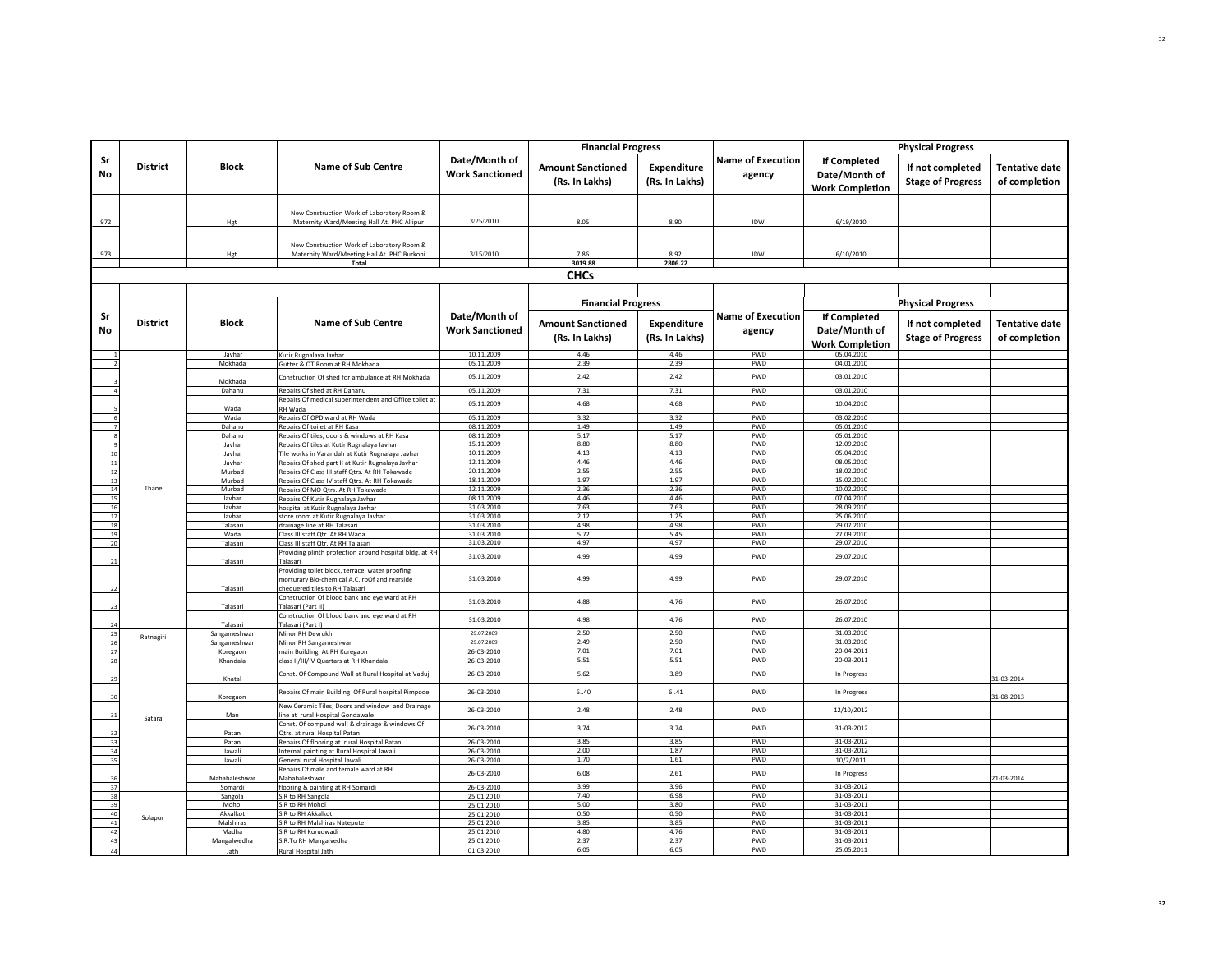|          |                 |                          |                                                                                                                                    |                                         | <b>Financial Progress</b>                  |                               |                                    |                                                                | <b>Physical Progress</b>                     |                                        |
|----------|-----------------|--------------------------|------------------------------------------------------------------------------------------------------------------------------------|-----------------------------------------|--------------------------------------------|-------------------------------|------------------------------------|----------------------------------------------------------------|----------------------------------------------|----------------------------------------|
| Sr<br>No | <b>District</b> | Block                    | <b>Name of Sub Centre</b>                                                                                                          | Date/Month of<br><b>Work Sanctioned</b> | <b>Amount Sanctioned</b><br>(Rs. In Lakhs) | Expenditure<br>(Rs. In Lakhs) | <b>Name of Execution</b><br>agency | <b>If Completed</b><br>Date/Month of<br><b>Work Completion</b> | If not completed<br><b>Stage of Progress</b> | <b>Tentative date</b><br>of completion |
| 972      |                 | Hgt                      | New Construction Work of Laboratory Room &<br>Maternity Ward/Meeting Hall At. PHC Allipur                                          | 3/25/2010                               | 8.05                                       | 8.90                          | IDW                                | 6/19/2010                                                      |                                              |                                        |
| 973      |                 | Hgt                      | New Construction Work of Laboratory Room &<br>Maternity Ward/Meeting Hall At. PHC Burkoni<br><b>Total</b>                          | 3/15/2010                               | 7.86<br>3019.88                            | 8.92<br>2806.22               | IDW                                | 6/10/2010                                                      |                                              |                                        |
|          |                 |                          |                                                                                                                                    |                                         | <b>CHCs</b>                                |                               |                                    |                                                                |                                              |                                        |
|          |                 |                          |                                                                                                                                    |                                         |                                            |                               |                                    |                                                                |                                              |                                        |
|          |                 |                          |                                                                                                                                    |                                         | <b>Financial Progress</b>                  |                               |                                    |                                                                | <b>Physical Progress</b>                     |                                        |
| Sr<br>No | <b>District</b> | <b>Block</b>             | <b>Name of Sub Centre</b>                                                                                                          | Date/Month of<br><b>Work Sanctioned</b> | <b>Amount Sanctioned</b><br>(Rs. In Lakhs) | Expenditure<br>(Rs. In Lakhs) | <b>Name of Execution</b><br>agency | If Completed<br>Date/Month of<br><b>Work Completion</b>        | If not completed<br><b>Stage of Progress</b> | <b>Tentative date</b><br>of completion |
|          |                 | Javhar                   | Kutir Rugnalaya Javhar                                                                                                             | 10.11.2009                              | 4.46<br>2.39                               | 4.46                          | PWD                                | 05.04.2010                                                     |                                              |                                        |
|          |                 | Mokhada                  | Gutter & OT Room at RH Mokhada<br>Construction Of shed for ambulance at RH Mokhada                                                 | 05.11.2009<br>05.11.2009                | 2.42                                       | 2.39<br>2.42                  | PWD<br>PWD                         | 04.01.2010<br>03.01.2010                                       |                                              |                                        |
|          |                 | Mokhada<br>Dahanu        | Repairs Of shed at RH Dahanu                                                                                                       | 05.11.2009                              | 7.31                                       | 7.31                          | PWD                                | 03.01.2010                                                     |                                              |                                        |
|          |                 | Wada                     | Repairs Of medical superintendent and Office toilet at<br><b>RH Wada</b>                                                           | 05.11.2009                              | 4.68                                       | 4.68                          | PWD                                | 10.04.2010                                                     |                                              |                                        |
|          |                 | Wada                     | Repairs Of OPD ward at RH Wada                                                                                                     | 05.11.2009                              | 3.32                                       | 3.32                          | PWD                                | 03.02.2010                                                     |                                              |                                        |
|          |                 | Dahanu                   | Repairs Of toilet at RH Kasa                                                                                                       | 08.11.2009                              | 1.49                                       | 1.49                          | PWD                                | 05.01.2010                                                     |                                              |                                        |
|          |                 | Dahanu                   | Repairs Of tiles, doors & windows at RH Kasa                                                                                       | 08.11.2009<br>15.11.2009                | 5.17<br>8.80                               | 5.17<br>8.80                  | PWD<br>PWD                         | 05.01.2010<br>12.09.2010                                       |                                              |                                        |
| $10\,$   |                 | layhar<br>Javhar         | Repairs Of tiles at Kutir Rugnalaya Javhar<br>Tile works in Varandah at Kutir Rugnalaya Javhar                                     | 10.11.2009                              | 4.13                                       | 4.13                          | PWD                                | 05.04.2010                                                     |                                              |                                        |
| $11\,$   |                 | Javhar                   | Repairs Of shed part II at Kutir Rugnalaya Javhar                                                                                  | 12.11.2009                              | 4.46                                       | 4.46                          | PWD                                | 08.05.2010                                                     |                                              |                                        |
| 12       |                 | Murbad                   | Repairs Of Class III staff Qtrs. At RH Tokawade                                                                                    | 20.11.2009                              | 2.55                                       | 2.55                          | PWD                                | 18.02.2010                                                     |                                              |                                        |
| $13\,$   |                 | Murbad                   | Repairs Of Class IV staff Qtrs. At RH Tokawade                                                                                     | 18.11.2009                              | 1.97                                       | 1.97                          | PWD                                | 15.02.2010                                                     |                                              |                                        |
| 14<br>15 | Thane           | Murbad<br>Javhar         | Repairs Of MO Qtrs. At RH Tokawade                                                                                                 | 12.11.2009<br>08.11.2009                | 2.36<br>4.46                               | 2.36<br>4.46                  | PWD<br>PWD                         | 10.02.2010<br>07.04.2010                                       |                                              |                                        |
| 16       |                 | Javhar                   | Repairs Of Kutir Rugnalaya Javhar<br>hospital at Kutir Rugnalaya Javhar                                                            | 31.03.2010                              | 7.63                                       | 7.63                          | PWD                                | 28.09.2010                                                     |                                              |                                        |
| 17       |                 | Javhar                   | store room at Kutir Rugnalaya Javhar                                                                                               | 31.03.2010                              | 2.12                                       | 1.25                          | PWD                                | 25.06.2010                                                     |                                              |                                        |
| $18\,$   |                 | Talasari                 | drainage line at RH Talasari                                                                                                       | 31.03.2010                              | 4.98                                       | 4.98                          | PWD                                | 29.07.2010                                                     |                                              |                                        |
| 19       |                 | Wada                     | Class III staff Qtr. At RH Wada                                                                                                    | 31.03.2010<br>31.03.2010                | 5.72<br>4.97                               | 5.45<br>4.97                  | PWD<br>PWD                         | 27.09.2010<br>29.07.2010                                       |                                              |                                        |
| 20       |                 | Talasari                 | Class III staff Qtr. At RH Talasari<br>Providing plinth protection around hospital bldg. at RH                                     |                                         |                                            |                               |                                    |                                                                |                                              |                                        |
| 21       |                 | Talasari                 | Talasari                                                                                                                           | 31.03.2010                              | 4.99                                       | 4.99                          | PWD                                | 29.07.2010                                                     |                                              |                                        |
| 22       |                 | Talasari                 | Providing toilet block, terrace, water proofing<br>morturary Bio-chemical A.C. roOf and rearside<br>chequered tiles to RH Talasari | 31.03.2010                              | 4.99                                       | 4.99                          | PWD                                | 29.07.2010                                                     |                                              |                                        |
| 23       |                 | Talasari                 | Construction Of blood bank and eye ward at RH<br>Talasari (Part II)                                                                | 31.03.2010                              | 4.88                                       | 4.76                          | PWD                                | 26.07.2010                                                     |                                              |                                        |
| 24       |                 | Talasari                 | Construction Of blood bank and eye ward at RH<br>Talasari (Part I)                                                                 | 31.03.2010                              | 4.98                                       | 4.76                          | PWD                                | 26.07.2010                                                     |                                              |                                        |
| 25       | Ratnagiri       | Sangameshwar             | Minor RH Devrukh                                                                                                                   | 29.07.2009                              | 2.50                                       | 2.50                          | PWD                                | 31.03.2010                                                     |                                              |                                        |
| 26<br>27 |                 | Sangameshwar<br>Koregaon | Minor RH Sangameshwar<br>main Building At RH Koregaon                                                                              | 29.07.2009<br>26-03-2010                | 2.49<br>7.01                               | 2.50<br>7.01                  | PWD<br>PWD                         | 31.03.2010<br>20-04-2011                                       |                                              |                                        |
| 28       |                 | Khandala                 | class II/III/IV Quartars at RH Khandala                                                                                            | 26-03-2010                              | 5.51                                       | 5.51                          | PWD                                | 20-03-2011                                                     |                                              |                                        |
| 29       |                 | Khatal                   | Const. Of Compound Wall at Rural Hospital at Vaduj                                                                                 | 26-03-2010                              | 5.62                                       | 3.89                          | PWD                                | In Progress                                                    |                                              | 31-03-2014                             |
| 30       |                 | Koregaon                 | Repairs Of main Building Of Rural hospital Pimpode                                                                                 | 26-03-2010                              | 6.40                                       | 6.41                          | PWD                                | In Progress                                                    |                                              | 31-08-2013                             |
| 31       | Satara          | Man                      | New Ceramic Tiles, Doors and window and Drainage<br>line at rural Hospital Gondawale                                               | 26-03-2010                              | 2.48                                       | 2.48                          | PWD                                | 12/10/2012                                                     |                                              |                                        |
| 32       |                 | Patan                    | Const. Of compund wall & drainage & windows Of<br>Otrs, at rural Hospital Patan                                                    | 26-03-2010                              | 3.74                                       | 3.74                          | PWD                                | 31-03-2012                                                     |                                              |                                        |
| 33       |                 | Patan                    | Repairs Of flooring at rural Hospital Patan                                                                                        | 26-03-2010                              | 3.85                                       | 3.85                          | PWD                                | 31-03-2012                                                     |                                              |                                        |
| 34       |                 | Jawali                   | Internal painting at Rural Hospital Jawali                                                                                         | 26-03-2010                              | 2.00                                       | 1.87                          | PWD                                | 31-03-2012                                                     |                                              |                                        |
| 35       |                 | lawali                   | General rural Hospital Jawali<br>Repairs Of male and female ward at RH                                                             | 26-03-2010<br>26-03-2010                | 1.70<br>6.08                               | 1.61<br>2.61                  | PWD<br>PWD                         | 10/2/2011<br>In Progress                                       |                                              |                                        |
| 36       |                 | Mahabaleshwar            | Mahabaleshwar                                                                                                                      |                                         |                                            | 3.96                          | PWD                                | 31-03-2012                                                     |                                              | 21-03-2014                             |
| 37<br>38 |                 | Somardi<br>Sangola       | flooring & painting at RH Somardi<br>S.R to RH Sangola                                                                             | 26-03-2010<br>25.01.2010                | 3.99<br>7.40                               | 6.98                          | PWD                                | 31-03-2011                                                     |                                              |                                        |
| 39       |                 | Mohol                    | S.R to RH Mohol                                                                                                                    | 25.01.2010                              | 5.00                                       | 3.80                          | PWD                                | 31-03-2011                                                     |                                              |                                        |
| 40       | Solapur         | Akkalkot                 | S.R to RH Akkalkot                                                                                                                 | 25.01.2010                              | 0.50                                       | 0.50                          | PWD                                | 31-03-2011                                                     |                                              |                                        |
| 41       |                 | Malshiras                | S.R to RH Malshiras Natepute                                                                                                       | 25.01.2010                              | 3.85                                       | 3.85                          | PWD                                | 31-03-2011                                                     |                                              |                                        |
| 42<br>43 |                 | Madha                    | S.R to RH Kurudwadi                                                                                                                | 25.01.2010                              | 4.80<br>2.37                               | 4.76<br>2.37                  | PWD<br>PWD                         | 31-03-2011<br>31-03-2011                                       |                                              |                                        |
| 44       |                 | Mangalwedha<br>lath      | S.R.To RH Mangalvedha<br>Rural Hospital Jath                                                                                       | 25.01.2010<br>01.03.2010                | 6.05                                       | 6.05                          | PWD                                | 25.05.2011                                                     |                                              |                                        |
|          |                 |                          |                                                                                                                                    |                                         |                                            |                               |                                    |                                                                |                                              |                                        |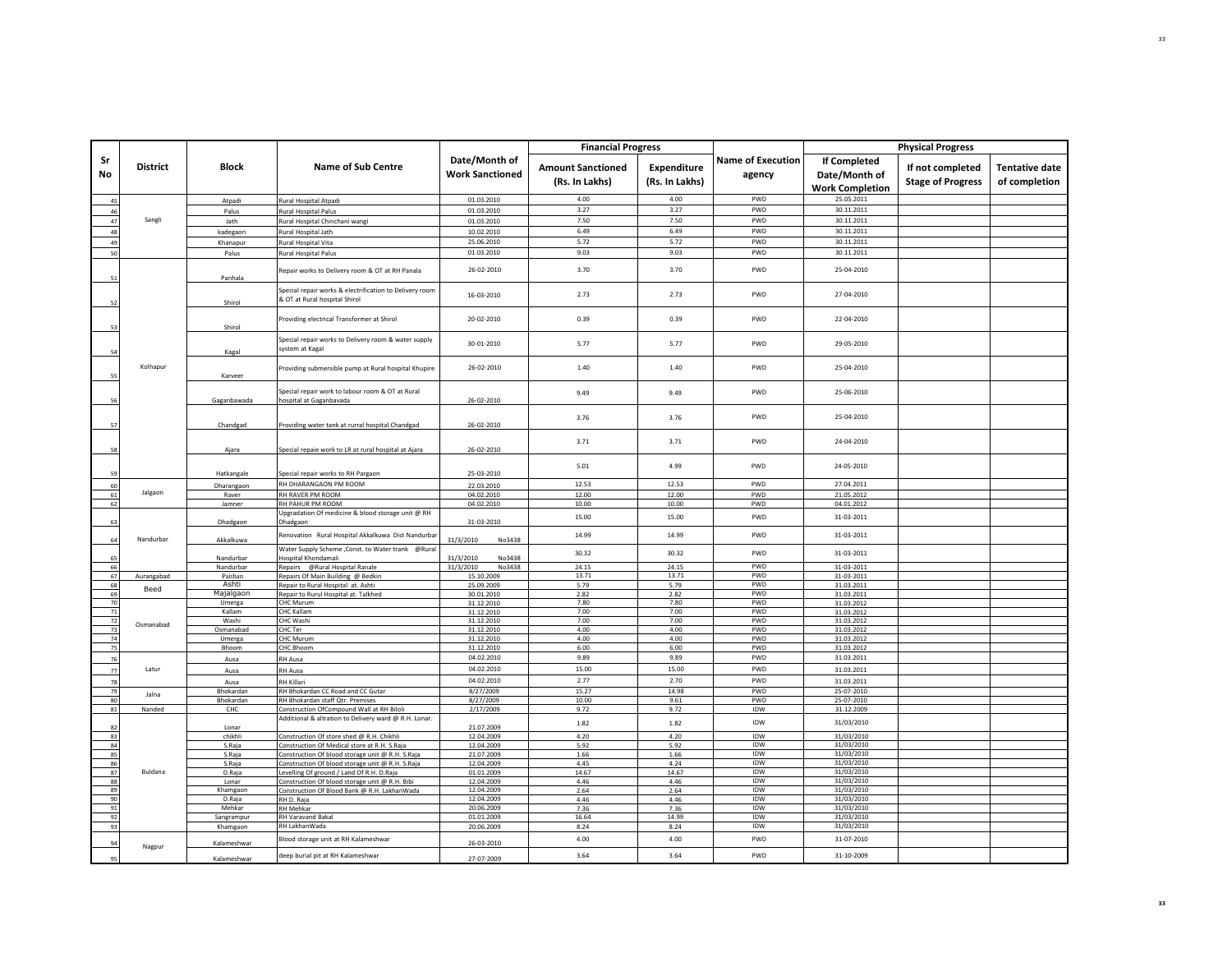|          |                 |                        |                                                                                                          |                                         | <b>Financial Progress</b>                  |                               |                                    |                                                         | <b>Physical Progress</b>                     |                                        |
|----------|-----------------|------------------------|----------------------------------------------------------------------------------------------------------|-----------------------------------------|--------------------------------------------|-------------------------------|------------------------------------|---------------------------------------------------------|----------------------------------------------|----------------------------------------|
| Sr<br>No | <b>District</b> | <b>Block</b>           | <b>Name of Sub Centre</b>                                                                                | Date/Month of<br><b>Work Sanctioned</b> | <b>Amount Sanctioned</b><br>(Rs. In Lakhs) | Expenditure<br>(Rs. In Lakhs) | <b>Name of Execution</b><br>agency | If Completed<br>Date/Month of<br><b>Work Completion</b> | If not completed<br><b>Stage of Progress</b> | <b>Tentative date</b><br>of completion |
| 45       |                 | Atpadi                 | Rural Hospital Atpadi                                                                                    | 01.03.2010                              | 4.00                                       | 4.00                          | PWD                                | 25.05.2011                                              |                                              |                                        |
| 46       |                 | Palus                  | Rural Hospital Palus                                                                                     | 01.03.2010                              | 3.27                                       | 3.27                          | PWD                                | 30.11.2011                                              |                                              |                                        |
| 47       | Sangli          | Jath                   | Rural Hospital Chinchani wangi                                                                           | 01.03.2010                              | 7.50                                       | 7.50                          | PWD                                | 30.11.2011                                              |                                              |                                        |
| 48       |                 | kadegaon               | Rural Hospital Jath                                                                                      | 10.02.2010                              | 6.49                                       | 6.49                          | PWD                                | 30.11.2011                                              |                                              |                                        |
| 49       |                 | Khanapur               | Rural Hospital Vita                                                                                      | 25.06.2010                              | 5.72                                       | 5.72                          | PWD                                | 30.11.2011                                              |                                              |                                        |
| 50       |                 | Palus                  | Rural Hospital Palus                                                                                     | 01.03.2010                              | 9.03                                       | 9.03                          | PWD                                | 30.11.2011                                              |                                              |                                        |
| 51       |                 | Panhala                | Repair works to Delivery room & OT at RH Panala                                                          | 26-02-2010                              | 3.70                                       | 3.70                          | PWD                                | 25-04-2010                                              |                                              |                                        |
| 52       |                 | Shirol                 | Special repair works & electrification to Delivery room<br>& OT at Rural hospital Shirol                 | 16-03-2010                              | 2.73                                       | 2.73                          | PWD                                | 27-04-2010                                              |                                              |                                        |
| 53       |                 | Shirol                 | Providing electrical Transformer at Shirol                                                               | 20-02-2010                              | 0.39                                       | 0.39                          | PWD                                | 22-04-2010                                              |                                              |                                        |
| 54       |                 | Kagal                  | Special repair works to Delivery room & water supply<br>system at Kagal                                  | 30-01-2010                              | 5.77                                       | 5.77                          | PWD                                | 29-05-2010                                              |                                              |                                        |
| 55       | Kolhapur        | Karveer                | Providing submersible pump at Rural hospital Khupire                                                     | 26-02-2010                              | 1.40                                       | 1.40                          | PWD                                | 25-04-2010                                              |                                              |                                        |
| 51       |                 | Gaganbawada            | Special repair work to labour room & OT at Rural<br>hospital at Gaganbavada                              | 26-02-2010                              | 9.49                                       | 9.49                          | PWD                                | 25-06-2010                                              |                                              |                                        |
| 57       |                 | Chandgad               | Providing water tank at rurral hospital Chandgad                                                         | 26-02-2010                              | 3.76                                       | 3.76                          | PWD                                | 25-04-2010                                              |                                              |                                        |
| 58       |                 | Ajara                  | Special repaie work to LR at rural hospital at Ajara                                                     | 26-02-2010                              | 3.71                                       | 3.71                          | PWD                                | 24-04-2010                                              |                                              |                                        |
| 59       |                 | Hatkangale             | Special repair works to RH Pargaon                                                                       | 25-03-2010                              | 5.01                                       | 4.99                          | PWD                                | 24-05-2010                                              |                                              |                                        |
| 60       |                 | Dharangaon             | RH DHARANGAON PM ROOM                                                                                    | 22.03.2010                              | 12.53                                      | 12.53                         | PWD                                | 27.04.2011                                              |                                              |                                        |
| 61       | Jalgaon         | Raver                  | RH RAVER PM ROOM                                                                                         | 04.02.2010                              | 12.00                                      | 12.00                         | PWD                                | 21.05.2012                                              |                                              |                                        |
| 62       |                 | Jamner                 | RH PAHUR PM ROOM                                                                                         | 04.02.2010                              | 10.00                                      | 10.00                         | PWD                                | 04.01.2012                                              |                                              |                                        |
| 63       |                 | Dhadgaon               | Upgradation Of medicine & blood storage unit @ RH<br>Dhadgaon                                            | 31-03-2010                              | 15.00                                      | 15.00                         | PWD                                | 31-03-2011                                              |                                              |                                        |
| 64       | Nandurbar       | Akkalkuwa              | Renovation Rural Hospital Akkalkuwa Dist Nandurbar<br>Water Supply Scheme , Const. to Water trank @Rural | 31/3/2010<br>No3438                     | 14.99<br>30.32                             | 14.99<br>30.32                | PWD<br>PWD                         | 31-03-2011<br>31-03-2011                                |                                              |                                        |
| 65       |                 | Nandurbar              | Hospital Khondamali                                                                                      | 31/3/2010<br>No3438<br>31/3/2010        |                                            |                               | PWD                                |                                                         |                                              |                                        |
| 66<br>67 | Aurangabad      | Nandurbar<br>Paithan   | Repairs @Rural Hospital Ranale<br>Repairs Of Main Building @ Bedkin                                      | No3438<br>15.10.2009                    | 24.15<br>13.71                             | 24.15<br>13.71                | PWD                                | 31-03-2011<br>31-03-2011                                |                                              |                                        |
| 68       |                 | Ashti                  | Repair to Rural Hospital at. Ashti                                                                       | 25.09.2009                              | 5.79                                       | 5.79                          | PWD                                | 31.03.2011                                              |                                              |                                        |
| 69       | Beed            | Majalgaon              | Repair to Rurul Hospital at. Talkhed                                                                     | 30.01.2010                              | 2.82                                       | 2.82                          | PWD                                | 31.03.2011                                              |                                              |                                        |
| 70       |                 | Umerga                 | CHC Murum                                                                                                | 31.12.2010                              | 7.80<br>7.00                               | 7.80<br>7.00                  | PWD<br>PWD                         | 31.03.2012                                              |                                              |                                        |
| 71<br>72 |                 | Kallam<br>Washi        | <b>CHC Kallam</b><br>CHC Washi                                                                           | 31.12.2010<br>31.12.2010                | 7.00                                       | 7.00                          | PWD                                | 31.03.2012<br>31.03.2012                                |                                              |                                        |
| 73       | Osmanabad       | Osmanabad              | CHC Ter                                                                                                  | 31.12.2010                              | 4.00                                       | 4.00                          | <b>PWD</b>                         | 31.03.2012                                              |                                              |                                        |
| 74       |                 | Umerga                 | CHC Murum                                                                                                | 31.12.2010                              | 4.00                                       | 4.00                          | PWD                                | 31.03.2012                                              |                                              |                                        |
| 75       |                 | Bhoom                  | CHC Bhoom                                                                                                | 31.12.2010                              | 6.00                                       | 6.00                          | PWD                                | 31.03.2012                                              |                                              |                                        |
| 76       |                 | Ausa                   | RH Ausa                                                                                                  | 04.02.2010                              | 9.89                                       | 9.89                          | PWD                                | 31.03.2011                                              |                                              |                                        |
| 77       | Latur           | Ausa                   | RH Ausa                                                                                                  | 04.02.2010                              | 15.00                                      | 15.00                         | PWD                                | 31.03.2011                                              |                                              |                                        |
| 78       |                 | Ausa                   | RH Killari                                                                                               | 04.02.2010                              | 2.77                                       | 2.70                          | PWD                                | 31.03.2011                                              |                                              |                                        |
| 79<br>80 | Jalna           | Bhokardan<br>Bhokardan | RH Bhokardan CC Road and CC Gutar<br>RH Bhokardan staff Qtr. Premises                                    | 8/27/2009<br>8/27/2009                  | 15.27<br>10.00                             | 14.98<br>9.61                 | PWD<br>PWD                         | 25-07-2010<br>25-07-2010                                |                                              |                                        |
| 81       | Nanded          | CHC                    | Construction OfCompound Wall at RH Biloli                                                                | 2/17/2009                               | 9.72                                       | 9.72                          | IDW                                | 31.12.2009                                              |                                              |                                        |
| 82       |                 | Lonar                  | Additional & altration to Delivery ward @ R.H. Lonar.                                                    | 21.07.2009                              | 1.82                                       | 1.82                          | IDW                                | 31/03/2010                                              |                                              |                                        |
| 83<br>84 |                 | chikhli                | Construction Of store shed @ R.H. Chikhli<br>Construction Of Medical store at R.H. S.Raja                | 12.04.2009<br>12.04.2009                | 4.20<br>5.92                               | 4.20<br>5.92                  | <b>IDW</b><br>IDW                  | 31/03/2010<br>31/03/2010                                |                                              |                                        |
| 85       |                 | S.Raja<br>S.Raja       | Construction Of blood storage unit @ R.H. S.Raja                                                         | 21.07.2009                              | 1.66                                       | 1.66                          | IDW                                | 31/03/2010                                              |                                              |                                        |
| 86       |                 | S.Raja                 | Construction Of blood storage unit @ R.H. S.Raja                                                         | 12.04.2009                              | 4.45                                       | 4.24                          | <b>IDW</b>                         | 31/03/2010                                              |                                              |                                        |
| 87       | Buldana         | D.Raja                 | Levelling Of ground / Land Of R.H. D.Raja                                                                | 01.01.2009                              | 14.67                                      | 14.67                         | IDW                                | 31/03/2010                                              |                                              |                                        |
| 88       |                 | Lonar                  | Construction Of blood storage unit @ R.H. Bibi                                                           | 12.04.2009                              | 4.46                                       | 4.46                          | IDW                                | 31/03/2010                                              |                                              |                                        |
| 89<br>90 |                 | Khamgaon<br>D.Raja     | Construction Of Blood Bank @ R.H. LakhanWada<br>RH D. Raja                                               | 12.04.2009<br>12.04.2009                | 2.64<br>4.46                               | 2.64<br>4.46                  | IDW<br>IDW                         | 31/03/2010<br>31/03/2010                                |                                              |                                        |
| 91       |                 | Mehkar                 | <b>RH Mehkar</b>                                                                                         | 20.06.2009                              | 7.36                                       | 7.36                          | IDW                                | 31/03/2010                                              |                                              |                                        |
| 92       |                 | Sangrampur             | RH Varavand Bakal                                                                                        | 01.01.2009                              | 16.64                                      | 14.99                         | IDW                                | 31/03/2010                                              |                                              |                                        |
| 93       |                 | Khamgaon               | RH LakhanWada                                                                                            | 20.06.2009                              | 8.24                                       | 8.24                          | IDW                                | 31/03/2010                                              |                                              |                                        |
| 94       | Nagpur          | Kalameshwar            | Blood storage unit at RH Kalameshwar<br>deep burial pit at RH Kalameshwar                                | 26-03-2010                              | 4.00<br>3.64                               | 4.00<br>3.64                  | PWD<br><b>PWD</b>                  | 31-07-2010<br>31-10-2009                                |                                              |                                        |
|          |                 | Kalameshwar            |                                                                                                          | 27-07-2009                              |                                            |                               |                                    |                                                         |                                              |                                        |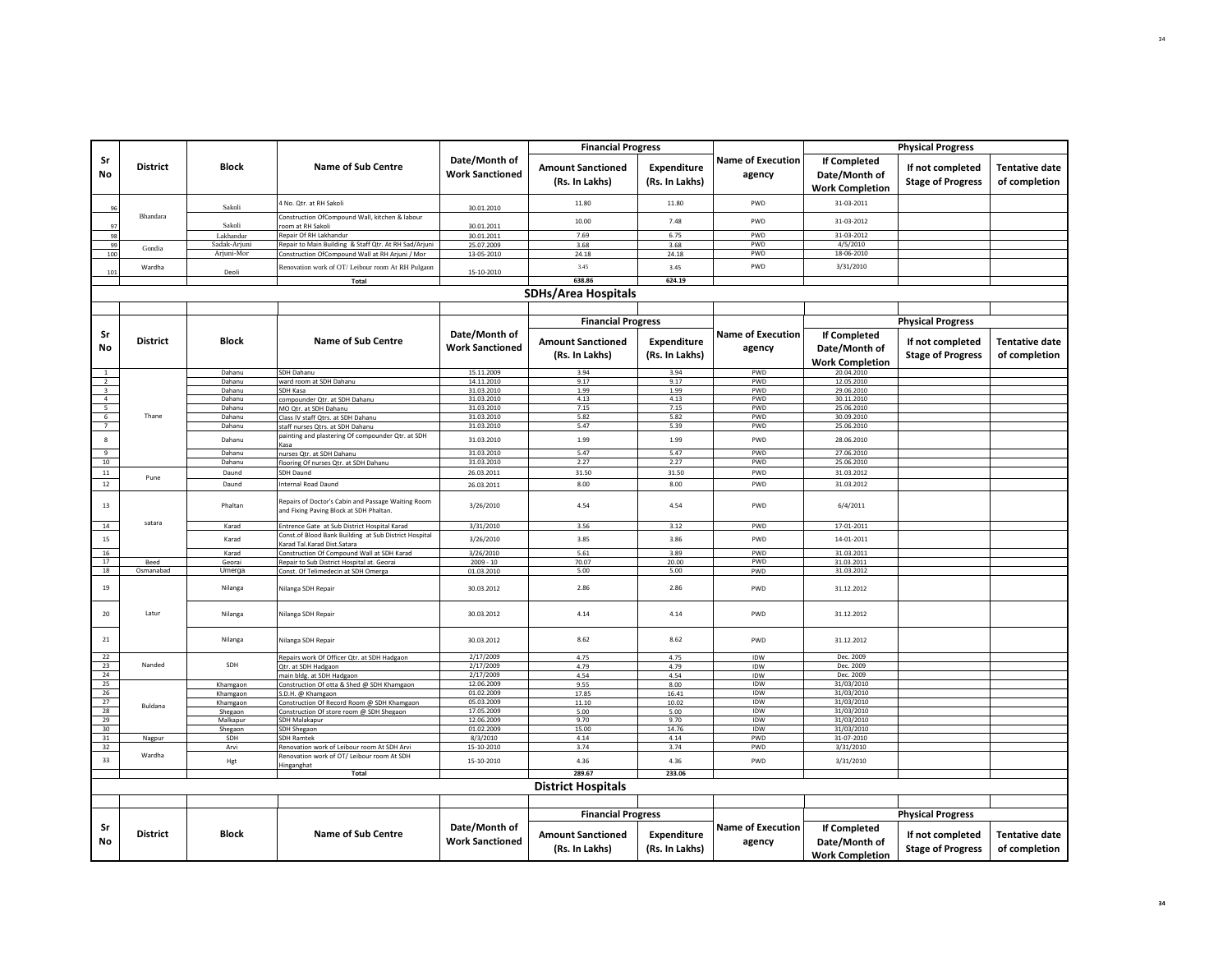|                                            |                   |                  |                                                                                               |                                         | <b>Financial Progress</b>                                               |                                      |                                    |                                                         | <b>Physical Progress</b>                                                 |                                        |
|--------------------------------------------|-------------------|------------------|-----------------------------------------------------------------------------------------------|-----------------------------------------|-------------------------------------------------------------------------|--------------------------------------|------------------------------------|---------------------------------------------------------|--------------------------------------------------------------------------|----------------------------------------|
| Sr<br>No                                   | <b>District</b>   | <b>Block</b>     | <b>Name of Sub Centre</b>                                                                     | Date/Month of<br><b>Work Sanctioned</b> | <b>Amount Sanctioned</b><br>(Rs. In Lakhs)                              | <b>Expenditure</b><br>(Rs. In Lakhs) | <b>Name of Execution</b><br>agency | If Completed<br>Date/Month of<br><b>Work Completion</b> | If not completed<br><b>Stage of Progress</b>                             | <b>Tentative date</b><br>of completion |
| 96                                         |                   | Sakoli           | 4 No. Qtr. at RH Sakoli                                                                       | 30.01.2010                              | 11.80                                                                   | 11.80                                | PWD                                | 31-03-2011                                              |                                                                          |                                        |
| 97                                         | Bhandara          | Sakoli           | Construction OfCompound Wall, kitchen & labour<br>oom at RH Sakol                             | 30.01.2011                              | 10.00                                                                   | 7.48                                 | PWD                                | 31-03-2012                                              |                                                                          |                                        |
| 98                                         |                   | Lakhandur        | Repair Of RH Lakhandur                                                                        | 30.01.2011                              | 7.69                                                                    | 6.75                                 | PWD                                | 31-03-2012                                              |                                                                          |                                        |
| 99                                         | Gondia            | Sadak-Arjuni     | Repair to Main Building & Staff Qtr. At RH Sad/Arjuni                                         | 25.07.2009                              | 3.68                                                                    | 3.68                                 | PWD                                | 4/5/2010                                                |                                                                          |                                        |
| 100                                        |                   | Arjuni-Mor       | Construction OfCompound Wall at RH Arjuni / Mor                                               | 13-05-2010                              | 24.18                                                                   | 24.18                                | <b>PWD</b>                         | 18-06-2010                                              |                                                                          |                                        |
| 101                                        | Wardha            | Deoli            | Renovation work of OT/ Leibour room At RH Pulgaon                                             | 15-10-2010                              | 3.45                                                                    | 3.45                                 | PWD                                | 3/31/2010                                               |                                                                          |                                        |
|                                            |                   |                  | Total                                                                                         |                                         | 638.86                                                                  | 624.19                               |                                    |                                                         |                                                                          |                                        |
|                                            |                   |                  |                                                                                               |                                         | <b>SDHs/Area Hospitals</b>                                              |                                      |                                    |                                                         |                                                                          |                                        |
|                                            |                   |                  |                                                                                               |                                         | <b>Financial Progress</b>                                               |                                      |                                    |                                                         | <b>Physical Progress</b>                                                 |                                        |
| Sr<br>No                                   | <b>District</b>   | Block            | <b>Name of Sub Centre</b>                                                                     | Date/Month of<br><b>Work Sanctioned</b> | <b>Amount Sanctioned</b><br>(Rs. In Lakhs)                              | <b>Expenditure</b><br>(Rs. In Lakhs) | <b>Name of Execution</b><br>agency | If Completed<br>Date/Month of<br><b>Work Completion</b> | If not completed<br><b>Stage of Progress</b>                             | Tentative date<br>of completion        |
| $\mathbf{1}$                               |                   | Dahanu           | SDH Dahanu                                                                                    | 15.11.2009                              | 3.94                                                                    | 3.94                                 | PWD                                | 20.04.2010                                              |                                                                          |                                        |
|                                            |                   | Dahanu           | ward room at SDH Dahanu                                                                       | 14.11.2010                              | 9.17                                                                    | 9.17                                 | PWD                                | 12.05.2010                                              |                                                                          |                                        |
| $\begin{array}{c} 2 \\ 3 \\ 4 \end{array}$ |                   | Dahanu           | <b>SDH Kasa</b>                                                                               | 31.03.2010                              | 1.99                                                                    | 1.99                                 | PWD                                | 29.06.2010                                              |                                                                          |                                        |
|                                            |                   | Dahanu           | compounder Qtr. at SDH Dahanu                                                                 | 31.03.2010                              | 4.13                                                                    | 4.13                                 | <b>PWD</b>                         | 30.11.2010                                              |                                                                          |                                        |
| $\begin{array}{c} 5 \\ 6 \\ 7 \end{array}$ |                   | Dahanu           | MO Qtr. at SDH Dahanu                                                                         | 31.03.2010                              | 7.15                                                                    | 7.15                                 | PWD                                | 25.06.2010                                              |                                                                          |                                        |
|                                            | Thane             | Dahanu           | Class IV staff Qtrs. at SDH Dahanu                                                            | 31.03.2010                              | 5.82                                                                    | 5.82                                 | PWD                                | 30.09.2010                                              |                                                                          |                                        |
|                                            |                   | Dahanu           | staff nurses Qtrs. at SDH Dahanu                                                              | 31.03.2010                              | 5.47                                                                    | 5.39                                 | PWD                                | 25.06.2010                                              |                                                                          |                                        |
| $\bf 8$                                    |                   | Dahanu           | painting and plastering Of compounder Qtr. at SDH<br>Kasa                                     | 31.03.2010                              | 1.99                                                                    | 1.99                                 | PWD                                | 28.06.2010                                              |                                                                          |                                        |
| $\overline{9}$                             |                   | Dahanu           | nurses Qtr. at SDH Dahanu                                                                     | 31.03.2010                              | 5.47                                                                    | 5.47                                 | PWD                                | 27.06.2010                                              |                                                                          |                                        |
| 10                                         |                   | Dahanu           | flooring Of nurses Qtr. at SDH Dahanu                                                         | 31.03.2010                              | 2.27                                                                    | 2.27                                 | PWD                                | 25.06.2010                                              |                                                                          |                                        |
| $11\,$                                     | Pune              | Daund            | SDH Daund                                                                                     | 26.03.2011                              | 31.50                                                                   | 31.50                                | PWD                                | 31.03.2012                                              |                                                                          |                                        |
| 12                                         |                   | Daund            | Internal Road Daund                                                                           | 26.03.2011                              | 8.00                                                                    | 8.00                                 | PWD                                | 31.03.2012                                              |                                                                          |                                        |
| 13                                         |                   | Phaltan          | Repairs of Doctor's Cabin and Passage Waiting Room<br>and Fixing Paving Block at SDH Phaltan. | 3/26/2010                               | 4.54                                                                    | 4.54                                 | PWD                                | 6/4/2011                                                |                                                                          |                                        |
| 14                                         | satara            | Karad            | Entrence Gate at Sub District Hospital Karad                                                  | 3/31/2010                               | 3.56                                                                    | 3.12                                 | PWD                                | 17-01-2011                                              |                                                                          |                                        |
| 15                                         |                   | Karad            | Const.of Blood Bank Building at Sub District Hospital                                         | 3/26/2010                               | 3.85                                                                    | 3.86                                 | PWD                                | 14-01-2011                                              |                                                                          |                                        |
|                                            |                   |                  | Karad Tal.Karad Dist.Satara                                                                   |                                         |                                                                         |                                      |                                    |                                                         |                                                                          |                                        |
| 16<br>17                                   |                   | Karad            | Construction Of Compound Wall at SDH Karad                                                    | 3/26/2010                               | 5.61                                                                    | 3.89                                 | PWD<br>PWD                         | 31.03.2011                                              |                                                                          |                                        |
| 18                                         | Beed<br>Osmanabad | Georai<br>Umerga | Repair to Sub District Hospital at. Georai<br>Const. Of Telimedecin at SDH Omerga             | $2009 - 10$                             | 70.07<br>5.00                                                           | 20.00<br>5.00                        | PWD                                | 31.03.2011<br>31.03.2012                                |                                                                          |                                        |
| 19                                         |                   | Nilanga          | Nilanga SDH Repair                                                                            | 01.03.2010<br>30.03.2012                | 2.86                                                                    | 2.86                                 | PWD                                | 31.12.2012                                              |                                                                          |                                        |
| $20\,$                                     | Latur             | Nilanga          | Nilanga SDH Repair                                                                            | 30.03.2012                              | 4.14                                                                    | 4.14                                 | PWD                                | 31.12.2012                                              |                                                                          |                                        |
| 21                                         |                   | Nilanga          | Nilanga SDH Repair                                                                            | 30.03.2012                              | 8.62                                                                    | 8.62                                 | PWD                                | 31.12.2012                                              |                                                                          |                                        |
| 22                                         |                   |                  | Repairs work Of Officer Qtr. at SDH Hadgaon                                                   | 2/17/2009                               | 4.75                                                                    | 4.75                                 | IDW                                | Dec. 2009                                               |                                                                          |                                        |
| 23                                         | Nanded            | SDH              | Qtr. at SDH Hadgaon                                                                           | 2/17/2009                               | 4.79                                                                    | 4.79                                 | IDW                                | Dec. 2009                                               |                                                                          |                                        |
| 24                                         |                   |                  | main bldg. at SDH Hadgaon                                                                     | 2/17/2009                               | 4.54                                                                    | 4.54                                 | IDW                                | Dec. 2009                                               |                                                                          |                                        |
| 25                                         |                   | Khamgaon         | Construction Of otta & Shed @ SDH Khamgaon                                                    | 12.06.2009                              | 9.55                                                                    | 8.00                                 | IDW                                | 31/03/2010                                              |                                                                          |                                        |
| 26                                         |                   | Khamgaon         | S.D.H. @ Khamgaon                                                                             | 01.02.2009                              | 17.85                                                                   | 16.41                                | IDW                                | 31/03/2010                                              |                                                                          |                                        |
| 27                                         | Buldana           | Khamgaon         | Construction Of Record Room @ SDH Khamgaon                                                    | 05.03.2009                              | 11.10                                                                   | 10.02                                | IDW                                | 31/03/2010                                              |                                                                          |                                        |
| 28<br>29                                   |                   | Shegaon          | Construction Of store room @ SDH Shegaon                                                      | 17.05.2009                              | 5.00                                                                    | 5.00                                 | IDW                                | 31/03/2010                                              |                                                                          |                                        |
| 30                                         |                   | Malkapur         | SDH Malakapur                                                                                 | 12.06.2009<br>01.02.2009                | 9.70<br>15.00                                                           | 9.70<br>14.76                        | IDW<br>IDW                         | 31/03/2010<br>31/03/2010                                |                                                                          |                                        |
| 31                                         | Nagpur            | Shegaon<br>SDH   | SDH Shegaon<br><b>SDH Ramtek</b>                                                              | 8/3/2010                                | 4.14                                                                    | 4.14                                 | PWD                                | 31-07-2010                                              |                                                                          |                                        |
| 32                                         |                   | Arvi             | Renovation work of Leibour room At SDH Arvi                                                   | 15-10-2010                              | 3.74                                                                    | 3.74                                 | PWD                                | 3/31/2010                                               |                                                                          |                                        |
| 33                                         | Wardha            | Hgt              | Renovation work of OT/ Leibour room At SDH                                                    | 15-10-2010                              | 4.36                                                                    | 4.36                                 | PWD                                | 3/31/2010                                               |                                                                          |                                        |
|                                            |                   |                  | Hinganghat<br>Total                                                                           |                                         | 289.67                                                                  | 233.06                               |                                    |                                                         |                                                                          |                                        |
|                                            |                   |                  |                                                                                               |                                         | <b>District Hospitals</b>                                               |                                      |                                    |                                                         |                                                                          |                                        |
|                                            |                   |                  |                                                                                               |                                         |                                                                         |                                      |                                    |                                                         |                                                                          |                                        |
| Sr<br>No                                   | <b>District</b>   | Block            | <b>Name of Sub Centre</b>                                                                     | Date/Month of<br><b>Work Sanctioned</b> | <b>Financial Progress</b><br><b>Amount Sanctioned</b><br>(Rs. In Lakhs) | Expenditure<br>(Rs. In Lakhs)        | <b>Name of Execution</b><br>agency | If Completed<br>Date/Month of<br><b>Work Completion</b> | <b>Physical Progress</b><br>If not completed<br><b>Stage of Progress</b> | <b>Tentative date</b><br>of completion |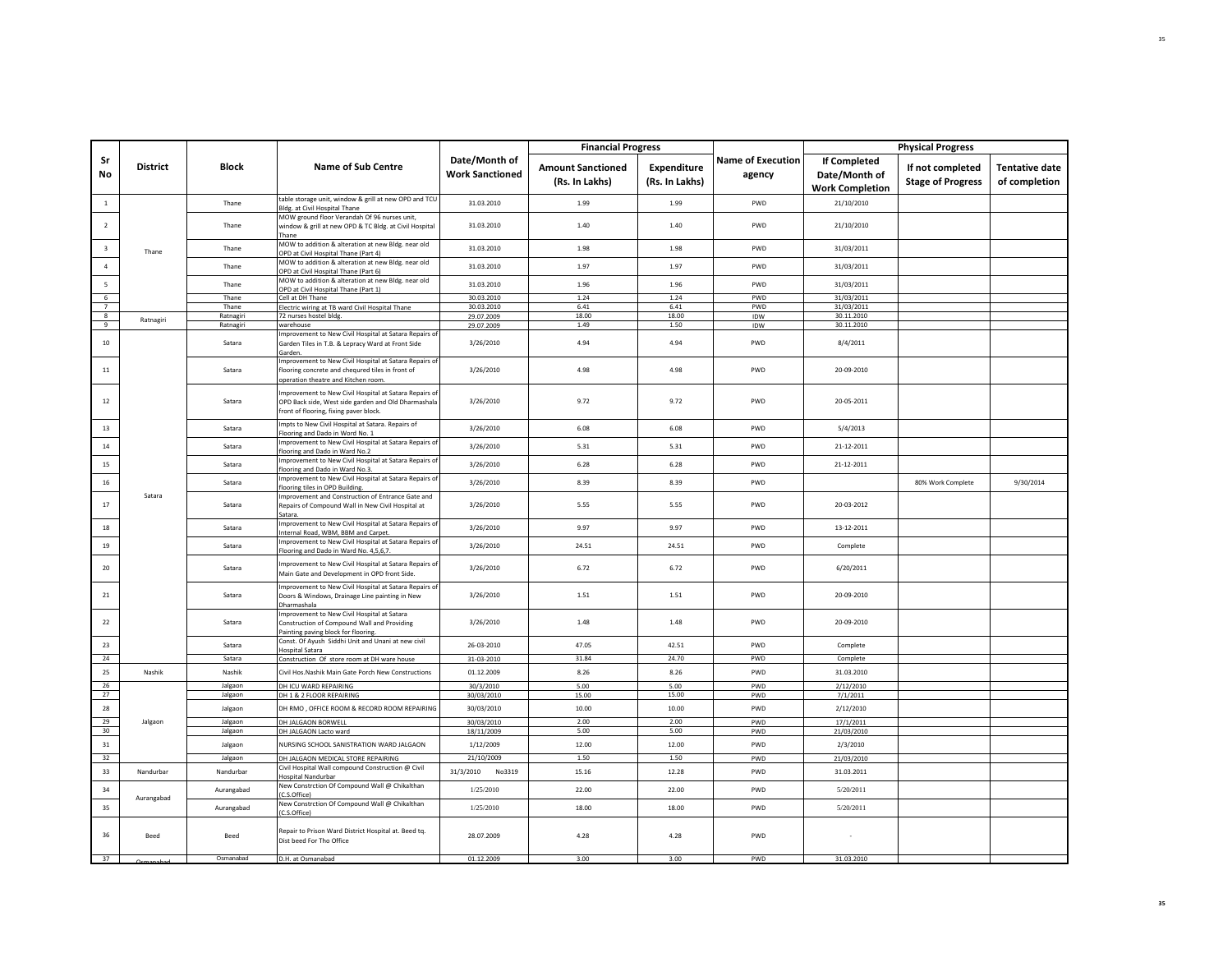|                                   |                 |                    |                                                                                                                                                        |                                         | <b>Financial Progress</b>                  |                               |                                    |                                                         | <b>Physical Progress</b>                     |                                        |
|-----------------------------------|-----------------|--------------------|--------------------------------------------------------------------------------------------------------------------------------------------------------|-----------------------------------------|--------------------------------------------|-------------------------------|------------------------------------|---------------------------------------------------------|----------------------------------------------|----------------------------------------|
| Sr<br>No                          | <b>District</b> | <b>Block</b>       | <b>Name of Sub Centre</b>                                                                                                                              | Date/Month of<br><b>Work Sanctioned</b> | <b>Amount Sanctioned</b><br>(Rs. In Lakhs) | Expenditure<br>(Rs. In Lakhs) | <b>Name of Execution</b><br>agency | If Completed<br>Date/Month of<br><b>Work Completion</b> | If not completed<br><b>Stage of Progress</b> | <b>Tentative date</b><br>of completion |
| 1                                 |                 | Thane              | table storage unit, window & grill at new OPD and TCU<br>Bldg. at Civil Hospital Thane                                                                 | 31.03.2010                              | 1.99                                       | 1.99                          | PWD                                | 21/10/2010                                              |                                              |                                        |
| $\overline{2}$                    |                 | Thane              | MOW ground floor Verandah Of 96 nurses unit,<br>window & grill at new OPD & TC Bldg. at Civil Hospital<br>Thane                                        | 31.03.2010                              | 1.40                                       | 1.40                          | PWD                                | 21/10/2010                                              |                                              |                                        |
| $\overline{\mathbf{3}}$           | Thane           | Thane              | MOW to addition & alteration at new Bldg. near old<br>OPD at Civil Hospital Thane (Part 4)                                                             | 31.03.2010                              | 1.98                                       | 1.98                          | PWD                                | 31/03/2011                                              |                                              |                                        |
| $\sqrt{4}$                        |                 | Thane              | MOW to addition & alteration at new Bldg. near old<br>OPD at Civil Hospital Thane (Part 6)                                                             | 31.03.2010                              | 1.97                                       | 1.97                          | PWD                                | 31/03/2011                                              |                                              |                                        |
| 5                                 |                 | Thane              | MOW to addition & alteration at new Bldg. near old<br>OPD at Civil Hospital Thane (Part 1)                                                             | 31.03.2010                              | 1.96                                       | 1.96                          | PWD                                | 31/03/2011                                              |                                              |                                        |
| $6\overline{6}$<br>$\overline{7}$ |                 | Thane<br>Thane     | Cell at DH Thane<br>Electric wiring at TB ward Civil Hospital Thane                                                                                    | 30.03.2010<br>30.03.2010                | 1.24<br>6.41                               | 1.24<br>6.41                  | PWD<br>PWD                         | 31/03/2011<br>31/03/2011                                |                                              |                                        |
| $^{\circ}$                        |                 | Ratnagiri          | 72 nurses hostel bldg.                                                                                                                                 | 29.07.2009                              | 18.00                                      | 18.00                         | IDW                                | 30.11.2010                                              |                                              |                                        |
| $\overline{9}$                    | Ratnagiri       | Ratnagiri          | warehouse                                                                                                                                              | 29.07.2009                              | 1.49                                       | 1.50                          | IDW                                | 30.11.2010                                              |                                              |                                        |
| 10                                |                 | Satara             | mprovement to New Civil Hospital at Satara Repairs of<br>Garden Tiles in T.B. & Lepracy Ward at Front Side<br>Garden.                                  | 3/26/2010                               | 4.94                                       | 4.94                          | PWD                                | 8/4/2011                                                |                                              |                                        |
| 11                                |                 | Satara             | Improvement to New Civil Hospital at Satara Repairs of<br>flooring concrete and chequred tiles in front of<br>operation theatre and Kitchen room       | 3/26/2010                               | 4.98                                       | 4.98                          | PWD                                | 20-09-2010                                              |                                              |                                        |
| 12                                |                 | Satara             | mprovement to New Civil Hospital at Satara Repairs of<br>OPD Back side, West side garden and Old Dharmashala<br>front of flooring, fixing paver block. | 3/26/2010                               | 9.72                                       | 9.72                          | PWD                                | 20-05-2011                                              |                                              |                                        |
| $13\,$                            |                 | Satara             | mpts to New Civil Hospital at Satara. Repairs of<br>Flooring and Dado in Word No. 1                                                                    | 3/26/2010                               | 6.08                                       | 6.08                          | PWD                                | 5/4/2013                                                |                                              |                                        |
| $14\,$                            |                 | Satara             | Improvement to New Civil Hospital at Satara Repairs of<br>flooring and Dado in Ward No.2                                                               | 3/26/2010                               | 5.31                                       | 5.31                          | PWD                                | 21-12-2011                                              |                                              |                                        |
| 15                                |                 | Satara             | Improvement to New Civil Hospital at Satara Repairs of<br>flooring and Dado in Ward No.3.                                                              | 3/26/2010                               | 6.28                                       | 6.28                          | PWD                                | 21-12-2011                                              |                                              |                                        |
| 16                                |                 | Satara             | Improvement to New Civil Hospital at Satara Repairs of<br>flooring tiles in OPD Building                                                               | 3/26/2010                               | 8.39                                       | 8.39                          | PWD                                |                                                         | 80% Work Complete                            | 9/30/2014                              |
| 17                                | Satara          | Satara             | mprovement and Construction of Entrance Gate and<br>Repairs of Compound Wall in New Civil Hospital at<br>Satara.                                       | 3/26/2010                               | 5.55                                       | 5.55                          | PWD                                | 20-03-2012                                              |                                              |                                        |
| $18\,$                            |                 | Satara             | mprovement to New Civil Hospital at Satara Repairs of<br>Internal Road, WBM, BBM and Carpet.                                                           | 3/26/2010                               | 9.97                                       | 9.97                          | PWD                                | 13-12-2011                                              |                                              |                                        |
| $19\,$                            |                 | Satara             | mprovement to New Civil Hospital at Satara Repairs of<br>Flooring and Dado in Ward No. 4,5,6,7                                                         | 3/26/2010                               | 24.51                                      | 24.51                         | PWD                                | Complete                                                |                                              |                                        |
| 20                                |                 | Satara             | mprovement to New Civil Hospital at Satara Repairs of<br>Main Gate and Development in OPD front Side.                                                  | 3/26/2010                               | 6.72                                       | 6.72                          | PWD                                | 6/20/2011                                               |                                              |                                        |
| 21                                |                 | Satara             | Improvement to New Civil Hospital at Satara Repairs of<br>Doors & Windows, Drainage Line painting in New<br>Dharmashala                                | 3/26/2010                               | 1.51                                       | 1.51                          | PWD                                | 20-09-2010                                              |                                              |                                        |
| 22                                |                 | Satara             | mprovement to New Civil Hospital at Satara<br>Construction of Compound Wall and Providing<br>Painting paving block for flooring                        | 3/26/2010                               | 1.48                                       | 1.48                          | PWD                                | 20-09-2010                                              |                                              |                                        |
| 23                                |                 | Satara             | Const. Of Ayush Siddhi Unit and Unani at new civil<br><b>Hospital Satara</b>                                                                           | 26-03-2010                              | 47.05                                      | 42.51                         | PWD                                | Complete                                                |                                              |                                        |
| 24                                |                 | Satara             | Construction Of store room at DH ware house                                                                                                            | 31-03-2010                              | 31.84                                      | 24.70                         | PWD                                | Complete                                                |                                              |                                        |
| 25                                | Nashik          | Nashik             | Civil Hos. Nashik Main Gate Porch New Constructions                                                                                                    | 01.12.2009                              | 8.26                                       | 8.26                          | <b>PWD</b>                         | 31.03.2010                                              |                                              |                                        |
| 26<br>27                          |                 | Jalgaon<br>Jalgaon | DH ICU WARD REPAIRING<br>DH 1 & 2 FLOOR REPAIRING                                                                                                      | 30/3/2010<br>30/03/2010                 | 5.00<br>15.00                              | 5.00<br>15.00                 | PWD<br>PWD                         | 2/12/2010<br>7/1/2011                                   |                                              |                                        |
| 28                                |                 | Jalgaon            | DH RMO, OFFICE ROOM & RECORD ROOM REPAIRING                                                                                                            | 30/03/2010                              | 10.00                                      | 10.00                         | PWD                                | 2/12/2010                                               |                                              |                                        |
| 29<br>30 <sub>o</sub>             | Jalgaon         | Jalgaon<br>Jalgaon | DH JALGAON BORWELL<br>DH JALGAON Lacto ward                                                                                                            | 30/03/2010<br>18/11/2009                | 2.00<br>5.00                               | 2.00<br>5.00                  | PWD<br>PWD                         | 17/1/2011<br>21/03/2010                                 |                                              |                                        |
| 31                                |                 | Jalgaon            | NURSING SCHOOL SANISTRATION WARD JALGAON                                                                                                               | 1/12/2009                               | 12.00                                      | 12.00                         | PWD                                | 2/3/2010                                                |                                              |                                        |
| 32                                |                 | Jalgaon            | DH JALGAON MEDICAL STORE REPAIRING                                                                                                                     | 21/10/2009                              | 1.50                                       | 1.50                          | PWD                                | 21/03/2010                                              |                                              |                                        |
| 33                                | Nandurbar       | Nandurbar          | Civil Hospital Wall compound Construction @ Civil<br>Hospital Nandurbar                                                                                | 31/3/2010<br>No3319                     | 15.16                                      | 12.28                         | PWD                                | 31.03.2011                                              |                                              |                                        |
| 34                                | Aurangabad      | Aurangabad         | New Constrction Of Compound Wall @ Chikalthan<br>C.S.Office)                                                                                           | 1/25/2010                               | 22.00                                      | 22.00                         | PWD                                | 5/20/2011                                               |                                              |                                        |
| 35                                |                 | Aurangabad         | New Constrction Of Compound Wall @ Chikalthan<br>C.S.Office)                                                                                           | 1/25/2010                               | 18.00                                      | 18.00                         | PWD                                | 5/20/2011                                               |                                              |                                        |
| 36                                | Beed            | Beed               | Repair to Prison Ward District Hospital at. Beed tq.<br>Dist beed For Tho Office                                                                       | 28.07.2009                              | 4.28                                       | 4.28                          | PWD                                |                                                         |                                              |                                        |
| 37                                |                 | Osmanabad          | D.H. at Osmanabad                                                                                                                                      | 01.12.2009                              | 3.00                                       | 3.00                          | PWD                                | 31.03.2010                                              |                                              |                                        |